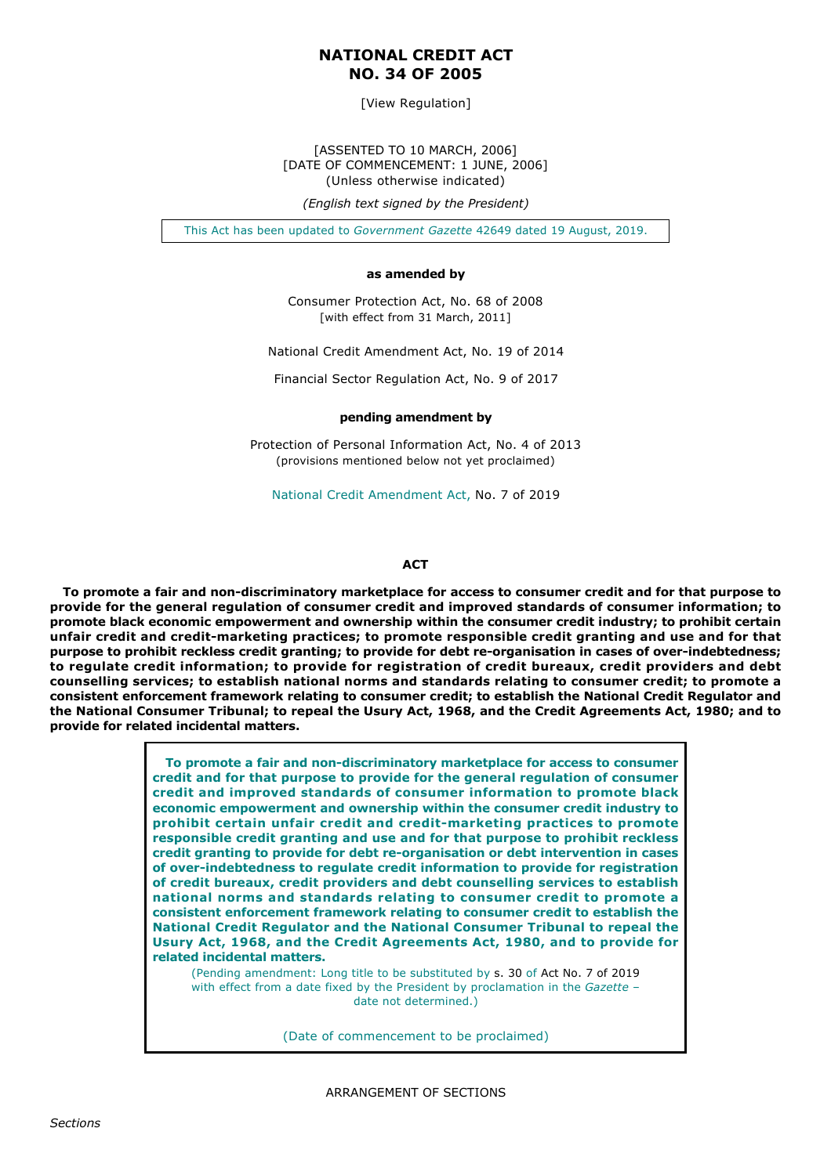# **NATIONAL CREDIT ACT NO. 34 OF 2005**

[View Regulation]

[ASSENTED TO 10 MARCH, 2006] [DATE OF COMMENCEMENT: 1 JUNE, 2006] (Unless otherwise indicated)

*(English text signed by the President)*

This Act has been updated to *Government Gazette* 42649 dated 19 August, 2019.

## **as amended by**

Consumer Protection Act, No. 68 of 2008 [with effect from 31 March, 2011]

National Credit Amendment Act, No. 19 of 2014

Financial Sector Regulation Act, No. 9 of 2017

#### **pending amendment by**

Protection of Personal Information Act, No. 4 of 2013 (provisions mentioned below not yet proclaimed)

National Credit Amendment Act, No. 7 of 2019

#### **ACT**

To promote a fair and non-discriminatory marketplace for access to consumer credit and for that purpose to **provide for the general regulation of consumer credit and improved standards of consumer information; to promote black economic empowerment and ownership within the consumer credit industry; to prohibit certain unfair credit and creditmarketing practices; to promote responsible credit granting and use and for that** purpose to prohibit reckless credit granting; to provide for debt re-organisation in cases of over-indebtedness; **to regulate credit information; to provide for registration of credit bureaux, credit providers and debt counselling services; to establish national norms and standards relating to consumer credit; to promote a consistent enforcement framework relating to consumer credit; to establish the National Credit Regulator and the National Consumer Tribunal; to repeal the Usury Act, 1968, and the Credit Agreements Act, 1980; and to provide for related incidental matters.**

> To promote a fair and non-discriminatory marketplace for access to consumer **credit and for that purpose to provide for the general regulation of consumer credit and improved standards of consumer information to promote black economic empowerment and ownership within the consumer credit industry to** prohibit certain unfair credit and credit-marketing practices to promote **responsible credit granting and use and for that purpose to prohibit reckless credit granting to provide for debt reorganisation or debt intervention in cases of overindebtedness to regulate credit information to provide for registration of credit bureaux, credit providers and debt counselling services to establish national norms and standards relating to consumer credit to promote a consistent enforcement framework relating to consumer credit to establish the National Credit Regulator and the National Consumer Tribunal to repeal the Usury Act, 1968, and the Credit Agreements Act, 1980, and to provide for related incidental matters.**

(Pending amendment: Long title to be substituted by s. 30 of Act No. 7 of 2019 with effect from a date fixed by the President by proclamation in the *Gazette* – date not determined.)

(Date of commencement to be proclaimed)

ARRANGEMENT OF SECTIONS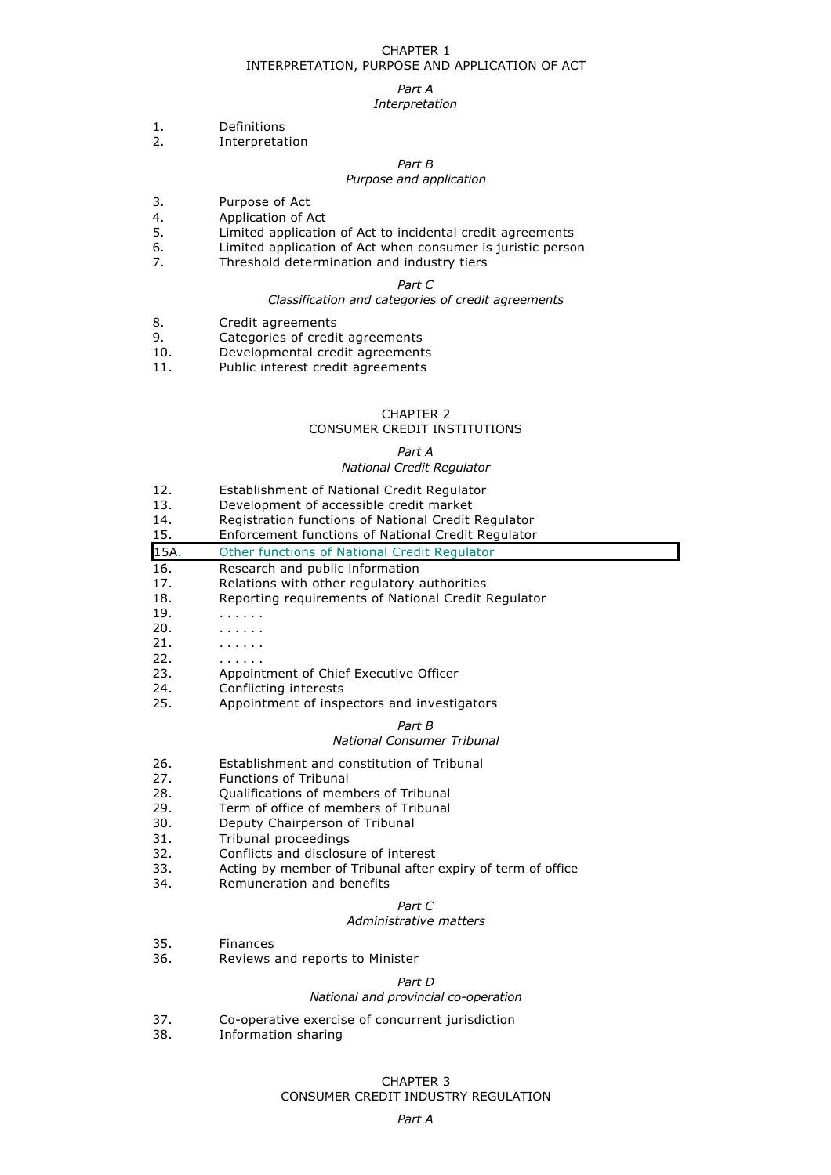## CHAPTER 1 INTERPRETATION, PURPOSE AND APPLICATION OF ACT

#### *Part A*

# *Interpretation*

- 1. Definitions
- 2. Interpretation

*Part B*

## *Purpose and application*

- 3. Purpose of Act
- 4. Application of Act<br>5. Limited applicatio
- Limited application of Act to incidental credit agreements
- 6. Limited application of Act when consumer is juristic person
- 7. Threshold determination and industry tiers

## *Part C*

## *Classification and categories of credit agreements*

- 8. Credit agreements
- 9. Categories of credit agreements
- 10. Developmental credit agreements
- 11. Public interest credit agreements

## CHAPTER 2

## CONSUMER CREDIT INSTITUTIONS

## *Part A*

## *National Credit Regulator*

- 12. Establishment of National Credit Regulator
- 13. Development of accessible credit market
- 14. Registration functions of National Credit Regulator<br>15. Fuforcement functions of National Credit Regulator
- 15. Enforcement functions of National Credit Regulator

| 15A. | Other functions of National Credit Regulator        |  |  |
|------|-----------------------------------------------------|--|--|
| 16.  | Research and public information                     |  |  |
| 17.  | Relations with other regulatory authorities         |  |  |
| 18.  | Reporting requirements of National Credit Regulator |  |  |
| 19.  |                                                     |  |  |
| 20.  | .                                                   |  |  |
| 21.  | .                                                   |  |  |
| 22.  | .                                                   |  |  |
| 23.  | Appointment of Chief Executive Officer              |  |  |
| 24.  | Conflicting interests                               |  |  |
| 25.  | Appointment of inspectors and investigators         |  |  |

#### *Part B*

## *National Consumer Tribunal*

- 26. Establishment and constitution of Tribunal
- 27. Functions of Tribunal
- 28. Qualifications of members of Tribunal<br>29. Term of office of members of Tribunal
- 29. Term of office of members of Tribunal<br>30. Deputy Chairperson of Tribunal
- Deputy Chairperson of Tribunal
- 31. Tribunal proceedings
- 32. Conflicts and disclosure of interest
- 33. Acting by member of Tribunal after expiry of term of office<br>34. Remuneration and benefits
- Remuneration and benefits

## *Part C*

#### *Administrative matters*

- 35. Finances
- 36. Reviews and reports to Minister

# *Part D*

# *National and provincial co-operation*

- 37. Co-operative exercise of concurrent jurisdiction<br>38. Information sharing
- Information sharing

## CHAPTER 3 CONSUMER CREDIT INDUSTRY REGULATION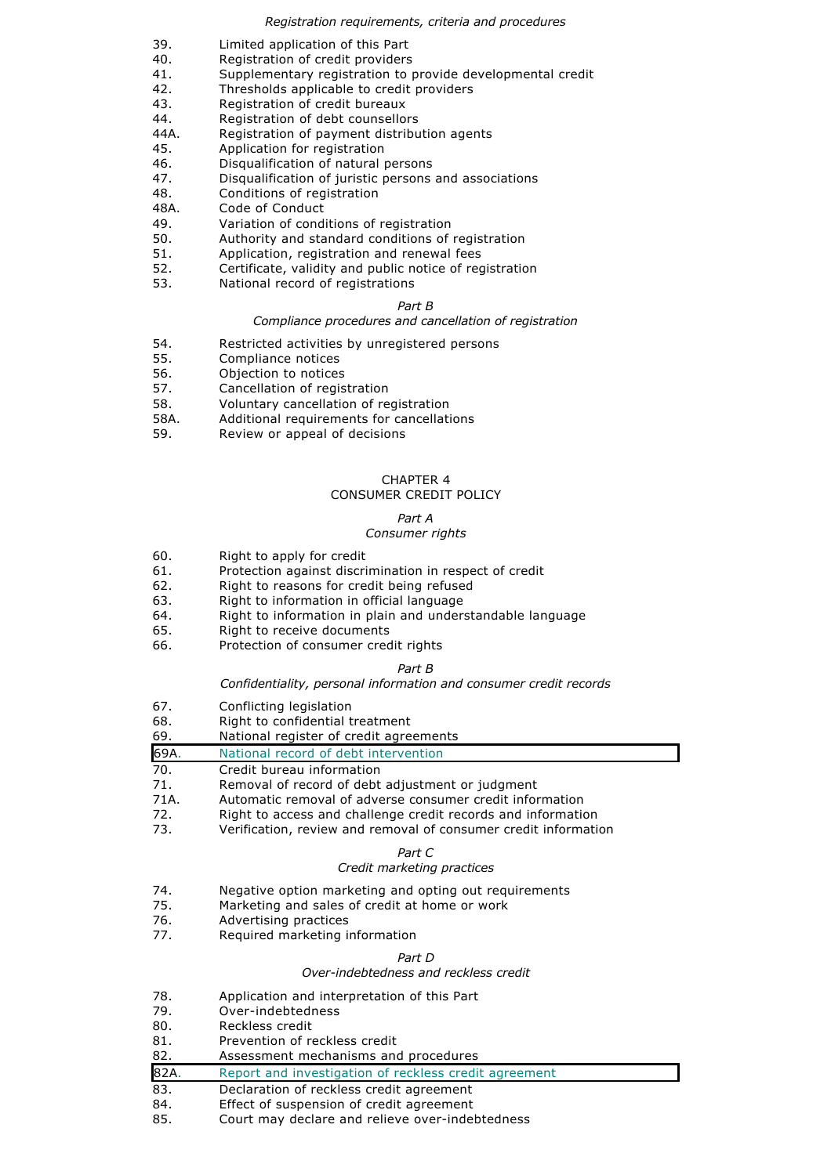### *Registration requirements, criteria and procedures*

- 
- 39. Limited application of this Part<br>40. Registration of credit providers Registration of credit providers
- 41. Supplementary registration to provide developmental credit
- 42. Thresholds applicable to credit providers
- 43. Registration of credit bureaux<br>44. Registration of debt counsello
- Registration of debt counsellors
- 44A. Registration of payment distribution agents
- 45. Application for registration
- 46. Disqualification of natural persons<br>47. Disqualification of juristic persons
- 47. Disqualification of juristic persons and associations<br>48. Conditions of registration
- Conditions of registration
- 48A. Code of Conduct<br>49. Variation of cond
- Variation of conditions of registration
- 50. Authority and standard conditions of registration
- 51. Application, registration and renewal fees
- 52. Certificate, validity and public notice of registration<br>53. National record of registrations
- National record of registrations

## *Part B*

## *Compliance procedures and cancellation of registration*

- 54. Restricted activities by unregistered persons<br>55. Compliance notices
- 55. Compliance notices<br>56. Objection to notices
- Objection to notices
- 57. Cancellation of registration<br>58. Voluntary cancellation of re
- Voluntary cancellation of registration
- 58A. Additional requirements for cancellations
- 59. Review or appeal of decisions

## CHAPTER 4 CONSUMER CREDIT POLICY

# *Part A*

# *Consumer rights*

- 60. Right to apply for credit
- 61. Protection against discrimination in respect of credit
- 62. Right to reasons for credit being refused
- 63. Right to information in official language
- 64. Right to information in plain and understandable language
- 65. Right to receive documents
- 66. Protection of consumer credit rights

# *Part B*

# *Confidentiality, personal information and consumer credit records*

- 67. Conflicting legislation
- 68. Right to confidential treatment
- 69. National register of credit agreements
- 69A. National record of debt intervention
- 70. Credit bureau information<br>71. Removal of record of debt
- Removal of record of debt adjustment or judgment
- 71A. Automatic removal of adverse consumer credit information
- 72. Right to access and challenge credit records and information
- 73. Verification, review and removal of consumer credit information

## *Part C*

# *Credit marketing practices*

- 74. Negative option marketing and opting out requirements
- 75. Marketing and sales of credit at home or work
- 76. Advertising practices
- 77. Required marketing information

## *Part D*

## *Overindebtedness and reckless credit*

- 78. Application and interpretation of this Part
- 79. Overindebtedness
- 80. Reckless credit
- 81. Prevention of reckless credit
- 82. Assessment mechanisms and procedures

## 82A. Report and investigation of reckless credit agreement

- 83. Declaration of reckless credit agreement
- 84. Effect of suspension of credit agreement
- 85. Court may declare and relieve over-indebtedness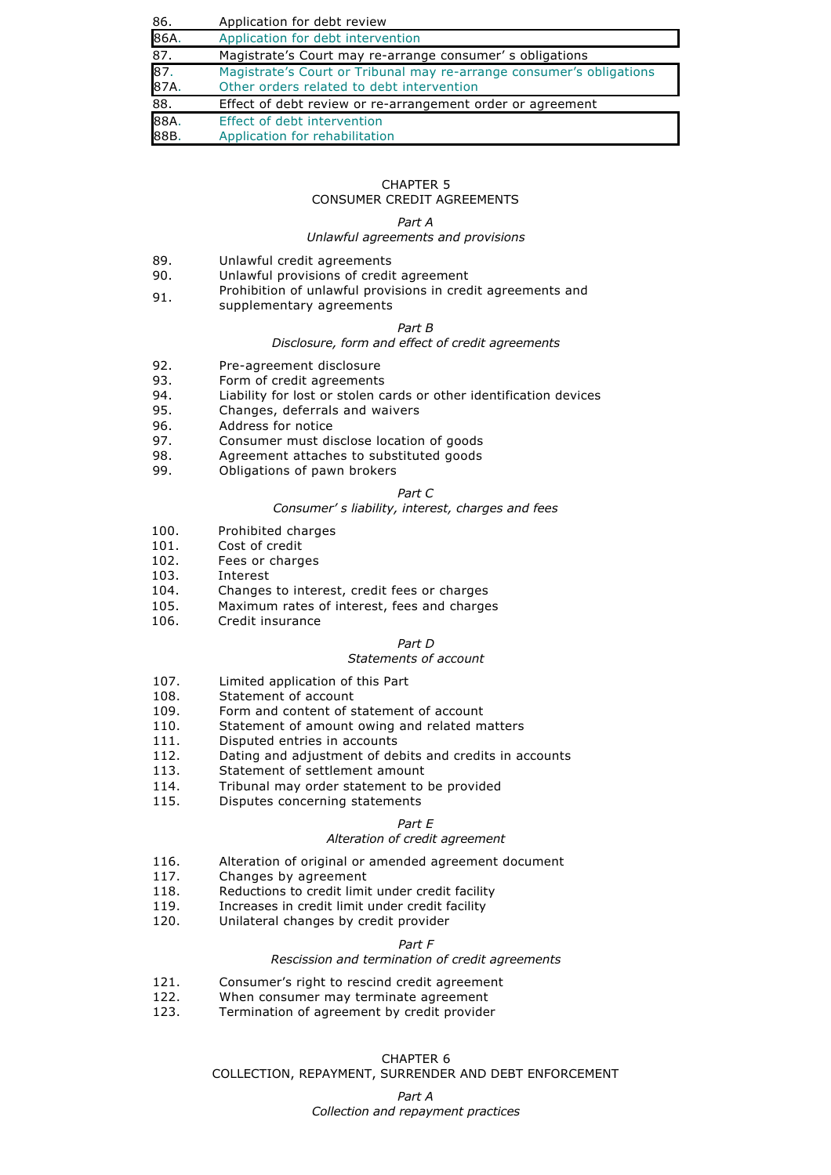| 86.          | Application for debt review                                                                                       |  |
|--------------|-------------------------------------------------------------------------------------------------------------------|--|
| 86A.         | Application for debt intervention                                                                                 |  |
| 87.          | Magistrate's Court may re-arrange consumer's obligations                                                          |  |
| 87.<br>87A.  | Magistrate's Court or Tribunal may re-arrange consumer's obligations<br>Other orders related to debt intervention |  |
| 88.          | Effect of debt review or re-arrangement order or agreement                                                        |  |
| 88A.<br>88B. | Effect of debt intervention<br>Application for rehabilitation                                                     |  |

## CHAPTER 5 CONSUMER CREDIT AGREEMENTS

### *Part A*

# *Unlawful agreements and provisions*

- 89. Unlawful credit agreements<br>90. Unlawful provisions of credit
- Unlawful provisions of credit agreement
- 91. Prohibition of unlawful provisions in credit agreements and
	- supplementary agreements

## *Part B*

## *Disclosure, form and effect of credit agreements*

- 92. Pre-agreement disclosure<br>93. Form of credit agreements
- Form of credit agreements
- 94. Liability for lost or stolen cards or other identification devices
- 95. Changes, deferrals and waivers
- 96. Address for notice<br>97 Consumer must div
- 97. Consumer must disclose location of goods
- 98. Agreement attaches to substituted goods<br>99. Colligations of nawn brokers
- Obligations of pawn brokers

## *Part C*

#### *Consumer' s liability, interest, charges and fees*

- 100. Prohibited charges<br>101. Cost of credit
- 101. Cost of credit<br>102. Fees or charge
- Fees or charges
- 103. Interest
- 104. Changes to interest, credit fees or charges<br>105. Maximum rates of interest, fees and charge
- Maximum rates of interest, fees and charges
- 106. Credit insurance

## *Part D*

## *Statements of account*

- 107. Limited application of this Part
- 
- 108. Statement of account<br>109. Form and content of s
- 109. Form and content of statement of account<br>110. Statement of amount owing and related m Statement of amount owing and related matters
- 111. Disputed entries in accounts<br>112. Dating and adjustment of de
- Dating and adjustment of debits and credits in accounts
- 113. Statement of settlement amount
- 114. Tribunal may order statement to be provided
- 115. Disputes concerning statements

#### *Part E*

## *Alteration of credit agreement*

- 116. Alteration of original or amended agreement document
- 117. Changes by agreement<br>118. Reductions to credit limit
- Reductions to credit limit under credit facility
- 119. Increases in credit limit under credit facility
- 120. Unilateral changes by credit provider

## *Part F*

## *Rescission and termination of credit agreements*

- 121. Consumer's right to rescind credit agreement
- 122. When consumer may terminate agreement
- 123. Termination of agreement by credit provider

## CHAPTER 6 COLLECTION, REPAYMENT, SURRENDER AND DEBT ENFORCEMENT

## *Part A Collection and repayment practices*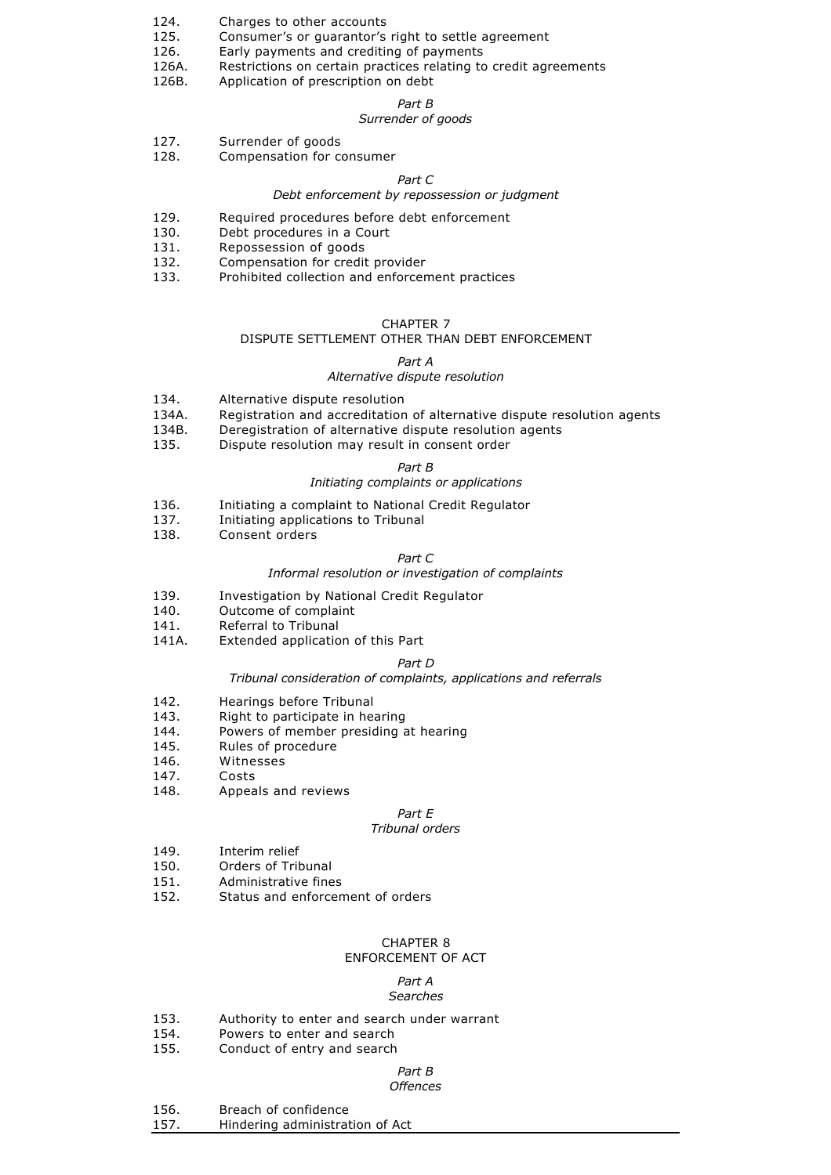- 124. Charges to other accounts
- 125. Consumer's or guarantor's right to settle agreement
- 126. Early payments and crediting of payments
- 126A. Restrictions on certain practices relating to credit agreements
- 126B. Application of prescription on debt

## *Part B*

# *Surrender of goods*

- 127. Surrender of goods
- 128. Compensation for consumer

## *Part C*

## *Debt enforcement by repossession or judgment*

- 129. Required procedures before debt enforcement
- 130. Debt procedures in a Court
- 131. Repossession of goods
- 132. Compensation for credit provider
- 133. Prohibited collection and enforcement practices

#### CHAPTER 7

# DISPUTE SETTLEMENT OTHER THAN DEBT ENFORCEMENT

## *Part A*

## *Alternative dispute resolution*

- 134. Alternative dispute resolution
- 134A. Registration and accreditation of alternative dispute resolution agents
- 134B. Deregistration of alternative dispute resolution agents
- 135. Dispute resolution may result in consent order

# *Part B*

## *Initiating complaints or applications*

- 136. Initiating a complaint to National Credit Regulator
- 137. Initiating applications to Tribunal
- 138. Consent orders

## *Part C*

# *Informal resolution or investigation of complaints*

- 139. Investigation by National Credit Regulator
- 140. Outcome of complaint
- 141. Referral to Tribunal
- 141A. Extended application of this Part

## *Part D*

## *Tribunal consideration of complaints, applications and referrals*

- 142. Hearings before Tribunal
- 143. Right to participate in hearing
- 144. Powers of member presiding at hearing<br>145 Rules of procedure
- Rules of procedure
- 146. Witnesses
- 147. Costs
- 148. Appeals and reviews

# *Part E*

## *Tribunal orders*

- 149. Interim relief<br>150. Orders of Tril
- Orders of Tribunal
- 151. Administrative fines
- 152. Status and enforcement of orders

## CHAPTER 8

## ENFORCEMENT OF ACT

#### *Part A Searches*

- 153. Authority to enter and search under warrant
- 154. Powers to enter and search
- 155. Conduct of entry and search

# *Part B*

# *Offences*

- 156. Breach of confidence
- 157. Hindering administration of Act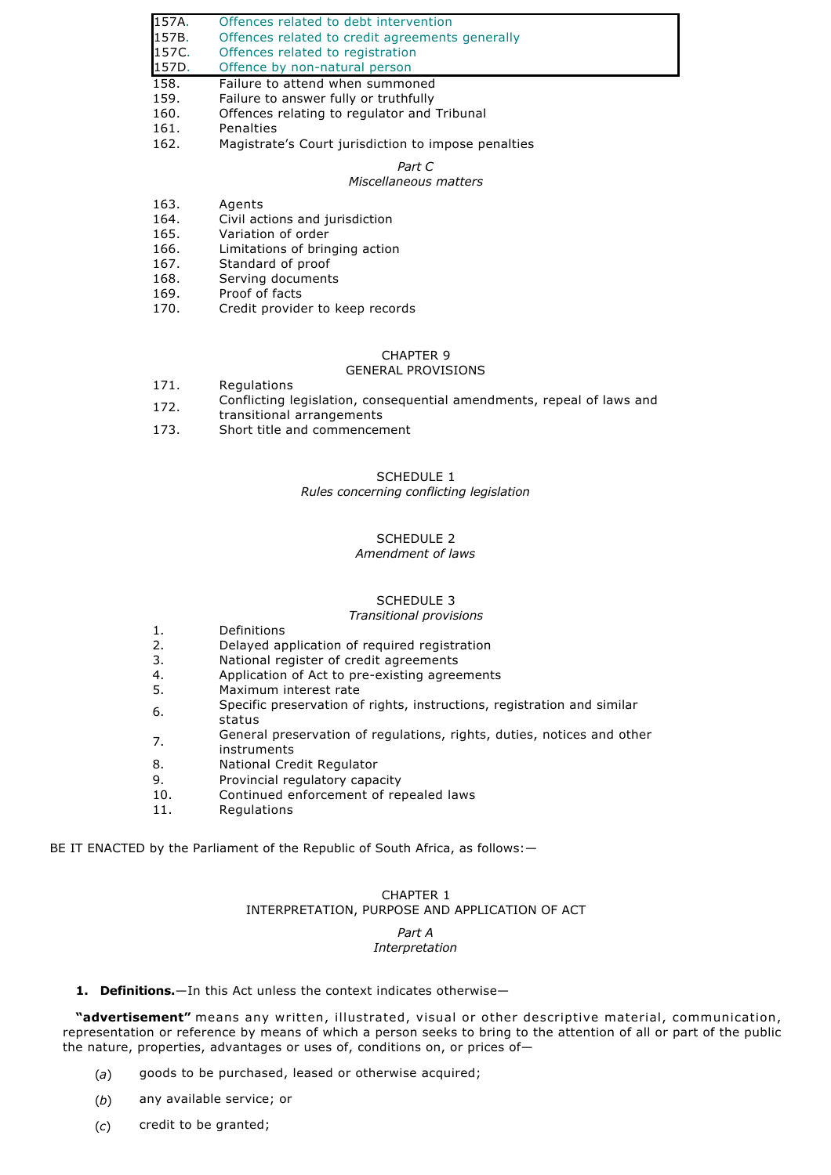- 157A. Offences related to debt intervention 157B. Offences related to credit agreements generally<br>157C. Offences related to registration Offences related to registration 157D. Offence by non-natural person 158. Failure to attend when summoned 159. Failure to answer fully or truthfully 160. Offences relating to regulator and Offences relating to regulator and Tribunal 161. Penalties
- 162. Magistrate's Court jurisdiction to impose penalties

*Part C*

# *Miscellaneous matters*

- 163. Agents
- 164. Civil actions and jurisdiction
- 165. Variation of order
- 166. Limitations of bringing action
- 167. Standard of proof
- 168. Serving documents
- 169. Proof of facts
- 170. Credit provider to keep records

## CHAPTER 9

# GENERAL PROVISIONS

- 171. Regulations
- 172. Conflicting legislation, consequential amendments, repeal of laws and
- transitional arrangements
- 173. Short title and commencement

# SCHEDULE 1

# *Rules concerning conflicting legislation*

# SCHEDULE 2

# *Amendment of laws*

## SCHEDULE 3

#### *Transitional provisions*

- 1. Definitions
- 2. Delayed application of required registration
- 3. National register of credit agreements
- 4. Application of Act to pre-existing agreements
- 5. Maximum interest rate
- 6. Specific preservation of rights, instructions, registration and similar
- status
- 7. General preservation of regulations, rights, duties, notices and other instruments
- 8. National Credit Regulator
- 9. Provincial regulatory capacity
- 10. Continued enforcement of repealed laws
- 11. Regulations

BE IT ENACTED by the Parliament of the Republic of South Africa, as follows: -

## CHAPTER 1 INTERPRETATION, PURPOSE AND APPLICATION OF ACT

#### *Part A Interpretation*

1. **Definitions.**—In this Act unless the context indicates otherwise—

**"advertisement"** means any written, illustrated, visual or other descriptive material, communication, representation or reference by means of which a person seeks to bring to the attention of all or part of the public the nature, properties, advantages or uses of, conditions on, or prices of—

- (*a*) goods to be purchased, leased or otherwise acquired;
- (*b*) any available service; or
- (*c*) credit to be granted;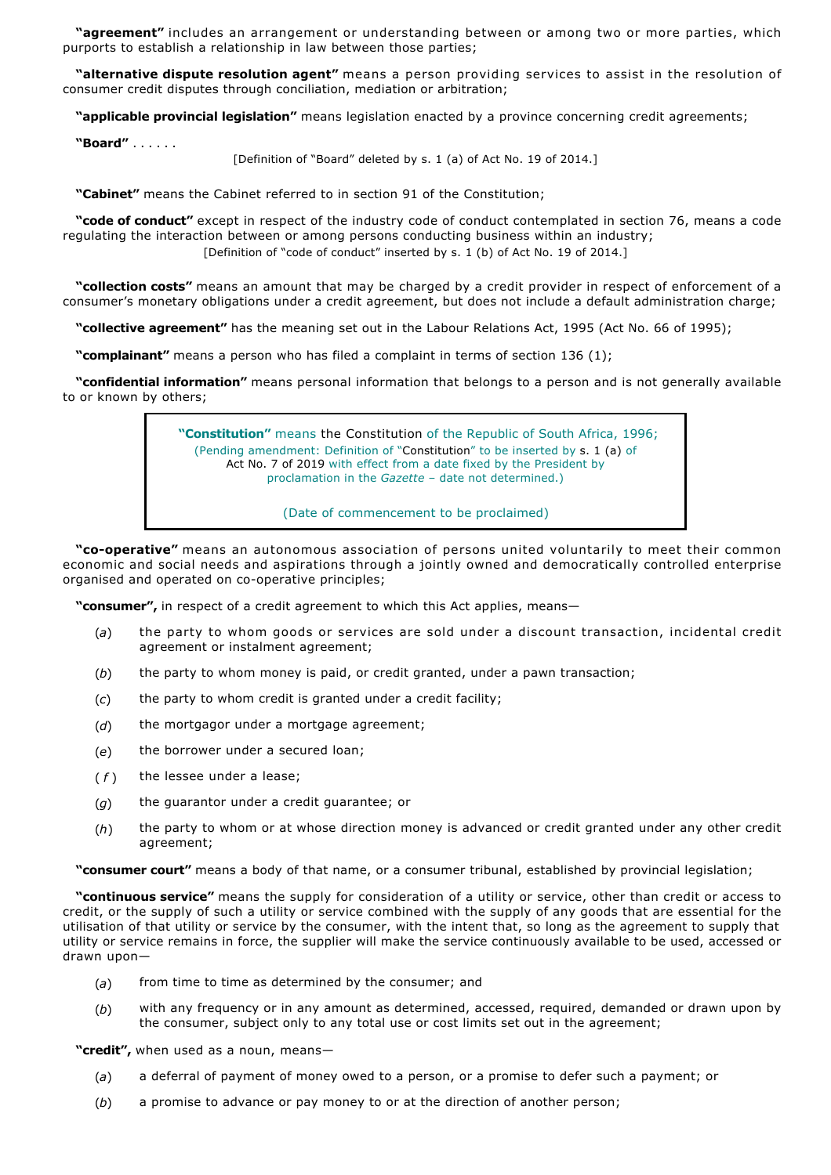**"agreement"** includes an arrangement or understanding between or among two or more parties, which purports to establish a relationship in law between those parties;

**"alternative dispute resolution agent"** means a person providing services to assist in the resolution of consumer credit disputes through conciliation, mediation or arbitration;

**"applicable provincial legislation"** means legislation enacted by a province concerning credit agreements;

**"Board"** . . . . . .

[Definition of "Board" deleted by s. 1 (a) of Act No. 19 of 2014.]

**"Cabinet"** means the Cabinet referred to in section 91 of the Constitution;

**"code of conduct"** except in respect of the industry code of conduct contemplated in section 76, means a code regulating the interaction between or among persons conducting business within an industry; [Definition of "code of conduct" inserted by s. 1 (b) of Act No. 19 of 2014.]

**"collection costs"** means an amount that may be charged by a credit provider in respect of enforcement of a consumer's monetary obligations under a credit agreement, but does not include a default administration charge;

**"collective agreement"** has the meaning set out in the Labour Relations Act, 1995 (Act No. 66 of 1995);

**"complainant"** means a person who has filed a complaint in terms of section 136 (1);

**"confidential information"** means personal information that belongs to a person and is not generally available to or known by others;

> **"Constitution"** means the Constitution of the Republic of South Africa, 1996; (Pending amendment: Definition of "Constitution" to be inserted by s. 1 (a) of Act No. 7 of 2019 with effect from a date fixed by the President by proclamation in the *Gazette* – date not determined.)

> > (Date of commencement to be proclaimed)

"co-operative" means an autonomous association of persons united voluntarily to meet their common economic and social needs and aspirations through a jointly owned and democratically controlled enterprise organised and operated on co-operative principles;

**"consumer",** in respect of a credit agreement to which this Act applies, means—

- (*a*) the party to whom goods or services are sold under a discount transaction, incidental credit agreement or instalment agreement;
- (*b*) the party to whom money is paid, or credit granted, under a pawn transaction;
- (*c*) the party to whom credit is granted under a credit facility;
- (*d*) the mortgagor under a mortgage agreement;
- (*e*) the borrower under a secured loan;
- $(f)$  the lessee under a lease;
- (*g*) the guarantor under a credit guarantee; or
- (*h*) the party to whom or at whose direction money is advanced or credit granted under any other credit agreement;

**"consumer court"** means a body of that name, or a consumer tribunal, established by provincial legislation;

**"continuous service"** means the supply for consideration of a utility or service, other than credit or access to credit, or the supply of such a utility or service combined with the supply of any goods that are essential for the utilisation of that utility or service by the consumer, with the intent that, so long as the agreement to supply that utility or service remains in force, the supplier will make the service continuously available to be used, accessed or drawn upon—

- (*a*) from time to time as determined by the consumer; and
- (*b*) with any frequency or in any amount as determined, accessed, required, demanded or drawn upon by the consumer, subject only to any total use or cost limits set out in the agreement;

**"credit",** when used as a noun, means—

- (*a*) a deferral of payment of money owed to a person, or a promise to defer such a payment; or
- (*b*) a promise to advance or pay money to or at the direction of another person;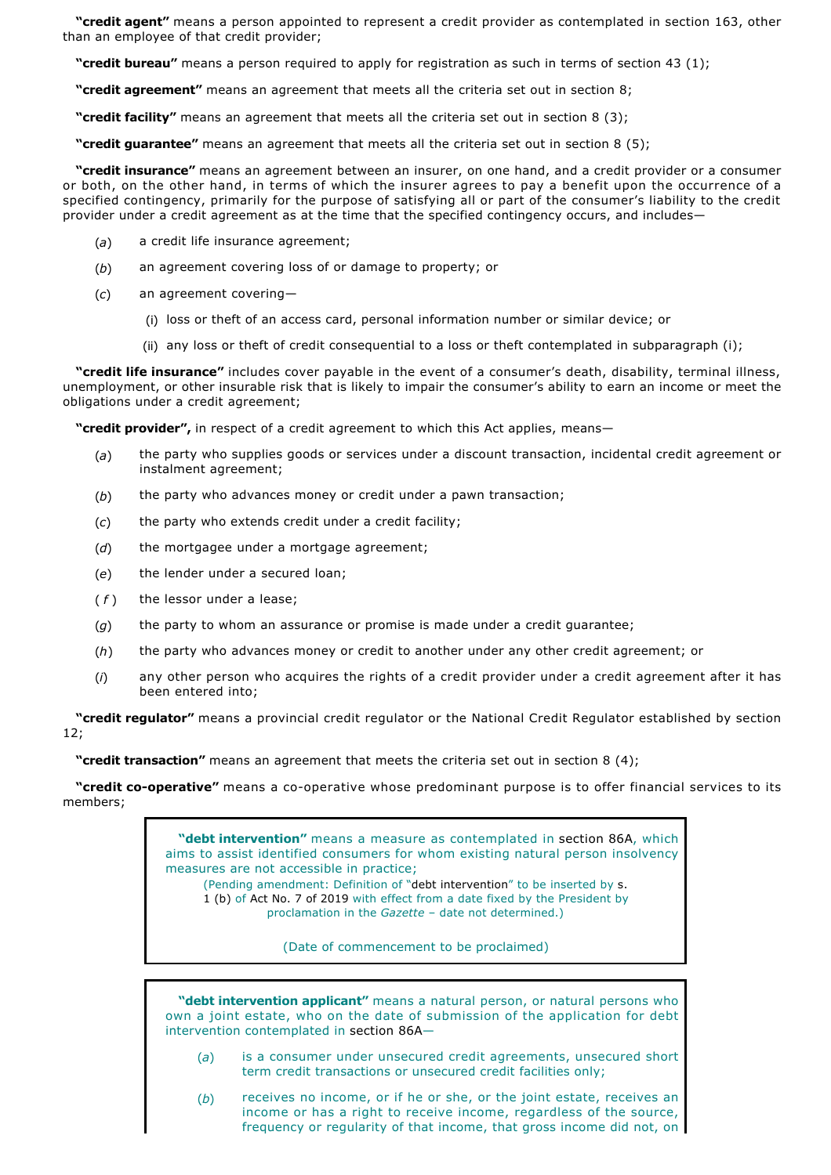**"credit agent"** means a person appointed to represent a credit provider as contemplated in section 163, other than an employee of that credit provider;

**"credit bureau"** means a person required to apply for registration as such in terms of section 43 (1);

**"credit agreement"** means an agreement that meets all the criteria set out in section 8;

**"credit facility"** means an agreement that meets all the criteria set out in section 8 (3);

**"credit guarantee"** means an agreement that meets all the criteria set out in section 8 (5);

**"credit insurance"** means an agreement between an insurer, on one hand, and a credit provider or a consumer or both, on the other hand, in terms of which the insurer agrees to pay a benefit upon the occurrence of a specified contingency, primarily for the purpose of satisfying all or part of the consumer's liability to the credit provider under a credit agreement as at the time that the specified contingency occurs, and includes—

- (*a*) a credit life insurance agreement;
- (*b*) an agreement covering loss of or damage to property; or
- (*c*) an agreement covering—
	- (i) loss or theft of an access card, personal information number or similar device; or
	- (ii) any loss or theft of credit consequential to a loss or theft contemplated in subparagraph (i);

**"credit life insurance"** includes cover payable in the event of a consumer's death, disability, terminal illness, unemployment, or other insurable risk that is likely to impair the consumer's ability to earn an income or meet the obligations under a credit agreement;

**"credit provider",** in respect of a credit agreement to which this Act applies, means—

- (*a*) the party who supplies goods or services under a discount transaction, incidental credit agreement or instalment agreement;
- (*b*) the party who advances money or credit under a pawn transaction;
- (*c*) the party who extends credit under a credit facility;
- (*d*) the mortgagee under a mortgage agreement;
- (*e*) the lender under a secured loan;
- (*f*) the lessor under a lease;
- (*g*) the party to whom an assurance or promise is made under a credit guarantee;
- (*h*) the party who advances money or credit to another under any other credit agreement; or
- (*i*) any other person who acquires the rights of a credit provider under a credit agreement after it has been entered into;

**"credit regulator"** means a provincial credit regulator or the National Credit Regulator established by section 12;

**"credit transaction"** means an agreement that meets the criteria set out in section 8 (4);

"credit co-operative" means a co-operative whose predominant purpose is to offer financial services to its members;

> **"debt intervention"** means a measure as contemplated in section 86A, which aims to assist identified consumers for whom existing natural person insolvency measures are not accessible in practice; (Pending amendment: Definition of "debt intervention" to be inserted by s. 1 (b) of Act No. 7 of 2019 with effect from a date fixed by the President by proclamation in the *Gazette* – date not determined.)

> > (Date of commencement to be proclaimed)

**"debt intervention applicant"** means a natural person, or natural persons who own a joint estate, who on the date of submission of the application for debt intervention contemplated in section 86A—

- (*a*) is a consumer under unsecured credit agreements, unsecured short term credit transactions or unsecured credit facilities only;
- (*b*) receives no income, or if he or she, or the joint estate, receives an income or has a right to receive income, regardless of the source, frequency or regularity of that income, that gross income did not, on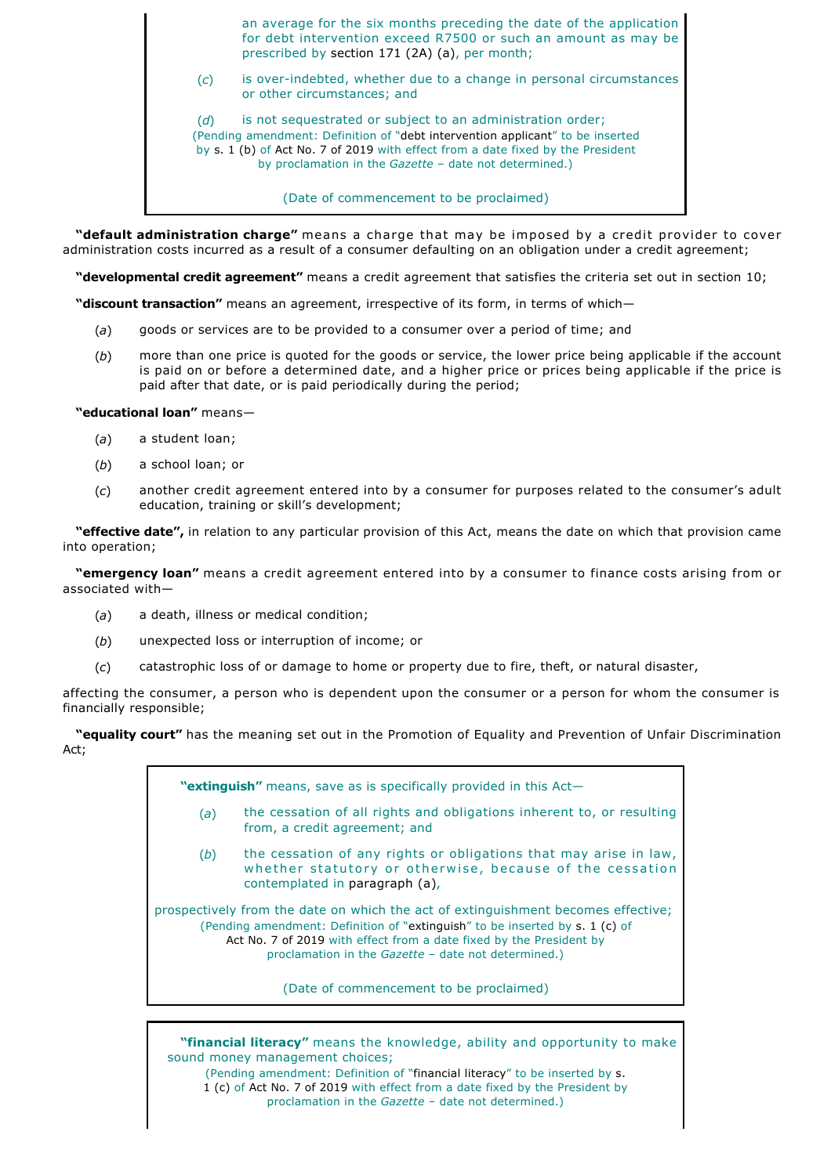an average for the six months preceding the date of the application for debt intervention exceed R7500 or such an amount as may be prescribed by section 171 (2A) (a), per month;

(*c*) is overindebted, whether due to a change in personal circumstances or other circumstances; and

(*d*) is not sequestrated or subject to an administration order; (Pending amendment: Definition of "debt intervention applicant" to be inserted by s. 1 (b) of Act No. 7 of 2019 with effect from a date fixed by the President by proclamation in the *Gazette* – date not determined.)

(Date of commencement to be proclaimed)

**"default administration charge"** means a charge that may be imposed by a credit provider to cover administration costs incurred as a result of a consumer defaulting on an obligation under a credit agreement;

**"developmental credit agreement"** means a credit agreement that satisfies the criteria set out in section 10;

**"discount transaction"** means an agreement, irrespective of its form, in terms of which—

- (*a*) goods or services are to be provided to a consumer over a period of time; and
- (*b*) more than one price is quoted for the goods or service, the lower price being applicable if the account is paid on or before a determined date, and a higher price or prices being applicable if the price is paid after that date, or is paid periodically during the period;

**"educational loan"** means—

- (*a*) a student loan;
- (*b*) a school loan; or
- (*c*) another credit agreement entered into by a consumer for purposes related to the consumer's adult education, training or skill's development;

**"effective date",** in relation to any particular provision of this Act, means the date on which that provision came into operation;

**"emergency loan"** means a credit agreement entered into by a consumer to finance costs arising from or associated with—

- (*a*) a death, illness or medical condition;
- (*b*) unexpected loss or interruption of income; or
- (*c*) catastrophic loss of or damage to home or property due to fire, theft, or natural disaster,

affecting the consumer, a person who is dependent upon the consumer or a person for whom the consumer is financially responsible;

**"equality court"** has the meaning set out in the Promotion of Equality and Prevention of Unfair Discrimination Act;

**"extinguish"** means, save as is specifically provided in this Act—

- (*a*) the cessation of all rights and obligations inherent to, or resulting from, a credit agreement; and
- (*b*) the cessation of any rights or obligations that may arise in law, whether statutory or otherwise, because of the cessation contemplated in paragraph (a),

prospectively from the date on which the act of extinguishment becomes effective; (Pending amendment: Definition of "extinguish" to be inserted by s. 1 (c) of Act No. 7 of 2019 with effect from a date fixed by the President by proclamation in the *Gazette* – date not determined.)

(Date of commencement to be proclaimed)

**"financial literacy"** means the knowledge, ability and opportunity to make sound money management choices; (Pending amendment: Definition of "financial literacy" to be inserted by s. 1 (c) of Act No. 7 of 2019 with effect from a date fixed by the President by proclamation in the *Gazette* – date not determined.)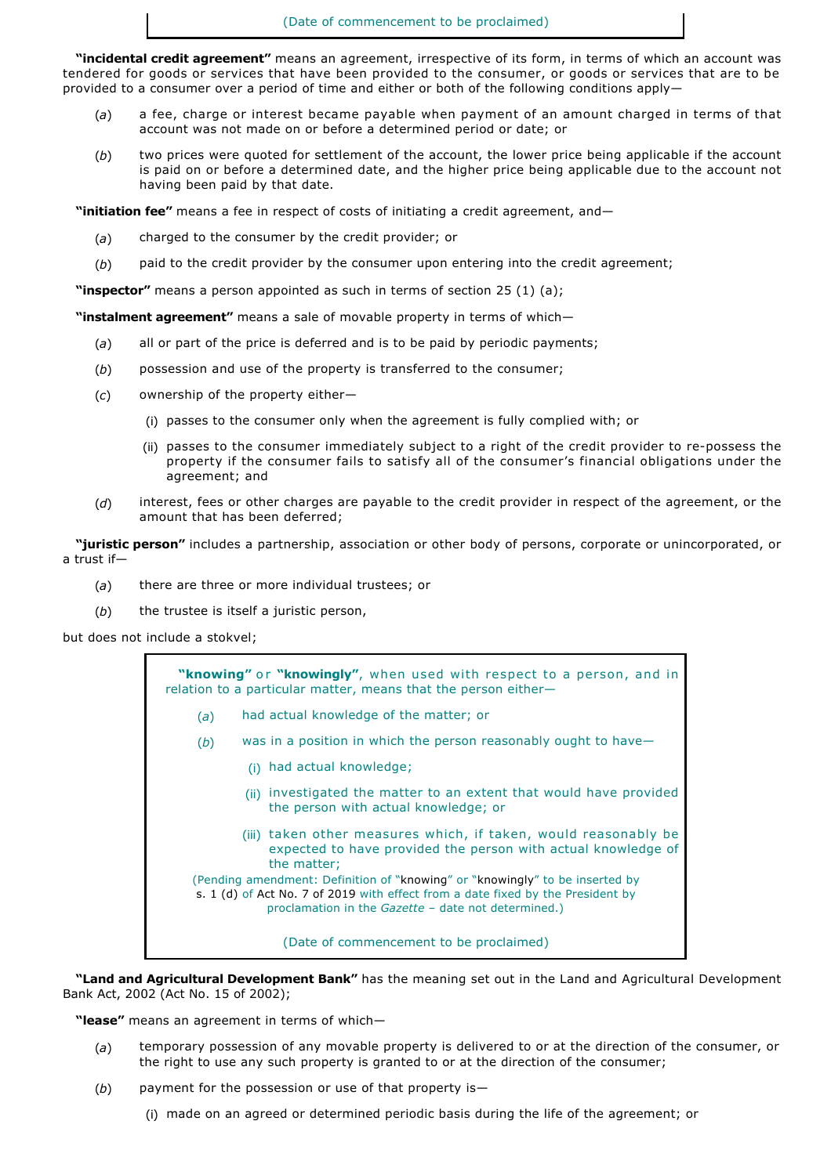**"incidental credit agreement"** means an agreement, irrespective of its form, in terms of which an account was tendered for goods or services that have been provided to the consumer, or goods or services that are to be provided to a consumer over a period of time and either or both of the following conditions apply—

- (*a*) a fee, charge or interest became payable when payment of an amount charged in terms of that account was not made on or before a determined period or date; or
- (*b*) two prices were quoted for settlement of the account, the lower price being applicable if the account is paid on or before a determined date, and the higher price being applicable due to the account not having been paid by that date.

**"initiation fee"** means a fee in respect of costs of initiating a credit agreement, and—

- (*a*) charged to the consumer by the credit provider; or
- (*b*) paid to the credit provider by the consumer upon entering into the credit agreement;

**"inspector"** means a person appointed as such in terms of section 25 (1) (a);

**"instalment agreement"** means a sale of movable property in terms of which—

- (*a*) all or part of the price is deferred and is to be paid by periodic payments;
- (*b*) possession and use of the property is transferred to the consumer;
- (*c*) ownership of the property either—
	- (i) passes to the consumer only when the agreement is fully complied with; or
	- (ii) passes to the consumer immediately subject to a right of the credit provider to re-possess the property if the consumer fails to satisfy all of the consumer's financial obligations under the agreement; and
- (*d*) interest, fees or other charges are payable to the credit provider in respect of the agreement, or the amount that has been deferred;

**"juristic person"** includes a partnership, association or other body of persons, corporate or unincorporated, or a trust if—

- (*a*) there are three or more individual trustees; or
- (*b*) the trustee is itself a juristic person,

but does not include a stokvel;



**"Land and Agricultural Development Bank"** has the meaning set out in the Land and Agricultural Development Bank Act, 2002 (Act No. 15 of 2002);

**"lease"** means an agreement in terms of which—

- (*a*) temporary possession of any movable property is delivered to or at the direction of the consumer, or the right to use any such property is granted to or at the direction of the consumer;
- (*b*) payment for the possession or use of that property is—
	- (i) made on an agreed or determined periodic basis during the life of the agreement; or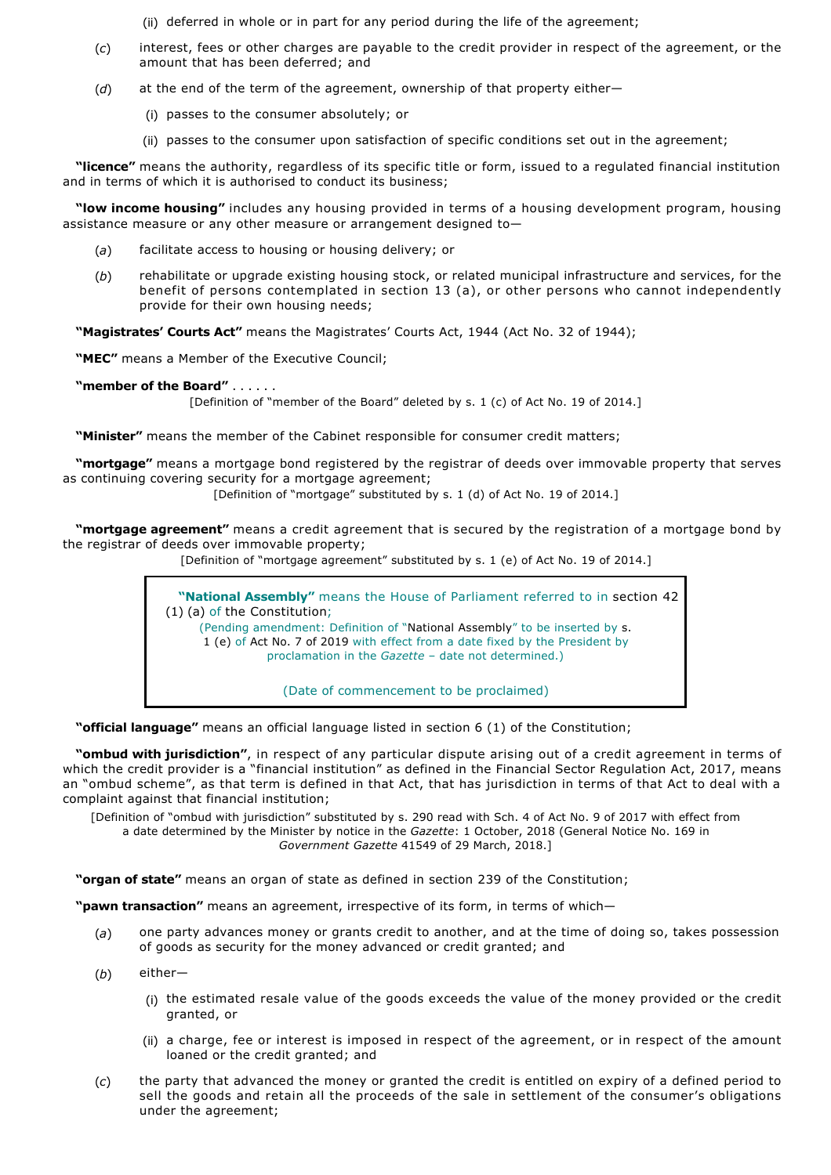(ii) deferred in whole or in part for any period during the life of the agreement;

- (*c*) interest, fees or other charges are payable to the credit provider in respect of the agreement, or the amount that has been deferred; and
- (*d*) at the end of the term of the agreement, ownership of that property either—
	- (i) passes to the consumer absolutely; or
	- (ii) passes to the consumer upon satisfaction of specific conditions set out in the agreement;

**"licence"** means the authority, regardless of its specific title or form, issued to a regulated financial institution and in terms of which it is authorised to conduct its business;

**"low income housing"** includes any housing provided in terms of a housing development program, housing assistance measure or any other measure or arrangement designed to—

- (*a*) facilitate access to housing or housing delivery; or
- (*b*) rehabilitate or upgrade existing housing stock, or related municipal infrastructure and services, for the benefit of persons contemplated in section 13 (a), or other persons who cannot independently provide for their own housing needs;

**"Magistrates' Courts Act"** means the Magistrates' Courts Act, 1944 (Act No. 32 of 1944);

**"MEC"** means a Member of the Executive Council;

# **"member of the Board"** . . . . . .

[Definition of "member of the Board" deleted by s. 1 (c) of Act No. 19 of 2014.]

**"Minister"** means the member of the Cabinet responsible for consumer credit matters;

**"mortgage"** means a mortgage bond registered by the registrar of deeds over immovable property that serves as continuing covering security for a mortgage agreement;

[Definition of "mortgage" substituted by s. 1 (d) of Act No. 19 of 2014.]

**"mortgage agreement"** means a credit agreement that is secured by the registration of a mortgage bond by the registrar of deeds over immovable property;

[Definition of "mortgage agreement" substituted by s. 1 (e) of Act No. 19 of 2014.]

**"National Assembly"** means the House of Parliament referred to in section 42 (1) (a) of the Constitution; (Pending amendment: Definition of "National Assembly" to be inserted by s. 1 (e) of Act No. 7 of 2019 with effect from a date fixed by the President by proclamation in the *Gazette* – date not determined.)

(Date of commencement to be proclaimed)

**"official language"** means an official language listed in section 6 (1) of the Constitution;

**"ombud with jurisdiction"**, in respect of any particular dispute arising out of a credit agreement in terms of which the credit provider is a "financial institution" as defined in the Financial Sector Regulation Act, 2017, means an "ombud scheme", as that term is defined in that Act, that has jurisdiction in terms of that Act to deal with a complaint against that financial institution;

[Definition of "ombud with jurisdiction" substituted by s. 290 read with Sch. 4 of Act No. 9 of 2017 with effect from a date determined by the Minister by notice in the *Gazette*: 1 October, 2018 (General Notice No. 169 in *Government Gazette* 41549 of 29 March, 2018.]

**"organ of state"** means an organ of state as defined in section 239 of the Constitution;

**"pawn transaction"** means an agreement, irrespective of its form, in terms of which—

- (*a*) one party advances money or grants credit to another, and at the time of doing so, takes possession of goods as security for the money advanced or credit granted; and
- (*b*) either—
	- (i) the estimated resale value of the goods exceeds the value of the money provided or the credit granted, or
	- (ii) a charge, fee or interest is imposed in respect of the agreement, or in respect of the amount loaned or the credit granted; and
- (*c*) the party that advanced the money or granted the credit is entitled on expiry of a defined period to sell the goods and retain all the proceeds of the sale in settlement of the consumer's obligations under the agreement;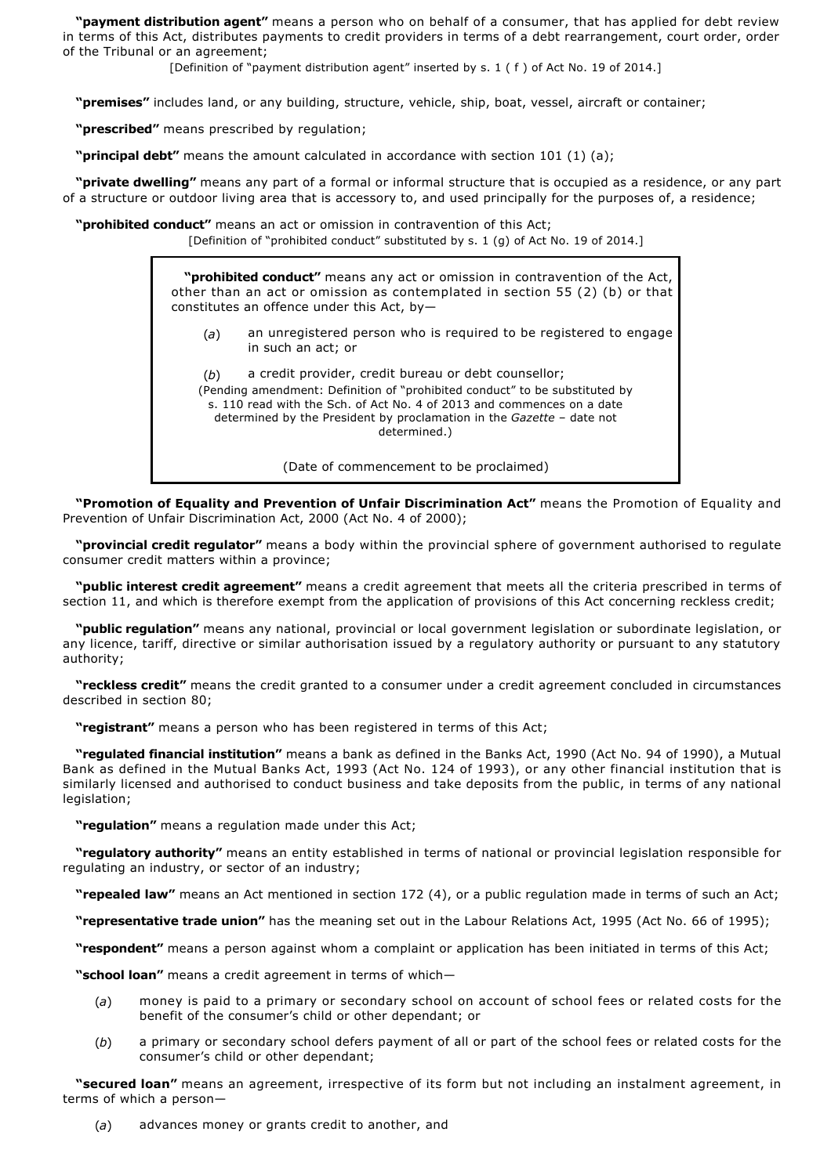**"payment distribution agent"** means a person who on behalf of a consumer, that has applied for debt review in terms of this Act, distributes payments to credit providers in terms of a debt rearrangement, court order, order of the Tribunal or an agreement;

[Definition of "payment distribution agent" inserted by s. 1 ( f ) of Act No. 19 of 2014.]

**"premises"** includes land, or any building, structure, vehicle, ship, boat, vessel, aircraft or container;

**"prescribed"** means prescribed by regulation;

**"principal debt"** means the amount calculated in accordance with section 101 (1) (a);

**"private dwelling"** means any part of a formal or informal structure that is occupied as a residence, or any part of a structure or outdoor living area that is accessory to, and used principally for the purposes of, a residence;

**"prohibited conduct"** means an act or omission in contravention of this Act; [Definition of "prohibited conduct" substituted by s. 1 (g) of Act No. 19 of 2014.]

> **"prohibited conduct"** means any act or omission in contravention of the Act, other than an act or omission as contemplated in section 55 (2) (b) or that constitutes an offence under this Act, by—

(*a*) an unregistered person who is required to be registered to engage in such an act; or

(*b*) a credit provider, credit bureau or debt counsellor; (Pending amendment: Definition of "prohibited conduct" to be substituted by s. 110 read with the Sch. of Act No. 4 of 2013 and commences on a date determined by the President by proclamation in the *Gazette* – date not determined.)

(Date of commencement to be proclaimed)

**"Promotion of Equality and Prevention of Unfair Discrimination Act"** means the Promotion of Equality and Prevention of Unfair Discrimination Act, 2000 (Act No. 4 of 2000);

**"provincial credit regulator"** means a body within the provincial sphere of government authorised to regulate consumer credit matters within a province;

**"public interest credit agreement"** means a credit agreement that meets all the criteria prescribed in terms of section 11, and which is therefore exempt from the application of provisions of this Act concerning reckless credit;

**"public regulation"** means any national, provincial or local government legislation or subordinate legislation, or any licence, tariff, directive or similar authorisation issued by a regulatory authority or pursuant to any statutory authority;

**"reckless credit"** means the credit granted to a consumer under a credit agreement concluded in circumstances described in section 80;

**"registrant"** means a person who has been registered in terms of this Act;

**"regulated financial institution"** means a bank as defined in the Banks Act, 1990 (Act No. 94 of 1990), a Mutual Bank as defined in the Mutual Banks Act, 1993 (Act No. 124 of 1993), or any other financial institution that is similarly licensed and authorised to conduct business and take deposits from the public, in terms of any national legislation;

**"regulation"** means a regulation made under this Act;

**"regulatory authority"** means an entity established in terms of national or provincial legislation responsible for regulating an industry, or sector of an industry;

**"repealed law"** means an Act mentioned in section 172 (4), or a public regulation made in terms of such an Act;

**"representative trade union"** has the meaning set out in the Labour Relations Act, 1995 (Act No. 66 of 1995);

**"respondent"** means a person against whom a complaint or application has been initiated in terms of this Act;

**"school loan"** means a credit agreement in terms of which—

- (*a*) money is paid to a primary or secondary school on account of school fees or related costs for the benefit of the consumer's child or other dependant; or
- (*b*) a primary or secondary school defers payment of all or part of the school fees or related costs for the consumer's child or other dependant;

**"secured loan"** means an agreement, irrespective of its form but not including an instalment agreement, in terms of which a person—

(*a*) advances money or grants credit to another, and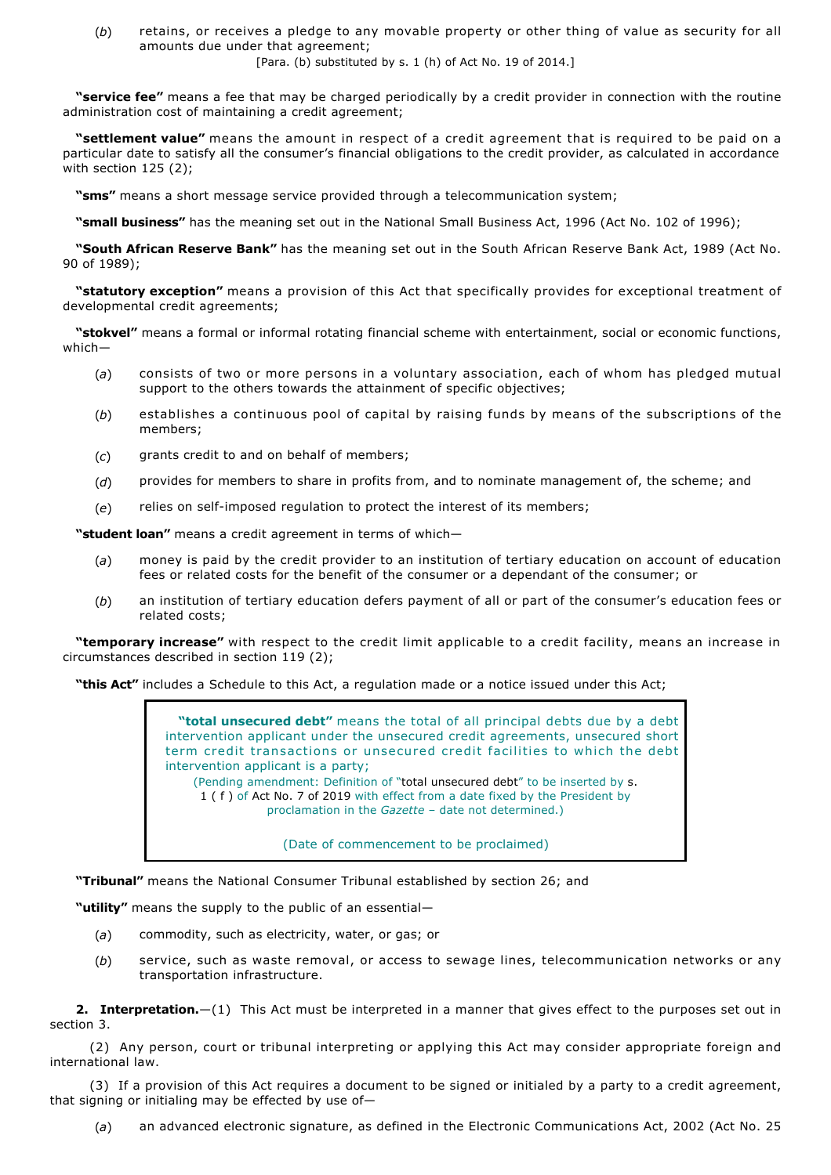(*b*) retains, or receives a pledge to any movable property or other thing of value as security for all amounts due under that agreement;

[Para. (b) substituted by s. 1 (h) of Act No. 19 of 2014.]

**"service fee"** means a fee that may be charged periodically by a credit provider in connection with the routine administration cost of maintaining a credit agreement;

**"settlement value"** means the amount in respect of a credit agreement that is required to be paid on a particular date to satisfy all the consumer's financial obligations to the credit provider, as calculated in accordance with section 125 (2);

**"sms"** means a short message service provided through a telecommunication system;

**"small business"** has the meaning set out in the National Small Business Act, 1996 (Act No. 102 of 1996);

**"South African Reserve Bank"** has the meaning set out in the South African Reserve Bank Act, 1989 (Act No. 90 of 1989);

**"statutory exception"** means a provision of this Act that specifically provides for exceptional treatment of developmental credit agreements;

**"stokvel"** means a formal or informal rotating financial scheme with entertainment, social or economic functions, which—

- (*a*) consists of two or more persons in a voluntary association, each of whom has pledged mutual support to the others towards the attainment of specific objectives;
- (*b*) establishes a continuous pool of capital by raising funds by means of the subscriptions of the members;
- (*c*) grants credit to and on behalf of members;
- (*d*) provides for members to share in profits from, and to nominate management of, the scheme; and
- (e) relies on self-imposed regulation to protect the interest of its members;

**"student loan"** means a credit agreement in terms of which—

- (*a*) money is paid by the credit provider to an institution of tertiary education on account of education fees or related costs for the benefit of the consumer or a dependant of the consumer; or
- (*b*) an institution of tertiary education defers payment of all or part of the consumer's education fees or related costs;

**"temporary increase"** with respect to the credit limit applicable to a credit facility, means an increase in circumstances described in section 119 (2);

**"this Act"** includes a Schedule to this Act, a regulation made or a notice issued under this Act;

**"total unsecured debt"** means the total of all principal debts due by a debt intervention applicant under the unsecured credit agreements, unsecured short term credit transactions or unsecured credit facilities to which the debt intervention applicant is a party; (Pending amendment: Definition of "total unsecured debt" to be inserted by s.

1 ( f ) of Act No. 7 of 2019 with effect from a date fixed by the President by proclamation in the *Gazette* – date not determined.)

(Date of commencement to be proclaimed)

**"Tribunal"** means the National Consumer Tribunal established by section 26; and

**"utility"** means the supply to the public of an essential—

- (*a*) commodity, such as electricity, water, or gas; or
- (*b*) service, such as waste removal, or access to sewage lines, telecommunication networks or any transportation infrastructure.

**2. Interpretation.**—(1) This Act must be interpreted in a manner that gives effect to the purposes set out in section 3.

(2) Any person, court or tribunal interpreting or applying this Act may consider appropriate foreign and international law.

(3) If a provision of this Act requires a document to be signed or initialed by a party to a credit agreement, that signing or initialing may be effected by use of—

(*a*) an advanced electronic signature, as defined in the Electronic Communications Act, 2002 (Act No. 25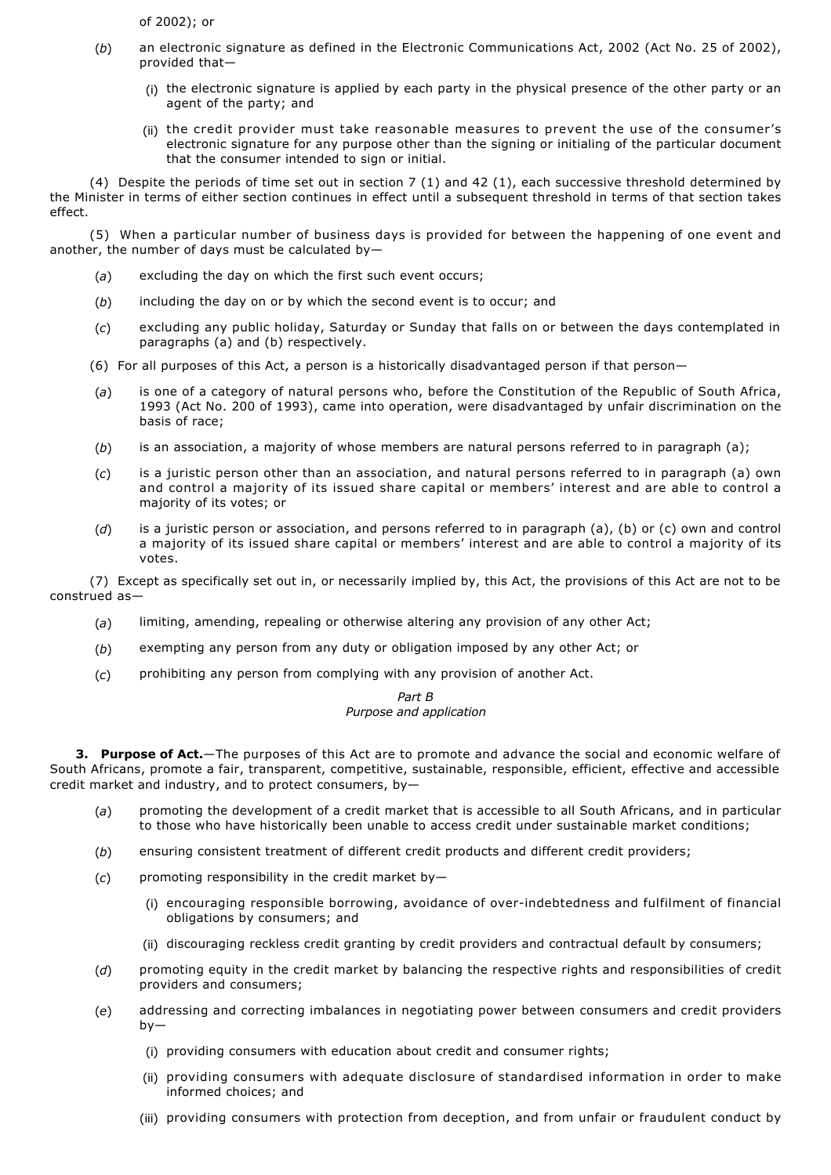of 2002); or

- (*b*) an electronic signature as defined in the Electronic Communications Act, 2002 (Act No. 25 of 2002), provided that—
	- (i) the electronic signature is applied by each party in the physical presence of the other party or an agent of the party; and
	- (ii) the credit provider must take reasonable measures to prevent the use of the consumer's electronic signature for any purpose other than the signing or initialing of the particular document that the consumer intended to sign or initial.

(4) Despite the periods of time set out in section 7 (1) and 42 (1), each successive threshold determined by the Minister in terms of either section continues in effect until a subsequent threshold in terms of that section takes effect.

(5) When a particular number of business days is provided for between the happening of one event and another, the number of days must be calculated by—

- (*a*) excluding the day on which the first such event occurs;
- (*b*) including the day on or by which the second event is to occur; and
- (*c*) excluding any public holiday, Saturday or Sunday that falls on or between the days contemplated in paragraphs (a) and (b) respectively.
- (6) For all purposes of this Act, a person is a historically disadvantaged person if that person—
- (*a*) is one of a category of natural persons who, before the Constitution of the Republic of South Africa, 1993 (Act No. 200 of 1993), came into operation, were disadvantaged by unfair discrimination on the basis of race;
- (*b*) is an association, a majority of whose members are natural persons referred to in paragraph (a);
- (*c*) is a juristic person other than an association, and natural persons referred to in paragraph (a) own and control a majority of its issued share capital or members' interest and are able to control a majority of its votes; or
- (*d*) is a juristic person or association, and persons referred to in paragraph (a), (b) or (c) own and control a majority of its issued share capital or members' interest and are able to control a majority of its votes.

(7) Except as specifically set out in, or necessarily implied by, this Act, the provisions of this Act are not to be construed as—

- (*a*) limiting, amending, repealing or otherwise altering any provision of any other Act;
- (*b*) exempting any person from any duty or obligation imposed by any other Act; or
- (*c*) prohibiting any person from complying with any provision of another Act.

# *Part B*

# *Purpose and application*

**3. Purpose of Act.**—The purposes of this Act are to promote and advance the social and economic welfare of South Africans, promote a fair, transparent, competitive, sustainable, responsible, efficient, effective and accessible credit market and industry, and to protect consumers, by—

- (*a*) promoting the development of a credit market that is accessible to all South Africans, and in particular to those who have historically been unable to access credit under sustainable market conditions;
- (*b*) ensuring consistent treatment of different credit products and different credit providers;
- (*c*) promoting responsibility in the credit market by—
	- (i) encouraging responsible borrowing, avoidance of overindebtedness and fulfilment of financial obligations by consumers; and
	- (ii) discouraging reckless credit granting by credit providers and contractual default by consumers;
- (*d*) promoting equity in the credit market by balancing the respective rights and responsibilities of credit providers and consumers;
- (*e*) addressing and correcting imbalances in negotiating power between consumers and credit providers by—
	- (i) providing consumers with education about credit and consumer rights;
	- (ii) providing consumers with adequate disclosure of standardised information in order to make informed choices; and
	- (iii) providing consumers with protection from deception, and from unfair or fraudulent conduct by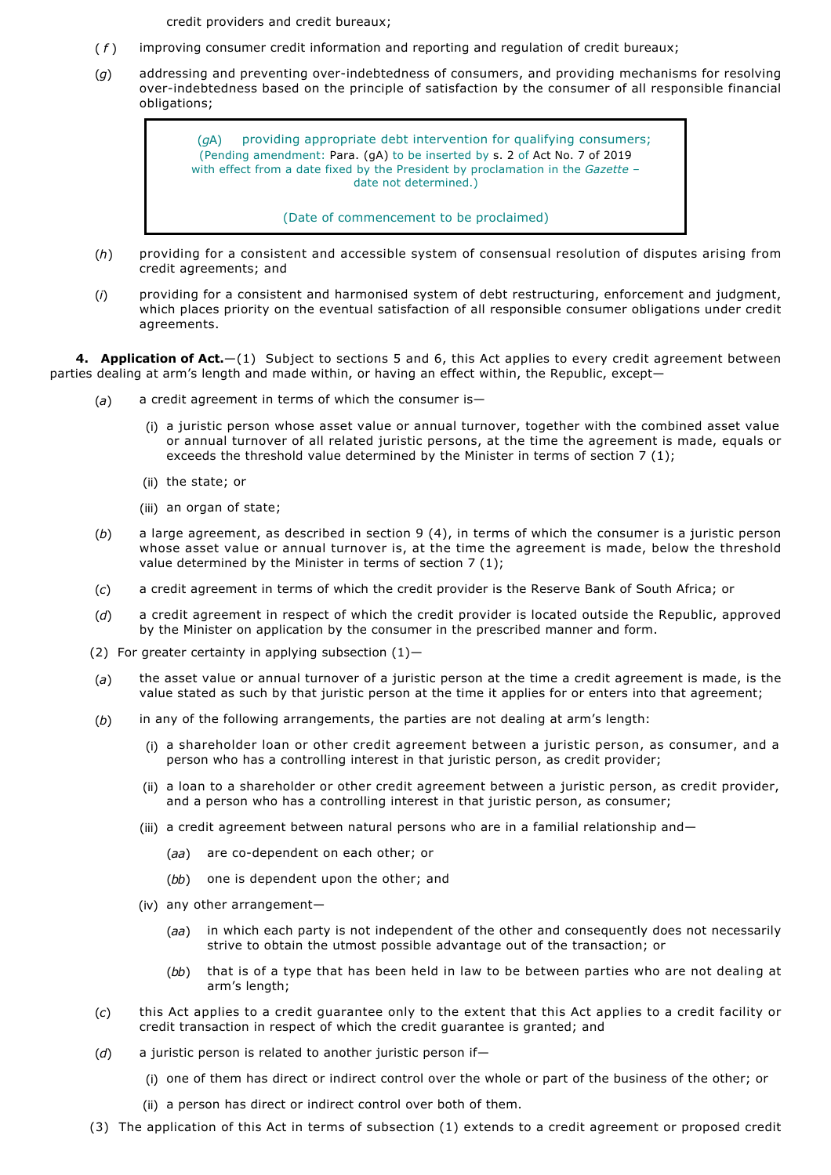credit providers and credit bureaux;

- ( *f* ) improving consumer credit information and reporting and regulation of credit bureaux;
- (*g*) addressing and preventing overindebtedness of consumers, and providing mechanisms for resolving over-indebtedness based on the principle of satisfaction by the consumer of all responsible financial obligations;

(*g*A) providing appropriate debt intervention for qualifying consumers; (Pending amendment: Para. (gA) to be inserted by s. 2 of Act No. 7 of 2019 with effect from a date fixed by the President by proclamation in the *Gazette* – date not determined.)

(Date of commencement to be proclaimed)

- (*h*) providing for a consistent and accessible system of consensual resolution of disputes arising from credit agreements; and
- (*i*) providing for a consistent and harmonised system of debt restructuring, enforcement and judgment, which places priority on the eventual satisfaction of all responsible consumer obligations under credit agreements.

**4. Application of Act.**—(1) Subject to sections 5 and 6, this Act applies to every credit agreement between parties dealing at arm's length and made within, or having an effect within, the Republic, except—

- (*a*) a credit agreement in terms of which the consumer is—
	- (i) a juristic person whose asset value or annual turnover, together with the combined asset value or annual turnover of all related juristic persons, at the time the agreement is made, equals or exceeds the threshold value determined by the Minister in terms of section 7 (1);
	- (ii) the state; or
	- (iii) an organ of state;
- (*b*) a large agreement, as described in section 9 (4), in terms of which the consumer is a juristic person whose asset value or annual turnover is, at the time the agreement is made, below the threshold value determined by the Minister in terms of section 7 (1);
- (*c*) a credit agreement in terms of which the credit provider is the Reserve Bank of South Africa; or
- (*d*) a credit agreement in respect of which the credit provider is located outside the Republic, approved by the Minister on application by the consumer in the prescribed manner and form.
- (2) For greater certainty in applying subsection  $(1)$ -
- (*a*) the asset value or annual turnover of a juristic person at the time a credit agreement is made, is the value stated as such by that juristic person at the time it applies for or enters into that agreement;
- (*b*) in any of the following arrangements, the parties are not dealing at arm's length:
	- (i) a shareholder loan or other credit agreement between a juristic person, as consumer, and a person who has a controlling interest in that juristic person, as credit provider;
	- (ii) a loan to a shareholder or other credit agreement between a juristic person, as credit provider, and a person who has a controlling interest in that juristic person, as consumer;
	- (iii) a credit agreement between natural persons who are in a familial relationship and—
		- (aa) are co-dependent on each other; or
		- (*bb*) one is dependent upon the other; and
	- (iv) any other arrangement—
		- (*aa*) in which each party is not independent of the other and consequently does not necessarily strive to obtain the utmost possible advantage out of the transaction; or
		- (*bb*) that is of a type that has been held in law to be between parties who are not dealing at arm's length;
- (*c*) this Act applies to a credit guarantee only to the extent that this Act applies to a credit facility or credit transaction in respect of which the credit guarantee is granted; and
- (*d*) a juristic person is related to another juristic person if—
	- (i) one of them has direct or indirect control over the whole or part of the business of the other; or
	- (ii) a person has direct or indirect control over both of them.
- (3) The application of this Act in terms of subsection (1) extends to a credit agreement or proposed credit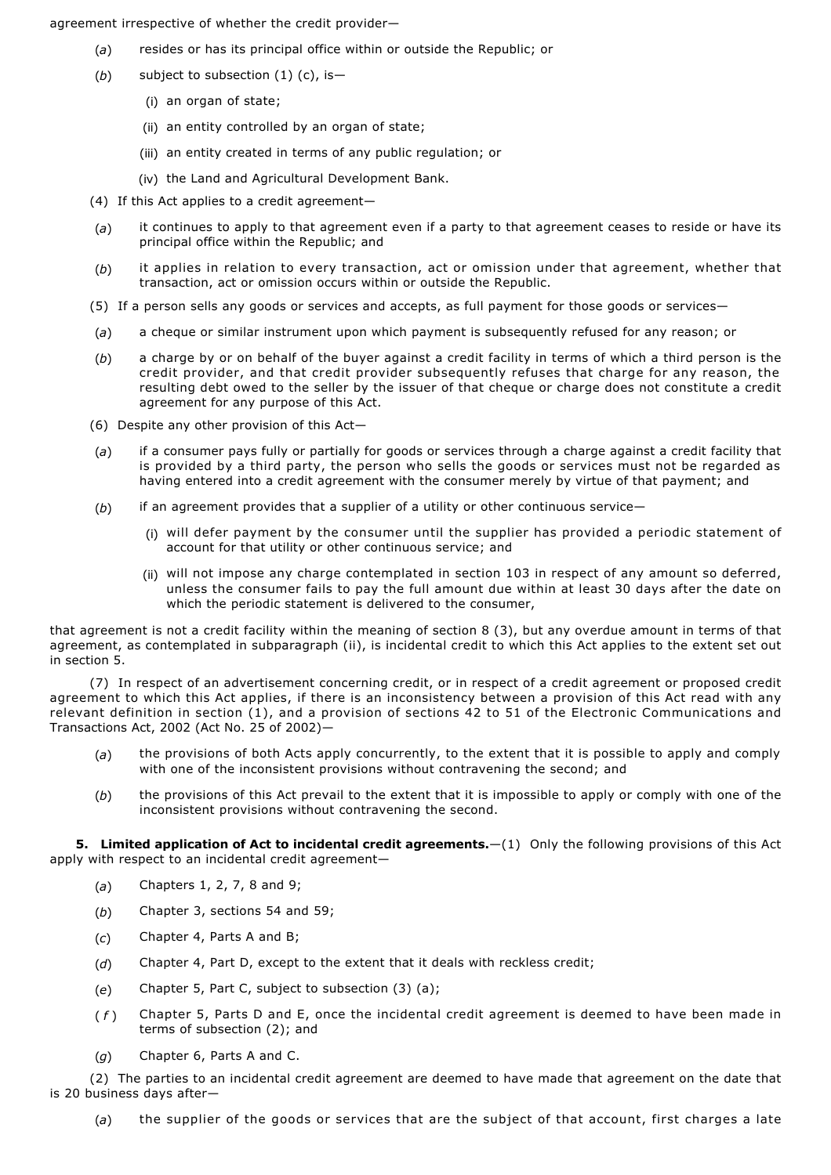agreement irrespective of whether the credit provider—

- (*a*) resides or has its principal office within or outside the Republic; or
- (*b*) subject to subsection (1) (c), is—
	- (i) an organ of state;
	- (ii) an entity controlled by an organ of state;
	- (iii) an entity created in terms of any public regulation; or
	- (iv) the Land and Agricultural Development Bank.
- (4) If this Act applies to a credit agreement—
- (*a*) it continues to apply to that agreement even if a party to that agreement ceases to reside or have its principal office within the Republic; and
- (*b*) it applies in relation to every transaction, act or omission under that agreement, whether that transaction, act or omission occurs within or outside the Republic.
- (5) If a person sells any goods or services and accepts, as full payment for those goods or services—
- (*a*) a cheque or similar instrument upon which payment is subsequently refused for any reason; or
- (*b*) a charge by or on behalf of the buyer against a credit facility in terms of which a third person is the credit provider, and that credit provider subsequently refuses that charge for any reason, the resulting debt owed to the seller by the issuer of that cheque or charge does not constitute a credit agreement for any purpose of this Act.
- (6) Despite any other provision of this Act—
- (*a*) if a consumer pays fully or partially for goods or services through a charge against a credit facility that is provided by a third party, the person who sells the goods or services must not be regarded as having entered into a credit agreement with the consumer merely by virtue of that payment; and
- (*b*) if an agreement provides that a supplier of a utility or other continuous service—
	- (i) will defer payment by the consumer until the supplier has provided a periodic statement of account for that utility or other continuous service; and
	- (ii) will not impose any charge contemplated in section 103 in respect of any amount so deferred, unless the consumer fails to pay the full amount due within at least 30 days after the date on which the periodic statement is delivered to the consumer,

that agreement is not a credit facility within the meaning of section 8 (3), but any overdue amount in terms of that agreement, as contemplated in subparagraph (ii), is incidental credit to which this Act applies to the extent set out in section 5.

(7) In respect of an advertisement concerning credit, or in respect of a credit agreement or proposed credit agreement to which this Act applies, if there is an inconsistency between a provision of this Act read with any relevant definition in section (1), and a provision of sections 42 to 51 of the Electronic Communications and Transactions Act, 2002 (Act No. 25 of 2002)—

- (*a*) the provisions of both Acts apply concurrently, to the extent that it is possible to apply and comply with one of the inconsistent provisions without contravening the second; and
- (*b*) the provisions of this Act prevail to the extent that it is impossible to apply or comply with one of the inconsistent provisions without contravening the second.

**5. Limited application of Act to incidental credit agreements.**—(1) Only the following provisions of this Act apply with respect to an incidental credit agreement—

- (*a*) Chapters 1, 2, 7, 8 and 9;
- (*b*) Chapter 3, sections 54 and 59;
- (*c*) Chapter 4, Parts A and B;
- (*d*) Chapter 4, Part D, except to the extent that it deals with reckless credit;
- (*e*) Chapter 5, Part C, subject to subsection (3) (a);
- ( *f* ) Chapter 5, Parts D and E, once the incidental credit agreement is deemed to have been made in terms of subsection (2); and
- (*g*) Chapter 6, Parts A and C.

(2) The parties to an incidental credit agreement are deemed to have made that agreement on the date that is 20 business days after—

(*a*) the supplier of the goods or services that are the subject of that account, first charges a late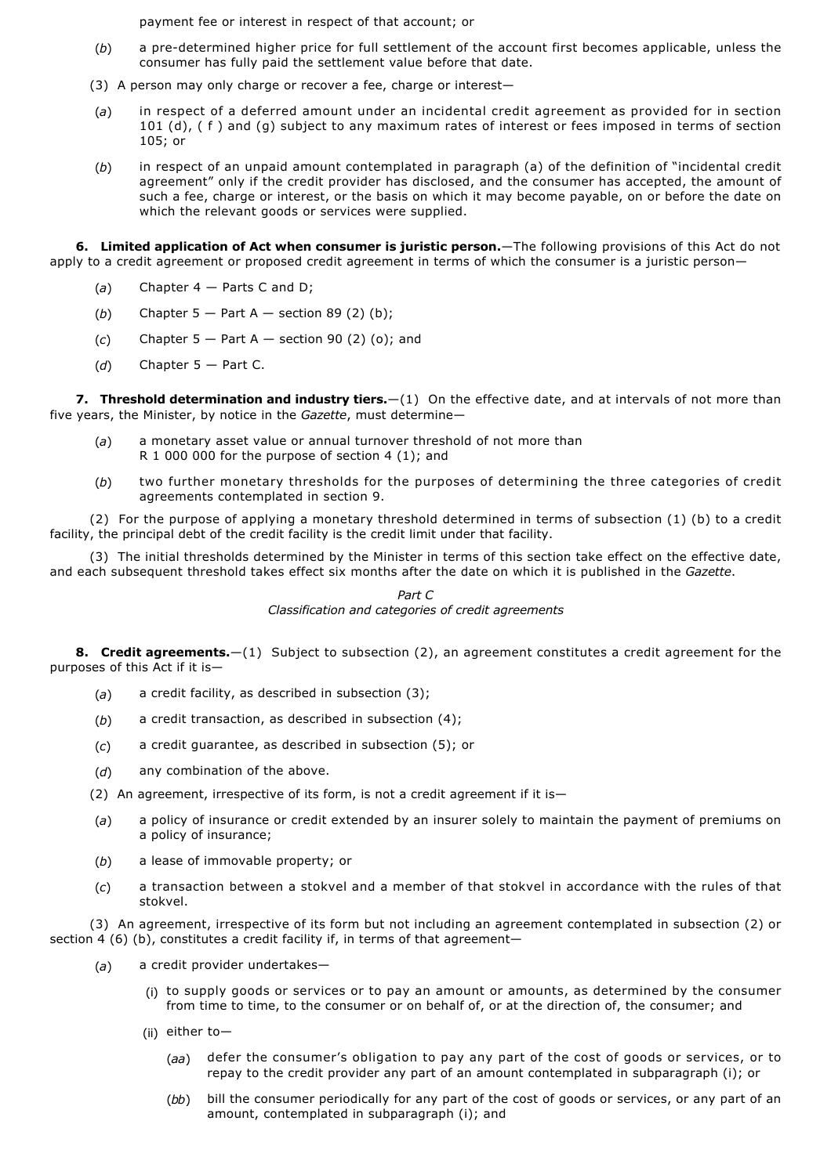payment fee or interest in respect of that account; or

- (*b*) a predetermined higher price for full settlement of the account first becomes applicable, unless the consumer has fully paid the settlement value before that date.
- (3) A person may only charge or recover a fee, charge or interest—
- (*a*) in respect of a deferred amount under an incidental credit agreement as provided for in section 101 (d), (f) and (g) subject to any maximum rates of interest or fees imposed in terms of section 105; or
- (*b*) in respect of an unpaid amount contemplated in paragraph (a) of the definition of "incidental credit agreement" only if the credit provider has disclosed, and the consumer has accepted, the amount of such a fee, charge or interest, or the basis on which it may become payable, on or before the date on which the relevant goods or services were supplied.

**6. Limited application of Act when consumer is juristic person.**—The following provisions of this Act do not apply to a credit agreement or proposed credit agreement in terms of which the consumer is a juristic person—

- (*a*) Chapter 4 Parts C and D;
- (b) Chapter  $5 -$  Part A  $-$  section 89 (2) (b);
- (*c*) Chapter 5 Part A section 90 (2) (o); and
- (*d*) Chapter 5 Part C.

**7. Threshold determination and industry tiers.**—(1) On the effective date, and at intervals of not more than five years, the Minister, by notice in the *Gazette*, must determine—

- (*a*) a monetary asset value or annual turnover threshold of not more than R 1 000 000 for the purpose of section 4 (1); and
- (*b*) two further monetary thresholds for the purposes of determining the three categories of credit agreements contemplated in section 9.

(2) For the purpose of applying a monetary threshold determined in terms of subsection (1) (b) to a credit facility, the principal debt of the credit facility is the credit limit under that facility.

(3) The initial thresholds determined by the Minister in terms of this section take effect on the effective date, and each subsequent threshold takes effect six months after the date on which it is published in the *Gazette*.

> *Part C Classification and categories of credit agreements*

**8. Credit agreements.**—(1) Subject to subsection (2), an agreement constitutes a credit agreement for the purposes of this Act if it is—

- (*a*) a credit facility, as described in subsection (3);
- (*b*) a credit transaction, as described in subsection (4);
- (*c*) a credit guarantee, as described in subsection (5); or
- (*d*) any combination of the above.
- (2) An agreement, irrespective of its form, is not a credit agreement if it is-
- (*a*) a policy of insurance or credit extended by an insurer solely to maintain the payment of premiums on a policy of insurance;
- (*b*) a lease of immovable property; or
- (*c*) a transaction between a stokvel and a member of that stokvel in accordance with the rules of that stokvel.

(3) An agreement, irrespective of its form but not including an agreement contemplated in subsection (2) or section 4 (6) (b), constitutes a credit facility if, in terms of that agreement-

- (*a*) a credit provider undertakes—
	- (i) to supply goods or services or to pay an amount or amounts, as determined by the consumer from time to time, to the consumer or on behalf of, or at the direction of, the consumer; and
	- (ii) either to—
		- (*aa*) defer the consumer's obligation to pay any part of the cost of goods or services, or to repay to the credit provider any part of an amount contemplated in subparagraph (i); or
		- (*bb*) bill the consumer periodically for any part of the cost of goods or services, or any part of an amount, contemplated in subparagraph (i); and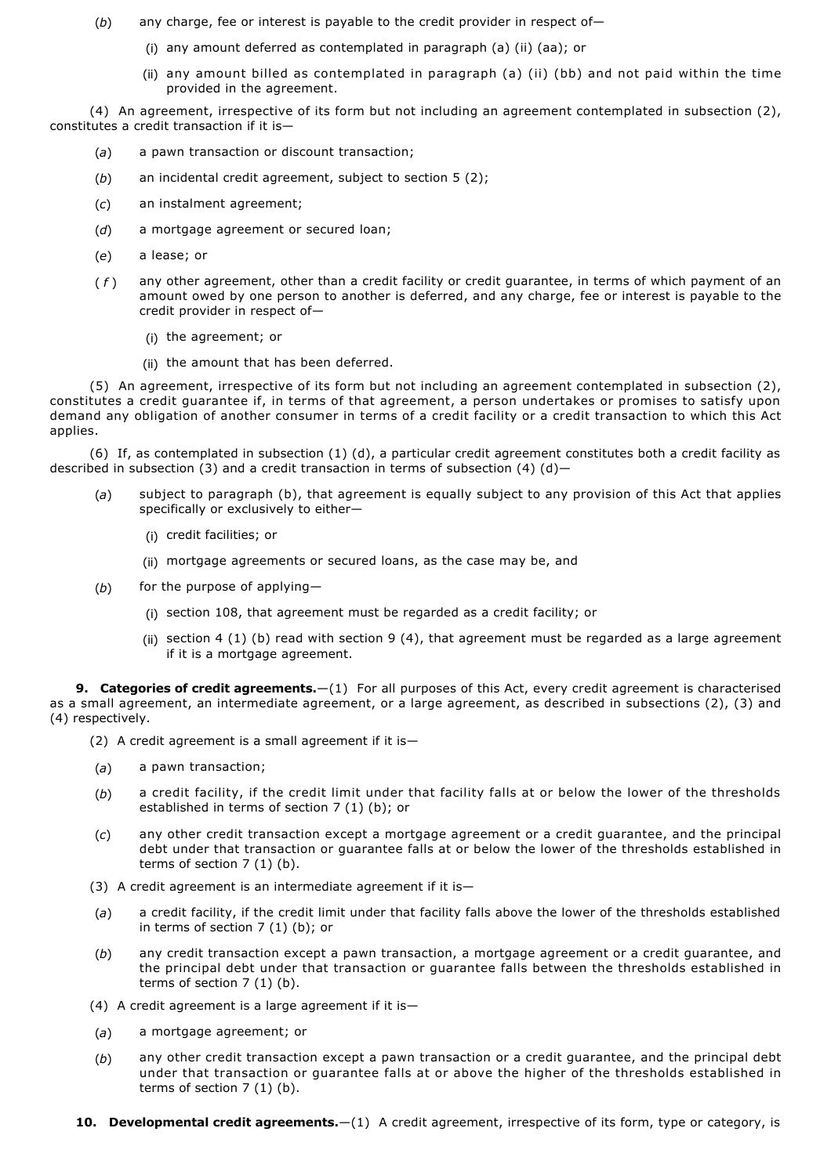- (*b*) any charge, fee or interest is payable to the credit provider in respect of—
	- (i) any amount deferred as contemplated in paragraph (a) (ii) (aa); or
	- (ii) any amount billed as contemplated in paragraph (a) (ii) (bb) and not paid within the time provided in the agreement.

(4) An agreement, irrespective of its form but not including an agreement contemplated in subsection (2), constitutes a credit transaction if it is—

- (*a*) a pawn transaction or discount transaction;
- (*b*) an incidental credit agreement, subject to section 5 (2);
- (*c*) an instalment agreement;
- (*d*) a mortgage agreement or secured loan;
- (*e*) a lease; or
- ( *f* ) any other agreement, other than a credit facility or credit guarantee, in terms of which payment of an amount owed by one person to another is deferred, and any charge, fee or interest is payable to the credit provider in respect of—
	- (i) the agreement; or
	- (ii) the amount that has been deferred.

(5) An agreement, irrespective of its form but not including an agreement contemplated in subsection (2), constitutes a credit guarantee if, in terms of that agreement, a person undertakes or promises to satisfy upon demand any obligation of another consumer in terms of a credit facility or a credit transaction to which this Act applies.

(6) If, as contemplated in subsection (1) (d), a particular credit agreement constitutes both a credit facility as described in subsection (3) and a credit transaction in terms of subsection (4)  $(d)$ 

- (*a*) subject to paragraph (b), that agreement is equally subject to any provision of this Act that applies specifically or exclusively to either—
	- (i) credit facilities; or
	- (ii) mortgage agreements or secured loans, as the case may be, and
- (*b*) for the purpose of applying—
	- (i) section 108, that agreement must be regarded as a credit facility; or
	- (ii) section 4 (1) (b) read with section 9 (4), that agreement must be regarded as a large agreement if it is a mortgage agreement.

**9. Categories of credit agreements.**—(1) For all purposes of this Act, every credit agreement is characterised as a small agreement, an intermediate agreement, or a large agreement, as described in subsections (2), (3) and (4) respectively.

- (2) A credit agreement is a small agreement if it is—
- (*a*) a pawn transaction;
- (*b*) a credit facility, if the credit limit under that facility falls at or below the lower of the thresholds established in terms of section 7 (1) (b); or
- (*c*) any other credit transaction except a mortgage agreement or a credit guarantee, and the principal debt under that transaction or guarantee falls at or below the lower of the thresholds established in terms of section 7 (1) (b).
- (3) A credit agreement is an intermediate agreement if it is—
- (*a*) a credit facility, if the credit limit under that facility falls above the lower of the thresholds established in terms of section 7 (1) (b); or
- (*b*) any credit transaction except a pawn transaction, a mortgage agreement or a credit guarantee, and the principal debt under that transaction or guarantee falls between the thresholds established in terms of section 7 (1) (b).
- (4) A credit agreement is a large agreement if it is—
- (*a*) a mortgage agreement; or
- (*b*) any other credit transaction except a pawn transaction or a credit guarantee, and the principal debt under that transaction or guarantee falls at or above the higher of the thresholds established in terms of section  $7(1)(b)$ .
- **10. Developmental credit agreements.**—(1) A credit agreement, irrespective of its form, type or category, is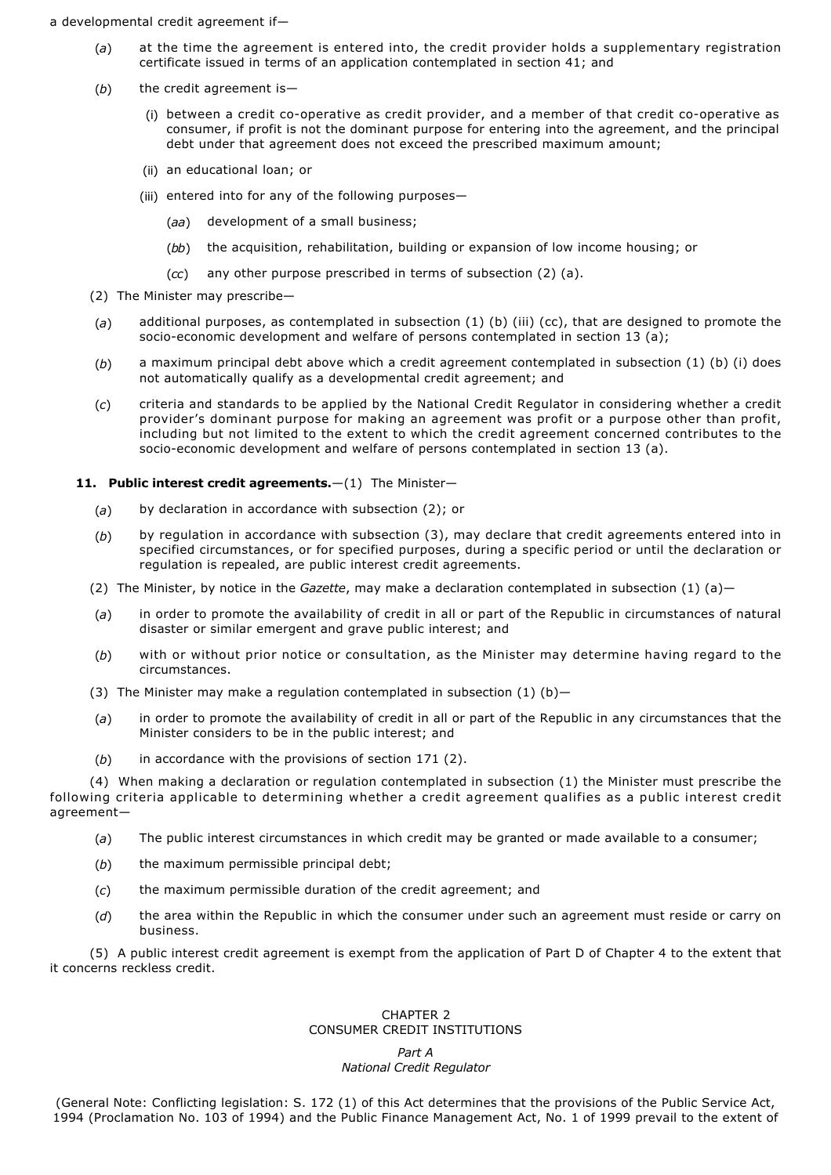a developmental credit agreement if—

- (*a*) at the time the agreement is entered into, the credit provider holds a supplementary registration certificate issued in terms of an application contemplated in section 41; and
- (*b*) the credit agreement is—
	- (i) between a credit co-operative as credit provider, and a member of that credit co-operative as consumer, if profit is not the dominant purpose for entering into the agreement, and the principal debt under that agreement does not exceed the prescribed maximum amount;
	- (ii) an educational loan; or
	- (iii) entered into for any of the following purposes—
		- (*aa*) development of a small business;
		- (*bb*) the acquisition, rehabilitation, building or expansion of low income housing; or
		- (*cc*) any other purpose prescribed in terms of subsection (2) (a).
- (2) The Minister may prescribe—
- (*a*) additional purposes, as contemplated in subsection (1) (b) (iii) (cc), that are designed to promote the socio-economic development and welfare of persons contemplated in section 13 (a);
- (*b*) a maximum principal debt above which a credit agreement contemplated in subsection (1) (b) (i) does not automatically qualify as a developmental credit agreement; and
- (*c*) criteria and standards to be applied by the National Credit Regulator in considering whether a credit provider's dominant purpose for making an agreement was profit or a purpose other than profit, including but not limited to the extent to which the credit agreement concerned contributes to the socio-economic development and welfare of persons contemplated in section 13 (a).

## **11. Public interest credit agreements.**—(1) The Minister—

- (*a*) by declaration in accordance with subsection (2); or
- (*b*) by regulation in accordance with subsection (3), may declare that credit agreements entered into in specified circumstances, or for specified purposes, during a specific period or until the declaration or regulation is repealed, are public interest credit agreements.
- (2) The Minister, by notice in the *Gazette*, may make a declaration contemplated in subsection (1) (a)—
- (*a*) in order to promote the availability of credit in all or part of the Republic in circumstances of natural disaster or similar emergent and grave public interest; and
- (*b*) with or without prior notice or consultation, as the Minister may determine having regard to the circumstances.
- (3) The Minister may make a regulation contemplated in subsection  $(1)$   $(b)$ -
- (*a*) in order to promote the availability of credit in all or part of the Republic in any circumstances that the Minister considers to be in the public interest; and
- (*b*) in accordance with the provisions of section 171 (2).

(4) When making a declaration or regulation contemplated in subsection (1) the Minister must prescribe the following criteria applicable to determining whether a credit agreement qualifies as a public interest credit agreement—

- (*a*) The public interest circumstances in which credit may be granted or made available to a consumer;
- (*b*) the maximum permissible principal debt;
- (*c*) the maximum permissible duration of the credit agreement; and
- (*d*) the area within the Republic in which the consumer under such an agreement must reside or carry on business.

(5) A public interest credit agreement is exempt from the application of Part D of Chapter 4 to the extent that it concerns reckless credit.

## CHAPTER 2 CONSUMER CREDIT INSTITUTIONS

# *Part A National Credit Regulator*

(General Note: Conflicting legislation: S. 172 (1) of this Act determines that the provisions of the Public Service Act, 1994 (Proclamation No. 103 of 1994) and the Public Finance Management Act, No. 1 of 1999 prevail to the extent of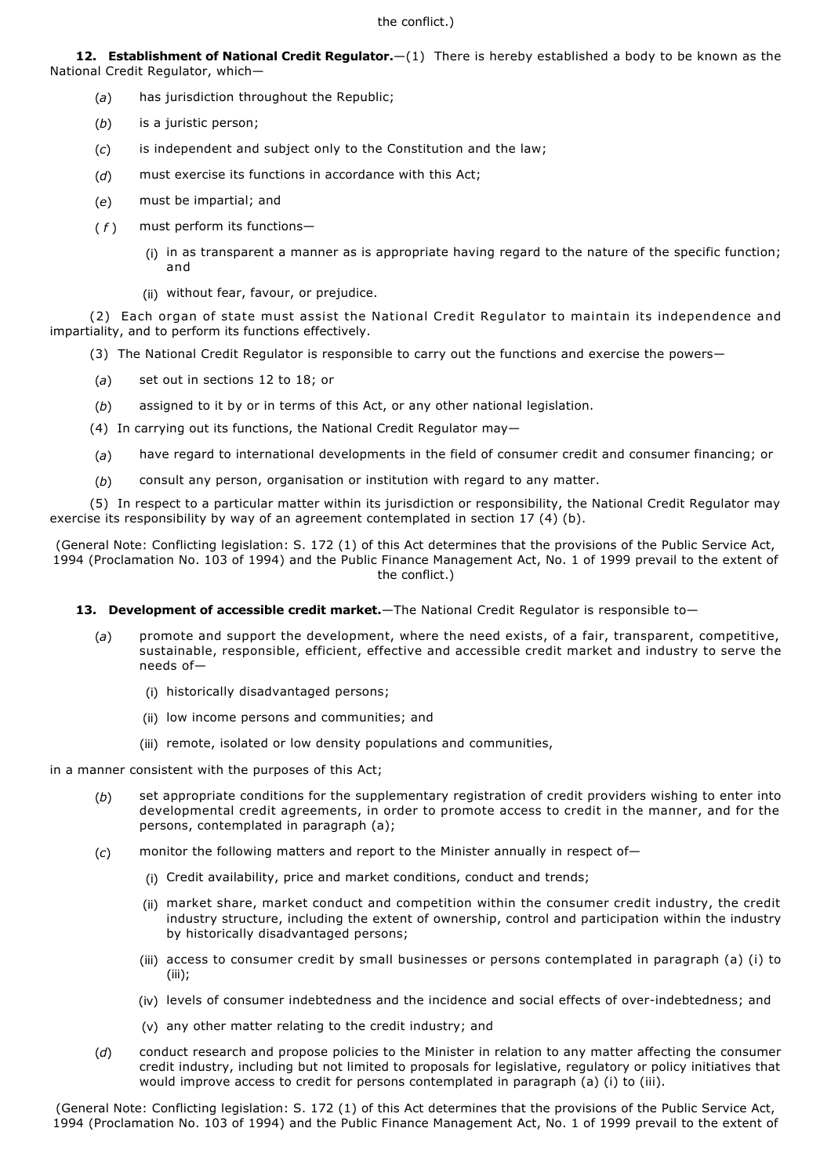**12. Establishment of National Credit Regulator.**—(1) There is hereby established a body to be known as the National Credit Regulator, which—

- (*a*) has jurisdiction throughout the Republic;
- (*b*) is a juristic person;
- (*c*) is independent and subject only to the Constitution and the law;
- (*d*) must exercise its functions in accordance with this Act;
- (*e*) must be impartial; and
- (*f*) must perform its functions-
	- (i) in as transparent a manner as is appropriate having regard to the nature of the specific function; and
	- (ii) without fear, favour, or prejudice.

(2) Each organ of state must assist the National Credit Regulator to maintain its independence and impartiality, and to perform its functions effectively.

- (3) The National Credit Regulator is responsible to carry out the functions and exercise the powers—
- (*a*) set out in sections 12 to 18; or
- (*b*) assigned to it by or in terms of this Act, or any other national legislation.
- (4) In carrying out its functions, the National Credit Regulator may—
- (*a*) have regard to international developments in the field of consumer credit and consumer financing; or
- (*b*) consult any person, organisation or institution with regard to any matter.

(5) In respect to a particular matter within its jurisdiction or responsibility, the National Credit Regulator may exercise its responsibility by way of an agreement contemplated in section 17 (4) (b).

(General Note: Conflicting legislation: S. 172 (1) of this Act determines that the provisions of the Public Service Act, 1994 (Proclamation No. 103 of 1994) and the Public Finance Management Act, No. 1 of 1999 prevail to the extent of the conflict.)

## 13. Development of accessible credit market.—The National Credit Regulator is responsible to-

- (*a*) promote and support the development, where the need exists, of a fair, transparent, competitive, sustainable, responsible, efficient, effective and accessible credit market and industry to serve the needs of—
	- (i) historically disadvantaged persons;
	- (ii) low income persons and communities; and
	- (iii) remote, isolated or low density populations and communities,

in a manner consistent with the purposes of this Act;

- (*b*) set appropriate conditions for the supplementary registration of credit providers wishing to enter into developmental credit agreements, in order to promote access to credit in the manner, and for the persons, contemplated in paragraph (a);
- (*c*) monitor the following matters and report to the Minister annually in respect of—
	- (i) Credit availability, price and market conditions, conduct and trends;
	- (ii) market share, market conduct and competition within the consumer credit industry, the credit industry structure, including the extent of ownership, control and participation within the industry by historically disadvantaged persons;
	- (iii) access to consumer credit by small businesses or persons contemplated in paragraph (a) (i) to (iii);
	- (iv) levels of consumer indebtedness and the incidence and social effects of overindebtedness; and
	- (v) any other matter relating to the credit industry; and
- (*d*) conduct research and propose policies to the Minister in relation to any matter affecting the consumer credit industry, including but not limited to proposals for legislative, regulatory or policy initiatives that would improve access to credit for persons contemplated in paragraph (a) (i) to (iii).

(General Note: Conflicting legislation: S. 172 (1) of this Act determines that the provisions of the Public Service Act, 1994 (Proclamation No. 103 of 1994) and the Public Finance Management Act, No. 1 of 1999 prevail to the extent of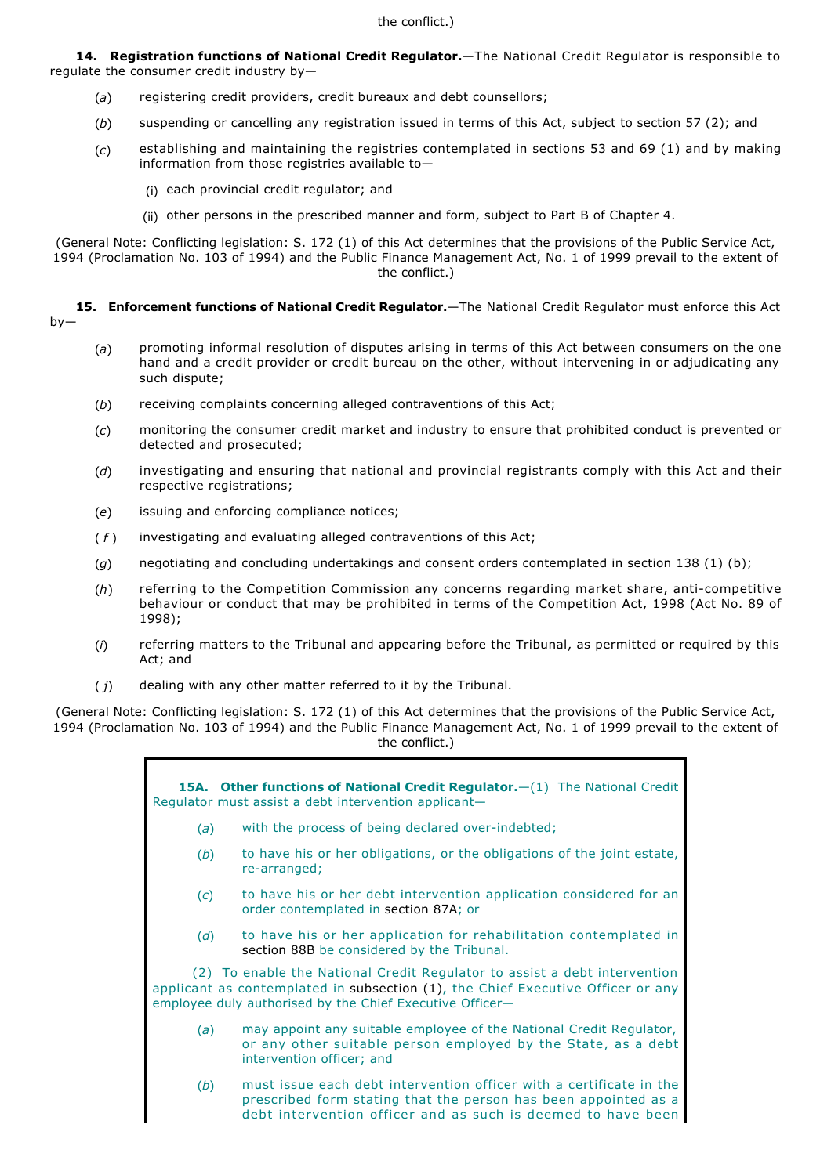**14. Registration functions of National Credit Regulator.**—The National Credit Regulator is responsible to regulate the consumer credit industry by—

- (*a*) registering credit providers, credit bureaux and debt counsellors;
- (*b*) suspending or cancelling any registration issued in terms of this Act, subject to section 57 (2); and
- (*c*) establishing and maintaining the registries contemplated in sections 53 and 69 (1) and by making information from those registries available to—
	- (i) each provincial credit regulator; and
	- (ii) other persons in the prescribed manner and form, subject to Part B of Chapter 4.

(General Note: Conflicting legislation: S. 172 (1) of this Act determines that the provisions of the Public Service Act, 1994 (Proclamation No. 103 of 1994) and the Public Finance Management Act, No. 1 of 1999 prevail to the extent of the conflict.)

**15. Enforcement functions of National Credit Regulator.**—The National Credit Regulator must enforce this Act

- (*a*) promoting informal resolution of disputes arising in terms of this Act between consumers on the one hand and a credit provider or credit bureau on the other, without intervening in or adjudicating any such dispute;
- (*b*) receiving complaints concerning alleged contraventions of this Act;
- (*c*) monitoring the consumer credit market and industry to ensure that prohibited conduct is prevented or detected and prosecuted;
- (*d*) investigating and ensuring that national and provincial registrants comply with this Act and their respective registrations;
- (*e*) issuing and enforcing compliance notices;
- ( *f* ) investigating and evaluating alleged contraventions of this Act;
- (*g*) negotiating and concluding undertakings and consent orders contemplated in section 138 (1) (b);
- (h) referring to the Competition Commission any concerns regarding market share, anti-competitive behaviour or conduct that may be prohibited in terms of the Competition Act, 1998 (Act No. 89 of 1998);
- (*i*) referring matters to the Tribunal and appearing before the Tribunal, as permitted or required by this Act; and
- ( *j*) dealing with any other matter referred to it by the Tribunal.

(General Note: Conflicting legislation: S. 172 (1) of this Act determines that the provisions of the Public Service Act, 1994 (Proclamation No. 103 of 1994) and the Public Finance Management Act, No. 1 of 1999 prevail to the extent of the conflict.)

> **15A. Other functions of National Credit Regulator.**—(1) The National Credit Regulator must assist a debt intervention applicant— (a) with the process of being declared over-indebted; (*b*) to have his or her obligations, or the obligations of the joint estate, re-arranged; (*c*) to have his or her debt intervention application considered for an order contemplated in section 87A; or (*d*) to have his or her application for rehabilitation contemplated in section 88B be considered by the Tribunal. (2) To enable the National Credit Regulator to assist a debt intervention applicant as contemplated in subsection (1), the Chief Executive Officer or any employee duly authorised by the Chief Executive Officer— (*a*) may appoint any suitable employee of the National Credit Regulator, or any other suitable person employed by the State, as a debt intervention officer; and (*b*) must issue each debt intervention officer with a certificate in the prescribed form stating that the person has been appointed as a debt intervention officer and as such is deemed to have been

 $hv$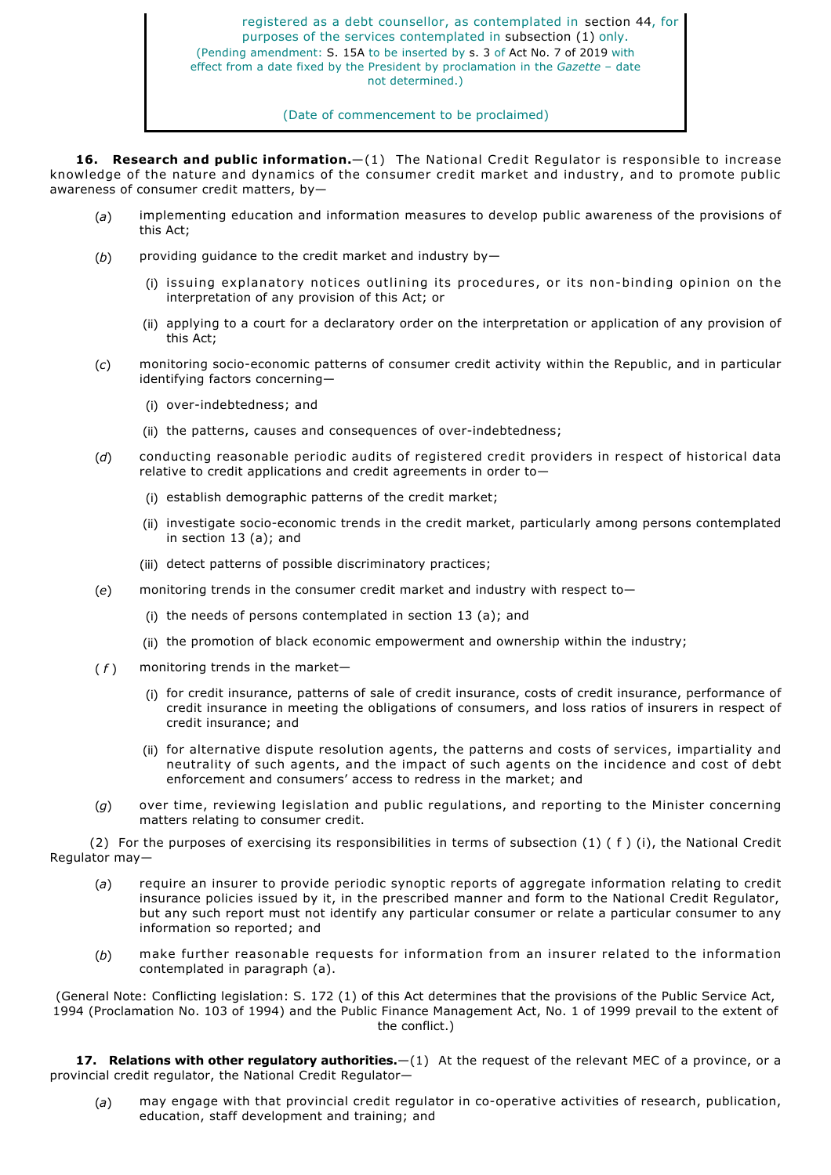registered as a debt counsellor, as contemplated in section 44, for purposes of the services contemplated in subsection (1) only. (Pending amendment: S. 15A to be inserted by s. 3 of Act No. 7 of 2019 with effect from a date fixed by the President by proclamation in the *Gazette* – date not determined.)

## (Date of commencement to be proclaimed)

**16. Research and public information.**—(1) The National Credit Regulator is responsible to increase knowledge of the nature and dynamics of the consumer credit market and industry, and to promote public awareness of consumer credit matters, by—

- (*a*) implementing education and information measures to develop public awareness of the provisions of this Act;
- (*b*) providing guidance to the credit market and industry by—
	- (i) issuing explanatory notices outlining its procedures, or its non-binding opinion on the interpretation of any provision of this Act; or
	- (ii) applying to a court for a declaratory order on the interpretation or application of any provision of this Act;
- (c) monitoring socio-economic patterns of consumer credit activity within the Republic, and in particular identifying factors concerning—
	- (i) over-indebtedness; and
	- (ii) the patterns, causes and consequences of over-indebtedness;
- (*d*) conducting reasonable periodic audits of registered credit providers in respect of historical data relative to credit applications and credit agreements in order to—
	- (i) establish demographic patterns of the credit market;
	- (ii) investigate socio-economic trends in the credit market, particularly among persons contemplated in section 13 (a); and
	- (iii) detect patterns of possible discriminatory practices;
- (*e*) monitoring trends in the consumer credit market and industry with respect to—
	- (i) the needs of persons contemplated in section 13 (a); and
	- (ii) the promotion of black economic empowerment and ownership within the industry;
- $(f)$  monitoring trends in the market-
	- (i) for credit insurance, patterns of sale of credit insurance, costs of credit insurance, performance of credit insurance in meeting the obligations of consumers, and loss ratios of insurers in respect of credit insurance; and
	- (ii) for alternative dispute resolution agents, the patterns and costs of services, impartiality and neutrality of such agents, and the impact of such agents on the incidence and cost of debt enforcement and consumers' access to redress in the market; and
- (*g*) over time, reviewing legislation and public regulations, and reporting to the Minister concerning matters relating to consumer credit.

(2) For the purposes of exercising its responsibilities in terms of subsection (1) ( f ) (i), the National Credit Regulator may—

- (*a*) require an insurer to provide periodic synoptic reports of aggregate information relating to credit insurance policies issued by it, in the prescribed manner and form to the National Credit Regulator, but any such report must not identify any particular consumer or relate a particular consumer to any information so reported; and
- (*b*) make further reasonable requests for information from an insurer related to the information contemplated in paragraph (a).

(General Note: Conflicting legislation: S. 172 (1) of this Act determines that the provisions of the Public Service Act, 1994 (Proclamation No. 103 of 1994) and the Public Finance Management Act, No. 1 of 1999 prevail to the extent of the conflict.)

**17. Relations with other regulatory authorities.**—(1) At the request of the relevant MEC of a province, or a provincial credit regulator, the National Credit Regulator—

(a) may engage with that provincial credit regulator in co-operative activities of research, publication, education, staff development and training; and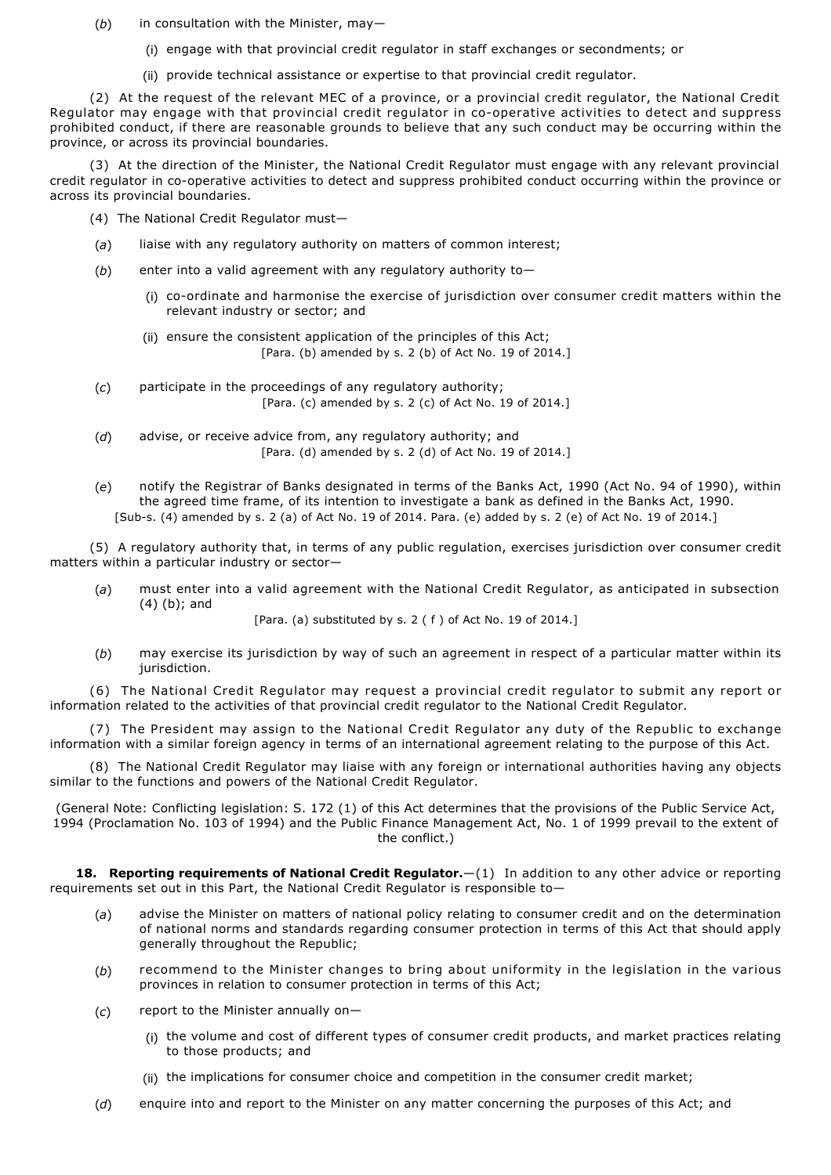- (*b*) in consultation with the Minister, may—
	- (i) engage with that provincial credit regulator in staff exchanges or secondments; or
	- (ii) provide technical assistance or expertise to that provincial credit regulator.

(2) At the request of the relevant MEC of a province, or a provincial credit regulator, the National Credit Regulator may engage with that provincial credit regulator in co-operative activities to detect and suppress prohibited conduct, if there are reasonable grounds to believe that any such conduct may be occurring within the province, or across its provincial boundaries.

(3) At the direction of the Minister, the National Credit Regulator must engage with any relevant provincial credit regulator in co-operative activities to detect and suppress prohibited conduct occurring within the province or across its provincial boundaries.

- (4) The National Credit Regulator must—
- (*a*) liaise with any regulatory authority on matters of common interest;
- (*b*) enter into a valid agreement with any regulatory authority to—
	- (i) co-ordinate and harmonise the exercise of jurisdiction over consumer credit matters within the relevant industry or sector; and
	- (ii) ensure the consistent application of the principles of this Act; [Para. (b) amended by s. 2 (b) of Act No. 19 of 2014.]
- (*c*) participate in the proceedings of any regulatory authority; [Para. (c) amended by s. 2 (c) of Act No. 19 of 2014.]
- (*d*) advise, or receive advice from, any regulatory authority; and [Para. (d) amended by s. 2 (d) of Act No. 19 of 2014.]
- (*e*) notify the Registrar of Banks designated in terms of the Banks Act, 1990 (Act No. 94 of 1990), within the agreed time frame, of its intention to investigate a bank as defined in the Banks Act, 1990. [Subs. (4) amended by s. 2 (a) of Act No. 19 of 2014. Para. (e) added by s. 2 (e) of Act No. 19 of 2014.]

(5) A regulatory authority that, in terms of any public regulation, exercises jurisdiction over consumer credit matters within a particular industry or sector—

(*a*) must enter into a valid agreement with the National Credit Regulator, as anticipated in subsection (4) (b); and

[Para. (a) substituted by s. 2 (f) of Act No. 19 of 2014.]

(*b*) may exercise its jurisdiction by way of such an agreement in respect of a particular matter within its jurisdiction.

(6) The National Credit Regulator may request a provincial credit regulator to submit any report or information related to the activities of that provincial credit regulator to the National Credit Regulator.

(7) The President may assign to the National Credit Regulator any duty of the Republic to exchange information with a similar foreign agency in terms of an international agreement relating to the purpose of this Act.

(8) The National Credit Regulator may liaise with any foreign or international authorities having any objects similar to the functions and powers of the National Credit Regulator.

(General Note: Conflicting legislation: S. 172 (1) of this Act determines that the provisions of the Public Service Act, 1994 (Proclamation No. 103 of 1994) and the Public Finance Management Act, No. 1 of 1999 prevail to the extent of the conflict.)

**18. Reporting requirements of National Credit Regulator.**—(1) In addition to any other advice or reporting requirements set out in this Part, the National Credit Regulator is responsible to—

- (*a*) advise the Minister on matters of national policy relating to consumer credit and on the determination of national norms and standards regarding consumer protection in terms of this Act that should apply generally throughout the Republic;
- (*b*) recommend to the Minister changes to bring about uniformity in the legislation in the various provinces in relation to consumer protection in terms of this Act;
- (*c*) report to the Minister annually on—
	- (i) the volume and cost of different types of consumer credit products, and market practices relating to those products; and
	- (ii) the implications for consumer choice and competition in the consumer credit market;
- (*d*) enquire into and report to the Minister on any matter concerning the purposes of this Act; and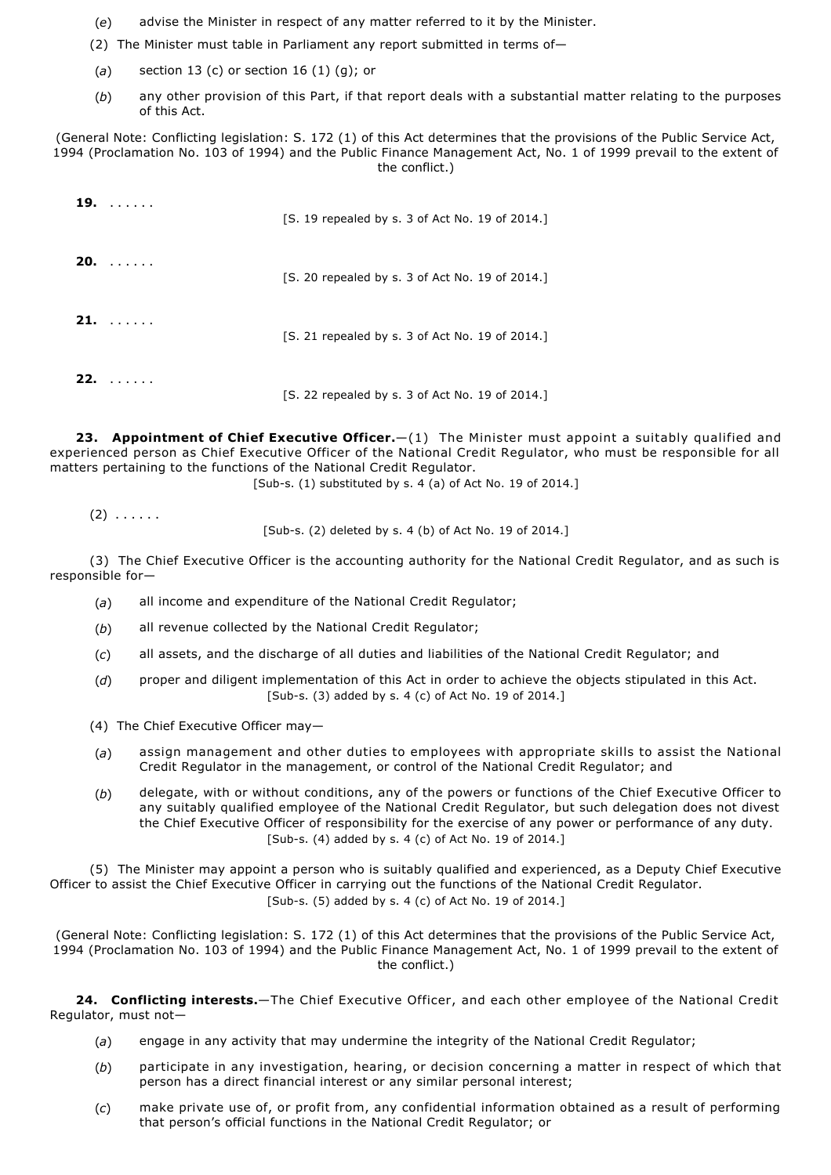- (*e*) advise the Minister in respect of any matter referred to it by the Minister.
- (2) The Minister must table in Parliament any report submitted in terms of—
- (*a*) section 13 (c) or section 16 (1) (g); or
- (*b*) any other provision of this Part, if that report deals with a substantial matter relating to the purposes of this Act.

(General Note: Conflicting legislation: S. 172 (1) of this Act determines that the provisions of the Public Service Act, 1994 (Proclamation No. 103 of 1994) and the Public Finance Management Act, No. 1 of 1999 prevail to the extent of the conflict.)

|     | $19. \ldots \ldots$ | [S. 19 repealed by s. 3 of Act No. 19 of 2014.] |
|-----|---------------------|-------------------------------------------------|
|     | $20. \ldots \ldots$ | [S. 20 repealed by s. 3 of Act No. 19 of 2014.] |
|     | $21. \ldots \ldots$ | [S. 21 repealed by s. 3 of Act No. 19 of 2014.] |
| 22. | 1.1.1.1.1.1         | [S. 22 repealed by s. 3 of Act No. 19 of 2014.] |

**23. Appointment of Chief Executive Officer.**—(1) The Minister must appoint a suitably qualified and experienced person as Chief Executive Officer of the National Credit Regulator, who must be responsible for all matters pertaining to the functions of the National Credit Regulator.

[Sub-s.  $(1)$  substituted by s. 4  $(a)$  of Act No. 19 of 2014.]

 $(2)$   $\ldots$  . . . .

[Sub-s. (2) deleted by s. 4 (b) of Act No. 19 of 2014.]

(3) The Chief Executive Officer is the accounting authority for the National Credit Regulator, and as such is responsible for—

- (*a*) all income and expenditure of the National Credit Regulator;
- (*b*) all revenue collected by the National Credit Regulator;
- (*c*) all assets, and the discharge of all duties and liabilities of the National Credit Regulator; and
- (*d*) proper and diligent implementation of this Act in order to achieve the objects stipulated in this Act. [Sub-s. (3) added by s. 4 (c) of Act No. 19 of 2014.]
- (4) The Chief Executive Officer may—
- (*a*) assign management and other duties to employees with appropriate skills to assist the National Credit Regulator in the management, or control of the National Credit Regulator; and
- (*b*) delegate, with or without conditions, any of the powers or functions of the Chief Executive Officer to any suitably qualified employee of the National Credit Regulator, but such delegation does not divest the Chief Executive Officer of responsibility for the exercise of any power or performance of any duty. [Sub-s. (4) added by s. 4 (c) of Act No. 19 of 2014.]

(5) The Minister may appoint a person who is suitably qualified and experienced, as a Deputy Chief Executive Officer to assist the Chief Executive Officer in carrying out the functions of the National Credit Regulator.  $[Sub-s. (5)$  added by s. 4 (c) of Act No. 19 of 2014.

(General Note: Conflicting legislation: S. 172 (1) of this Act determines that the provisions of the Public Service Act, 1994 (Proclamation No. 103 of 1994) and the Public Finance Management Act, No. 1 of 1999 prevail to the extent of the conflict.)

**24. Conflicting interests.**—The Chief Executive Officer, and each other employee of the National Credit Regulator, must not—

- (*a*) engage in any activity that may undermine the integrity of the National Credit Regulator;
- (*b*) participate in any investigation, hearing, or decision concerning a matter in respect of which that person has a direct financial interest or any similar personal interest;
- (*c*) make private use of, or profit from, any confidential information obtained as a result of performing that person's official functions in the National Credit Regulator; or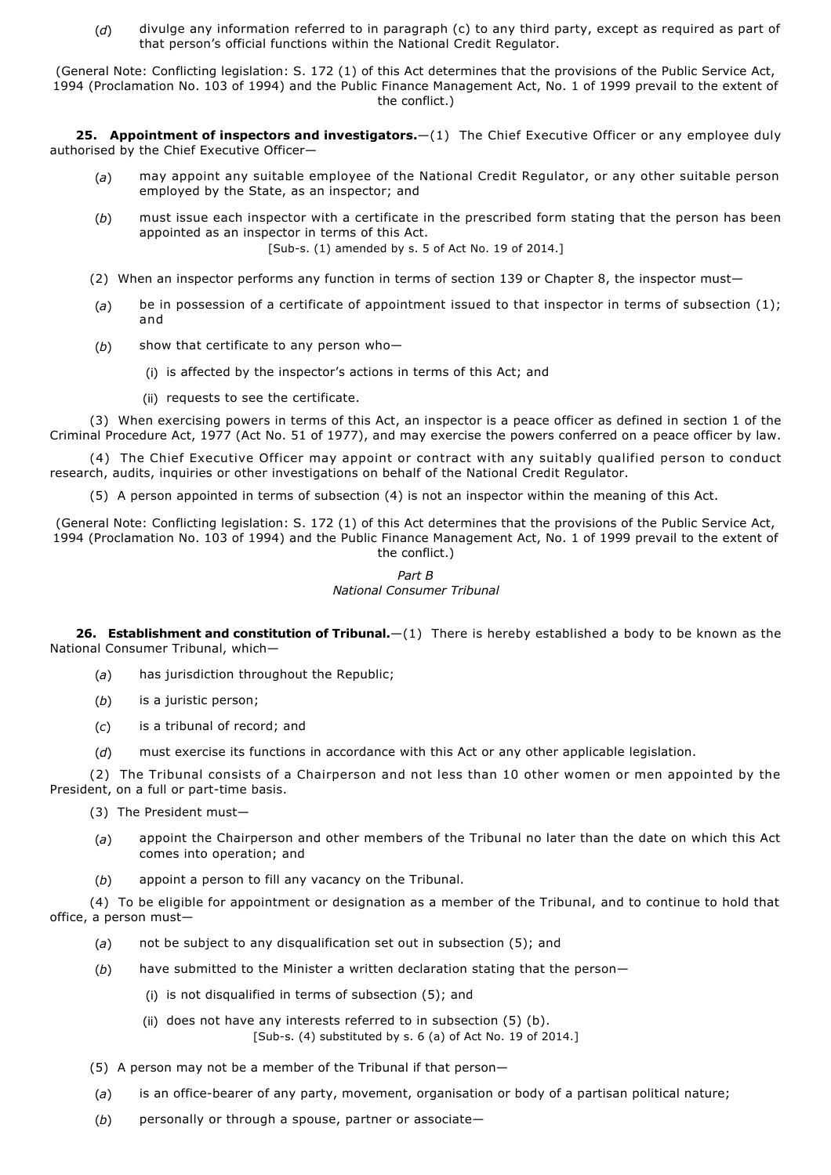(*d*) divulge any information referred to in paragraph (c) to any third party, except as required as part of that person's official functions within the National Credit Regulator.

(General Note: Conflicting legislation: S. 172 (1) of this Act determines that the provisions of the Public Service Act, 1994 (Proclamation No. 103 of 1994) and the Public Finance Management Act, No. 1 of 1999 prevail to the extent of the conflict.)

**25. Appointment of inspectors and investigators.**—(1) The Chief Executive Officer or any employee duly authorised by the Chief Executive Officer—

- (*a*) may appoint any suitable employee of the National Credit Regulator, or any other suitable person employed by the State, as an inspector; and
- (*b*) must issue each inspector with a certificate in the prescribed form stating that the person has been appointed as an inspector in terms of this Act. [Sub-s. (1) amended by s. 5 of Act No. 19 of 2014.]
- (2) When an inspector performs any function in terms of section 139 or Chapter 8, the inspector must—
- (*a*) be in possession of a certificate of appointment issued to that inspector in terms of subsection (1); and
- (*b*) show that certificate to any person who—
	- (i) is affected by the inspector's actions in terms of this Act; and
	- (ii) requests to see the certificate.

(3) When exercising powers in terms of this Act, an inspector is a peace officer as defined in section 1 of the Criminal Procedure Act, 1977 (Act No. 51 of 1977), and may exercise the powers conferred on a peace officer by law.

(4) The Chief Executive Officer may appoint or contract with any suitably qualified person to conduct research, audits, inquiries or other investigations on behalf of the National Credit Regulator.

(5) A person appointed in terms of subsection (4) is not an inspector within the meaning of this Act.

(General Note: Conflicting legislation: S. 172 (1) of this Act determines that the provisions of the Public Service Act, 1994 (Proclamation No. 103 of 1994) and the Public Finance Management Act, No. 1 of 1999 prevail to the extent of the conflict.)

# *Part B*

## *National Consumer Tribunal*

**26. Establishment and constitution of Tribunal.**—(1) There is hereby established a body to be known as the National Consumer Tribunal, which—

- (*a*) has jurisdiction throughout the Republic;
- (*b*) is a juristic person;
- (*c*) is a tribunal of record; and
- (*d*) must exercise its functions in accordance with this Act or any other applicable legislation.

(2) The Tribunal consists of a Chairperson and not less than 10 other women or men appointed by the President, on a full or part-time basis.

- (3) The President must-
- (*a*) appoint the Chairperson and other members of the Tribunal no later than the date on which this Act comes into operation; and
- (*b*) appoint a person to fill any vacancy on the Tribunal.

(4) To be eligible for appointment or designation as a member of the Tribunal, and to continue to hold that office, a person must—

- (*a*) not be subject to any disqualification set out in subsection (5); and
- (*b*) have submitted to the Minister a written declaration stating that the person—
	- (i) is not disqualified in terms of subsection (5); and
	- (ii) does not have any interests referred to in subsection  $(5)$  (b). [Sub-s. (4) substituted by s.  $6$  (a) of Act No. 19 of 2014.]
- (5) A person may not be a member of the Tribunal if that person—
- (a) is an office-bearer of any party, movement, organisation or body of a partisan political nature;
- (*b*) personally or through a spouse, partner or associate—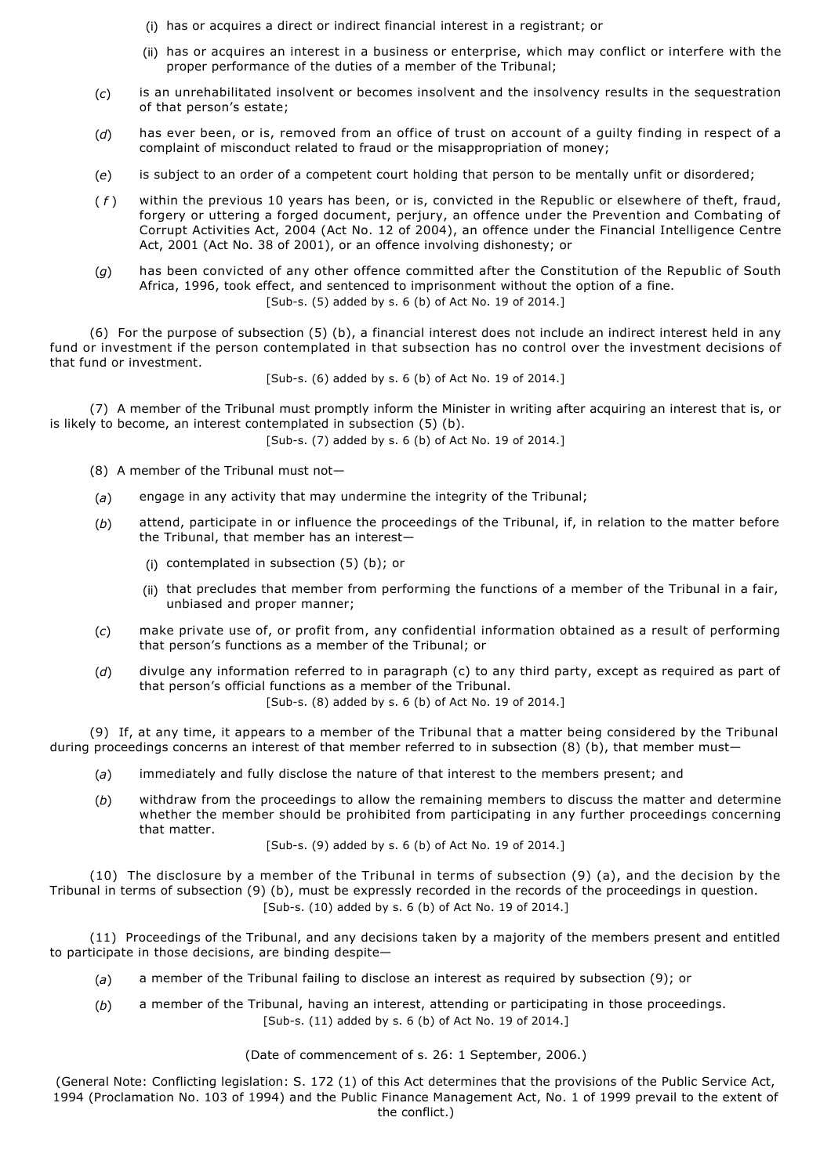- (i) has or acquires a direct or indirect financial interest in a registrant; or
- (ii) has or acquires an interest in a business or enterprise, which may conflict or interfere with the proper performance of the duties of a member of the Tribunal;
- (*c*) is an unrehabilitated insolvent or becomes insolvent and the insolvency results in the sequestration of that person's estate;
- (*d*) has ever been, or is, removed from an office of trust on account of a guilty finding in respect of a complaint of misconduct related to fraud or the misappropriation of money;
- (*e*) is subject to an order of a competent court holding that person to be mentally unfit or disordered;
- ( *f* ) within the previous 10 years has been, or is, convicted in the Republic or elsewhere of theft, fraud, forgery or uttering a forged document, perjury, an offence under the Prevention and Combating of Corrupt Activities Act, 2004 (Act No. 12 of 2004), an offence under the Financial Intelligence Centre Act, 2001 (Act No. 38 of 2001), or an offence involving dishonesty; or
- (*g*) has been convicted of any other offence committed after the Constitution of the Republic of South Africa, 1996, took effect, and sentenced to imprisonment without the option of a fine.  $[Sub-s, (5)$  added by s. 6 (b) of Act No. 19 of 2014.

(6) For the purpose of subsection (5) (b), a financial interest does not include an indirect interest held in any fund or investment if the person contemplated in that subsection has no control over the investment decisions of that fund or investment.

[Sub-s. (6) added by s. 6 (b) of Act No. 19 of 2014.]

(7) A member of the Tribunal must promptly inform the Minister in writing after acquiring an interest that is, or is likely to become, an interest contemplated in subsection (5) (b).

[Sub-s. (7) added by s. 6 (b) of Act No. 19 of 2014.]

- (8) A member of the Tribunal must not—
- (*a*) engage in any activity that may undermine the integrity of the Tribunal;
- (*b*) attend, participate in or influence the proceedings of the Tribunal, if, in relation to the matter before the Tribunal, that member has an interest—
	- (i) contemplated in subsection (5) (b); or
	- (ii) that precludes that member from performing the functions of a member of the Tribunal in a fair, unbiased and proper manner;
- (*c*) make private use of, or profit from, any confidential information obtained as a result of performing that person's functions as a member of the Tribunal; or
- (*d*) divulge any information referred to in paragraph (c) to any third party, except as required as part of that person's official functions as a member of the Tribunal.

[Sub-s. (8) added by s. 6 (b) of Act No. 19 of 2014.]

(9) If, at any time, it appears to a member of the Tribunal that a matter being considered by the Tribunal during proceedings concerns an interest of that member referred to in subsection (8) (b), that member must—

- (*a*) immediately and fully disclose the nature of that interest to the members present; and
- (*b*) withdraw from the proceedings to allow the remaining members to discuss the matter and determine whether the member should be prohibited from participating in any further proceedings concerning that matter.

[Sub-s. (9) added by s. 6 (b) of Act No. 19 of 2014.]

(10) The disclosure by a member of the Tribunal in terms of subsection (9) (a), and the decision by the Tribunal in terms of subsection (9) (b), must be expressly recorded in the records of the proceedings in question. [Sub-s. (10) added by s. 6 (b) of Act No. 19 of 2014.]

(11) Proceedings of the Tribunal, and any decisions taken by a majority of the members present and entitled to participate in those decisions, are binding despite—

- (*a*) a member of the Tribunal failing to disclose an interest as required by subsection (9); or
- (*b*) a member of the Tribunal, having an interest, attending or participating in those proceedings.  $[Sub-s. (11)$  added by s. 6 (b) of Act No. 19 of 2014.]

(Date of commencement of s. 26: 1 September, 2006.)

(General Note: Conflicting legislation: S. 172 (1) of this Act determines that the provisions of the Public Service Act, 1994 (Proclamation No. 103 of 1994) and the Public Finance Management Act, No. 1 of 1999 prevail to the extent of the conflict.)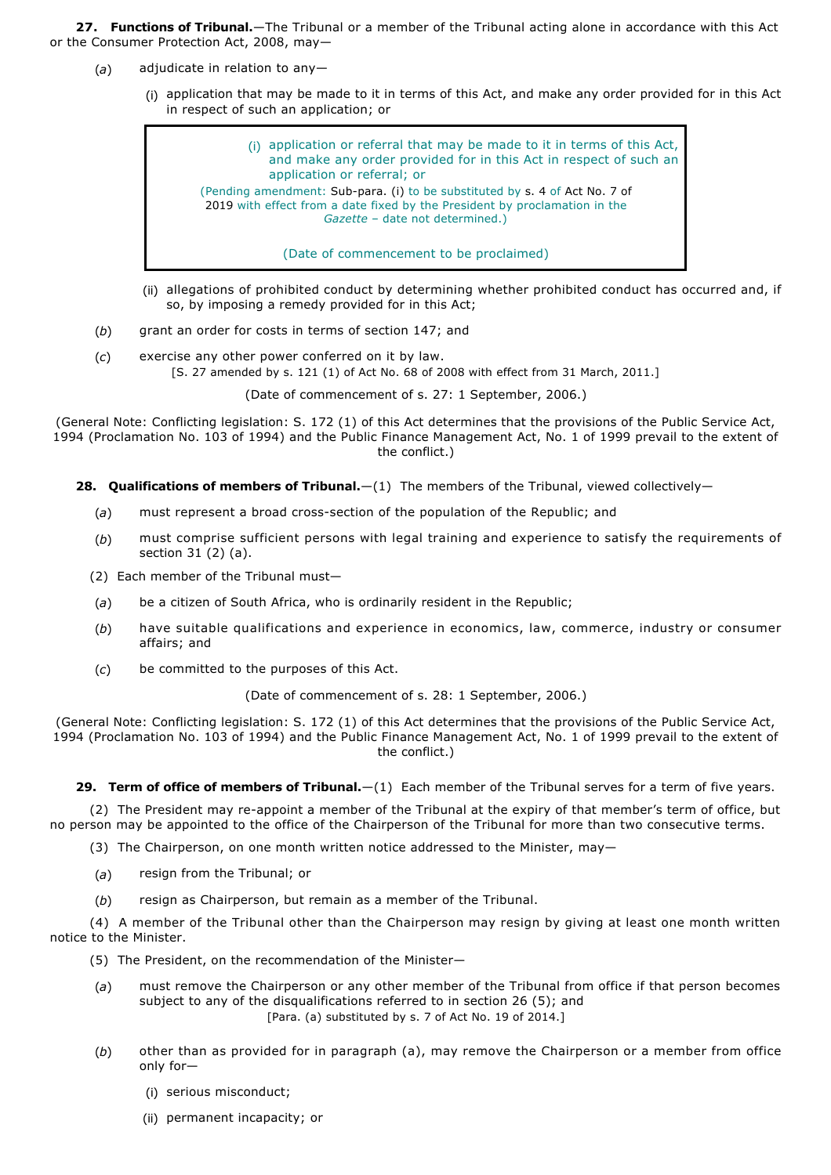**27. Functions of Tribunal.**—The Tribunal or a member of the Tribunal acting alone in accordance with this Act or the Consumer Protection Act, 2008, may—

- (*a*) adjudicate in relation to any—
	- (i) application that may be made to it in terms of this Act, and make any order provided for in this Act in respect of such an application; or



- (ii) allegations of prohibited conduct by determining whether prohibited conduct has occurred and, if so, by imposing a remedy provided for in this Act;
- (*b*) grant an order for costs in terms of section 147; and
- (*c*) exercise any other power conferred on it by law. [S. 27 amended by s. 121 (1) of Act No. 68 of 2008 with effect from 31 March, 2011.]

(Date of commencement of s. 27: 1 September, 2006.)

(General Note: Conflicting legislation: S. 172 (1) of this Act determines that the provisions of the Public Service Act, 1994 (Proclamation No. 103 of 1994) and the Public Finance Management Act, No. 1 of 1999 prevail to the extent of the conflict.)

28. **Qualifications of members of Tribunal.**—(1) The members of the Tribunal, viewed collectively—

- (a) must represent a broad cross-section of the population of the Republic; and
- (*b*) must comprise sufficient persons with legal training and experience to satisfy the requirements of section 31 (2) (a).
- (2) Each member of the Tribunal must—
- (*a*) be a citizen of South Africa, who is ordinarily resident in the Republic;
- (*b*) have suitable qualifications and experience in economics, law, commerce, industry or consumer affairs; and
- (*c*) be committed to the purposes of this Act.

(Date of commencement of s. 28: 1 September, 2006.)

(General Note: Conflicting legislation: S. 172 (1) of this Act determines that the provisions of the Public Service Act, 1994 (Proclamation No. 103 of 1994) and the Public Finance Management Act, No. 1 of 1999 prevail to the extent of the conflict.)

29. Term of office of members of Tribunal. - (1) Each member of the Tribunal serves for a term of five years.

(2) The President may re-appoint a member of the Tribunal at the expiry of that member's term of office, but no person may be appointed to the office of the Chairperson of the Tribunal for more than two consecutive terms.

(3) The Chairperson, on one month written notice addressed to the Minister, may—

- (*a*) resign from the Tribunal; or
- (*b*) resign as Chairperson, but remain as a member of the Tribunal.

(4) A member of the Tribunal other than the Chairperson may resign by giving at least one month written notice to the Minister.

- (5) The President, on the recommendation of the Minister—
- (*a*) must remove the Chairperson or any other member of the Tribunal from office if that person becomes subject to any of the disqualifications referred to in section 26 (5); and [Para. (a) substituted by s. 7 of Act No. 19 of 2014.]
- (*b*) other than as provided for in paragraph (a), may remove the Chairperson or a member from office only for—
	- (i) serious misconduct;
	- (ii) permanent incapacity; or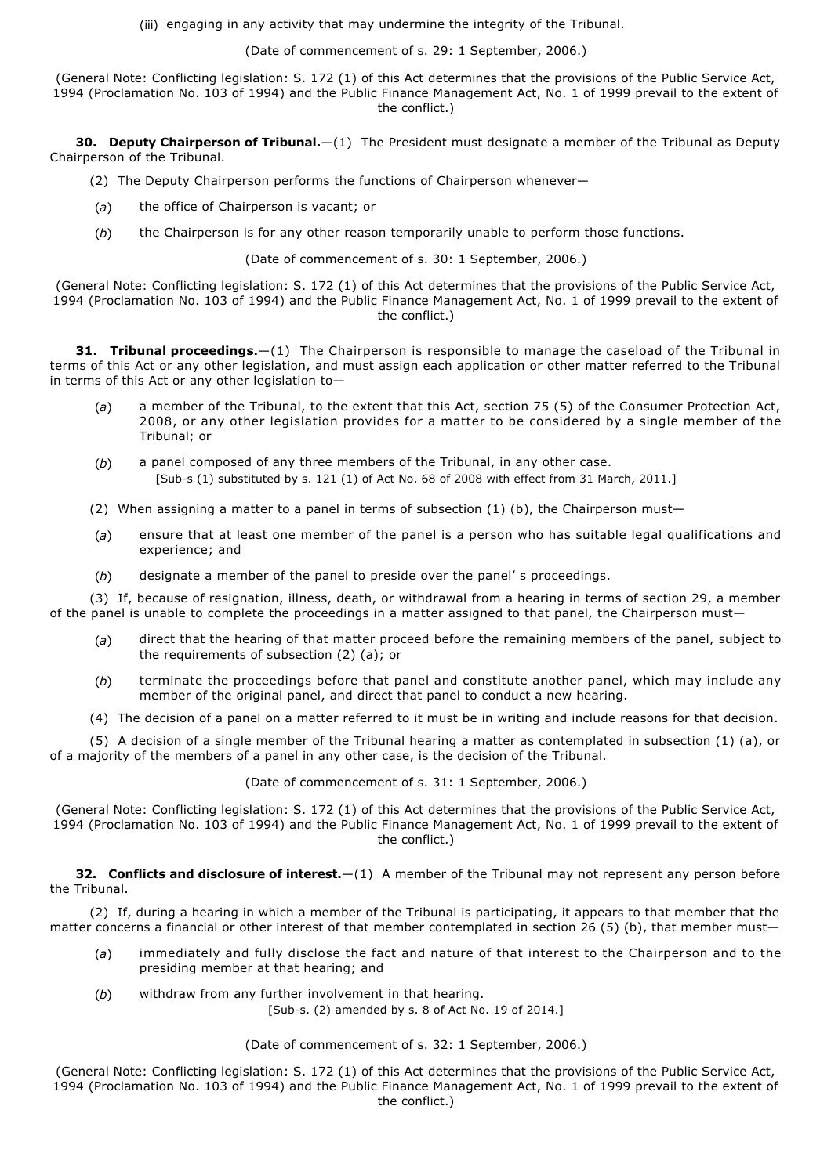(iii) engaging in any activity that may undermine the integrity of the Tribunal.

(Date of commencement of s. 29: 1 September, 2006.)

(General Note: Conflicting legislation: S. 172 (1) of this Act determines that the provisions of the Public Service Act, 1994 (Proclamation No. 103 of 1994) and the Public Finance Management Act, No. 1 of 1999 prevail to the extent of the conflict.)

**30. Deputy Chairperson of Tribunal.**—(1) The President must designate a member of the Tribunal as Deputy Chairperson of the Tribunal.

- (2) The Deputy Chairperson performs the functions of Chairperson whenever—
- (*a*) the office of Chairperson is vacant; or
- (*b*) the Chairperson is for any other reason temporarily unable to perform those functions.

(Date of commencement of s. 30: 1 September, 2006.)

(General Note: Conflicting legislation: S. 172 (1) of this Act determines that the provisions of the Public Service Act, 1994 (Proclamation No. 103 of 1994) and the Public Finance Management Act, No. 1 of 1999 prevail to the extent of the conflict.)

**31. Tribunal proceedings.**—(1) The Chairperson is responsible to manage the caseload of the Tribunal in terms of this Act or any other legislation, and must assign each application or other matter referred to the Tribunal in terms of this Act or any other legislation to—

- (*a*) a member of the Tribunal, to the extent that this Act, section 75 (5) of the Consumer Protection Act, 2008, or any other legislation provides for a matter to be considered by a single member of the Tribunal; or
- (*b*) a panel composed of any three members of the Tribunal, in any other case. [Sub-s (1) substituted by s. 121 (1) of Act No. 68 of 2008 with effect from 31 March, 2011.]
- (2) When assigning a matter to a panel in terms of subsection  $(1)$  (b), the Chairperson must-
- (*a*) ensure that at least one member of the panel is a person who has suitable legal qualifications and experience; and
- (*b*) designate a member of the panel to preside over the panel' s proceedings.

(3) If, because of resignation, illness, death, or withdrawal from a hearing in terms of section 29, a member of the panel is unable to complete the proceedings in a matter assigned to that panel, the Chairperson must—

- (*a*) direct that the hearing of that matter proceed before the remaining members of the panel, subject to the requirements of subsection (2) (a); or
- (*b*) terminate the proceedings before that panel and constitute another panel, which may include any member of the original panel, and direct that panel to conduct a new hearing.
- (4) The decision of a panel on a matter referred to it must be in writing and include reasons for that decision.

(5) A decision of a single member of the Tribunal hearing a matter as contemplated in subsection (1) (a), or of a majority of the members of a panel in any other case, is the decision of the Tribunal.

(Date of commencement of s. 31: 1 September, 2006.)

(General Note: Conflicting legislation: S. 172 (1) of this Act determines that the provisions of the Public Service Act, 1994 (Proclamation No. 103 of 1994) and the Public Finance Management Act, No. 1 of 1999 prevail to the extent of the conflict.)

**32. Conflicts and disclosure of interest.**—(1) A member of the Tribunal may not represent any person before the Tribunal.

(2) If, during a hearing in which a member of the Tribunal is participating, it appears to that member that the matter concerns a financial or other interest of that member contemplated in section 26 (5) (b), that member must—

- (*a*) immediately and fully disclose the fact and nature of that interest to the Chairperson and to the presiding member at that hearing; and
- (*b*) withdraw from any further involvement in that hearing.

[Sub-s. (2) amended by s. 8 of Act No. 19 of 2014.]

# (Date of commencement of s. 32: 1 September, 2006.)

(General Note: Conflicting legislation: S. 172 (1) of this Act determines that the provisions of the Public Service Act, 1994 (Proclamation No. 103 of 1994) and the Public Finance Management Act, No. 1 of 1999 prevail to the extent of the conflict.)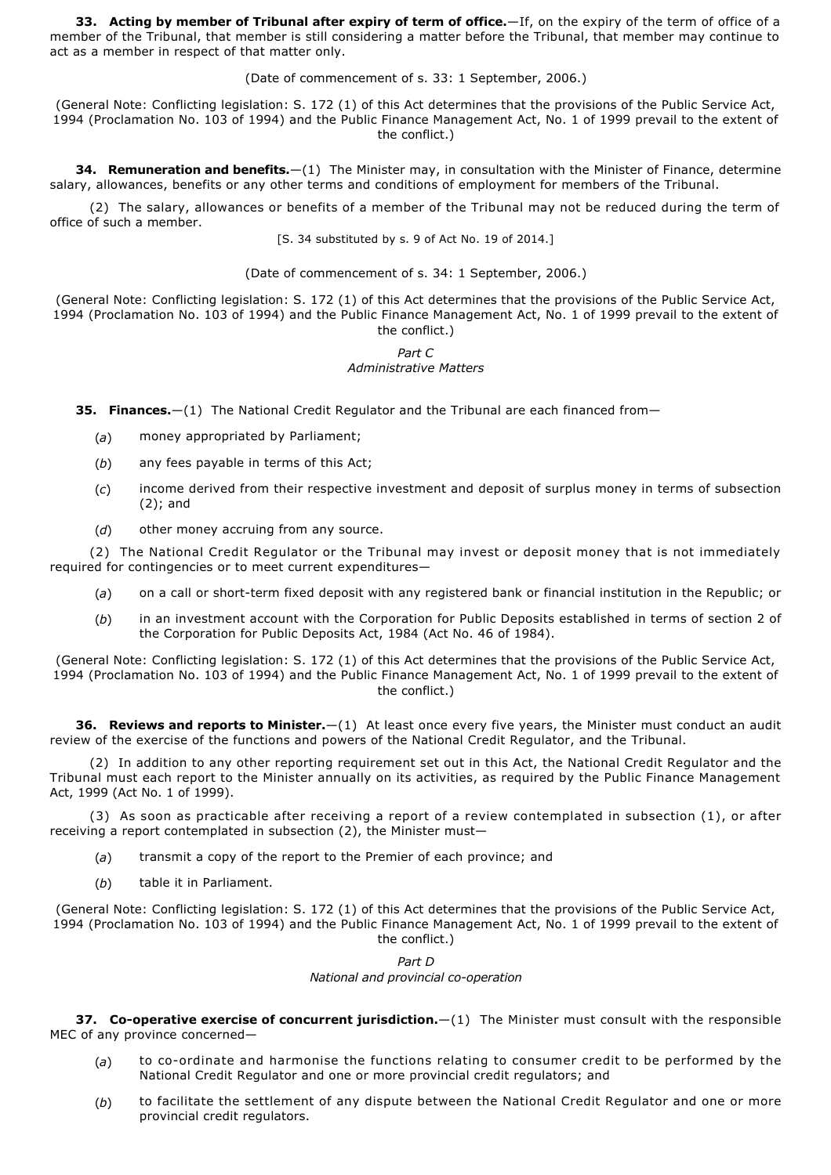**33. Acting by member of Tribunal after expiry of term of office.**—If, on the expiry of the term of office of a member of the Tribunal, that member is still considering a matter before the Tribunal, that member may continue to act as a member in respect of that matter only.

(Date of commencement of s. 33: 1 September, 2006.)

(General Note: Conflicting legislation: S. 172 (1) of this Act determines that the provisions of the Public Service Act, 1994 (Proclamation No. 103 of 1994) and the Public Finance Management Act, No. 1 of 1999 prevail to the extent of the conflict.)

**34. Remuneration and benefits.**—(1) The Minister may, in consultation with the Minister of Finance, determine salary, allowances, benefits or any other terms and conditions of employment for members of the Tribunal.

(2) The salary, allowances or benefits of a member of the Tribunal may not be reduced during the term of office of such a member.

[S. 34 substituted by s. 9 of Act No. 19 of 2014.]

(Date of commencement of s. 34: 1 September, 2006.)

(General Note: Conflicting legislation: S. 172 (1) of this Act determines that the provisions of the Public Service Act, 1994 (Proclamation No. 103 of 1994) and the Public Finance Management Act, No. 1 of 1999 prevail to the extent of the conflict.)

# *Part C Administrative Matters*

**35. Finances.**—(1) The National Credit Regulator and the Tribunal are each financed from—

- (*a*) money appropriated by Parliament;
- (*b*) any fees payable in terms of this Act;
- (*c*) income derived from their respective investment and deposit of surplus money in terms of subsection (2); and
- (*d*) other money accruing from any source.

(2) The National Credit Regulator or the Tribunal may invest or deposit money that is not immediately required for contingencies or to meet current expenditures—

- (a) on a call or short-term fixed deposit with any registered bank or financial institution in the Republic; or
- (*b*) in an investment account with the Corporation for Public Deposits established in terms of section 2 of the Corporation for Public Deposits Act, 1984 (Act No. 46 of 1984).

(General Note: Conflicting legislation: S. 172 (1) of this Act determines that the provisions of the Public Service Act, 1994 (Proclamation No. 103 of 1994) and the Public Finance Management Act, No. 1 of 1999 prevail to the extent of the conflict.)

**36. Reviews and reports to Minister.**—(1) At least once every five years, the Minister must conduct an audit review of the exercise of the functions and powers of the National Credit Regulator, and the Tribunal.

(2) In addition to any other reporting requirement set out in this Act, the National Credit Regulator and the Tribunal must each report to the Minister annually on its activities, as required by the Public Finance Management Act, 1999 (Act No. 1 of 1999).

(3) As soon as practicable after receiving a report of a review contemplated in subsection (1), or after receiving a report contemplated in subsection (2), the Minister must—

- (*a*) transmit a copy of the report to the Premier of each province; and
- (*b*) table it in Parliament.

(General Note: Conflicting legislation: S. 172 (1) of this Act determines that the provisions of the Public Service Act, 1994 (Proclamation No. 103 of 1994) and the Public Finance Management Act, No. 1 of 1999 prevail to the extent of the conflict.)

#### *Part D National and provincial co-operation*

**37. Co-operative exercise of concurrent jurisdiction.**  $-(1)$  The Minister must consult with the responsible MEC of any province concerned—

- (a) to co-ordinate and harmonise the functions relating to consumer credit to be performed by the National Credit Regulator and one or more provincial credit regulators; and
- (*b*) to facilitate the settlement of any dispute between the National Credit Regulator and one or more provincial credit regulators.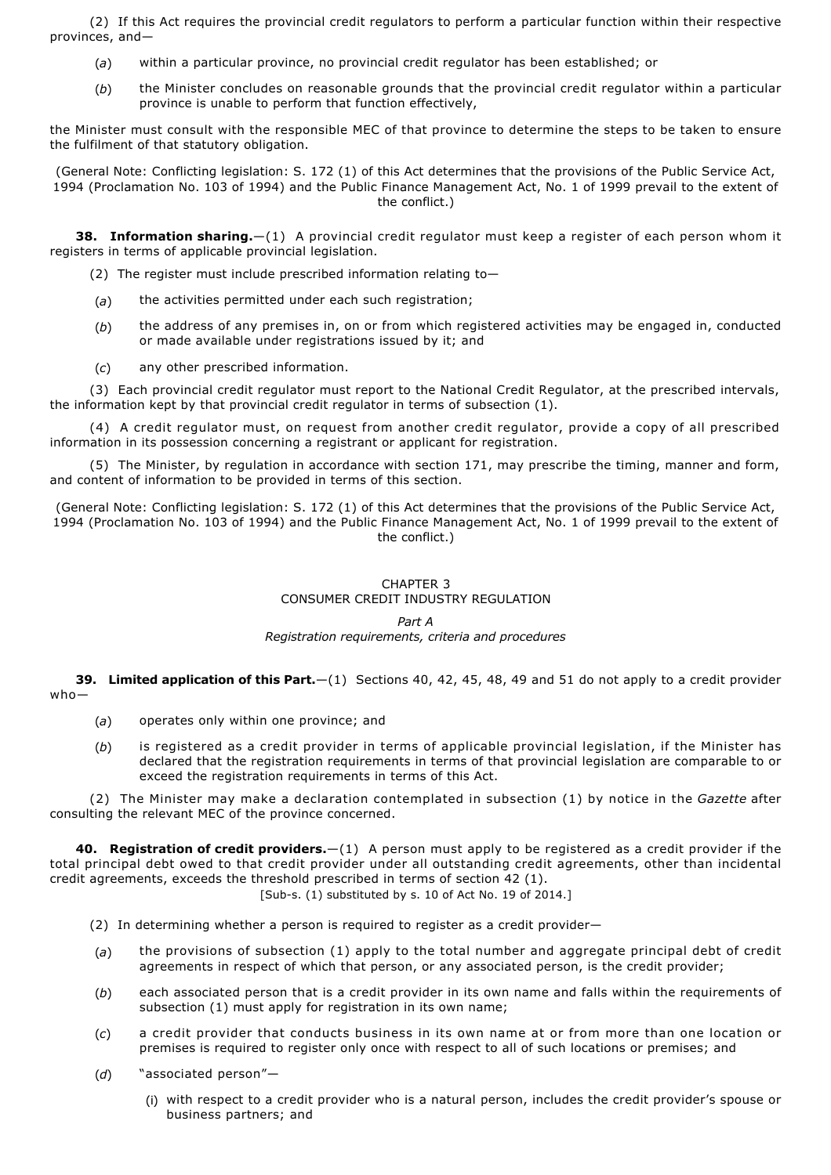(2) If this Act requires the provincial credit regulators to perform a particular function within their respective provinces, and—

- (*a*) within a particular province, no provincial credit regulator has been established; or
- (*b*) the Minister concludes on reasonable grounds that the provincial credit regulator within a particular province is unable to perform that function effectively,

the Minister must consult with the responsible MEC of that province to determine the steps to be taken to ensure the fulfilment of that statutory obligation.

(General Note: Conflicting legislation: S. 172 (1) of this Act determines that the provisions of the Public Service Act, 1994 (Proclamation No. 103 of 1994) and the Public Finance Management Act, No. 1 of 1999 prevail to the extent of the conflict.)

**38. Information sharing.**—(1) A provincial credit regulator must keep a register of each person whom it registers in terms of applicable provincial legislation.

- (2) The register must include prescribed information relating to—
- (*a*) the activities permitted under each such registration;
- (*b*) the address of any premises in, on or from which registered activities may be engaged in, conducted or made available under registrations issued by it; and
- (*c*) any other prescribed information.

(3) Each provincial credit regulator must report to the National Credit Regulator, at the prescribed intervals, the information kept by that provincial credit regulator in terms of subsection (1).

(4) A credit regulator must, on request from another credit regulator, provide a copy of all prescribed information in its possession concerning a registrant or applicant for registration.

(5) The Minister, by regulation in accordance with section 171, may prescribe the timing, manner and form, and content of information to be provided in terms of this section.

(General Note: Conflicting legislation: S. 172 (1) of this Act determines that the provisions of the Public Service Act, 1994 (Proclamation No. 103 of 1994) and the Public Finance Management Act, No. 1 of 1999 prevail to the extent of the conflict.)

#### CHAPTER 3 CONSUMER CREDIT INDUSTRY REGULATION

## *Part A*

# *Registration requirements, criteria and procedures*

**39. Limited application of this Part.**—(1) Sections 40, 42, 45, 48, 49 and 51 do not apply to a credit provider who—

- (*a*) operates only within one province; and
- (*b*) is registered as a credit provider in terms of applicable provincial legislation, if the Minister has declared that the registration requirements in terms of that provincial legislation are comparable to or exceed the registration requirements in terms of this Act.

(2) The Minister may make a declaration contemplated in subsection (1) by notice in the *Gazette* after consulting the relevant MEC of the province concerned.

**40. Registration of credit providers.**—(1) A person must apply to be registered as a credit provider if the total principal debt owed to that credit provider under all outstanding credit agreements, other than incidental credit agreements, exceeds the threshold prescribed in terms of section 42 (1).

[Sub-s. (1) substituted by s. 10 of Act No. 19 of 2014.]

- (2) In determining whether a person is required to register as a credit provider—
- (*a*) the provisions of subsection (1) apply to the total number and aggregate principal debt of credit agreements in respect of which that person, or any associated person, is the credit provider;
- (*b*) each associated person that is a credit provider in its own name and falls within the requirements of subsection (1) must apply for registration in its own name;
- (*c*) a credit provider that conducts business in its own name at or from more than one location or premises is required to register only once with respect to all of such locations or premises; and
- (*d*) "associated person"—
	- (i) with respect to a credit provider who is a natural person, includes the credit provider's spouse or business partners; and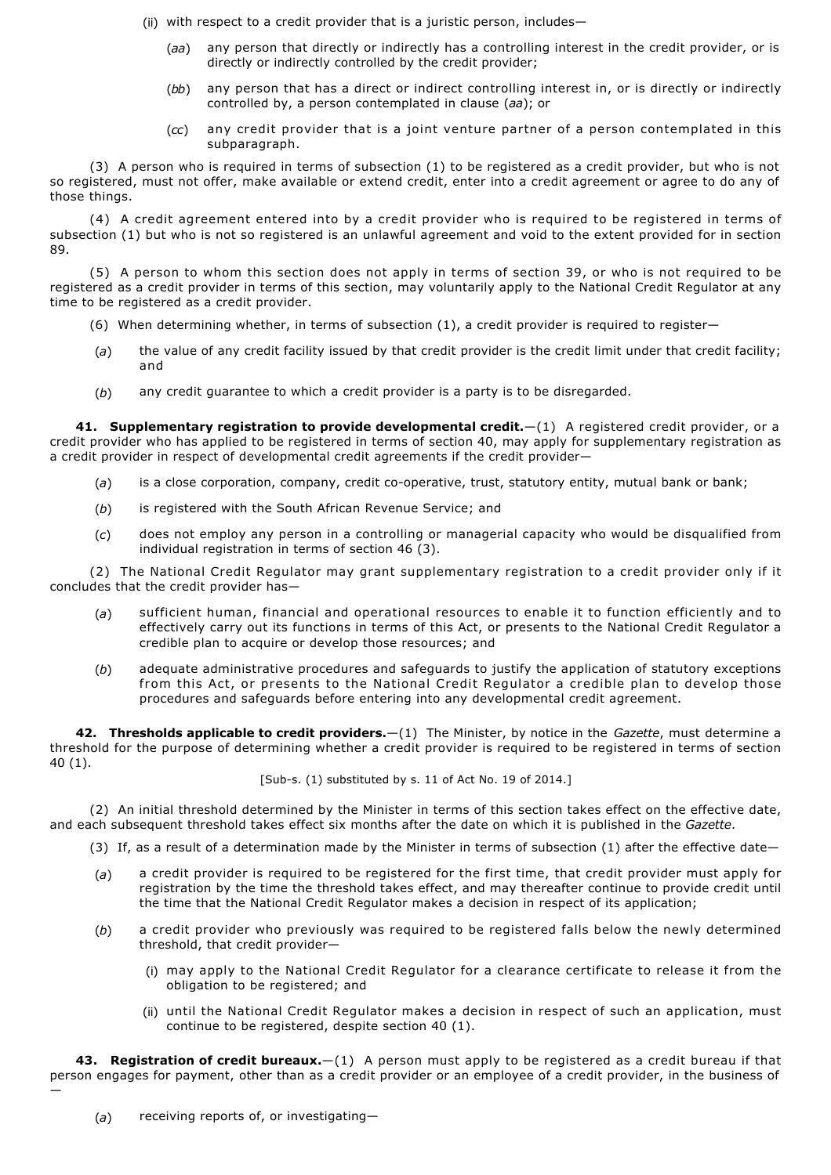(ii) with respect to a credit provider that is a juristic person, includes—

- (*aa*) any person that directly or indirectly has a controlling interest in the credit provider, or is directly or indirectly controlled by the credit provider;
- (*bb*) any person that has a direct or indirect controlling interest in, or is directly or indirectly controlled by, a person contemplated in clause (*aa*); or
- (*cc*) any credit provider that is a joint venture partner of a person contemplated in this subparagraph.

(3) A person who is required in terms of subsection (1) to be registered as a credit provider, but who is not so registered, must not offer, make available or extend credit, enter into a credit agreement or agree to do any of those things.

(4) A credit agreement entered into by a credit provider who is required to be registered in terms of subsection (1) but who is not so registered is an unlawful agreement and void to the extent provided for in section 89.

(5) A person to whom this section does not apply in terms of section 39, or who is not required to be registered as a credit provider in terms of this section, may voluntarily apply to the National Credit Regulator at any time to be registered as a credit provider.

- (6) When determining whether, in terms of subsection (1), a credit provider is required to register—
- (*a*) the value of any credit facility issued by that credit provider is the credit limit under that credit facility; and
- (*b*) any credit guarantee to which a credit provider is a party is to be disregarded.

**41. Supplementary registration to provide developmental credit.**—(1) A registered credit provider, or a credit provider who has applied to be registered in terms of section 40, may apply for supplementary registration as a credit provider in respect of developmental credit agreements if the credit provider—

- (a) is a close corporation, company, credit co-operative, trust, statutory entity, mutual bank or bank;
- (*b*) is registered with the South African Revenue Service; and
- (*c*) does not employ any person in a controlling or managerial capacity who would be disqualified from individual registration in terms of section 46 (3).

(2) The National Credit Regulator may grant supplementary registration to a credit provider only if it concludes that the credit provider has—

- (*a*) sufficient human, financial and operational resources to enable it to function efficiently and to effectively carry out its functions in terms of this Act, or presents to the National Credit Regulator a credible plan to acquire or develop those resources; and
- (*b*) adequate administrative procedures and safeguards to justify the application of statutory exceptions from this Act, or presents to the National Credit Regulator a credible plan to develop those procedures and safeguards before entering into any developmental credit agreement.

**42. Thresholds applicable to credit providers.**—(1) The Minister, by notice in the *Gazette*, must determine a threshold for the purpose of determining whether a credit provider is required to be registered in terms of section 40 (1).

 $[Sub-s. (1)$  substituted by s. 11 of Act No. 19 of 2014.]

(2) An initial threshold determined by the Minister in terms of this section takes effect on the effective date, and each subsequent threshold takes effect six months after the date on which it is published in the *Gazette*.

- (3) If, as a result of a determination made by the Minister in terms of subsection (1) after the effective date—
- (*a*) a credit provider is required to be registered for the first time, that credit provider must apply for registration by the time the threshold takes effect, and may thereafter continue to provide credit until the time that the National Credit Regulator makes a decision in respect of its application;
- (*b*) a credit provider who previously was required to be registered falls below the newly determined threshold, that credit provider—
	- (i) may apply to the National Credit Regulator for a clearance certificate to release it from the obligation to be registered; and
	- (ii) until the National Credit Regulator makes a decision in respect of such an application, must continue to be registered, despite section 40 (1).

**43. Registration of credit bureaux.**—(1) A person must apply to be registered as a credit bureau if that person engages for payment, other than as a credit provider or an employee of a credit provider, in the business of

—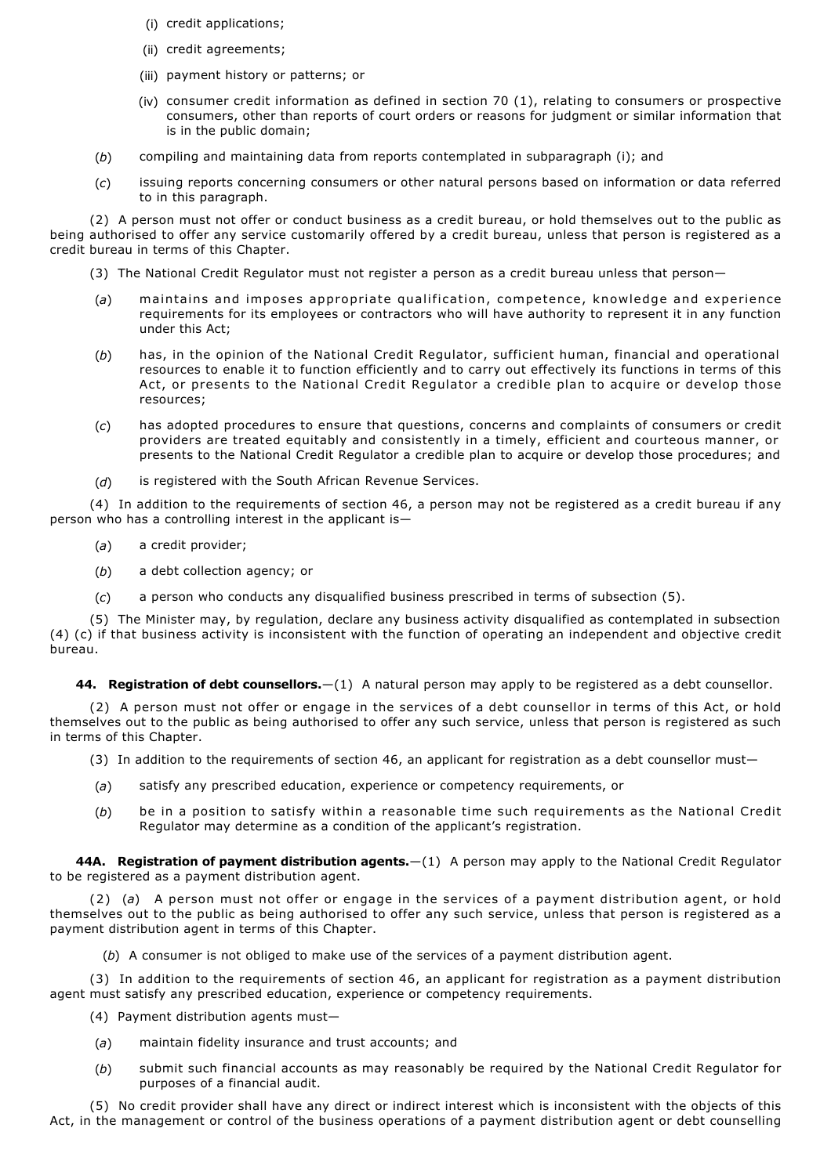- (i) credit applications;
- (ii) credit agreements;
- (iii) payment history or patterns; or
- (iv) consumer credit information as defined in section 70 (1), relating to consumers or prospective consumers, other than reports of court orders or reasons for judgment or similar information that is in the public domain;
- (*b*) compiling and maintaining data from reports contemplated in subparagraph (i); and
- (*c*) issuing reports concerning consumers or other natural persons based on information or data referred to in this paragraph.

(2) A person must not offer or conduct business as a credit bureau, or hold themselves out to the public as being authorised to offer any service customarily offered by a credit bureau, unless that person is registered as a credit bureau in terms of this Chapter.

- (3) The National Credit Regulator must not register a person as a credit bureau unless that person—
- (*a*) maintains and imposes appropriate qualification, competence, knowledge and experience requirements for its employees or contractors who will have authority to represent it in any function under this Act;
- (*b*) has, in the opinion of the National Credit Regulator, sufficient human, financial and operational resources to enable it to function efficiently and to carry out effectively its functions in terms of this Act, or presents to the National Credit Regulator a credible plan to acquire or develop those resources;
- (*c*) has adopted procedures to ensure that questions, concerns and complaints of consumers or credit providers are treated equitably and consistently in a timely, efficient and courteous manner, or presents to the National Credit Regulator a credible plan to acquire or develop those procedures; and
- (*d*) is registered with the South African Revenue Services.

(4) In addition to the requirements of section 46, a person may not be registered as a credit bureau if any person who has a controlling interest in the applicant is—

- (*a*) a credit provider;
- (*b*) a debt collection agency; or
- (*c*) a person who conducts any disqualified business prescribed in terms of subsection (5).

(5) The Minister may, by regulation, declare any business activity disqualified as contemplated in subsection (4) (c) if that business activity is inconsistent with the function of operating an independent and objective credit bureau.

**44. Registration of debt counsellors.**—(1) A natural person may apply to be registered as a debt counsellor.

(2) A person must not offer or engage in the services of a debt counsellor in terms of this Act, or hold themselves out to the public as being authorised to offer any such service, unless that person is registered as such in terms of this Chapter.

- (3) In addition to the requirements of section 46, an applicant for registration as a debt counsellor must—
- (*a*) satisfy any prescribed education, experience or competency requirements, or
- (*b*) be in a position to satisfy within a reasonable time such requirements as the National Credit Regulator may determine as a condition of the applicant's registration.

**44A. Registration of payment distribution agents.**—(1) A person may apply to the National Credit Regulator to be registered as a payment distribution agent.

(2) (*a*) A person must not offer or engage in the services of a payment distribution agent, or hold themselves out to the public as being authorised to offer any such service, unless that person is registered as a payment distribution agent in terms of this Chapter.

(*b*) A consumer is not obliged to make use of the services of a payment distribution agent.

(3) In addition to the requirements of section 46, an applicant for registration as a payment distribution agent must satisfy any prescribed education, experience or competency requirements.

- (4) Payment distribution agents must—
- (*a*) maintain fidelity insurance and trust accounts; and
- (*b*) submit such financial accounts as may reasonably be required by the National Credit Regulator for purposes of a financial audit.

(5) No credit provider shall have any direct or indirect interest which is inconsistent with the objects of this Act, in the management or control of the business operations of a payment distribution agent or debt counselling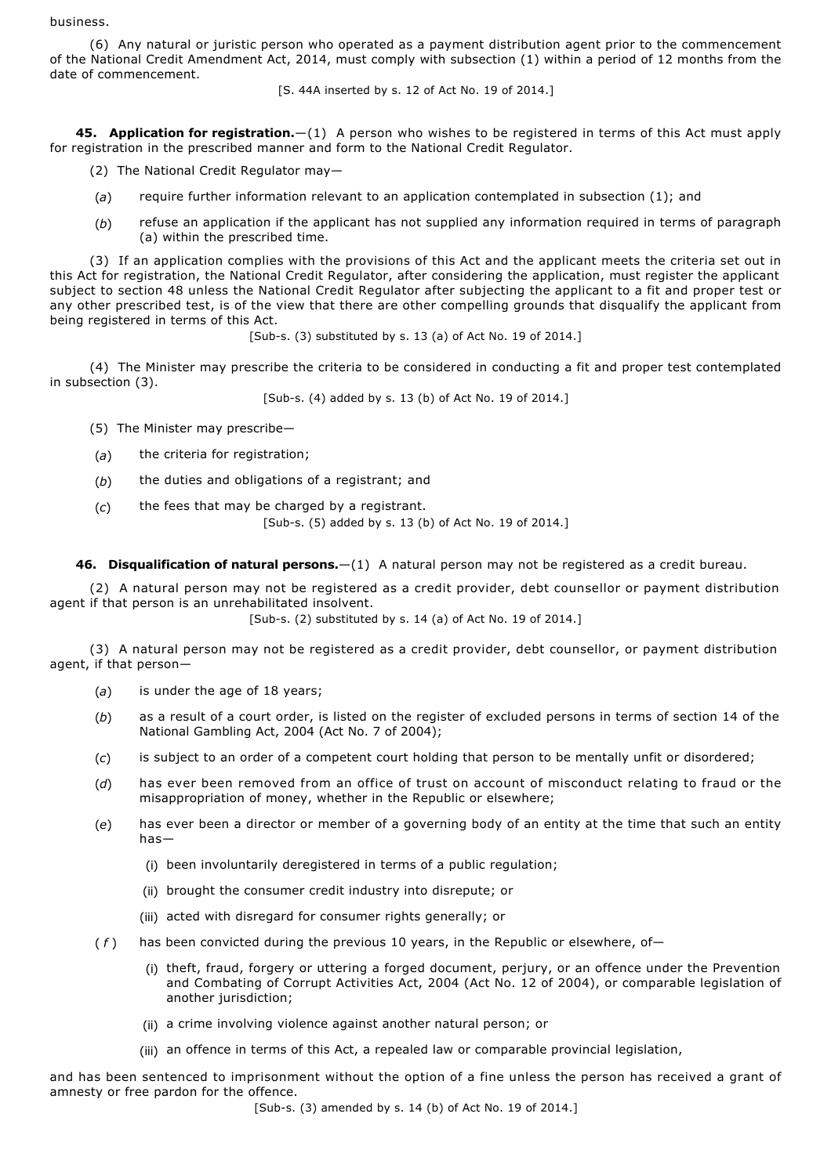business.

(6) Any natural or juristic person who operated as a payment distribution agent prior to the commencement of the National Credit Amendment Act, 2014, must comply with subsection (1) within a period of 12 months from the date of commencement.

[S. 44A inserted by s. 12 of Act No. 19 of 2014.]

**45. Application for registration.**—(1) A person who wishes to be registered in terms of this Act must apply for registration in the prescribed manner and form to the National Credit Regulator.

- (2) The National Credit Regulator may—
- (*a*) require further information relevant to an application contemplated in subsection (1); and
- (*b*) refuse an application if the applicant has not supplied any information required in terms of paragraph (a) within the prescribed time.

(3) If an application complies with the provisions of this Act and the applicant meets the criteria set out in this Act for registration, the National Credit Regulator, after considering the application, must register the applicant subject to section 48 unless the National Credit Regulator after subjecting the applicant to a fit and proper test or any other prescribed test, is of the view that there are other compelling grounds that disqualify the applicant from being registered in terms of this Act.

 $[Sub-s. (3)$  substituted by s. 13 (a) of Act No. 19 of 2014.

(4) The Minister may prescribe the criteria to be considered in conducting a fit and proper test contemplated in subsection (3).

[Sub-s. (4) added by s. 13 (b) of Act No. 19 of 2014.]

- (5) The Minister may prescribe—
- (*a*) the criteria for registration;
- (*b*) the duties and obligations of a registrant; and
- (*c*) the fees that may be charged by a registrant.

[Sub-s. (5) added by s. 13 (b) of Act No. 19 of 2014.]

**46. Disqualification of natural persons.**—(1) A natural person may not be registered as a credit bureau.

(2) A natural person may not be registered as a credit provider, debt counsellor or payment distribution agent if that person is an unrehabilitated insolvent.

[Sub-s.  $(2)$  substituted by s. 14  $(a)$  of Act No. 19 of 2014.]

(3) A natural person may not be registered as a credit provider, debt counsellor, or payment distribution agent, if that person—

- (*a*) is under the age of 18 years;
- (*b*) as a result of a court order, is listed on the register of excluded persons in terms of section 14 of the National Gambling Act, 2004 (Act No. 7 of 2004);
- (*c*) is subject to an order of a competent court holding that person to be mentally unfit or disordered;
- (*d*) has ever been removed from an office of trust on account of misconduct relating to fraud or the misappropriation of money, whether in the Republic or elsewhere;
- (*e*) has ever been a director or member of a governing body of an entity at the time that such an entity has—
	- (i) been involuntarily deregistered in terms of a public regulation;
	- (ii) brought the consumer credit industry into disrepute; or
	- (iii) acted with disregard for consumer rights generally; or
- (*f*) has been convicted during the previous 10 years, in the Republic or elsewhere, of-
	- (i) theft, fraud, forgery or uttering a forged document, perjury, or an offence under the Prevention and Combating of Corrupt Activities Act, 2004 (Act No. 12 of 2004), or comparable legislation of another jurisdiction;
	- (ii) a crime involving violence against another natural person; or
	- (iii) an offence in terms of this Act, a repealed law or comparable provincial legislation,

and has been sentenced to imprisonment without the option of a fine unless the person has received a grant of amnesty or free pardon for the offence.

[Sub-s. (3) amended by s. 14 (b) of Act No. 19 of 2014.]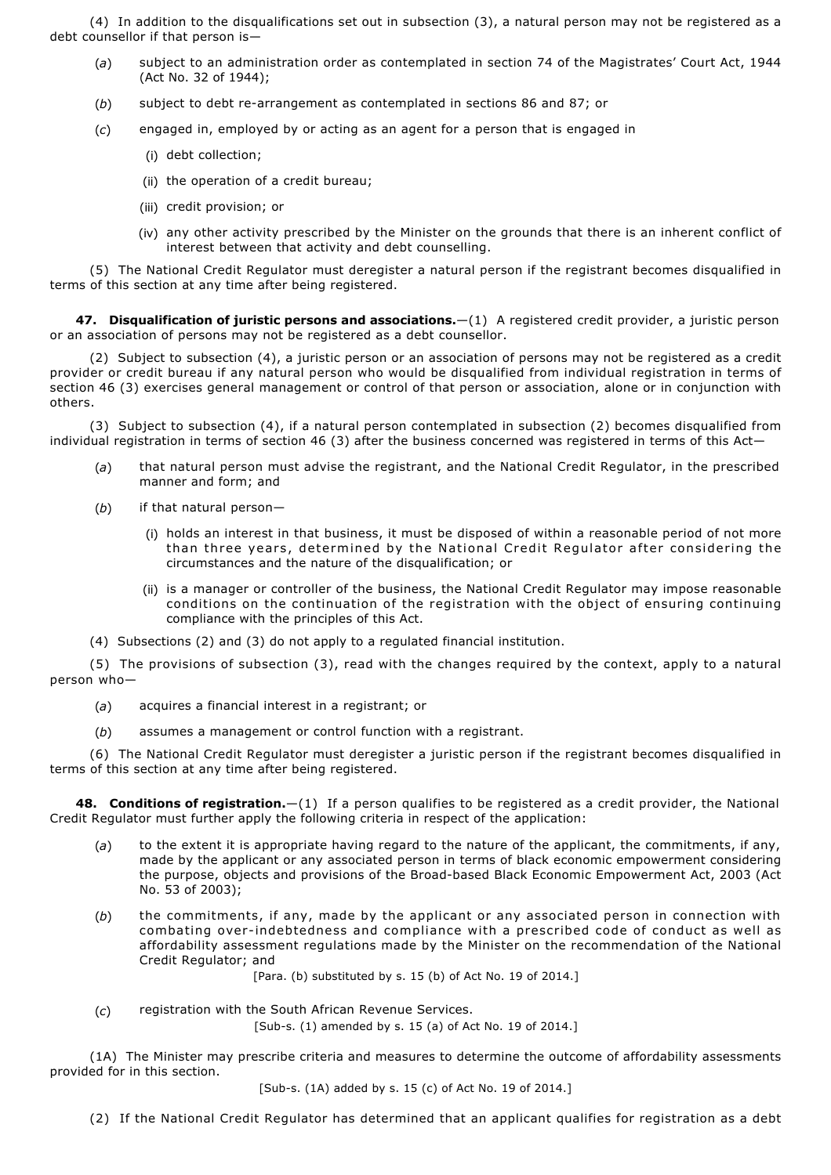(4) In addition to the disqualifications set out in subsection (3), a natural person may not be registered as a debt counsellor if that person is—

- (*a*) subject to an administration order as contemplated in section 74 of the Magistrates' Court Act, 1944 (Act No. 32 of 1944);
- (b) subject to debt re-arrangement as contemplated in sections 86 and 87; or
- (*c*) engaged in, employed by or acting as an agent for a person that is engaged in
	- (i) debt collection;
	- (ii) the operation of a credit bureau;
	- (iii) credit provision; or
	- (iv) any other activity prescribed by the Minister on the grounds that there is an inherent conflict of interest between that activity and debt counselling.

(5) The National Credit Regulator must deregister a natural person if the registrant becomes disqualified in terms of this section at any time after being registered.

**47. Disqualification of juristic persons and associations.**—(1) A registered credit provider, a juristic person or an association of persons may not be registered as a debt counsellor.

(2) Subject to subsection (4), a juristic person or an association of persons may not be registered as a credit provider or credit bureau if any natural person who would be disqualified from individual registration in terms of section 46 (3) exercises general management or control of that person or association, alone or in conjunction with others.

(3) Subject to subsection (4), if a natural person contemplated in subsection (2) becomes disqualified from individual registration in terms of section 46 (3) after the business concerned was registered in terms of this Act—

- (*a*) that natural person must advise the registrant, and the National Credit Regulator, in the prescribed manner and form; and
- (*b*) if that natural person—
	- (i) holds an interest in that business, it must be disposed of within a reasonable period of not more than three years, determined by the National Credit Regulator after considering the circumstances and the nature of the disqualification; or
	- (ii) is a manager or controller of the business, the National Credit Regulator may impose reasonable conditions on the continuation of the registration with the object of ensuring continuing compliance with the principles of this Act.
- (4) Subsections (2) and (3) do not apply to a regulated financial institution.

(5) The provisions of subsection (3), read with the changes required by the context, apply to a natural person who—

- (*a*) acquires a financial interest in a registrant; or
- (*b*) assumes a management or control function with a registrant.

(6) The National Credit Regulator must deregister a juristic person if the registrant becomes disqualified in terms of this section at any time after being registered.

**48. Conditions of registration.**—(1) If a person qualifies to be registered as a credit provider, the National Credit Regulator must further apply the following criteria in respect of the application:

- (*a*) to the extent it is appropriate having regard to the nature of the applicant, the commitments, if any, made by the applicant or any associated person in terms of black economic empowerment considering the purpose, objects and provisions of the Broad-based Black Economic Empowerment Act, 2003 (Act No. 53 of 2003);
- (*b*) the commitments, if any, made by the applicant or any associated person in connection with combating overindebtedness and compliance with a prescribed code of conduct as well as affordability assessment regulations made by the Minister on the recommendation of the National Credit Regulator; and

[Para. (b) substituted by s. 15 (b) of Act No. 19 of 2014.]

(*c*) registration with the South African Revenue Services.

[Sub-s. (1) amended by s. 15 (a) of Act No. 19 of 2014.]

(1A) The Minister may prescribe criteria and measures to determine the outcome of affordability assessments provided for in this section.

## [Sub-s. (1A) added by s. 15 (c) of Act No. 19 of 2014.]

(2) If the National Credit Regulator has determined that an applicant qualifies for registration as a debt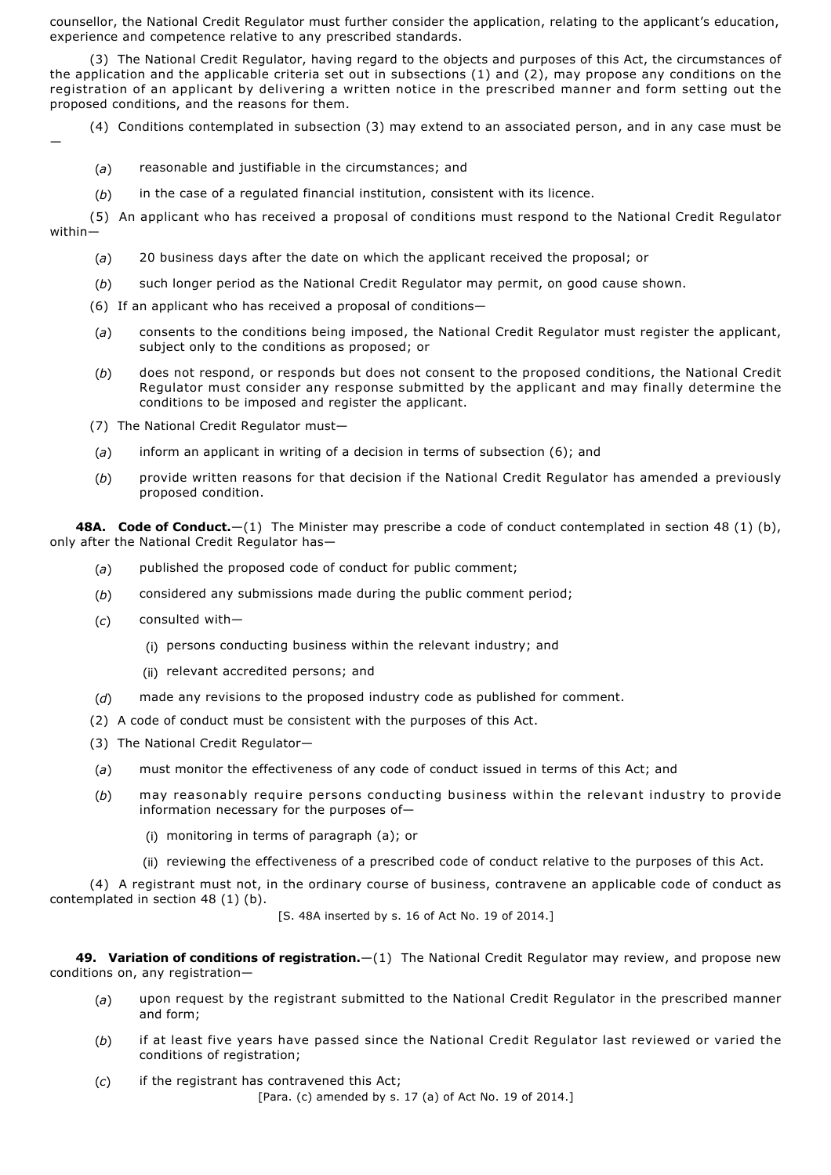counsellor, the National Credit Regulator must further consider the application, relating to the applicant's education, experience and competence relative to any prescribed standards.

(3) The National Credit Regulator, having regard to the objects and purposes of this Act, the circumstances of the application and the applicable criteria set out in subsections (1) and (2), may propose any conditions on the registration of an applicant by delivering a written notice in the prescribed manner and form setting out the proposed conditions, and the reasons for them.

(4) Conditions contemplated in subsection (3) may extend to an associated person, and in any case must be

—

- (*a*) reasonable and justifiable in the circumstances; and
- (*b*) in the case of a regulated financial institution, consistent with its licence.

(5) An applicant who has received a proposal of conditions must respond to the National Credit Regulator within—

- (*a*) 20 business days after the date on which the applicant received the proposal; or
- (*b*) such longer period as the National Credit Regulator may permit, on good cause shown.
- (6) If an applicant who has received a proposal of conditions—
- (*a*) consents to the conditions being imposed, the National Credit Regulator must register the applicant, subject only to the conditions as proposed; or
- (*b*) does not respond, or responds but does not consent to the proposed conditions, the National Credit Regulator must consider any response submitted by the applicant and may finally determine the conditions to be imposed and register the applicant.
- (7) The National Credit Regulator must—
- (*a*) inform an applicant in writing of a decision in terms of subsection (6); and
- (*b*) provide written reasons for that decision if the National Credit Regulator has amended a previously proposed condition.

**48A. Code of Conduct.**—(1) The Minister may prescribe a code of conduct contemplated in section 48 (1) (b), only after the National Credit Regulator has—

- (*a*) published the proposed code of conduct for public comment;
- (*b*) considered any submissions made during the public comment period;
- (*c*) consulted with—
	- (i) persons conducting business within the relevant industry; and
	- (ii) relevant accredited persons; and
- (*d*) made any revisions to the proposed industry code as published for comment.
- (2) A code of conduct must be consistent with the purposes of this Act.
- (3) The National Credit Regulator—
- (*a*) must monitor the effectiveness of any code of conduct issued in terms of this Act; and
- (*b*) may reasonably require persons conducting business within the relevant industry to provide information necessary for the purposes of—
	- (i) monitoring in terms of paragraph (a); or
	- (ii) reviewing the effectiveness of a prescribed code of conduct relative to the purposes of this Act.

(4) A registrant must not, in the ordinary course of business, contravene an applicable code of conduct as contemplated in section 48 (1) (b).

[S. 48A inserted by s. 16 of Act No. 19 of 2014.]

**49. Variation of conditions of registration.**—(1) The National Credit Regulator may review, and propose new conditions on, any registration—

- (*a*) upon request by the registrant submitted to the National Credit Regulator in the prescribed manner and form;
- (*b*) if at least five years have passed since the National Credit Regulator last reviewed or varied the conditions of registration;
- (*c*) if the registrant has contravened this Act;

[Para. (c) amended by s. 17 (a) of Act No. 19 of 2014.]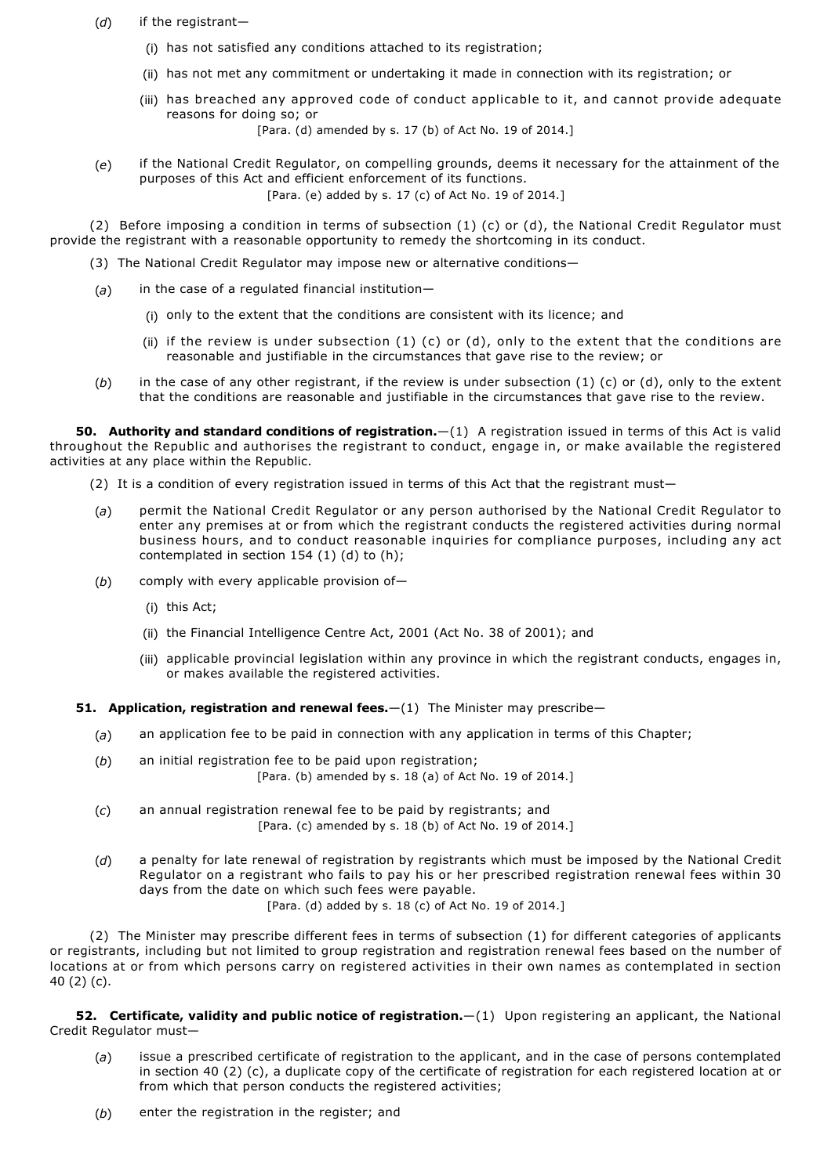- (*d*) if the registrant—
	- (i) has not satisfied any conditions attached to its registration;
	- (ii) has not met any commitment or undertaking it made in connection with its registration; or
	- (iii) has breached any approved code of conduct applicable to it, and cannot provide adequate reasons for doing so; or

[Para. (d) amended by s. 17 (b) of Act No. 19 of 2014.]

(*e*) if the National Credit Regulator, on compelling grounds, deems it necessary for the attainment of the purposes of this Act and efficient enforcement of its functions. [Para. (e) added by s. 17 (c) of Act No. 19 of 2014.]

(2) Before imposing a condition in terms of subsection  $(1)$  (c) or (d), the National Credit Regulator must provide the registrant with a reasonable opportunity to remedy the shortcoming in its conduct.

- (3) The National Credit Regulator may impose new or alternative conditions—
- (*a*) in the case of a regulated financial institution—
	- (i) only to the extent that the conditions are consistent with its licence; and
	- (ii) if the review is under subsection (1) (c) or (d), only to the extent that the conditions are reasonable and justifiable in the circumstances that gave rise to the review; or
- (*b*) in the case of any other registrant, if the review is under subsection (1) (c) or (d), only to the extent that the conditions are reasonable and justifiable in the circumstances that gave rise to the review.

**50. Authority and standard conditions of registration.**—(1) A registration issued in terms of this Act is valid throughout the Republic and authorises the registrant to conduct, engage in, or make available the registered activities at any place within the Republic.

- (2) It is a condition of every registration issued in terms of this Act that the registrant must—
- (*a*) permit the National Credit Regulator or any person authorised by the National Credit Regulator to enter any premises at or from which the registrant conducts the registered activities during normal business hours, and to conduct reasonable inquiries for compliance purposes, including any act contemplated in section 154 (1) (d) to (h);
- (*b*) comply with every applicable provision of—
	- (i) this Act;
	- (ii) the Financial Intelligence Centre Act, 2001 (Act No. 38 of 2001); and
	- (iii) applicable provincial legislation within any province in which the registrant conducts, engages in, or makes available the registered activities.
- **51. Application, registration and renewal fees.**  $-(1)$  The Minister may prescribe-
	- (*a*) an application fee to be paid in connection with any application in terms of this Chapter;
	- (*b*) an initial registration fee to be paid upon registration; [Para. (b) amended by s. 18 (a) of Act No. 19 of 2014.]
	- (*c*) an annual registration renewal fee to be paid by registrants; and [Para. (c) amended by s. 18 (b) of Act No. 19 of 2014.]
	- (*d*) a penalty for late renewal of registration by registrants which must be imposed by the National Credit Regulator on a registrant who fails to pay his or her prescribed registration renewal fees within 30 days from the date on which such fees were payable.

[Para. (d) added by s. 18 (c) of Act No. 19 of 2014.]

(2) The Minister may prescribe different fees in terms of subsection (1) for different categories of applicants or registrants, including but not limited to group registration and registration renewal fees based on the number of locations at or from which persons carry on registered activities in their own names as contemplated in section 40 (2) (c).

**52. Certificate, validity and public notice of registration.**—(1) Upon registering an applicant, the National Credit Regulator must—

- (*a*) issue a prescribed certificate of registration to the applicant, and in the case of persons contemplated in section 40 (2) (c), a duplicate copy of the certificate of registration for each registered location at or from which that person conducts the registered activities;
- (*b*) enter the registration in the register; and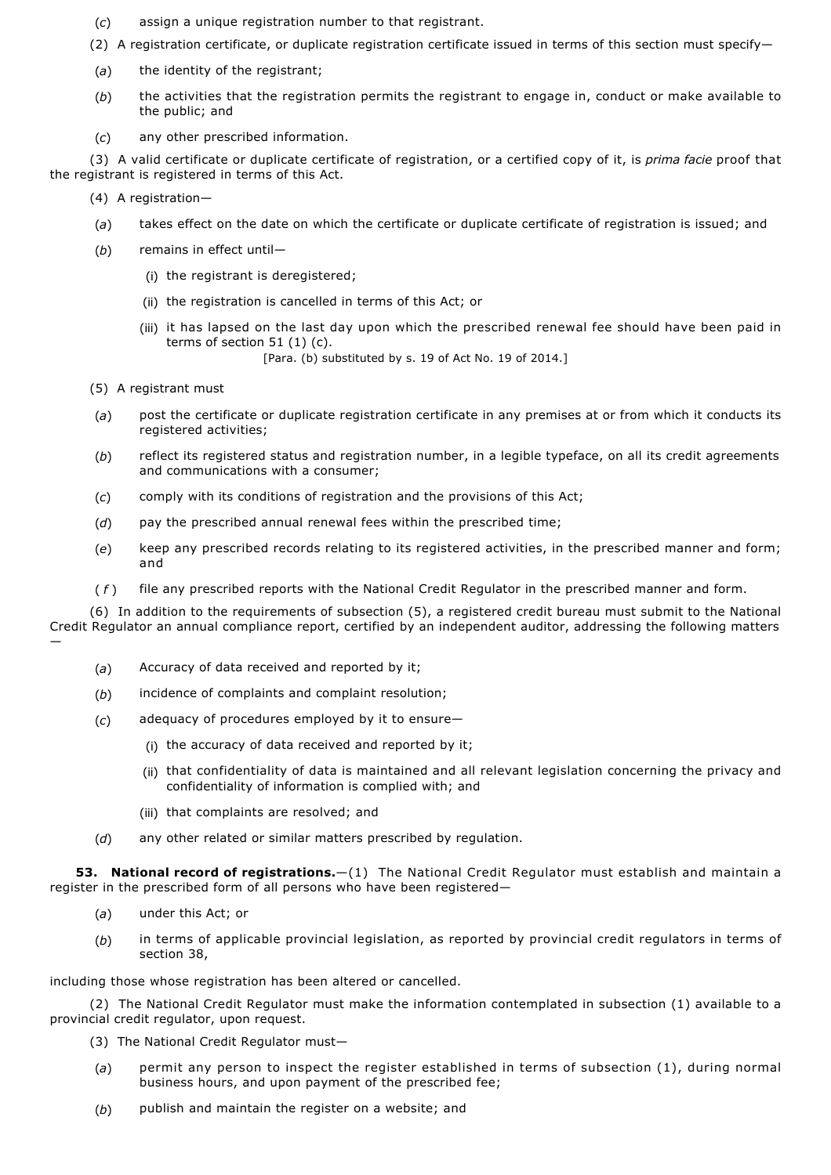- (*c*) assign a unique registration number to that registrant.
- (2) A registration certificate, or duplicate registration certificate issued in terms of this section must specify—
- (*a*) the identity of the registrant;
- (*b*) the activities that the registration permits the registrant to engage in, conduct or make available to the public; and
- (*c*) any other prescribed information.

(3) A valid certificate or duplicate certificate of registration, or a certified copy of it, is *prima facie* proof that the registrant is registered in terms of this Act.

(4) A registration—

- (*a*) takes effect on the date on which the certificate or duplicate certificate of registration is issued; and
- (*b*) remains in effect until—
	- (i) the registrant is deregistered;
	- (ii) the registration is cancelled in terms of this Act; or
	- (iii) it has lapsed on the last day upon which the prescribed renewal fee should have been paid in terms of section 51 (1) (c).
		- [Para. (b) substituted by s. 19 of Act No. 19 of 2014.]
- (5) A registrant must
- (*a*) post the certificate or duplicate registration certificate in any premises at or from which it conducts its registered activities;
- (*b*) reflect its registered status and registration number, in a legible typeface, on all its credit agreements and communications with a consumer;
- (*c*) comply with its conditions of registration and the provisions of this Act;
- (*d*) pay the prescribed annual renewal fees within the prescribed time;
- (*e*) keep any prescribed records relating to its registered activities, in the prescribed manner and form; and
- ( *f* ) file any prescribed reports with the National Credit Regulator in the prescribed manner and form.

(6) In addition to the requirements of subsection (5), a registered credit bureau must submit to the National Credit Regulator an annual compliance report, certified by an independent auditor, addressing the following matters —

- (*a*) Accuracy of data received and reported by it;
- (*b*) incidence of complaints and complaint resolution;
- (*c*) adequacy of procedures employed by it to ensure—
	- (i) the accuracy of data received and reported by it;
	- (ii) that confidentiality of data is maintained and all relevant legislation concerning the privacy and confidentiality of information is complied with; and
	- (iii) that complaints are resolved; and
- (*d*) any other related or similar matters prescribed by regulation.

**53. National record of registrations.**—(1) The National Credit Regulator must establish and maintain a register in the prescribed form of all persons who have been registered—

- (*a*) under this Act; or
- (*b*) in terms of applicable provincial legislation, as reported by provincial credit regulators in terms of section 38,

including those whose registration has been altered or cancelled.

(2) The National Credit Regulator must make the information contemplated in subsection (1) available to a provincial credit regulator, upon request.

- (3) The National Credit Regulator must—
- (*a*) permit any person to inspect the register established in terms of subsection (1), during normal business hours, and upon payment of the prescribed fee;
- (*b*) publish and maintain the register on a website; and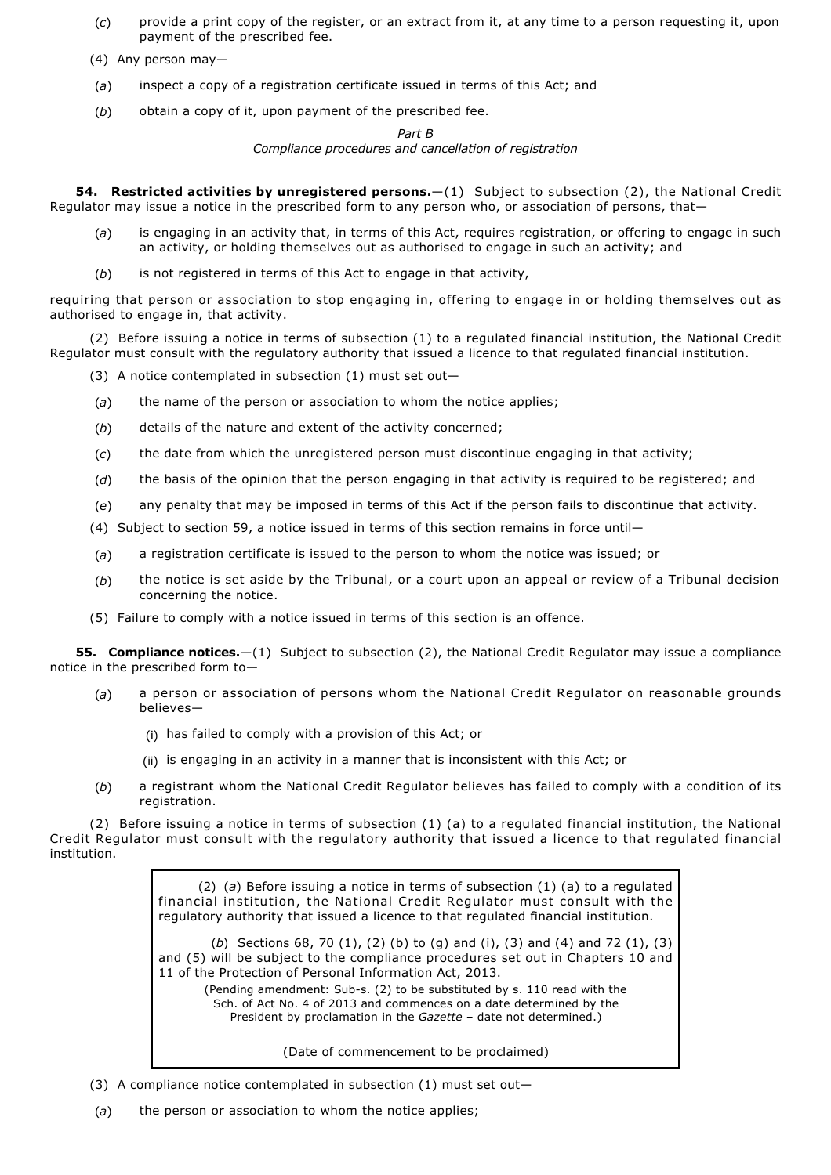- (*c*) provide a print copy of the register, or an extract from it, at any time to a person requesting it, upon payment of the prescribed fee.
- (4) Any person may—
- (*a*) inspect a copy of a registration certificate issued in terms of this Act; and
- (*b*) obtain a copy of it, upon payment of the prescribed fee.

### *Part B*

*Compliance procedures and cancellation of registration*

**54. Restricted activities by unregistered persons.**—(1) Subject to subsection (2), the National Credit Regulator may issue a notice in the prescribed form to any person who, or association of persons, that—

- (*a*) is engaging in an activity that, in terms of this Act, requires registration, or offering to engage in such an activity, or holding themselves out as authorised to engage in such an activity; and
- (*b*) is not registered in terms of this Act to engage in that activity,

requiring that person or association to stop engaging in, offering to engage in or holding themselves out as authorised to engage in, that activity.

(2) Before issuing a notice in terms of subsection (1) to a regulated financial institution, the National Credit Regulator must consult with the regulatory authority that issued a licence to that regulated financial institution.

- (3) A notice contemplated in subsection (1) must set out—
- (*a*) the name of the person or association to whom the notice applies;
- (*b*) details of the nature and extent of the activity concerned;
- (*c*) the date from which the unregistered person must discontinue engaging in that activity;
- (*d*) the basis of the opinion that the person engaging in that activity is required to be registered; and
- (*e*) any penalty that may be imposed in terms of this Act if the person fails to discontinue that activity.
- (4) Subject to section 59, a notice issued in terms of this section remains in force until—
- (*a*) a registration certificate is issued to the person to whom the notice was issued; or
- (*b*) the notice is set aside by the Tribunal, or a court upon an appeal or review of a Tribunal decision concerning the notice.
- (5) Failure to comply with a notice issued in terms of this section is an offence.

**55. Compliance notices.**—(1) Subject to subsection (2), the National Credit Regulator may issue a compliance notice in the prescribed form to—

- (*a*) a person or association of persons whom the National Credit Regulator on reasonable grounds believes—
	- (i) has failed to comply with a provision of this Act; or
	- (ii) is engaging in an activity in a manner that is inconsistent with this Act; or
- (*b*) a registrant whom the National Credit Regulator believes has failed to comply with a condition of its registration.

(2) Before issuing a notice in terms of subsection (1) (a) to a regulated financial institution, the National Credit Regulator must consult with the regulatory authority that issued a licence to that regulated financial institution.

> (2) (*a*) Before issuing a notice in terms of subsection (1) (a) to a regulated financial institution, the National Credit Regulator must consult with the regulatory authority that issued a licence to that regulated financial institution.

> (*b*) Sections 68, 70 (1), (2) (b) to (g) and (i), (3) and (4) and 72 (1), (3) and (5) will be subject to the compliance procedures set out in Chapters 10 and 11 of the Protection of Personal Information Act, 2013.

(Pending amendment: Sub-s. (2) to be substituted by s. 110 read with the Sch. of Act No. 4 of 2013 and commences on a date determined by the President by proclamation in the *Gazette* – date not determined.)

(Date of commencement to be proclaimed)

- (3) A compliance notice contemplated in subsection (1) must set out—
- (*a*) the person or association to whom the notice applies;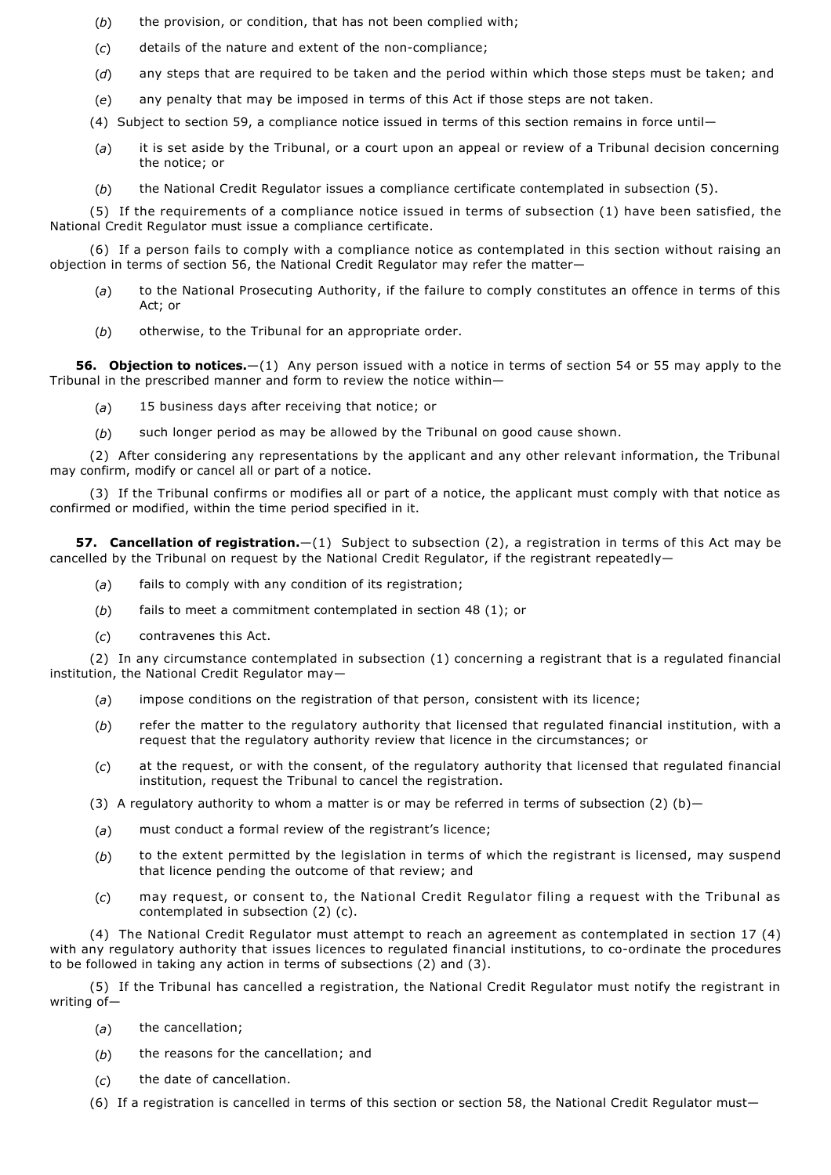- (*b*) the provision, or condition, that has not been complied with;
- (c) details of the nature and extent of the non-compliance;
- (*d*) any steps that are required to be taken and the period within which those steps must be taken; and
- (*e*) any penalty that may be imposed in terms of this Act if those steps are not taken.
- (4) Subject to section 59, a compliance notice issued in terms of this section remains in force until—
- (*a*) it is set aside by the Tribunal, or a court upon an appeal or review of a Tribunal decision concerning the notice; or
- (*b*) the National Credit Regulator issues a compliance certificate contemplated in subsection (5).

(5) If the requirements of a compliance notice issued in terms of subsection (1) have been satisfied, the National Credit Regulator must issue a compliance certificate.

(6) If a person fails to comply with a compliance notice as contemplated in this section without raising an objection in terms of section 56, the National Credit Regulator may refer the matter—

- (*a*) to the National Prosecuting Authority, if the failure to comply constitutes an offence in terms of this Act; or
- (*b*) otherwise, to the Tribunal for an appropriate order.

**56. Objection to notices.**—(1) Any person issued with a notice in terms of section 54 or 55 may apply to the Tribunal in the prescribed manner and form to review the notice within—

- (*a*) 15 business days after receiving that notice; or
- (*b*) such longer period as may be allowed by the Tribunal on good cause shown.

(2) After considering any representations by the applicant and any other relevant information, the Tribunal may confirm, modify or cancel all or part of a notice.

(3) If the Tribunal confirms or modifies all or part of a notice, the applicant must comply with that notice as confirmed or modified, within the time period specified in it.

**57. Cancellation of registration.**—(1) Subject to subsection (2), a registration in terms of this Act may be cancelled by the Tribunal on request by the National Credit Regulator, if the registrant repeatedly—

- (*a*) fails to comply with any condition of its registration;
- (*b*) fails to meet a commitment contemplated in section 48 (1); or
- (*c*) contravenes this Act.

(2) In any circumstance contemplated in subsection (1) concerning a registrant that is a regulated financial institution, the National Credit Regulator may—

- (*a*) impose conditions on the registration of that person, consistent with its licence;
- (*b*) refer the matter to the regulatory authority that licensed that regulated financial institution, with a request that the regulatory authority review that licence in the circumstances; or
- (*c*) at the request, or with the consent, of the regulatory authority that licensed that regulated financial institution, request the Tribunal to cancel the registration.
- (3) A regulatory authority to whom a matter is or may be referred in terms of subsection (2) (b)-
- (*a*) must conduct a formal review of the registrant's licence;
- (*b*) to the extent permitted by the legislation in terms of which the registrant is licensed, may suspend that licence pending the outcome of that review; and
- (*c*) may request, or consent to, the National Credit Regulator filing a request with the Tribunal as contemplated in subsection (2) (c).

(4) The National Credit Regulator must attempt to reach an agreement as contemplated in section 17 (4) with any regulatory authority that issues licences to regulated financial institutions, to co-ordinate the procedures to be followed in taking any action in terms of subsections (2) and (3).

(5) If the Tribunal has cancelled a registration, the National Credit Regulator must notify the registrant in writing of—

- (*a*) the cancellation;
- (*b*) the reasons for the cancellation; and
- (*c*) the date of cancellation.
- (6) If a registration is cancelled in terms of this section or section 58, the National Credit Regulator must—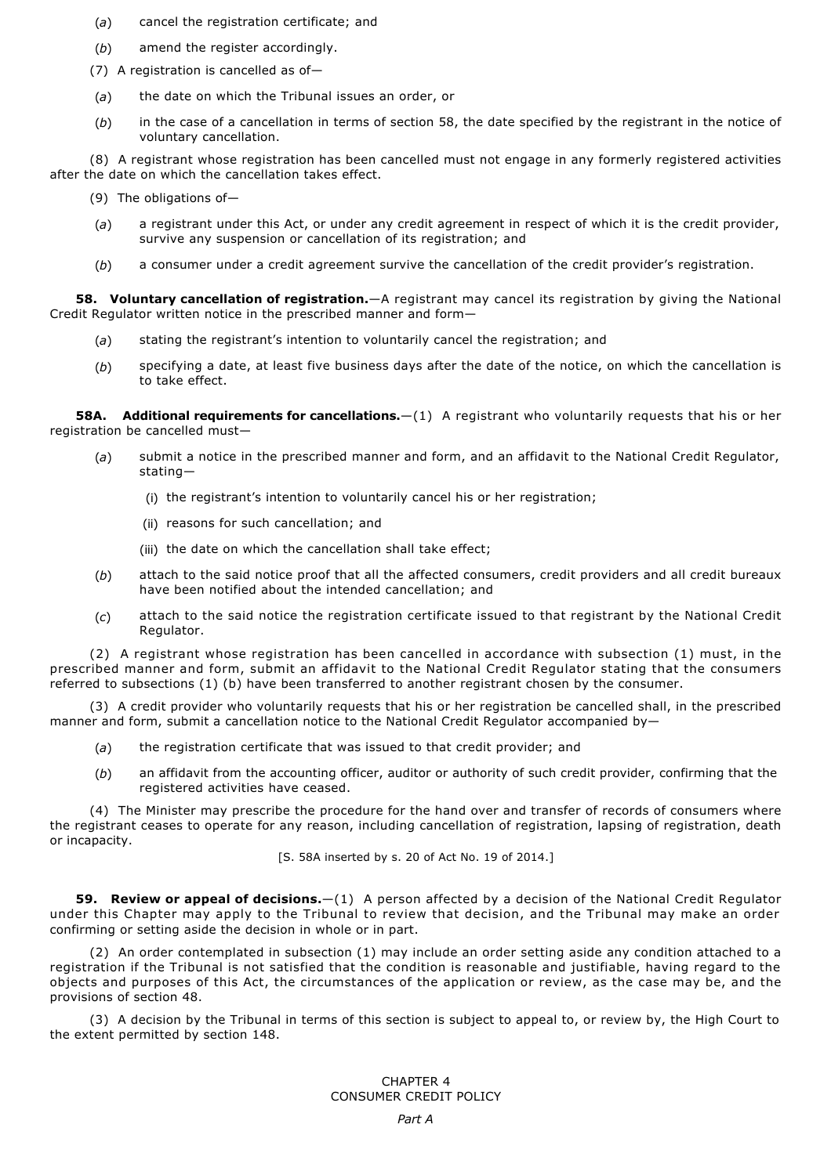- (*a*) cancel the registration certificate; and
- (*b*) amend the register accordingly.
- (7) A registration is cancelled as of—
- (*a*) the date on which the Tribunal issues an order, or
- (*b*) in the case of a cancellation in terms of section 58, the date specified by the registrant in the notice of voluntary cancellation.

(8) A registrant whose registration has been cancelled must not engage in any formerly registered activities after the date on which the cancellation takes effect.

- (9) The obligations of—
- (*a*) a registrant under this Act, or under any credit agreement in respect of which it is the credit provider, survive any suspension or cancellation of its registration; and
- (*b*) a consumer under a credit agreement survive the cancellation of the credit provider's registration.

**58. Voluntary cancellation of registration.**—A registrant may cancel its registration by giving the National Credit Regulator written notice in the prescribed manner and form—

- (*a*) stating the registrant's intention to voluntarily cancel the registration; and
- (*b*) specifying a date, at least five business days after the date of the notice, on which the cancellation is to take effect.

**58A. Additional requirements for cancellations.**—(1) A registrant who voluntarily requests that his or her registration be cancelled must—

- (*a*) submit a notice in the prescribed manner and form, and an affidavit to the National Credit Regulator, stating—
	- (i) the registrant's intention to voluntarily cancel his or her registration;
	- (ii) reasons for such cancellation; and
	- (iii) the date on which the cancellation shall take effect;
- (*b*) attach to the said notice proof that all the affected consumers, credit providers and all credit bureaux have been notified about the intended cancellation; and
- (*c*) attach to the said notice the registration certificate issued to that registrant by the National Credit Regulator.

(2) A registrant whose registration has been cancelled in accordance with subsection (1) must, in the prescribed manner and form, submit an affidavit to the National Credit Regulator stating that the consumers referred to subsections (1) (b) have been transferred to another registrant chosen by the consumer.

(3) A credit provider who voluntarily requests that his or her registration be cancelled shall, in the prescribed manner and form, submit a cancellation notice to the National Credit Regulator accompanied by-

- (*a*) the registration certificate that was issued to that credit provider; and
- (*b*) an affidavit from the accounting officer, auditor or authority of such credit provider, confirming that the registered activities have ceased.

(4) The Minister may prescribe the procedure for the hand over and transfer of records of consumers where the registrant ceases to operate for any reason, including cancellation of registration, lapsing of registration, death or incapacity.

[S. 58A inserted by s. 20 of Act No. 19 of 2014.]

**59. Review or appeal of decisions.**—(1) A person affected by a decision of the National Credit Regulator under this Chapter may apply to the Tribunal to review that decision, and the Tribunal may make an order confirming or setting aside the decision in whole or in part.

(2) An order contemplated in subsection (1) may include an order setting aside any condition attached to a registration if the Tribunal is not satisfied that the condition is reasonable and justifiable, having regard to the objects and purposes of this Act, the circumstances of the application or review, as the case may be, and the provisions of section 48.

(3) A decision by the Tribunal in terms of this section is subject to appeal to, or review by, the High Court to the extent permitted by section 148.

> CHAPTER 4 CONSUMER CREDIT POLICY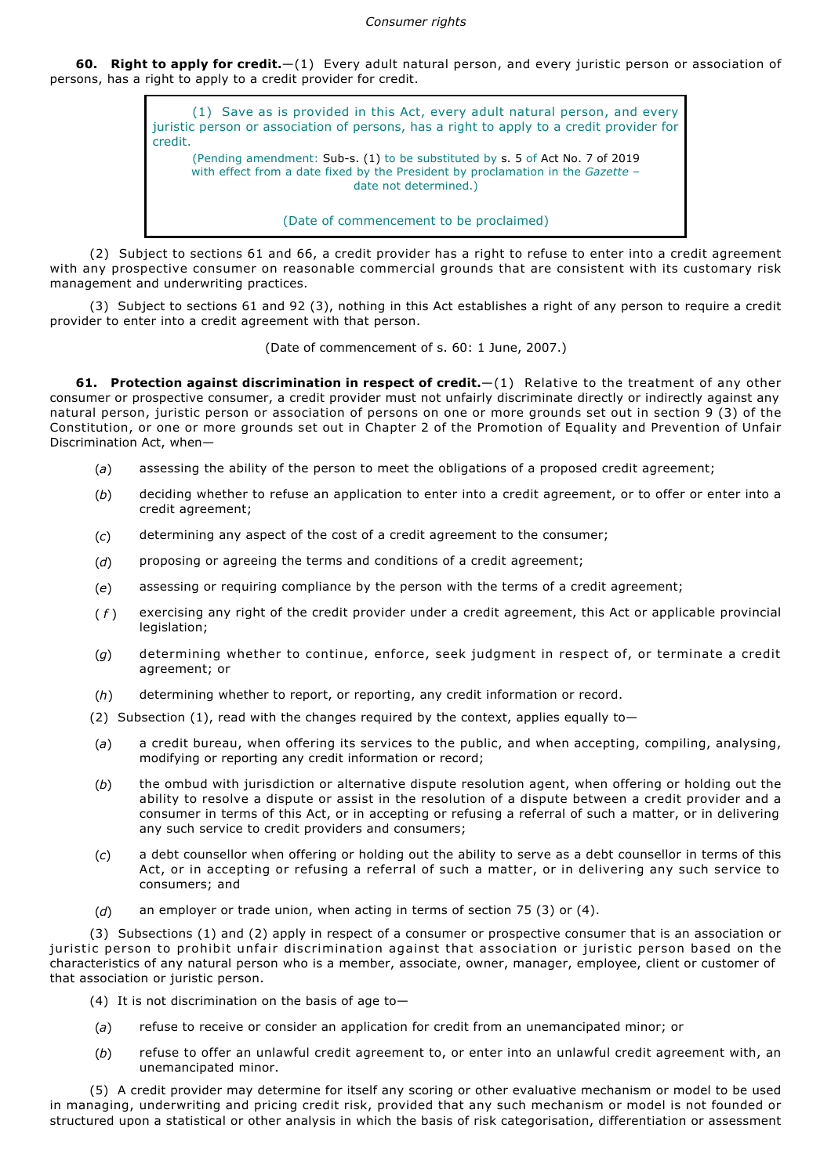**60. Right to apply for credit.**—(1) Every adult natural person, and every juristic person or association of persons, has a right to apply to a credit provider for credit.

> (1) Save as is provided in this Act, every adult natural person, and every juristic person or association of persons, has a right to apply to a credit provider for credit. (Pending amendment: Sub-s. (1) to be substituted by s. 5 of Act No. 7 of 2019 with effect from a date fixed by the President by proclamation in the *Gazette* – date not determined.)

(Date of commencement to be proclaimed)

(2) Subject to sections 61 and 66, a credit provider has a right to refuse to enter into a credit agreement with any prospective consumer on reasonable commercial grounds that are consistent with its customary risk management and underwriting practices.

(3) Subject to sections 61 and 92 (3), nothing in this Act establishes a right of any person to require a credit provider to enter into a credit agreement with that person.

(Date of commencement of s. 60: 1 June, 2007.)

**61. Protection against discrimination in respect of credit.**  $-(1)$  Relative to the treatment of any other consumer or prospective consumer, a credit provider must not unfairly discriminate directly or indirectly against any natural person, juristic person or association of persons on one or more grounds set out in section 9 (3) of the Constitution, or one or more grounds set out in Chapter 2 of the Promotion of Equality and Prevention of Unfair Discrimination Act, when—

- (*a*) assessing the ability of the person to meet the obligations of a proposed credit agreement;
- (*b*) deciding whether to refuse an application to enter into a credit agreement, or to offer or enter into a credit agreement;
- (*c*) determining any aspect of the cost of a credit agreement to the consumer;
- (*d*) proposing or agreeing the terms and conditions of a credit agreement;
- (*e*) assessing or requiring compliance by the person with the terms of a credit agreement;
- ( *f* ) exercising any right of the credit provider under a credit agreement, this Act or applicable provincial legislation;
- (*g*) determining whether to continue, enforce, seek judgment in respect of, or terminate a credit agreement; or
- (*h*) determining whether to report, or reporting, any credit information or record.
- (2) Subsection (1), read with the changes required by the context, applies equally to-
- (*a*) a credit bureau, when offering its services to the public, and when accepting, compiling, analysing, modifying or reporting any credit information or record;
- (*b*) the ombud with jurisdiction or alternative dispute resolution agent, when offering or holding out the ability to resolve a dispute or assist in the resolution of a dispute between a credit provider and a consumer in terms of this Act, or in accepting or refusing a referral of such a matter, or in delivering any such service to credit providers and consumers;
- (*c*) a debt counsellor when offering or holding out the ability to serve as a debt counsellor in terms of this Act, or in accepting or refusing a referral of such a matter, or in delivering any such service to consumers; and
- (*d*) an employer or trade union, when acting in terms of section 75 (3) or (4).

(3) Subsections (1) and (2) apply in respect of a consumer or prospective consumer that is an association or juristic person to prohibit unfair discrimination against that association or juristic person based on the characteristics of any natural person who is a member, associate, owner, manager, employee, client or customer of that association or juristic person.

- (4) It is not discrimination on the basis of age to-
- (*a*) refuse to receive or consider an application for credit from an unemancipated minor; or
- (*b*) refuse to offer an unlawful credit agreement to, or enter into an unlawful credit agreement with, an unemancipated minor.

(5) A credit provider may determine for itself any scoring or other evaluative mechanism or model to be used in managing, underwriting and pricing credit risk, provided that any such mechanism or model is not founded or structured upon a statistical or other analysis in which the basis of risk categorisation, differentiation or assessment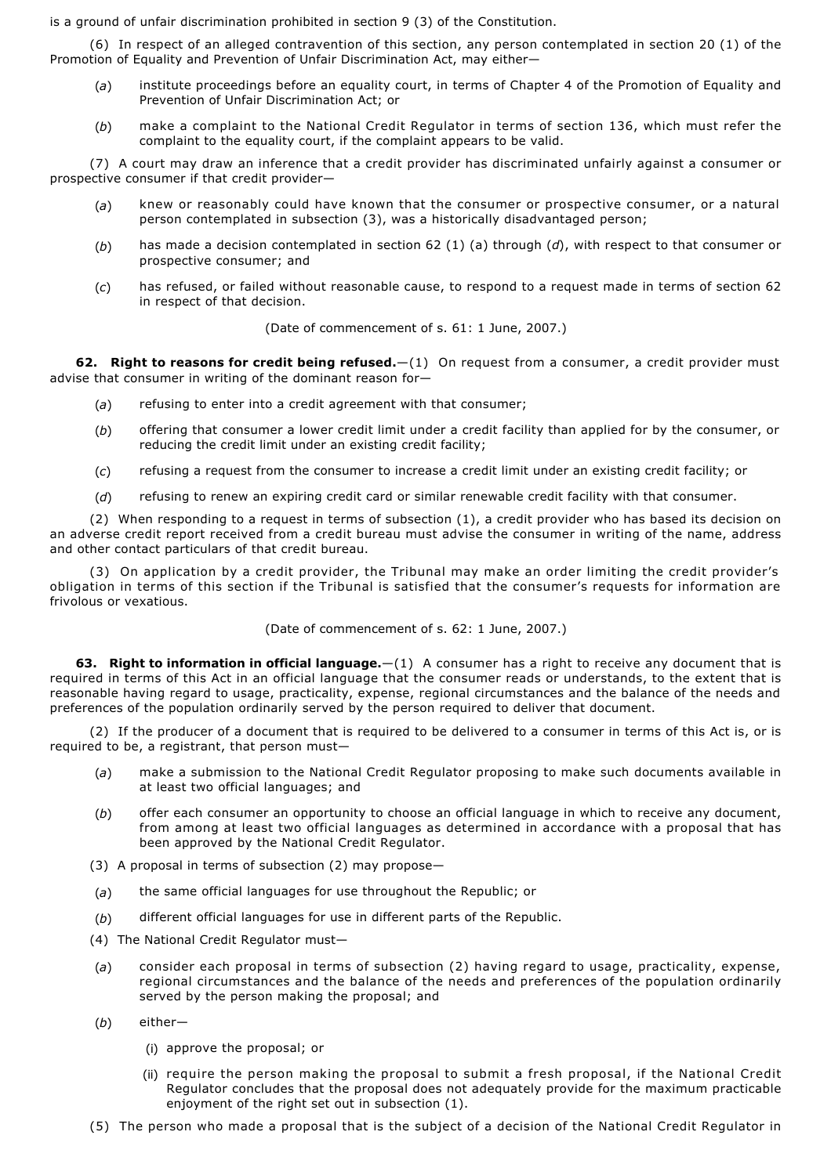is a ground of unfair discrimination prohibited in section 9 (3) of the Constitution.

(6) In respect of an alleged contravention of this section, any person contemplated in section 20 (1) of the Promotion of Equality and Prevention of Unfair Discrimination Act, may either—

- (*a*) institute proceedings before an equality court, in terms of Chapter 4 of the Promotion of Equality and Prevention of Unfair Discrimination Act; or
- (*b*) make a complaint to the National Credit Regulator in terms of section 136, which must refer the complaint to the equality court, if the complaint appears to be valid.

(7) A court may draw an inference that a credit provider has discriminated unfairly against a consumer or prospective consumer if that credit provider—

- (*a*) knew or reasonably could have known that the consumer or prospective consumer, or a natural person contemplated in subsection (3), was a historically disadvantaged person;
- (*b*) has made a decision contemplated in section 62 (1) (a) through (*d*), with respect to that consumer or prospective consumer; and
- (*c*) has refused, or failed without reasonable cause, to respond to a request made in terms of section 62 in respect of that decision.

(Date of commencement of s. 61: 1 June, 2007.)

**62. Right to reasons for credit being refused.**—(1) On request from a consumer, a credit provider must advise that consumer in writing of the dominant reason for—

- (*a*) refusing to enter into a credit agreement with that consumer;
- (*b*) offering that consumer a lower credit limit under a credit facility than applied for by the consumer, or reducing the credit limit under an existing credit facility;
- (*c*) refusing a request from the consumer to increase a credit limit under an existing credit facility; or
- (*d*) refusing to renew an expiring credit card or similar renewable credit facility with that consumer.

(2) When responding to a request in terms of subsection (1), a credit provider who has based its decision on an adverse credit report received from a credit bureau must advise the consumer in writing of the name, address and other contact particulars of that credit bureau.

(3) On application by a credit provider, the Tribunal may make an order limiting the credit provider's obligation in terms of this section if the Tribunal is satisfied that the consumer's requests for information are frivolous or vexatious.

(Date of commencement of s. 62: 1 June, 2007.)

**63. Right to information in official language.**—(1) A consumer has a right to receive any document that is required in terms of this Act in an official language that the consumer reads or understands, to the extent that is reasonable having regard to usage, practicality, expense, regional circumstances and the balance of the needs and preferences of the population ordinarily served by the person required to deliver that document.

(2) If the producer of a document that is required to be delivered to a consumer in terms of this Act is, or is required to be, a registrant, that person must—

- (*a*) make a submission to the National Credit Regulator proposing to make such documents available in at least two official languages; and
- (*b*) offer each consumer an opportunity to choose an official language in which to receive any document, from among at least two official languages as determined in accordance with a proposal that has been approved by the National Credit Regulator.
- (3) A proposal in terms of subsection (2) may propose—
- (*a*) the same official languages for use throughout the Republic; or
- (*b*) different official languages for use in different parts of the Republic.
- (4) The National Credit Regulator must—
- (*a*) consider each proposal in terms of subsection (2) having regard to usage, practicality, expense, regional circumstances and the balance of the needs and preferences of the population ordinarily served by the person making the proposal; and
- (*b*) either—
	- (i) approve the proposal; or
	- (ii) require the person making the proposal to submit a fresh proposal, if the National Credit Regulator concludes that the proposal does not adequately provide for the maximum practicable enjoyment of the right set out in subsection (1).
- (5) The person who made a proposal that is the subject of a decision of the National Credit Regulator in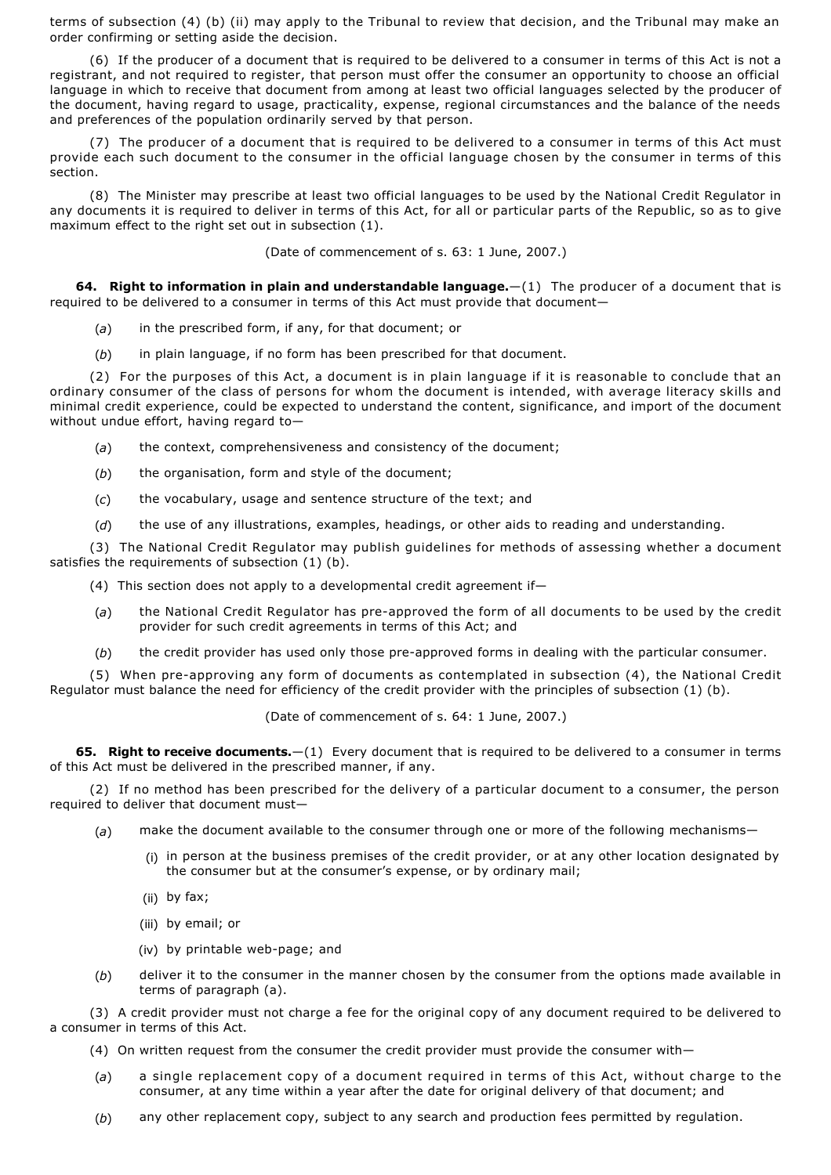terms of subsection (4) (b) (ii) may apply to the Tribunal to review that decision, and the Tribunal may make an order confirming or setting aside the decision.

(6) If the producer of a document that is required to be delivered to a consumer in terms of this Act is not a registrant, and not required to register, that person must offer the consumer an opportunity to choose an official language in which to receive that document from among at least two official languages selected by the producer of the document, having regard to usage, practicality, expense, regional circumstances and the balance of the needs and preferences of the population ordinarily served by that person.

(7) The producer of a document that is required to be delivered to a consumer in terms of this Act must provide each such document to the consumer in the official language chosen by the consumer in terms of this section.

(8) The Minister may prescribe at least two official languages to be used by the National Credit Regulator in any documents it is required to deliver in terms of this Act, for all or particular parts of the Republic, so as to give maximum effect to the right set out in subsection (1).

(Date of commencement of s. 63: 1 June, 2007.)

**64. Right to information in plain and understandable language.**—(1) The producer of a document that is required to be delivered to a consumer in terms of this Act must provide that document—

- (*a*) in the prescribed form, if any, for that document; or
- (*b*) in plain language, if no form has been prescribed for that document.

(2) For the purposes of this Act, a document is in plain language if it is reasonable to conclude that an ordinary consumer of the class of persons for whom the document is intended, with average literacy skills and minimal credit experience, could be expected to understand the content, significance, and import of the document without undue effort, having regard to—

- (*a*) the context, comprehensiveness and consistency of the document;
- (b) the organisation, form and style of the document;
- (*c*) the vocabulary, usage and sentence structure of the text; and
- (*d*) the use of any illustrations, examples, headings, or other aids to reading and understanding.

(3) The National Credit Regulator may publish guidelines for methods of assessing whether a document satisfies the requirements of subsection (1) (b).

- (4) This section does not apply to a developmental credit agreement if—
- (a) the National Credit Regulator has pre-approved the form of all documents to be used by the credit provider for such credit agreements in terms of this Act; and
- (b) the credit provider has used only those pre-approved forms in dealing with the particular consumer.

(5) When pre-approving any form of documents as contemplated in subsection (4), the National Credit Regulator must balance the need for efficiency of the credit provider with the principles of subsection (1) (b).

(Date of commencement of s. 64: 1 June, 2007.)

**65. Right to receive documents.**—(1) Every document that is required to be delivered to a consumer in terms of this Act must be delivered in the prescribed manner, if any.

(2) If no method has been prescribed for the delivery of a particular document to a consumer, the person required to deliver that document must—

- (*a*) make the document available to the consumer through one or more of the following mechanisms—
	- (i) in person at the business premises of the credit provider, or at any other location designated by the consumer but at the consumer's expense, or by ordinary mail;
	- (ii) by fax;
	- (iii) by email; or
	- $(iv)$  by printable web-page; and
- (*b*) deliver it to the consumer in the manner chosen by the consumer from the options made available in terms of paragraph (a).

(3) A credit provider must not charge a fee for the original copy of any document required to be delivered to a consumer in terms of this Act.

- (4) On written request from the consumer the credit provider must provide the consumer with—
- (*a*) a single replacement copy of a document required in terms of this Act, without charge to the consumer, at any time within a year after the date for original delivery of that document; and
- (*b*) any other replacement copy, subject to any search and production fees permitted by regulation.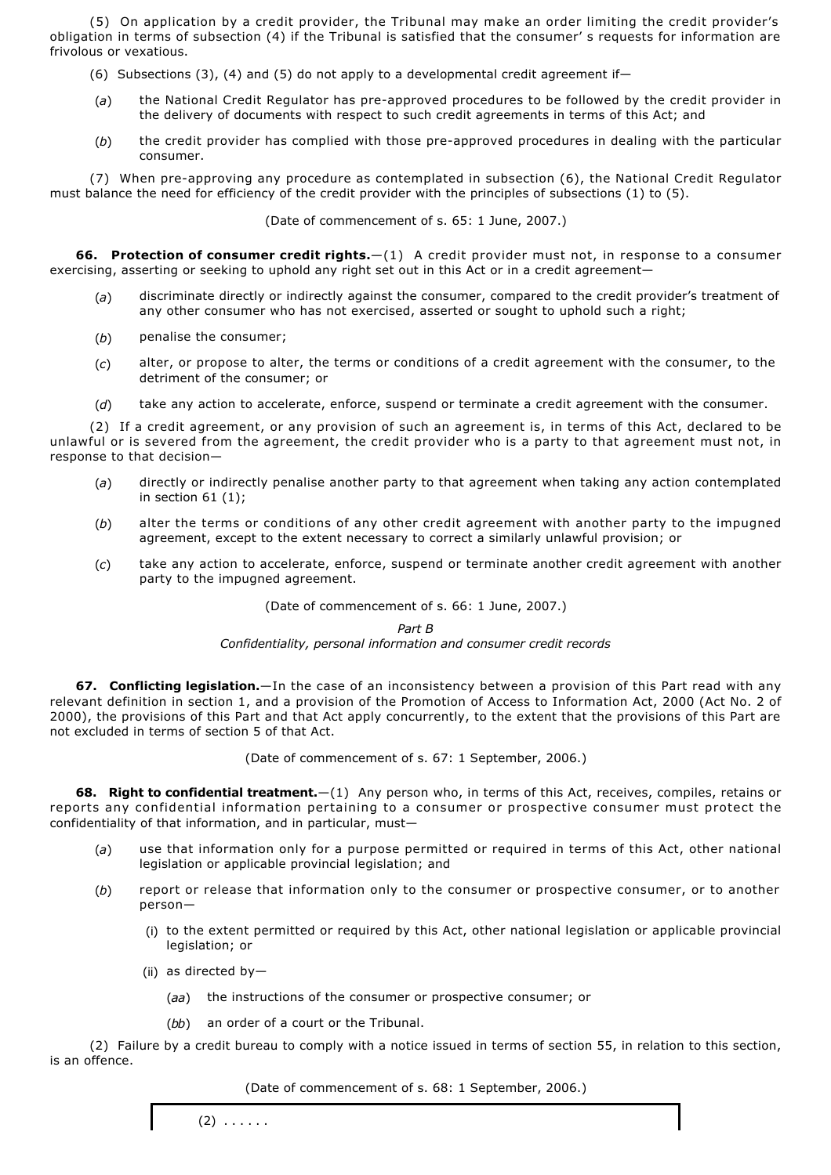(5) On application by a credit provider, the Tribunal may make an order limiting the credit provider's obligation in terms of subsection (4) if the Tribunal is satisfied that the consumer' s requests for information are frivolous or vexatious.

- (6) Subsections (3), (4) and (5) do not apply to a developmental credit agreement if
- (a) the National Credit Regulator has pre-approved procedures to be followed by the credit provider in the delivery of documents with respect to such credit agreements in terms of this Act; and
- (b) the credit provider has complied with those pre-approved procedures in dealing with the particular consumer.

(7) When preapproving any procedure as contemplated in subsection (6), the National Credit Regulator must balance the need for efficiency of the credit provider with the principles of subsections (1) to (5).

(Date of commencement of s. 65: 1 June, 2007.)

**66. Protection of consumer credit rights.**—(1) A credit provider must not, in response to a consumer exercising, asserting or seeking to uphold any right set out in this Act or in a credit agreement—

- (*a*) discriminate directly or indirectly against the consumer, compared to the credit provider's treatment of any other consumer who has not exercised, asserted or sought to uphold such a right;
- (*b*) penalise the consumer;
- (*c*) alter, or propose to alter, the terms or conditions of a credit agreement with the consumer, to the detriment of the consumer; or
- (*d*) take any action to accelerate, enforce, suspend or terminate a credit agreement with the consumer.

(2) If a credit agreement, or any provision of such an agreement is, in terms of this Act, declared to be unlawful or is severed from the agreement, the credit provider who is a party to that agreement must not, in response to that decision—

- (*a*) directly or indirectly penalise another party to that agreement when taking any action contemplated in section 61 (1);
- (*b*) alter the terms or conditions of any other credit agreement with another party to the impugned agreement, except to the extent necessary to correct a similarly unlawful provision; or
- (*c*) take any action to accelerate, enforce, suspend or terminate another credit agreement with another party to the impugned agreement.

(Date of commencement of s. 66: 1 June, 2007.)

*Part B*

*Confidentiality, personal information and consumer credit records*

**67. Conflicting legislation.**—In the case of an inconsistency between a provision of this Part read with any relevant definition in section 1, and a provision of the Promotion of Access to Information Act, 2000 (Act No. 2 of 2000), the provisions of this Part and that Act apply concurrently, to the extent that the provisions of this Part are not excluded in terms of section 5 of that Act.

(Date of commencement of s. 67: 1 September, 2006.)

**68. Right to confidential treatment.**—(1) Any person who, in terms of this Act, receives, compiles, retains or reports any confidential information pertaining to a consumer or prospective consumer must protect the confidentiality of that information, and in particular, must—

- (*a*) use that information only for a purpose permitted or required in terms of this Act, other national legislation or applicable provincial legislation; and
- (*b*) report or release that information only to the consumer or prospective consumer, or to another person—
	- (i) to the extent permitted or required by this Act, other national legislation or applicable provincial legislation; or
	- (ii) as directed by—
		- (*aa*) the instructions of the consumer or prospective consumer; or
		- (*bb*) an order of a court or the Tribunal.

(2) Failure by a credit bureau to comply with a notice issued in terms of section 55, in relation to this section, is an offence.

(Date of commencement of s. 68: 1 September, 2006.)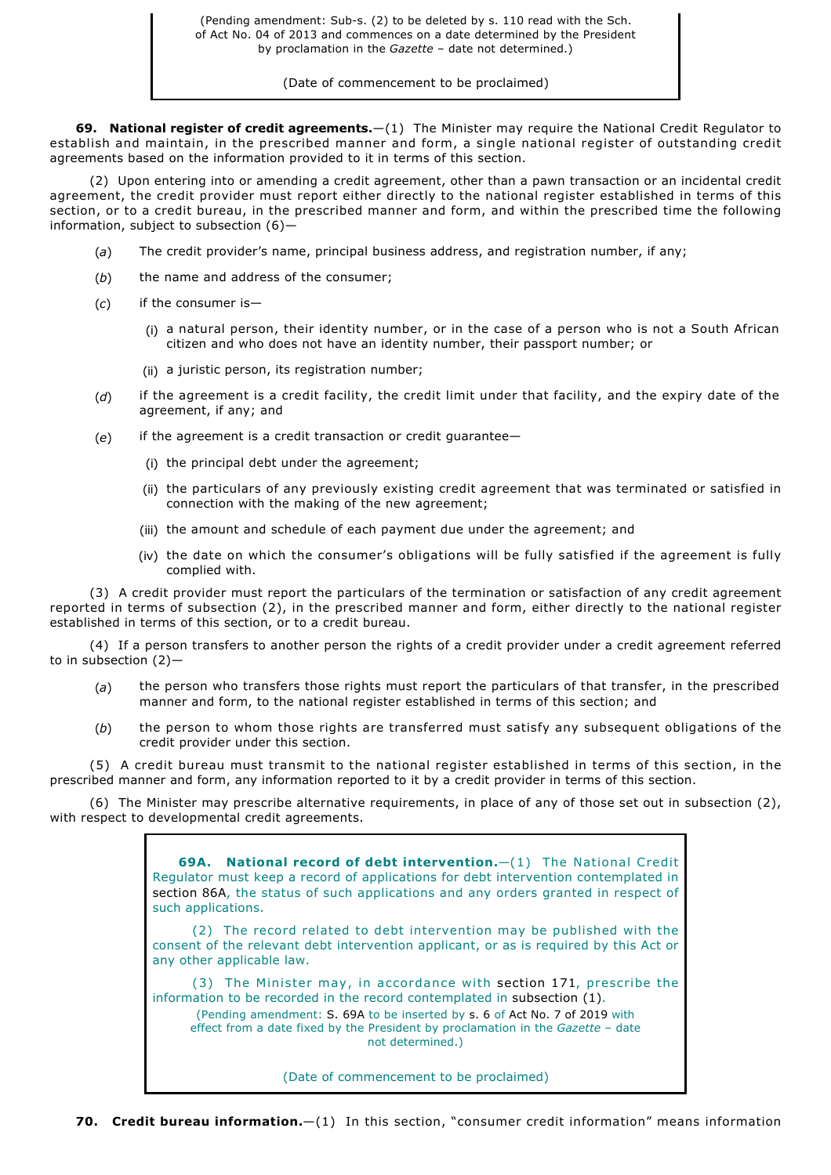(Date of commencement to be proclaimed)

**69. National register of credit agreements.**—(1) The Minister may require the National Credit Regulator to establish and maintain, in the prescribed manner and form, a single national register of outstanding credit agreements based on the information provided to it in terms of this section.

(2) Upon entering into or amending a credit agreement, other than a pawn transaction or an incidental credit agreement, the credit provider must report either directly to the national register established in terms of this section, or to a credit bureau, in the prescribed manner and form, and within the prescribed time the following information, subject to subsection (6)—

- (*a*) The credit provider's name, principal business address, and registration number, if any;
- (*b*) the name and address of the consumer;
- (*c*) if the consumer is—
	- (i) a natural person, their identity number, or in the case of a person who is not a South African citizen and who does not have an identity number, their passport number; or
	- (ii) a juristic person, its registration number;
- (*d*) if the agreement is a credit facility, the credit limit under that facility, and the expiry date of the agreement, if any; and
- (*e*) if the agreement is a credit transaction or credit guarantee—
	- (i) the principal debt under the agreement;
	- (ii) the particulars of any previously existing credit agreement that was terminated or satisfied in connection with the making of the new agreement;
	- (iii) the amount and schedule of each payment due under the agreement; and
	- (iv) the date on which the consumer's obligations will be fully satisfied if the agreement is fully complied with.

(3) A credit provider must report the particulars of the termination or satisfaction of any credit agreement reported in terms of subsection (2), in the prescribed manner and form, either directly to the national register established in terms of this section, or to a credit bureau.

(4) If a person transfers to another person the rights of a credit provider under a credit agreement referred to in subsection  $(2)$  –

- (*a*) the person who transfers those rights must report the particulars of that transfer, in the prescribed manner and form, to the national register established in terms of this section; and
- (*b*) the person to whom those rights are transferred must satisfy any subsequent obligations of the credit provider under this section.

(5) A credit bureau must transmit to the national register established in terms of this section, in the prescribed manner and form, any information reported to it by a credit provider in terms of this section.

(6) The Minister may prescribe alternative requirements, in place of any of those set out in subsection (2), with respect to developmental credit agreements.

> **69A. National record of debt intervention.**—(1) The National Credit Regulator must keep a record of applications for debt intervention contemplated in section 86A, the status of such applications and any orders granted in respect of such applications.

> (2) The record related to debt intervention may be published with the consent of the relevant debt intervention applicant, or as is required by this Act or any other applicable law.

> (3) The Minister may, in accordance with section 171, prescribe the information to be recorded in the record contemplated in subsection (1). (Pending amendment: S. 69A to be inserted by s. 6 of Act No. 7 of 2019 with effect from a date fixed by the President by proclamation in the *Gazette* – date not determined.)

> > (Date of commencement to be proclaimed)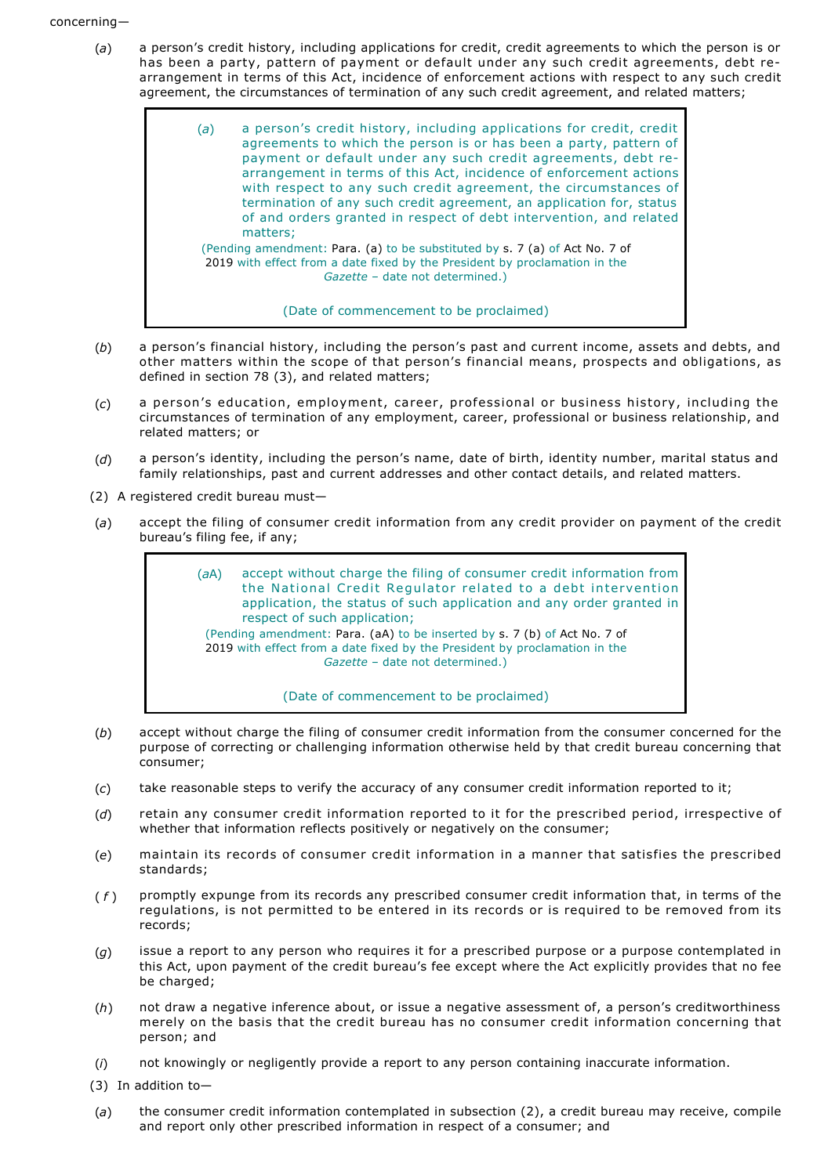- (*a*) a person's credit history, including applications for credit, credit agreements to which the person is or has been a party, pattern of payment or default under any such credit agreements, debt rearrangement in terms of this Act, incidence of enforcement actions with respect to any such credit agreement, the circumstances of termination of any such credit agreement, and related matters;
	- (*a*) a person's credit history, including applications for credit, credit agreements to which the person is or has been a party, pattern of payment or default under any such credit agreements, debt rearrangement in terms of this Act, incidence of enforcement actions with respect to any such credit agreement, the circumstances of termination of any such credit agreement, an application for, status of and orders granted in respect of debt intervention, and related matters; (Pending amendment: Para. (a) to be substituted by s. 7 (a) of Act No. 7 of 2019 with effect from a date fixed by the President by proclamation in the *Gazette* – date not determined.)

(Date of commencement to be proclaimed)

- (*b*) a person's financial history, including the person's past and current income, assets and debts, and other matters within the scope of that person's financial means, prospects and obligations, as defined in section 78 (3), and related matters;
- (*c*) a person's education, employment, career, professional or business history, including the circumstances of termination of any employment, career, professional or business relationship, and related matters; or
- (*d*) a person's identity, including the person's name, date of birth, identity number, marital status and family relationships, past and current addresses and other contact details, and related matters.
- (2) A registered credit bureau must—
- (*a*) accept the filing of consumer credit information from any credit provider on payment of the credit bureau's filing fee, if any;

(*a*A) accept without charge the filing of consumer credit information from the National Credit Regulator related to a debt intervention application, the status of such application and any order granted in respect of such application; (Pending amendment: Para. (aA) to be inserted by s. 7 (b) of Act No. 7 of 2019 with effect from a date fixed by the President by proclamation in the *Gazette* – date not determined.)

(Date of commencement to be proclaimed)

- (*b*) accept without charge the filing of consumer credit information from the consumer concerned for the purpose of correcting or challenging information otherwise held by that credit bureau concerning that consumer;
- (*c*) take reasonable steps to verify the accuracy of any consumer credit information reported to it;
- (*d*) retain any consumer credit information reported to it for the prescribed period, irrespective of whether that information reflects positively or negatively on the consumer;
- (*e*) maintain its records of consumer credit information in a manner that satisfies the prescribed standards;
- ( *f* ) promptly expunge from its records any prescribed consumer credit information that, in terms of the regulations, is not permitted to be entered in its records or is required to be removed from its records;
- (*g*) issue a report to any person who requires it for a prescribed purpose or a purpose contemplated in this Act, upon payment of the credit bureau's fee except where the Act explicitly provides that no fee be charged;
- (*h*) not draw a negative inference about, or issue a negative assessment of, a person's creditworthiness merely on the basis that the credit bureau has no consumer credit information concerning that person; and
- (*i*) not knowingly or negligently provide a report to any person containing inaccurate information.
- (3) In addition to—
- (*a*) the consumer credit information contemplated in subsection (2), a credit bureau may receive, compile and report only other prescribed information in respect of a consumer; and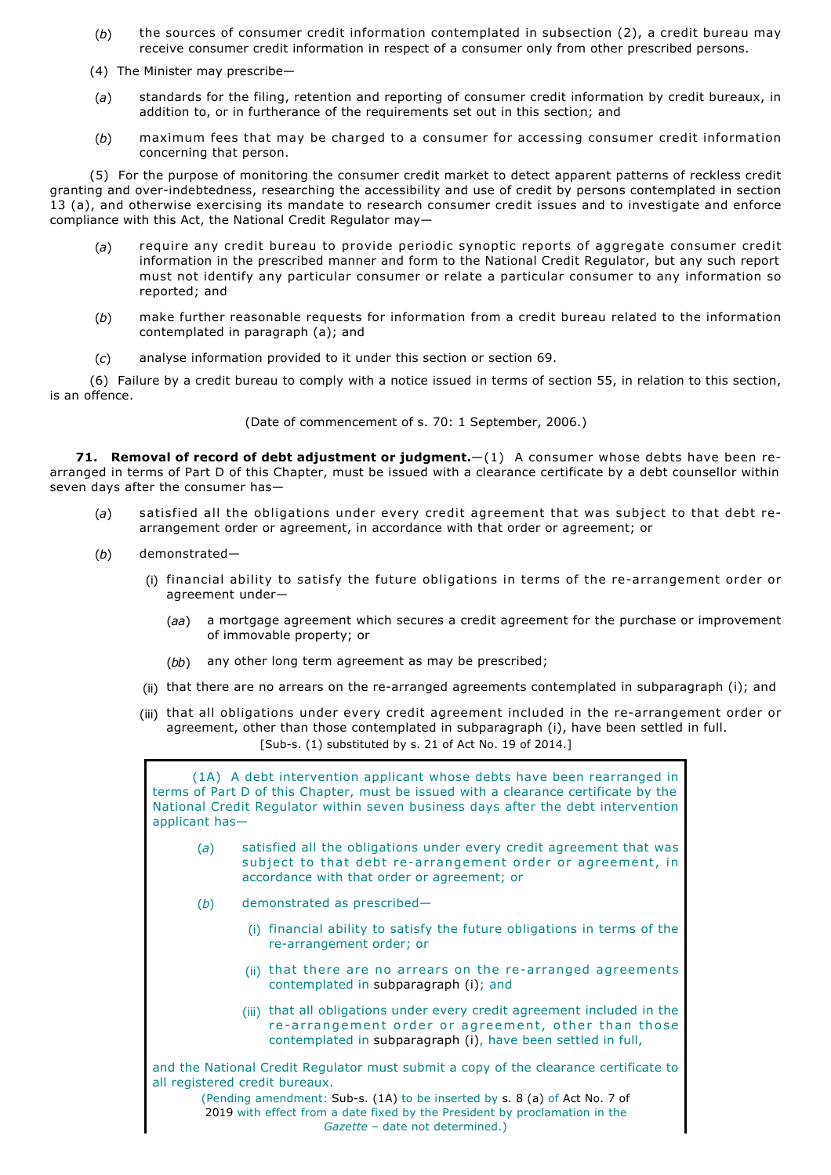- (*b*) the sources of consumer credit information contemplated in subsection (2), a credit bureau may receive consumer credit information in respect of a consumer only from other prescribed persons.
- (4) The Minister may prescribe—
- (*a*) standards for the filing, retention and reporting of consumer credit information by credit bureaux, in addition to, or in furtherance of the requirements set out in this section; and
- (*b*) maximum fees that may be charged to a consumer for accessing consumer credit information concerning that person.

(5) For the purpose of monitoring the consumer credit market to detect apparent patterns of reckless credit granting and over-indebtedness, researching the accessibility and use of credit by persons contemplated in section 13 (a), and otherwise exercising its mandate to research consumer credit issues and to investigate and enforce compliance with this Act, the National Credit Regulator may—

- (*a*) require any credit bureau to provide periodic synoptic reports of aggregate consumer credit information in the prescribed manner and form to the National Credit Regulator, but any such report must not identify any particular consumer or relate a particular consumer to any information so reported; and
- (*b*) make further reasonable requests for information from a credit bureau related to the information contemplated in paragraph (a); and
- (*c*) analyse information provided to it under this section or section 69.

(6) Failure by a credit bureau to comply with a notice issued in terms of section 55, in relation to this section, is an offence.

(Date of commencement of s. 70: 1 September, 2006.)

**71. Removal of record of debt adjustment or judgment.**  $- (1)$  A consumer whose debts have been rearranged in terms of Part D of this Chapter, must be issued with a clearance certificate by a debt counsellor within seven days after the consumer has—

- (*a*) satisfied all the obligations under every credit agreement that was subject to that debt rearrangement order or agreement, in accordance with that order or agreement; or
- (*b*) demonstrated—
	- (i) financial ability to satisfy the future obligations in terms of the re-arrangement order or agreement under—
		- (*aa*) a mortgage agreement which secures a credit agreement for the purchase or improvement of immovable property; or
		- (*bb*) any other long term agreement as may be prescribed;
	- (ii) that there are no arrears on the re-arranged agreements contemplated in subparagraph (i); and
	- (iii) that all obligations under every credit agreement included in the re-arrangement order or agreement, other than those contemplated in subparagraph (i), have been settled in full.  $[Sub-s. (1)$  substituted by s. 21 of Act No. 19 of 2014.]

(1A) A debt intervention applicant whose debts have been rearranged in terms of Part D of this Chapter, must be issued with a clearance certificate by the National Credit Regulator within seven business days after the debt intervention applicant has— (*a*) satisfied all the obligations under every credit agreement that was subject to that debt re-arrangement order or agreement, in accordance with that order or agreement; or (*b*) demonstrated as prescribed— (i) financial ability to satisfy the future obligations in terms of the re-arrangement order; or (ii) that there are no arrears on the re-arranged agreements contemplated in subparagraph (i); and (iii) that all obligations under every credit agreement included in the re-arrangement order or agreement, other than those contemplated in subparagraph (i), have been settled in full, and the National Credit Regulator must submit a copy of the clearance certificate to all registered credit bureaux. (Pending amendment: Sub-s. (1A) to be inserted by s. 8 (a) of Act No. 7 of 2019 with effect from a date fixed by the President by proclamation in the

*Gazette* – date not determined.)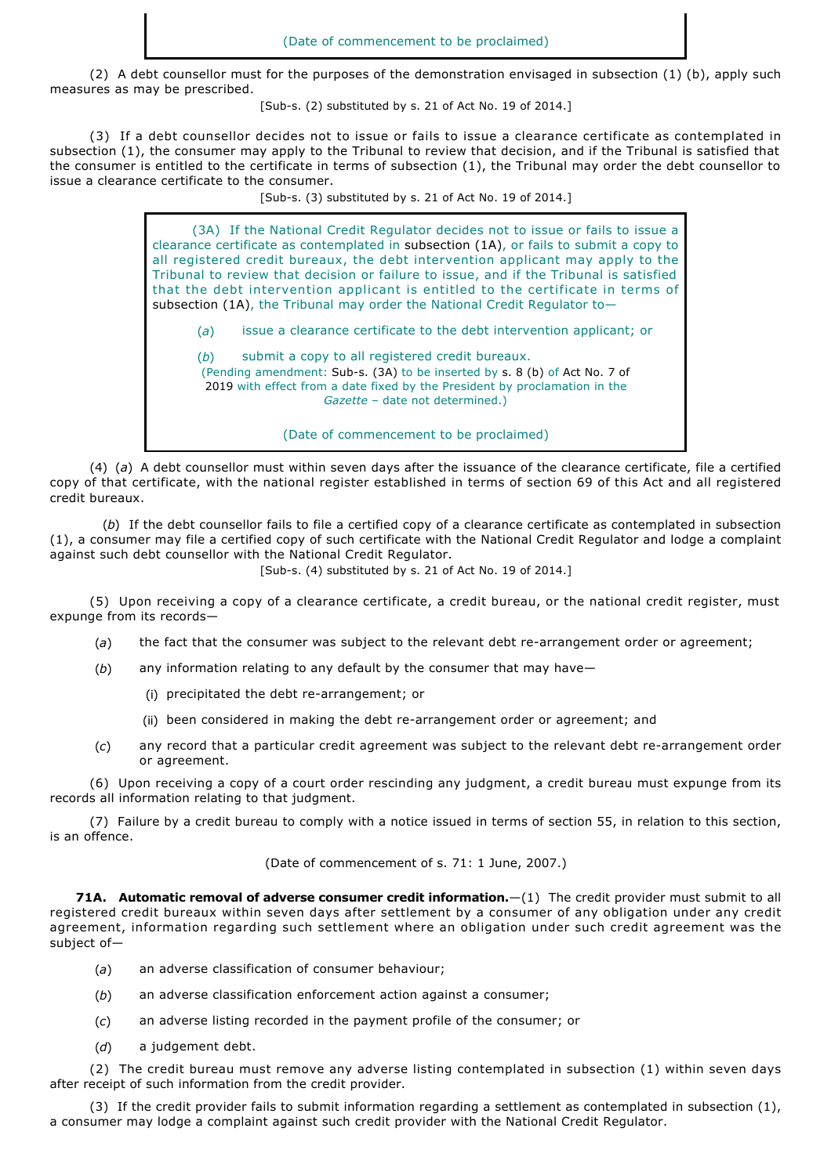(2) A debt counsellor must for the purposes of the demonstration envisaged in subsection (1) (b), apply such measures as may be prescribed.

[Sub-s. (2) substituted by s. 21 of Act No. 19 of 2014.]

(3) If a debt counsellor decides not to issue or fails to issue a clearance certificate as contemplated in subsection (1), the consumer may apply to the Tribunal to review that decision, and if the Tribunal is satisfied that the consumer is entitled to the certificate in terms of subsection (1), the Tribunal may order the debt counsellor to issue a clearance certificate to the consumer.

[Sub-s. (3) substituted by s. 21 of Act No. 19 of 2014.]

(3A) If the National Credit Regulator decides not to issue or fails to issue a clearance certificate as contemplated in subsection (1A), or fails to submit a copy to all registered credit bureaux, the debt intervention applicant may apply to the Tribunal to review that decision or failure to issue, and if the Tribunal is satisfied that the debt intervention applicant is entitled to the certificate in terms of subsection (1A), the Tribunal may order the National Credit Regulator to—

(*a*) issue a clearance certificate to the debt intervention applicant; or

(*b*) submit a copy to all registered credit bureaux. (Pending amendment: Sub-s. (3A) to be inserted by s. 8 (b) of Act No. 7 of

2019 with effect from a date fixed by the President by proclamation in the

*Gazette* – date not determined.)

(Date of commencement to be proclaimed)

(4) (*a*)A debt counsellor must within seven days after the issuance of the clearance certificate, file a certified copy of that certificate, with the national register established in terms of section 69 of this Act and all registered credit bureaux.

(*b*) If the debt counsellor fails to file a certified copy of a clearance certificate as contemplated in subsection (1), a consumer may file a certified copy of such certificate with the National Credit Regulator and lodge a complaint against such debt counsellor with the National Credit Regulator.

 $[Sub-s. (4)$  substituted by s. 21 of Act No. 19 of 2014.]

(5) Upon receiving a copy of a clearance certificate, a credit bureau, or the national credit register, must expunge from its records—

- (a) the fact that the consumer was subject to the relevant debt re-arrangement order or agreement;
- (*b*) any information relating to any default by the consumer that may have—
	- (i) precipitated the debt re-arrangement; or
	- (ii) been considered in making the debt re-arrangement order or agreement; and
- (c) any record that a particular credit agreement was subject to the relevant debt re-arrangement order or agreement.

(6) Upon receiving a copy of a court order rescinding any judgment, a credit bureau must expunge from its records all information relating to that judgment.

(7) Failure by a credit bureau to comply with a notice issued in terms of section 55, in relation to this section, is an offence.

(Date of commencement of s. 71: 1 June, 2007.)

**71A. Automatic removal of adverse consumer credit information.**—(1) The credit provider must submit to all registered credit bureaux within seven days after settlement by a consumer of any obligation under any credit agreement, information regarding such settlement where an obligation under such credit agreement was the subject of—

- (*a*) an adverse classification of consumer behaviour;
- (*b*) an adverse classification enforcement action against a consumer;
- (*c*) an adverse listing recorded in the payment profile of the consumer; or
- (*d*) a judgement debt.

(2) The credit bureau must remove any adverse listing contemplated in subsection (1) within seven days after receipt of such information from the credit provider.

(3) If the credit provider fails to submit information regarding a settlement as contemplated in subsection (1), a consumer may lodge a complaint against such credit provider with the National Credit Regulator.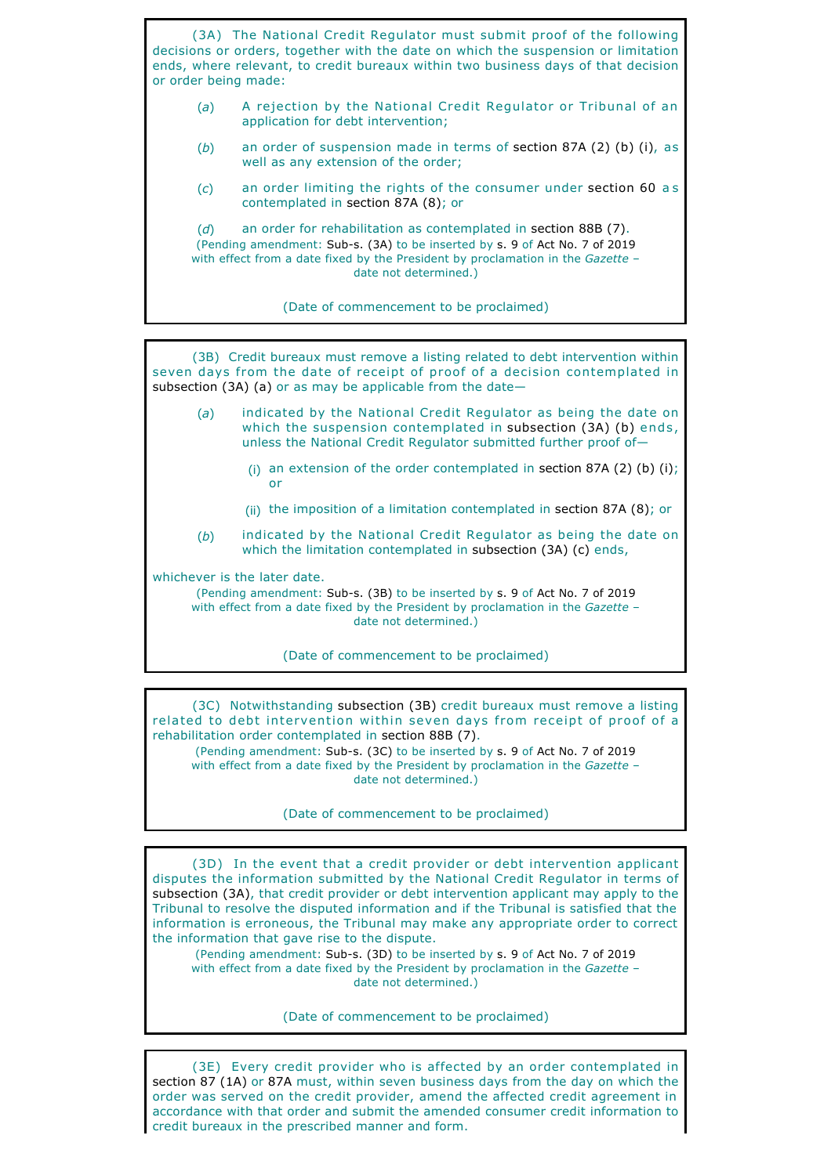(3A) The National Credit Regulator must submit proof of the following decisions or orders, together with the date on which the suspension or limitation ends, where relevant, to credit bureaux within two business days of that decision or order being made: (*a*) A rejection by the National Credit Regulator or Tribunal of an application for debt intervention; (*b*) an order of suspension made in terms of section 87A (2) (b) (i), as well as any extension of the order; (*c*) an order limiting the rights of the consumer under section 60 as contemplated in section 87A (8); or (*d*) an order for rehabilitation as contemplated in section 88B (7). (Pending amendment: Sub-s. (3A) to be inserted by s. 9 of Act No. 7 of 2019 with effect from a date fixed by the President by proclamation in the *Gazette* – date not determined.) (Date of commencement to be proclaimed)

(3B) Credit bureaux must remove a listing related to debt intervention within seven days from the date of receipt of proof of a decision contemplated in subsection (3A) (a) or as may be applicable from the date-

- (*a*) indicated by the National Credit Regulator as being the date on which the suspension contemplated in subsection (3A) (b) ends, unless the National Credit Regulator submitted further proof of—
	- (i) an extension of the order contemplated in section 87A (2) (b) (i); or
	- (ii) the imposition of a limitation contemplated in section 87A (8); or
- (*b*) indicated by the National Credit Regulator as being the date on which the limitation contemplated in subsection (3A) (c) ends,

whichever is the later date.

(Pending amendment: Sub-s. (3B) to be inserted by s. 9 of Act No. 7 of 2019 with effect from a date fixed by the President by proclamation in the *Gazette* – date not determined.)

(Date of commencement to be proclaimed)

(3C) Notwithstanding subsection (3B) credit bureaux must remove a listing related to debt intervention within seven days from receipt of proof of a rehabilitation order contemplated in section 88B (7).

(Pending amendment: Sub-s. (3C) to be inserted by s. 9 of Act No. 7 of 2019 with effect from a date fixed by the President by proclamation in the *Gazette* – date not determined.)

(Date of commencement to be proclaimed)

(3D) In the event that a credit provider or debt intervention applicant disputes the information submitted by the National Credit Regulator in terms of subsection (3A), that credit provider or debt intervention applicant may apply to the Tribunal to resolve the disputed information and if the Tribunal is satisfied that the information is erroneous, the Tribunal may make any appropriate order to correct the information that gave rise to the dispute.

(Pending amendment: Sub-s. (3D) to be inserted by s. 9 of Act No. 7 of 2019 with effect from a date fixed by the President by proclamation in the *Gazette* – date not determined.)

(Date of commencement to be proclaimed)

(3E) Every credit provider who is affected by an order contemplated in section 87 (1A) or 87A must, within seven business days from the day on which the order was served on the credit provider, amend the affected credit agreement in accordance with that order and submit the amended consumer credit information to credit bureaux in the prescribed manner and form.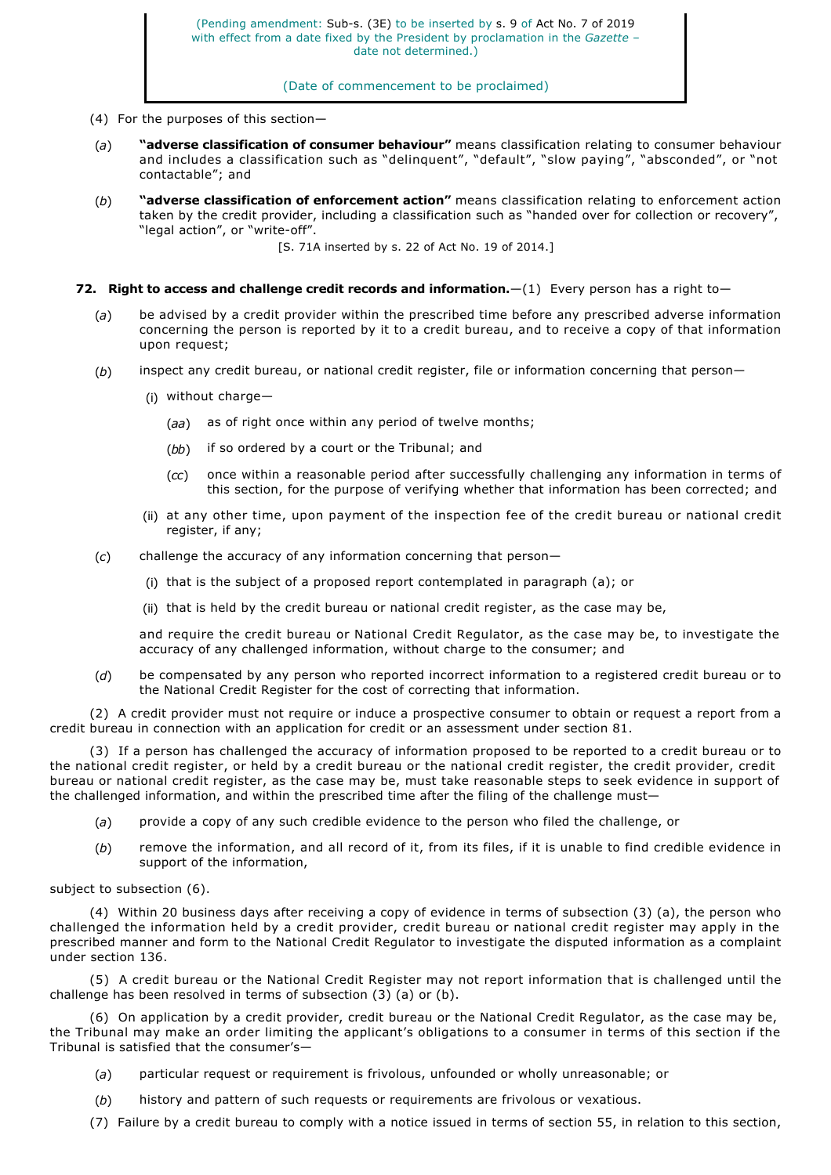### (Date of commencement to be proclaimed)

- (4) For the purposes of this section—
- (*a*) **"adverse classification of consumer behaviour"** means classification relating to consumer behaviour and includes a classification such as "delinquent", "default", "slow paying", "absconded", or "not contactable"; and
- (*b*) **"adverse classification of enforcement action"** means classification relating to enforcement action taken by the credit provider, including a classification such as "handed over for collection or recovery", "legal action", or "write-off".

[S. 71A inserted by s. 22 of Act No. 19 of 2014.]

- **72. Right to access and challenge credit records and information.**—(1) Every person has a right to—
	- (*a*) be advised by a credit provider within the prescribed time before any prescribed adverse information concerning the person is reported by it to a credit bureau, and to receive a copy of that information upon request;
	- (*b*) inspect any credit bureau, or national credit register, file or information concerning that person—
		- (i) without charge—
			- (*aa*) as of right once within any period of twelve months;
			- (*bb*) if so ordered by a court or the Tribunal; and
			- (*cc*) once within a reasonable period after successfully challenging any information in terms of this section, for the purpose of verifying whether that information has been corrected; and
		- (ii) at any other time, upon payment of the inspection fee of the credit bureau or national credit register, if any;
	- (*c*) challenge the accuracy of any information concerning that person—
		- (i) that is the subject of a proposed report contemplated in paragraph (a); or
		- (ii) that is held by the credit bureau or national credit register, as the case may be,

and require the credit bureau or National Credit Regulator, as the case may be, to investigate the accuracy of any challenged information, without charge to the consumer; and

(*d*) be compensated by any person who reported incorrect information to a registered credit bureau or to the National Credit Register for the cost of correcting that information.

(2) A credit provider must not require or induce a prospective consumer to obtain or request a report from a credit bureau in connection with an application for credit or an assessment under section 81.

(3) If a person has challenged the accuracy of information proposed to be reported to a credit bureau or to the national credit register, or held by a credit bureau or the national credit register, the credit provider, credit bureau or national credit register, as the case may be, must take reasonable steps to seek evidence in support of the challenged information, and within the prescribed time after the filing of the challenge must—

- (*a*) provide a copy of any such credible evidence to the person who filed the challenge, or
- (*b*) remove the information, and all record of it, from its files, if it is unable to find credible evidence in support of the information,

#### subject to subsection (6).

(4) Within 20 business days after receiving a copy of evidence in terms of subsection (3) (a), the person who challenged the information held by a credit provider, credit bureau or national credit register may apply in the prescribed manner and form to the National Credit Regulator to investigate the disputed information as a complaint under section 136.

(5) A credit bureau or the National Credit Register may not report information that is challenged until the challenge has been resolved in terms of subsection (3) (a) or (b).

(6) On application by a credit provider, credit bureau or the National Credit Regulator, as the case may be, the Tribunal may make an order limiting the applicant's obligations to a consumer in terms of this section if the Tribunal is satisfied that the consumer's—

- (*a*) particular request or requirement is frivolous, unfounded or wholly unreasonable; or
- (*b*) history and pattern of such requests or requirements are frivolous or vexatious.
- (7) Failure by a credit bureau to comply with a notice issued in terms of section 55, in relation to this section,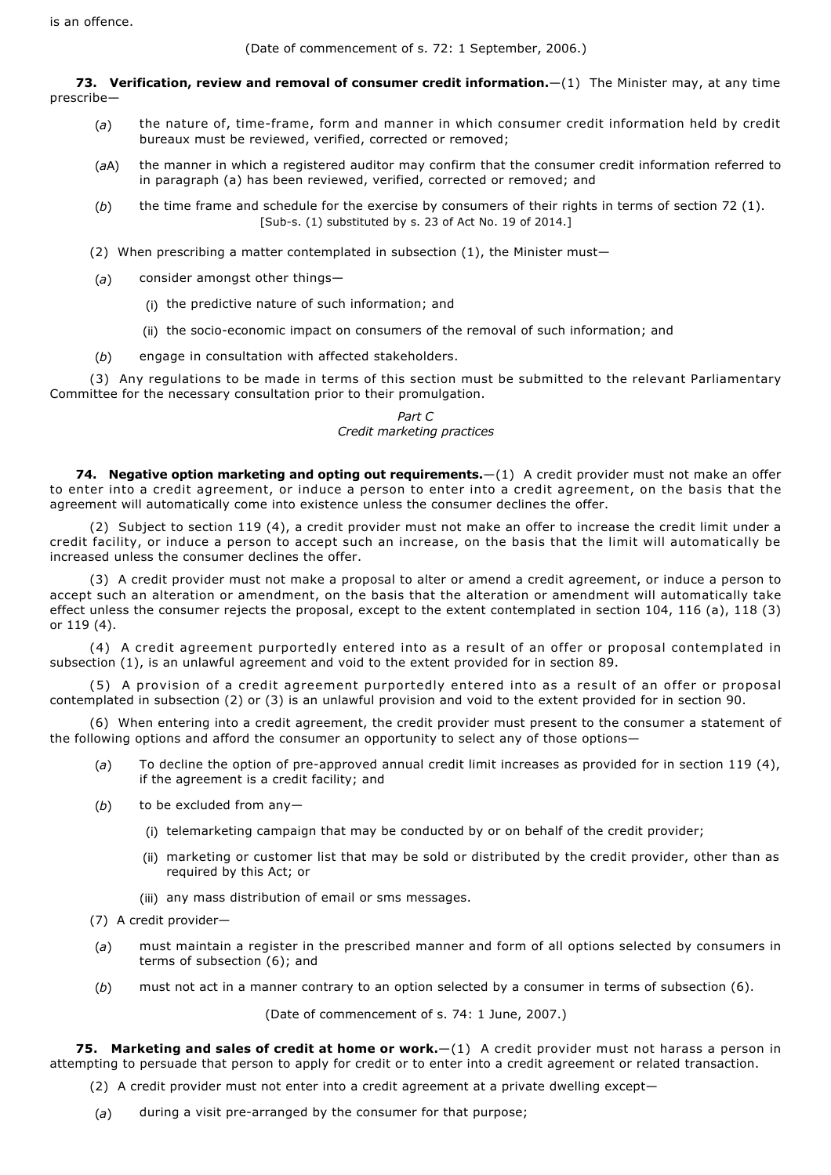(Date of commencement of s. 72: 1 September, 2006.)

**73. Verification, review and removal of consumer credit information.**—(1) The Minister may, at any time prescribe—

- (a) the nature of, time-frame, form and manner in which consumer credit information held by credit bureaux must be reviewed, verified, corrected or removed;
- (*a*A) the manner in which a registered auditor may confirm that the consumer credit information referred to in paragraph (a) has been reviewed, verified, corrected or removed; and
- (*b*) the time frame and schedule for the exercise by consumers of their rights in terms of section 72 (1). [Sub-s. (1) substituted by s. 23 of Act No. 19 of 2014.]
- (2) When prescribing a matter contemplated in subsection (1), the Minister must—
- (*a*) consider amongst other things—
	- (i) the predictive nature of such information; and
	- (ii) the socio-economic impact on consumers of the removal of such information; and
- (*b*) engage in consultation with affected stakeholders.

(3) Any regulations to be made in terms of this section must be submitted to the relevant Parliamentary Committee for the necessary consultation prior to their promulgation.

# *Part C Credit marketing practices*

74. Negative option marketing and opting out requirements. - (1) A credit provider must not make an offer to enter into a credit agreement, or induce a person to enter into a credit agreement, on the basis that the agreement will automatically come into existence unless the consumer declines the offer.

(2) Subject to section 119 (4), a credit provider must not make an offer to increase the credit limit under a credit facility, or induce a person to accept such an increase, on the basis that the limit will automatically be increased unless the consumer declines the offer.

(3) A credit provider must not make a proposal to alter or amend a credit agreement, or induce a person to accept such an alteration or amendment, on the basis that the alteration or amendment will automatically take effect unless the consumer rejects the proposal, except to the extent contemplated in section 104, 116 (a), 118 (3) or 119 (4).

(4) A credit agreement purportedly entered into as a result of an offer or proposal contemplated in subsection (1), is an unlawful agreement and void to the extent provided for in section 89.

(5) A provision of a credit agreement purportedly entered into as a result of an offer or proposal contemplated in subsection (2) or (3) is an unlawful provision and void to the extent provided for in section 90.

(6) When entering into a credit agreement, the credit provider must present to the consumer a statement of the following options and afford the consumer an opportunity to select any of those options—

- (a) To decline the option of pre-approved annual credit limit increases as provided for in section 119 (4), if the agreement is a credit facility; and
- (*b*) to be excluded from any—
	- (i) telemarketing campaign that may be conducted by or on behalf of the credit provider;
	- (ii) marketing or customer list that may be sold or distributed by the credit provider, other than as required by this Act; or
	- (iii) any mass distribution of email or sms messages.
- (7) A credit provider—
- (*a*) must maintain a register in the prescribed manner and form of all options selected by consumers in terms of subsection (6); and
- (*b*) must not act in a manner contrary to an option selected by a consumer in terms of subsection (6).

(Date of commencement of s. 74: 1 June, 2007.)

**75. Marketing and sales of credit at home or work.**—(1) A credit provider must not harass a person in attempting to persuade that person to apply for credit or to enter into a credit agreement or related transaction.

- (2) A credit provider must not enter into a credit agreement at a private dwelling except—
- (a) during a visit pre-arranged by the consumer for that purpose;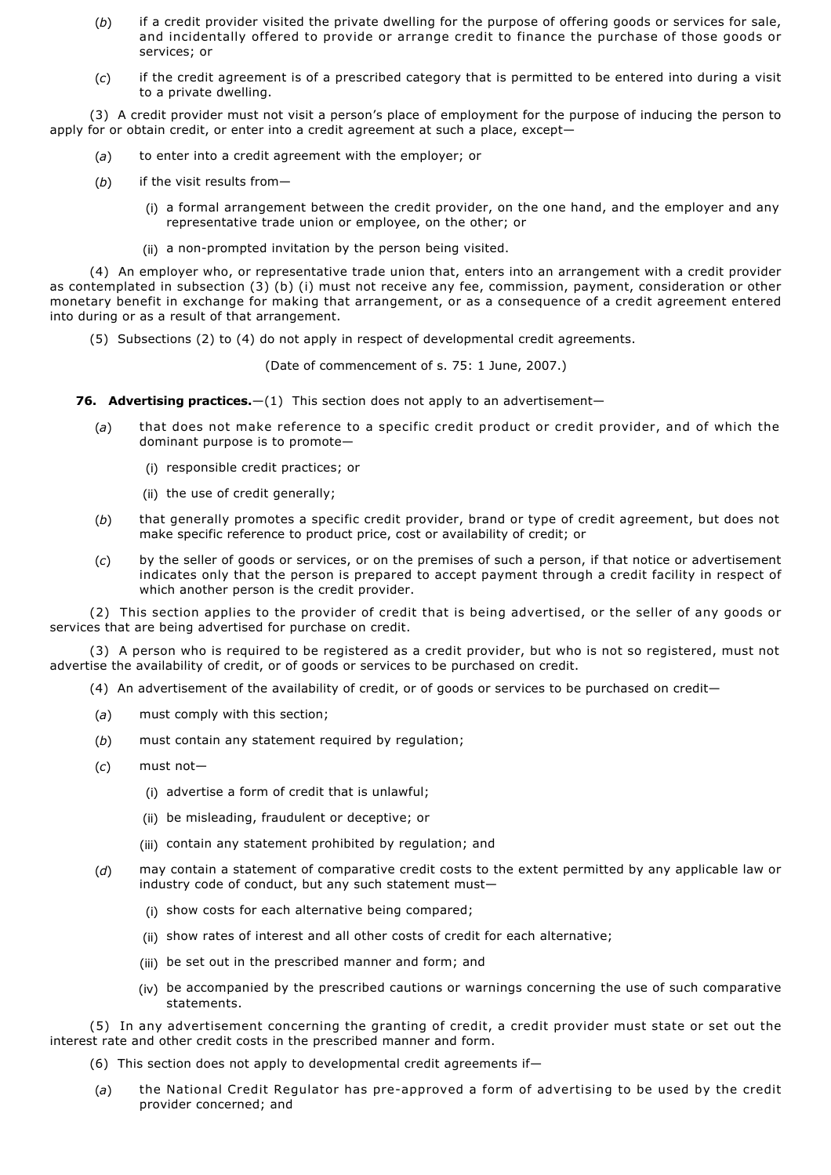- (*b*) if a credit provider visited the private dwelling for the purpose of offering goods or services for sale, and incidentally offered to provide or arrange credit to finance the purchase of those goods or services; or
- (*c*) if the credit agreement is of a prescribed category that is permitted to be entered into during a visit to a private dwelling.

(3) A credit provider must not visit a person's place of employment for the purpose of inducing the person to apply for or obtain credit, or enter into a credit agreement at such a place, except—

- (*a*) to enter into a credit agreement with the employer; or
- (*b*) if the visit results from—
	- (i) a formal arrangement between the credit provider, on the one hand, and the employer and any representative trade union or employee, on the other; or
	- (ii) a non-prompted invitation by the person being visited.

(4) An employer who, or representative trade union that, enters into an arrangement with a credit provider as contemplated in subsection (3) (b) (i) must not receive any fee, commission, payment, consideration or other monetary benefit in exchange for making that arrangement, or as a consequence of a credit agreement entered into during or as a result of that arrangement.

(5) Subsections (2) to (4) do not apply in respect of developmental credit agreements.

(Date of commencement of s. 75: 1 June, 2007.)

**76. Advertising practices.**—(1) This section does not apply to an advertisement—

- (*a*) that does not make reference to a specific credit product or credit provider, and of which the dominant purpose is to promote—
	- (i) responsible credit practices; or
	- (ii) the use of credit generally;
- (*b*) that generally promotes a specific credit provider, brand or type of credit agreement, but does not make specific reference to product price, cost or availability of credit; or
- (*c*) by the seller of goods or services, or on the premises of such a person, if that notice or advertisement indicates only that the person is prepared to accept payment through a credit facility in respect of which another person is the credit provider.

(2) This section applies to the provider of credit that is being advertised, or the seller of any goods or services that are being advertised for purchase on credit.

(3) A person who is required to be registered as a credit provider, but who is not so registered, must not advertise the availability of credit, or of goods or services to be purchased on credit.

- (4) An advertisement of the availability of credit, or of goods or services to be purchased on credit—
- (*a*) must comply with this section;
- (*b*) must contain any statement required by regulation;
- (*c*) must not—
	- (i) advertise a form of credit that is unlawful;
	- (ii) be misleading, fraudulent or deceptive; or
	- (iii) contain any statement prohibited by regulation; and
- (*d*) may contain a statement of comparative credit costs to the extent permitted by any applicable law or industry code of conduct, but any such statement must—
	- (i) show costs for each alternative being compared;
	- (ii) show rates of interest and all other costs of credit for each alternative;
	- (iii) be set out in the prescribed manner and form; and
	- (iv) be accompanied by the prescribed cautions or warnings concerning the use of such comparative statements.

(5) In any advertisement concerning the granting of credit, a credit provider must state or set out the interest rate and other credit costs in the prescribed manner and form.

- (6) This section does not apply to developmental credit agreements if—
- (a) the National Credit Regulator has pre-approved a form of advertising to be used by the credit provider concerned; and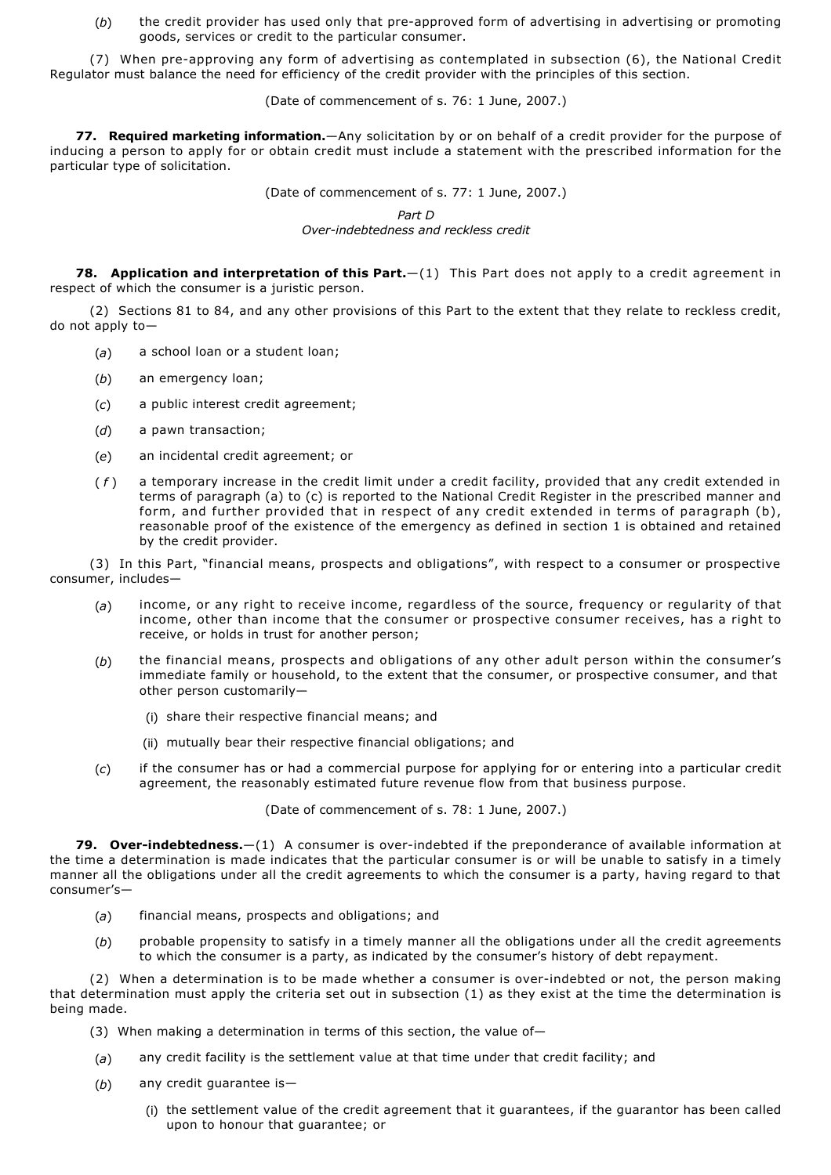(b) the credit provider has used only that pre-approved form of advertising in advertising or promoting goods, services or credit to the particular consumer.

(7) When pre-approving any form of advertising as contemplated in subsection (6), the National Credit Regulator must balance the need for efficiency of the credit provider with the principles of this section.

(Date of commencement of s. 76: 1 June, 2007.)

**77. Required marketing information.**—Any solicitation by or on behalf of a credit provider for the purpose of inducing a person to apply for or obtain credit must include a statement with the prescribed information for the particular type of solicitation.

(Date of commencement of s. 77: 1 June, 2007.)

*Part D*

*Overindebtedness and reckless credit*

**78. Application and interpretation of this Part.**—(1) This Part does not apply to a credit agreement in respect of which the consumer is a juristic person.

(2) Sections 81 to 84, and any other provisions of this Part to the extent that they relate to reckless credit, do not apply to—

- (*a*) a school loan or a student loan;
- (*b*) an emergency loan;
- (*c*) a public interest credit agreement;
- (*d*) a pawn transaction;
- (*e*) an incidental credit agreement; or
- ( *f* ) a temporary increase in the credit limit under a credit facility, provided that any credit extended in terms of paragraph (a) to (c) is reported to the National Credit Register in the prescribed manner and form, and further provided that in respect of any credit extended in terms of paragraph (b), reasonable proof of the existence of the emergency as defined in section 1 is obtained and retained by the credit provider.

(3) In this Part, "financial means, prospects and obligations", with respect to a consumer or prospective consumer, includes—

- (*a*) income, or any right to receive income, regardless of the source, frequency or regularity of that income, other than income that the consumer or prospective consumer receives, has a right to receive, or holds in trust for another person;
- (*b*) the financial means, prospects and obligations of any other adult person within the consumer's immediate family or household, to the extent that the consumer, or prospective consumer, and that other person customarily—
	- (i) share their respective financial means; and
	- (ii) mutually bear their respective financial obligations; and
- (*c*) if the consumer has or had a commercial purpose for applying for or entering into a particular credit agreement, the reasonably estimated future revenue flow from that business purpose.

(Date of commencement of s. 78: 1 June, 2007.)

**79. Over-indebtedness.**—(1) A consumer is over-indebted if the preponderance of available information at the time a determination is made indicates that the particular consumer is or will be unable to satisfy in a timely manner all the obligations under all the credit agreements to which the consumer is a party, having regard to that consumer's—

- (*a*) financial means, prospects and obligations; and
- (*b*) probable propensity to satisfy in a timely manner all the obligations under all the credit agreements to which the consumer is a party, as indicated by the consumer's history of debt repayment.

(2) When a determination is to be made whether a consumer is overindebted or not, the person making that determination must apply the criteria set out in subsection (1) as they exist at the time the determination is being made.

- (3) When making a determination in terms of this section, the value of—
- (*a*) any credit facility is the settlement value at that time under that credit facility; and
- (*b*) any credit guarantee is—
	- (i) the settlement value of the credit agreement that it guarantees, if the guarantor has been called upon to honour that guarantee; or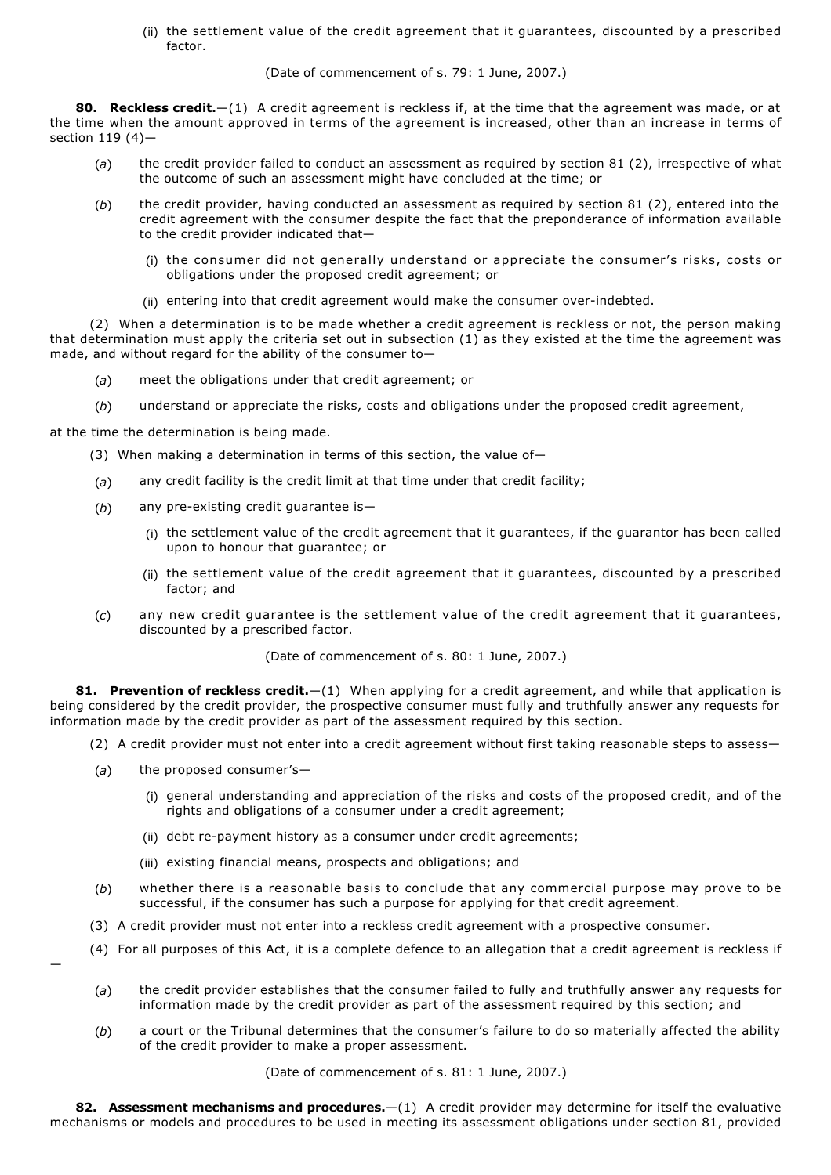(ii) the settlement value of the credit agreement that it guarantees, discounted by a prescribed factor

(Date of commencement of s. 79: 1 June, 2007.)

**80. Reckless credit.**—(1) A credit agreement is reckless if, at the time that the agreement was made, or at the time when the amount approved in terms of the agreement is increased, other than an increase in terms of section 119 (4)—

- (*a*) the credit provider failed to conduct an assessment as required by section 81 (2), irrespective of what the outcome of such an assessment might have concluded at the time; or
- (*b*) the credit provider, having conducted an assessment as required by section 81 (2), entered into the credit agreement with the consumer despite the fact that the preponderance of information available to the credit provider indicated that—
	- (i) the consumer did not generally understand or appreciate the consumer's risks, costs or obligations under the proposed credit agreement; or
	- (ii) entering into that credit agreement would make the consumer over-indebted.

(2) When a determination is to be made whether a credit agreement is reckless or not, the person making that determination must apply the criteria set out in subsection (1) as they existed at the time the agreement was made, and without regard for the ability of the consumer to—

- (*a*) meet the obligations under that credit agreement; or
- (*b*) understand or appreciate the risks, costs and obligations under the proposed credit agreement,

at the time the determination is being made.

- (3) When making a determination in terms of this section, the value of—
- (*a*) any credit facility is the credit limit at that time under that credit facility;
- (b) any pre-existing credit guarantee is-
	- (i) the settlement value of the credit agreement that it guarantees, if the guarantor has been called upon to honour that guarantee; or
	- (ii) the settlement value of the credit agreement that it guarantees, discounted by a prescribed factor; and
- (*c*) any new credit guarantee is the settlement value of the credit agreement that it guarantees, discounted by a prescribed factor.

(Date of commencement of s. 80: 1 June, 2007.)

**81. Prevention of reckless credit.**—(1) When applying for a credit agreement, and while that application is being considered by the credit provider, the prospective consumer must fully and truthfully answer any requests for information made by the credit provider as part of the assessment required by this section.

- (2) A credit provider must not enter into a credit agreement without first taking reasonable steps to assess—
- (*a*) the proposed consumer's—

—

- (i) general understanding and appreciation of the risks and costs of the proposed credit, and of the rights and obligations of a consumer under a credit agreement;
- (ii) debt re-payment history as a consumer under credit agreements;
- (iii) existing financial means, prospects and obligations; and
- (*b*) whether there is a reasonable basis to conclude that any commercial purpose may prove to be successful, if the consumer has such a purpose for applying for that credit agreement.
- (3) A credit provider must not enter into a reckless credit agreement with a prospective consumer.
- (4) For all purposes of this Act, it is a complete defence to an allegation that a credit agreement is reckless if
	- (*a*) the credit provider establishes that the consumer failed to fully and truthfully answer any requests for information made by the credit provider as part of the assessment required by this section; and
	- (*b*) a court or the Tribunal determines that the consumer's failure to do so materially affected the ability of the credit provider to make a proper assessment.

(Date of commencement of s. 81: 1 June, 2007.)

**82. Assessment mechanisms and procedures.**—(1) A credit provider may determine for itself the evaluative mechanisms or models and procedures to be used in meeting its assessment obligations under section 81, provided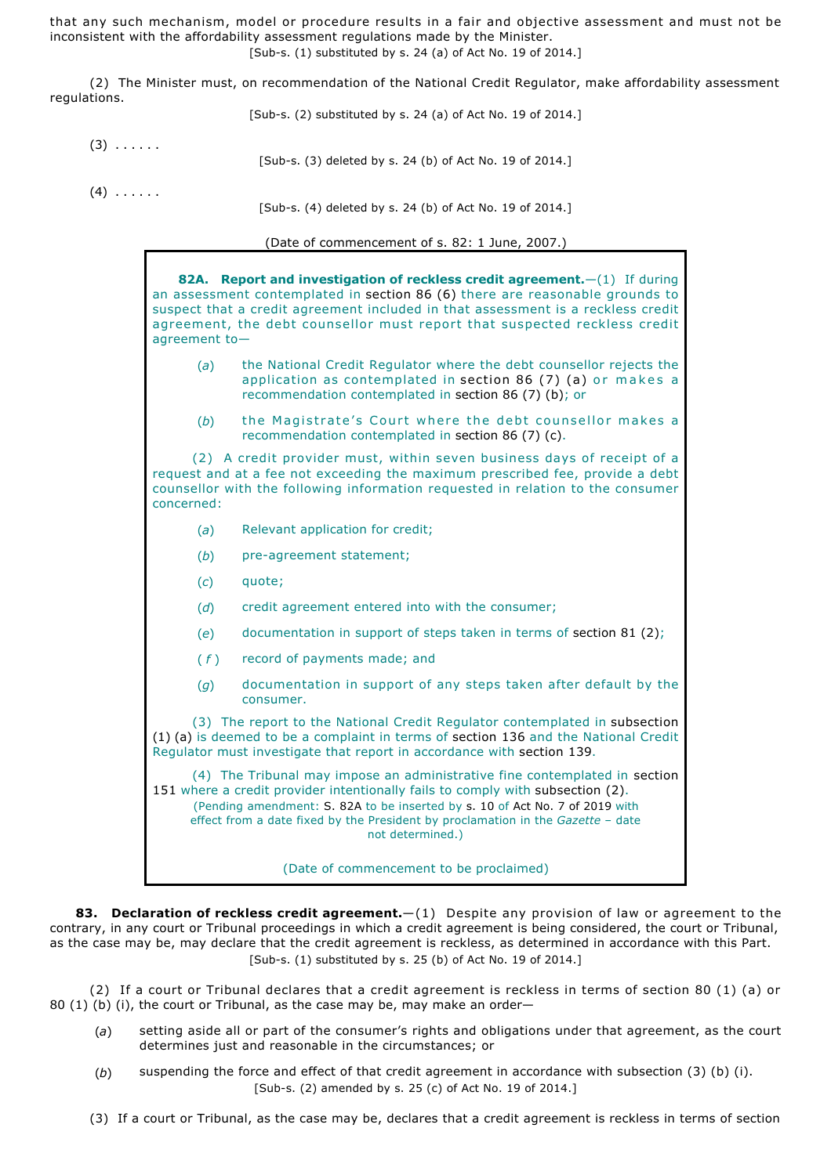that any such mechanism, model or procedure results in a fair and objective assessment and must not be inconsistent with the affordability assessment regulations made by the Minister. [Sub-s.  $(1)$  substituted by s. 24  $(a)$  of Act No. 19 of 2014.]

(2) The Minister must, on recommendation of the National Credit Regulator, make affordability assessment regulations.

[Sub-s.  $(2)$  substituted by s. 24  $(a)$  of Act No. 19 of 2014.]

 $(3)$   $\dots$ [Sub-s. (3) deleted by s. 24 (b) of Act No. 19 of 2014.]

 $(4)$   $\ldots$  . . . .

[Sub-s. (4) deleted by s. 24 (b) of Act No. 19 of 2014.]

(Date of commencement of s. 82: 1 June, 2007.)

**82A. Report and investigation of reckless credit agreement.**—(1) If during an assessment contemplated in section 86 (6) there are reasonable grounds to suspect that a credit agreement included in that assessment is a reckless credit agreement, the debt counsellor must report that suspected reckless credit agreement to— (*a*) the National Credit Regulator where the debt counsellor rejects the application as contemplated in section 86 (7) (a) or makes a recommendation contemplated in section 86 (7) (b); or

(*b*) the Magistrate's Court where the debt counsellor makes a recommendation contemplated in section 86 (7) (c).

(2) A credit provider must, within seven business days of receipt of a request and at a fee not exceeding the maximum prescribed fee, provide a debt counsellor with the following information requested in relation to the consumer concerned:

- (*a*) Relevant application for credit;
- (b) pre-agreement statement;
- (*c*) quote;
- (*d*) credit agreement entered into with the consumer;
- (*e*) documentation in support of steps taken in terms of section 81 (2);
- ( *f* ) record of payments made; and
- (*g*) documentation in support of any steps taken after default by the consumer.

(3) The report to the National Credit Regulator contemplated in subsection (1) (a) is deemed to be a complaint in terms of section 136 and the National Credit Regulator must investigate that report in accordance with section 139.

(4) The Tribunal may impose an administrative fine contemplated in section 151 where a credit provider intentionally fails to comply with subsection (2). (Pending amendment: S. 82A to be inserted by s. 10 of Act No. 7 of 2019 with effect from a date fixed by the President by proclamation in the *Gazette* – date not determined.)

(Date of commencement to be proclaimed)

**83. Declaration of reckless credit agreement.**—(1) Despite any provision of law or agreement to the contrary, in any court or Tribunal proceedings in which a credit agreement is being considered, the court or Tribunal, as the case may be, may declare that the credit agreement is reckless, as determined in accordance with this Part.  $[Sub-s. (1)$  substituted by s. 25 (b) of Act No. 19 of 2014.]

(2) If a court or Tribunal declares that a credit agreement is reckless in terms of section 80 (1) (a) or 80 (1) (b) (i), the court or Tribunal, as the case may be, may make an order—

- (*a*) setting aside all or part of the consumer's rights and obligations under that agreement, as the court determines just and reasonable in the circumstances; or
- (*b*) suspending the force and effect of that credit agreement in accordance with subsection (3) (b) (i). [Sub-s. (2) amended by s. 25 (c) of Act No. 19 of 2014.]
- (3) If a court or Tribunal, as the case may be, declares that a credit agreement is reckless in terms of section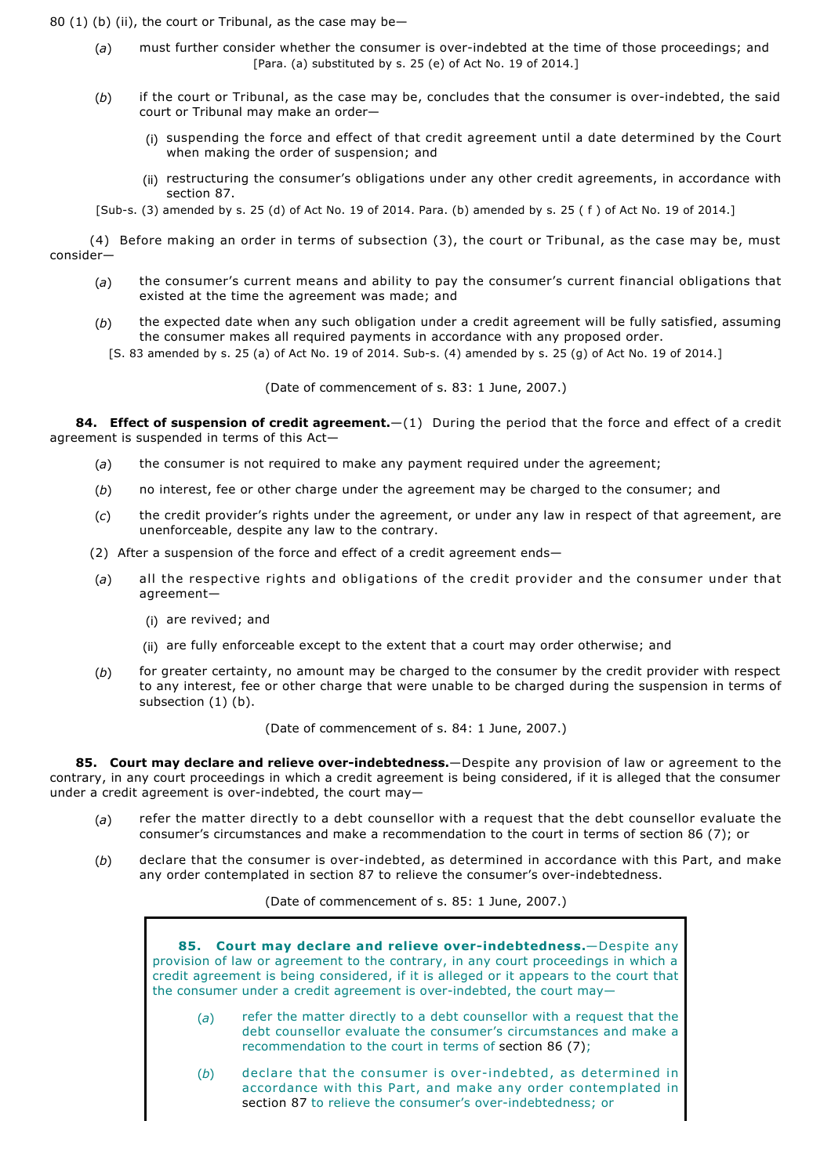80 (1) (b) (ii), the court or Tribunal, as the case may be—

- (*a*) must further consider whether the consumer is overindebted at the time of those proceedings; and [Para. (a) substituted by s. 25 (e) of Act No. 19 of 2014.]
- (*b*) if the court or Tribunal, as the case may be, concludes that the consumer is overindebted, the said court or Tribunal may make an order—
	- (i) suspending the force and effect of that credit agreement until a date determined by the Court when making the order of suspension; and
	- (ii) restructuring the consumer's obligations under any other credit agreements, in accordance with section 87.

[Subs. (3) amended by s. 25 (d) of Act No. 19 of 2014. Para. (b) amended by s. 25 ( f ) of Act No. 19 of 2014.]

(4) Before making an order in terms of subsection (3), the court or Tribunal, as the case may be, must consider—

- (*a*) the consumer's current means and ability to pay the consumer's current financial obligations that existed at the time the agreement was made; and
- (*b*) the expected date when any such obligation under a credit agreement will be fully satisfied, assuming the consumer makes all required payments in accordance with any proposed order.
	- [S. 83 amended by s. 25 (a) of Act No. 19 of 2014. Sub-s. (4) amended by s. 25 (g) of Act No. 19 of 2014.]

(Date of commencement of s. 83: 1 June, 2007.)

**84. Effect of suspension of credit agreement.**—(1) During the period that the force and effect of a credit agreement is suspended in terms of this Act—

- (*a*) the consumer is not required to make any payment required under the agreement;
- (*b*) no interest, fee or other charge under the agreement may be charged to the consumer; and
- (*c*) the credit provider's rights under the agreement, or under any law in respect of that agreement, are unenforceable, despite any law to the contrary.
- (2) After a suspension of the force and effect of a credit agreement ends—
- (*a*) all the respective rights and obligations of the credit provider and the consumer under that agreement—
	- (i) are revived; and
	- (ii) are fully enforceable except to the extent that a court may order otherwise; and
- (*b*) for greater certainty, no amount may be charged to the consumer by the credit provider with respect to any interest, fee or other charge that were unable to be charged during the suspension in terms of subsection (1) (b).

(Date of commencement of s. 84: 1 June, 2007.)

**85. Court may declare and relieve over-indebtedness.**—Despite any provision of law or agreement to the contrary, in any court proceedings in which a credit agreement is being considered, if it is alleged that the consumer under a credit agreement is over-indebted, the court may-

- (*a*) refer the matter directly to a debt counsellor with a request that the debt counsellor evaluate the consumer's circumstances and make a recommendation to the court in terms of section 86 (7); or
- (b) declare that the consumer is over-indebted, as determined in accordance with this Part, and make any order contemplated in section 87 to relieve the consumer's over-indebtedness.

(Date of commencement of s. 85: 1 June, 2007.)

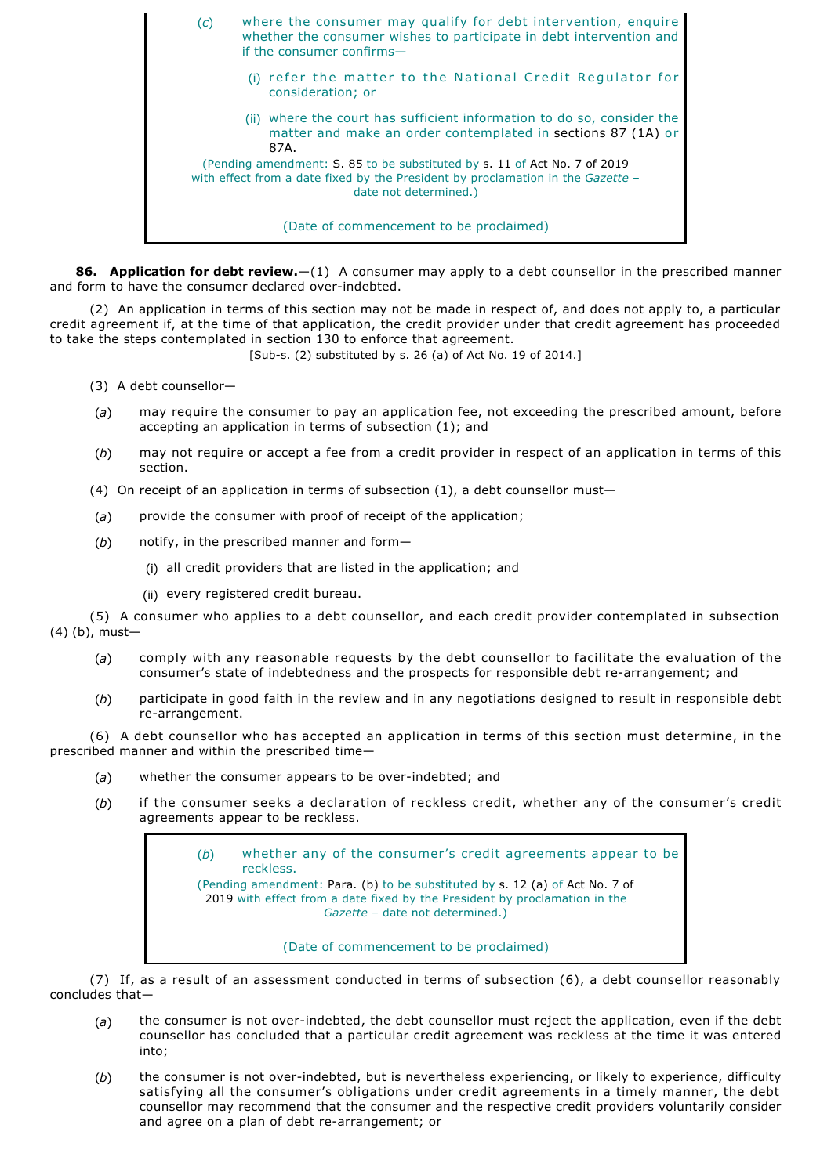(*c*) where the consumer may qualify for debt intervention, enquire whether the consumer wishes to participate in debt intervention and if the consumer confirms— (i) refer the matter to the National Credit Regulator for consideration; or (ii) where the court has sufficient information to do so, consider the matter and make an order contemplated in sections 87 (1A) or 87A. (Pending amendment: S. 85 to be substituted by s. 11 of Act No. 7 of 2019 with effect from a date fixed by the President by proclamation in the *Gazette* – date not determined.) (Date of commencement to be proclaimed)

**86. Application for debt review.**—(1) A consumer may apply to a debt counsellor in the prescribed manner and form to have the consumer declared overindebted.

(2) An application in terms of this section may not be made in respect of, and does not apply to, a particular credit agreement if, at the time of that application, the credit provider under that credit agreement has proceeded to take the steps contemplated in section 130 to enforce that agreement.

 $[Sub-s. (2)$  substituted by s. 26 (a) of Act No. 19 of 2014.]

(3) A debt counsellor—

- (*a*) may require the consumer to pay an application fee, not exceeding the prescribed amount, before accepting an application in terms of subsection (1); and
- (*b*) may not require or accept a fee from a credit provider in respect of an application in terms of this section.

(4) On receipt of an application in terms of subsection (1), a debt counsellor must—

- (*a*) provide the consumer with proof of receipt of the application;
- (*b*) notify, in the prescribed manner and form—
	- (i) all credit providers that are listed in the application; and
	- (ii) every registered credit bureau.

(5) A consumer who applies to a debt counsellor, and each credit provider contemplated in subsection (4) (b), must—

- (*a*) comply with any reasonable requests by the debt counsellor to facilitate the evaluation of the consumer's state of indebtedness and the prospects for responsible debt re-arrangement; and
- (*b*) participate in good faith in the review and in any negotiations designed to result in responsible debt re-arrangement.

(6) A debt counsellor who has accepted an application in terms of this section must determine, in the prescribed manner and within the prescribed time—

- (*a*) whether the consumer appears to be overindebted; and
- (*b*) if the consumer seeks a declaration of reckless credit, whether any of the consumer's credit agreements appear to be reckless.

(*b*) whether any of the consumer's credit agreements appear to be reckless. (Pending amendment: Para. (b) to be substituted by s. 12 (a) of Act No. 7 of 2019 with effect from a date fixed by the President by proclamation in the *Gazette* – date not determined.)

(Date of commencement to be proclaimed)

(7) If, as a result of an assessment conducted in terms of subsection (6), a debt counsellor reasonably concludes that—

- (a) the consumer is not over-indebted, the debt counsellor must reject the application, even if the debt counsellor has concluded that a particular credit agreement was reckless at the time it was entered into;
- (*b*) the consumer is not overindebted, but is nevertheless experiencing, or likely to experience, difficulty satisfying all the consumer's obligations under credit agreements in a timely manner, the debt counsellor may recommend that the consumer and the respective credit providers voluntarily consider and agree on a plan of debt re-arrangement; or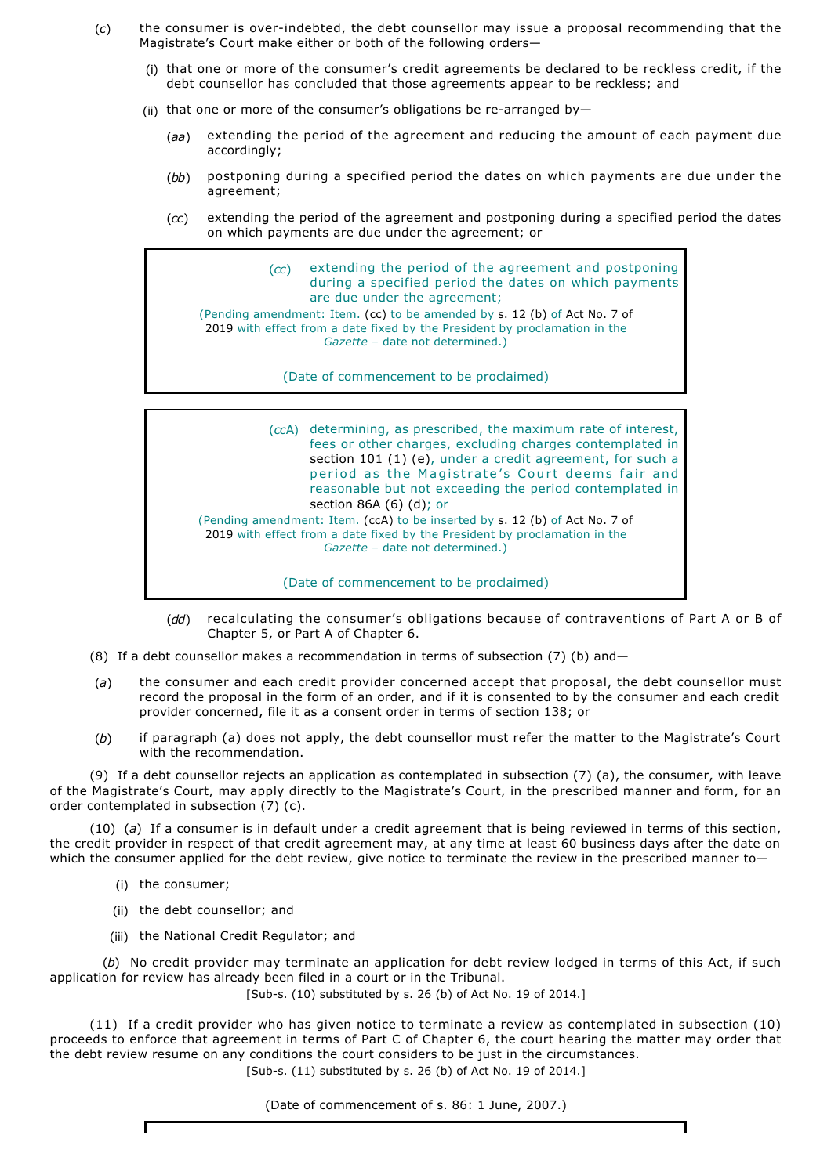- (*c*) the consumer is overindebted, the debt counsellor may issue a proposal recommending that the Magistrate's Court make either or both of the following orders—
	- (i) that one or more of the consumer's credit agreements be declared to be reckless credit, if the debt counsellor has concluded that those agreements appear to be reckless; and
	- (ii) that one or more of the consumer's obligations be re-arranged by-
		- ( *aa* ) extending the period of the agreement and reducing the amount of each payment due accordingly;
		- (*bb*) postponing during a specified period the dates on which payments are due under the agreement;
		- (*cc*) extending the period of the agreement and postponing during a specified period the dates on which payments are due under the agreement; or

(*cc*) extending the period of the agreement and postponing during a specified period the dates on which payments are due under the agreement; (Pending amendment: Item. (cc) to be amended by s. 12 (b) of Act No. 7 of 2019 with effect from a date fixed by the President by proclamation in the *Gazette* – date not determined.)

(Date of commencement to be proclaimed)

(*cc*A) determining, as prescribed, the maximum rate of interest, fees or other charges, excluding charges contemplated in section 101 (1) (e), under a credit agreement, for such a period as the Magistrate's Court deems fair and reasonable but not exceeding the period contemplated in section 86A (6) (d); or (Pending amendment: Item. (ccA) to be inserted by s. 12 (b) of Act No. 7 of 2019 with effect from a date fixed by the President by proclamation in the *Gazette* – date not determined.)

(Date of commencement to be proclaimed)

- (*dd*) recalculating the consumer's obligations because of contraventions of Part A or B of Chapter 5, or Part A of Chapter 6.
- (8) If a debt counsellor makes a recommendation in terms of subsection (7) (b) and—
- (*a*) the consumer and each credit provider concerned accept that proposal, the debt counsellor must record the proposal in the form of an order, and if it is consented to by the consumer and each credit provider concerned, file it as a consent order in terms of section 138; or
- (*b*) if paragraph (a) does not apply, the debt counsellor must refer the matter to the Magistrate's Court with the recommendation.

(9) If a debt counsellor rejects an application as contemplated in subsection (7) (a), the consumer, with leave of the Magistrate's Court, may apply directly to the Magistrate's Court, in the prescribed manner and form, for an order contemplated in subsection (7) (c).

(10) (*a*)If a consumer is in default under a credit agreement that is being reviewed in terms of this section, the credit provider in respect of that credit agreement may, at any time at least 60 business days after the date on which the consumer applied for the debt review, give notice to terminate the review in the prescribed manner to-

(i) the consumer;

 $\mathbf{r}$ 

- (ii) the debt counsellor; and
- (iii) the National Credit Regulator; and

(*b*) No credit provider may terminate an application for debt review lodged in terms of this Act, if such application for review has already been filed in a court or in the Tribunal.

[Sub-s. (10) substituted by s. 26 (b) of Act No. 19 of 2014.]

(11) If a credit provider who has given notice to terminate a review as contemplated in subsection (10) proceeds to enforce that agreement in terms of Part C of Chapter 6, the court hearing the matter may order that the debt review resume on any conditions the court considers to be just in the circumstances.  $[Sub-s. (11)$  substituted by s. 26 (b) of Act No. 19 of 2014.]

(Date of commencement of s. 86: 1 June, 2007.)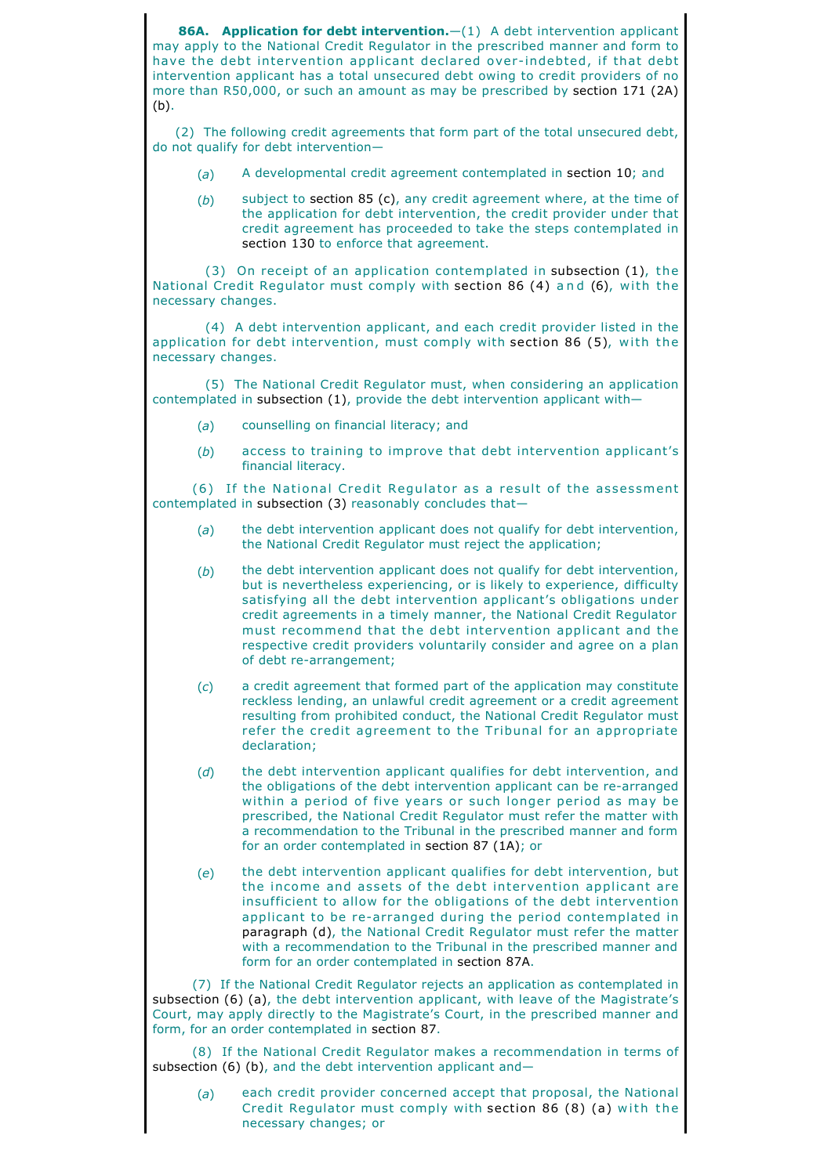**86A. Application for debt intervention.**  $-(1)$  A debt intervention applicant may apply to the National Credit Regulator in the prescribed manner and form to have the debt intervention applicant declared overindebted, if that debt intervention applicant has a total unsecured debt owing to credit providers of no more than R50,000, or such an amount as may be prescribed by section 171 (2A) (b).

(2) The following credit agreements that form part of the total unsecured debt, do not qualify for debt intervention—

- (*a*) A developmental credit agreement contemplated in section 10; and
- (*b*) subject to section 85 (c), any credit agreement where, at the time of the application for debt intervention, the credit provider under that credit agreement has proceeded to take the steps contemplated in section 130 to enforce that agreement.

(3) On receipt of an application contemplated in subsection (1), the National Credit Regulator must comply with section 86 (4) and (6), with the necessary changes.

(4) A debt intervention applicant, and each credit provider listed in the application for debt intervention, must comply with section 86 (5), with the necessary changes.

(5) The National Credit Regulator must, when considering an application contemplated in subsection (1), provide the debt intervention applicant with—

- (*a*) counselling on financial literacy; and
- (*b*) access to training to improve that debt intervention applicant's financial literacy.

(6) If the National Credit Regulator as a result of the assessment contemplated in subsection (3) reasonably concludes that—

- (*a*) the debt intervention applicant does not qualify for debt intervention, the National Credit Regulator must reject the application;
- (*b*) the debt intervention applicant does not qualify for debt intervention, but is nevertheless experiencing, or is likely to experience, difficulty satisfying all the debt intervention applicant's obligations under credit agreements in a timely manner, the National Credit Regulator must recommend that the debt intervention applicant and the respective credit providers voluntarily consider and agree on a plan of debt re-arrangement;
- (*c*) a credit agreement that formed part of the application may constitute reckless lending, an unlawful credit agreement or a credit agreement resulting from prohibited conduct, the National Credit Regulator must refer the credit agreement to the Tribunal for an appropriate declaration;
- (*d*) the debt intervention applicant qualifies for debt intervention, and the obligations of the debt intervention applicant can be re-arranged within a period of five years or such longer period as may be prescribed, the National Credit Regulator must refer the matter with a recommendation to the Tribunal in the prescribed manner and form for an order contemplated in section 87 (1A); or
- (*e*) the debt intervention applicant qualifies for debt intervention, but the income and assets of the debt intervention applicant are insufficient to allow for the obligations of the debt intervention applicant to be re-arranged during the period contemplated in paragraph (d), the National Credit Regulator must refer the matter with a recommendation to the Tribunal in the prescribed manner and form for an order contemplated in section 87A.

(7) If the National Credit Regulator rejects an application as contemplated in subsection (6) (a), the debt intervention applicant, with leave of the Magistrate's Court, may apply directly to the Magistrate's Court, in the prescribed manner and form, for an order contemplated in section 87.

(8) If the National Credit Regulator makes a recommendation in terms of subsection (6) (b), and the debt intervention applicant and-

(*a*) each credit provider concerned accept that proposal, the National Credit Regulator must comply with section 86 (8) (a) with the necessary changes; or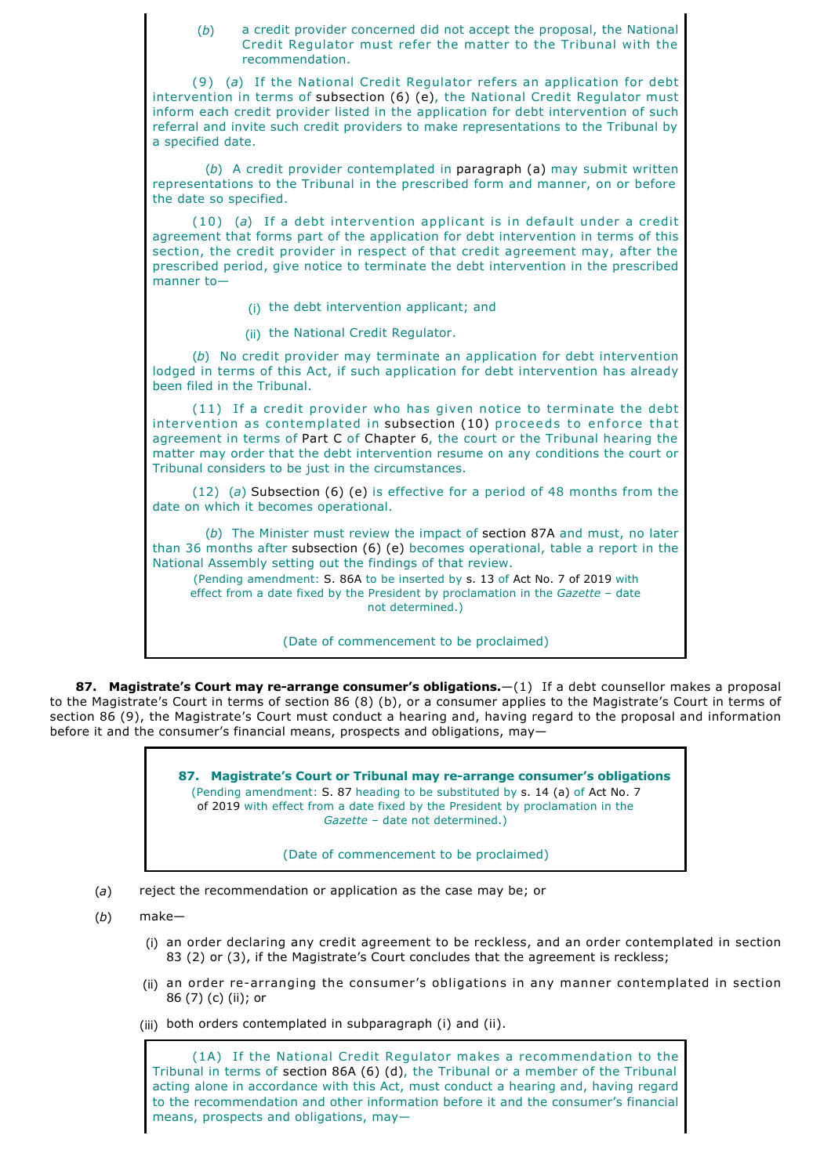| a credit provider concerned did not accept the proposal, the National<br>(b)<br>Credit Regulator must refer the matter to the Tribunal with the<br>recommendation.                                                                                                                                                                                                                                                   |
|----------------------------------------------------------------------------------------------------------------------------------------------------------------------------------------------------------------------------------------------------------------------------------------------------------------------------------------------------------------------------------------------------------------------|
| (9) (a) If the National Credit Regulator refers an application for debt<br>intervention in terms of subsection (6) (e), the National Credit Regulator must<br>inform each credit provider listed in the application for debt intervention of such<br>referral and invite such credit providers to make representations to the Tribunal by<br>a specified date.                                                       |
| (b) A credit provider contemplated in paragraph (a) may submit written<br>representations to the Tribunal in the prescribed form and manner, on or before<br>the date so specified.                                                                                                                                                                                                                                  |
| $(10)$ (a) If a debt intervention applicant is in default under a credit<br>agreement that forms part of the application for debt intervention in terms of this<br>section, the credit provider in respect of that credit agreement may, after the<br>prescribed period, give notice to terminate the debt intervention in the prescribed<br>manner $to-$                                                            |
| (i) the debt intervention applicant; and                                                                                                                                                                                                                                                                                                                                                                             |
| (ii) the National Credit Regulator.                                                                                                                                                                                                                                                                                                                                                                                  |
| (b) No credit provider may terminate an application for debt intervention<br>lodged in terms of this Act, if such application for debt intervention has already<br>been filed in the Tribunal.                                                                                                                                                                                                                       |
| (11) If a credit provider who has given notice to terminate the debt<br>intervention as contemplated in subsection (10) proceeds to enforce that<br>agreement in terms of Part C of Chapter 6, the court or the Tribunal hearing the<br>matter may order that the debt intervention resume on any conditions the court or<br>Tribunal considers to be just in the circumstances.                                     |
| $(12)$ (a) Subsection (6) (e) is effective for a period of 48 months from the<br>date on which it becomes operational.                                                                                                                                                                                                                                                                                               |
| (b) The Minister must review the impact of section 87A and must, no later<br>than 36 months after subsection (6) (e) becomes operational, table a report in the<br>National Assembly setting out the findings of that review.<br>(Pending amendment: S. 86A to be inserted by s. 13 of Act No. 7 of 2019 with<br>effect from a date fixed by the President by proclamation in the Gazette - date<br>not determined.) |
| (Date of commencement to be proclaimed)                                                                                                                                                                                                                                                                                                                                                                              |

**87. Magistrate's Court may re-arrange consumer's obligations.**—(1) If a debt counsellor makes a proposal to the Magistrate's Court in terms of section 86 (8) (b), or a consumer applies to the Magistrate's Court in terms of section 86 (9), the Magistrate's Court must conduct a hearing and, having regard to the proposal and information before it and the consumer's financial means, prospects and obligations, may—

> 87. Magistrate's Court or Tribunal may re-arrange consumer's obligations (Pending amendment: S. 87 heading to be substituted by s. 14 (a) of Act No. 7 of 2019 with effect from a date fixed by the President by proclamation in the *Gazette* – date not determined.)

> > (Date of commencement to be proclaimed)

- (*a*) reject the recommendation or application as the case may be; or
- (*b*) make—
	- (i) an order declaring any credit agreement to be reckless, and an order contemplated in section 83 (2) or (3), if the Magistrate's Court concludes that the agreement is reckless;
	- (ii) an order re-arranging the consumer's obligations in any manner contemplated in section 86 (7) (c) (ii); or

(iii) both orders contemplated in subparagraph (i) and (ii).

(1A) If the National Credit Regulator makes a recommendation to the Tribunal in terms of section 86A (6) (d), the Tribunal or a member of the Tribunal acting alone in accordance with this Act, must conduct a hearing and, having regard to the recommendation and other information before it and the consumer's financial means, prospects and obligations, may—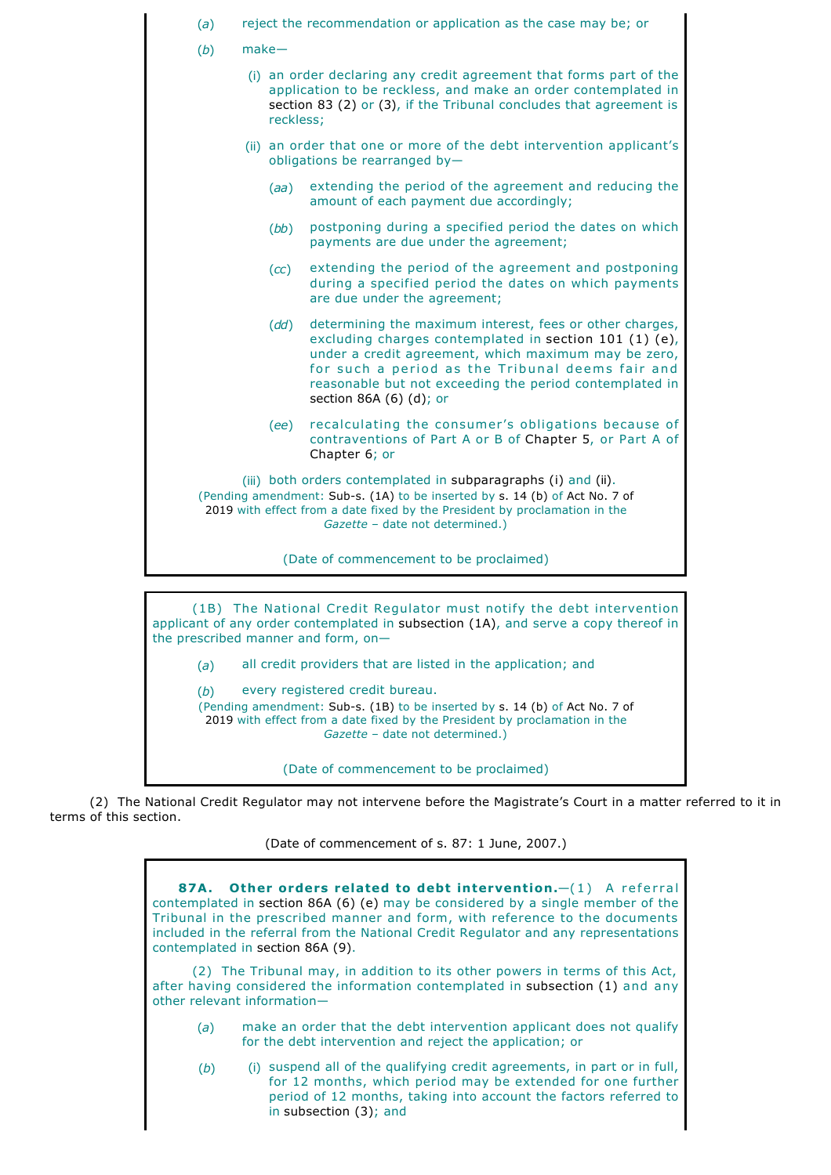

(2) The National Credit Regulator may not intervene before the Magistrate's Court in a matter referred to it in terms of this section.

(Date of commencement of s. 87: 1 June, 2007.)

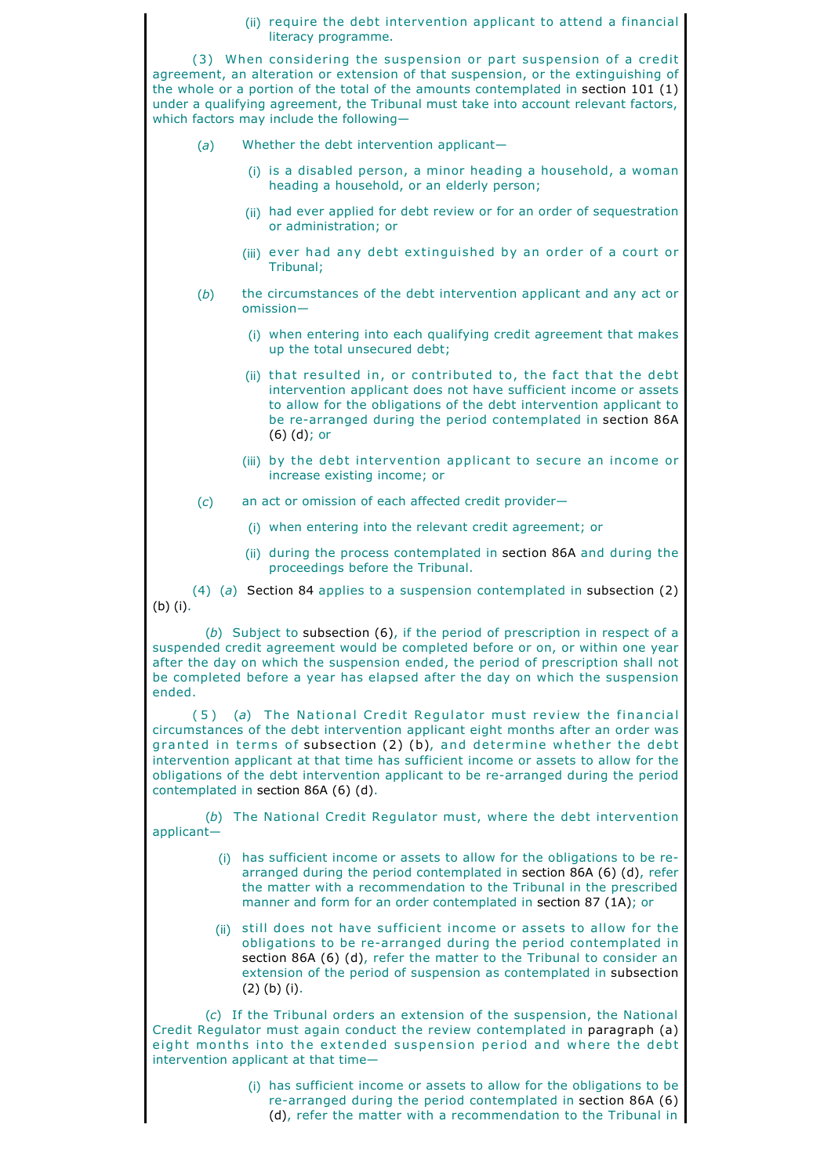|                                                                                                                                                                                                                                                                                                                                                                                                                                                     | (ii) require the debt intervention applicant to attend a financial<br>literacy programme.                                                                                                                                                                                                                 |  |  |  |
|-----------------------------------------------------------------------------------------------------------------------------------------------------------------------------------------------------------------------------------------------------------------------------------------------------------------------------------------------------------------------------------------------------------------------------------------------------|-----------------------------------------------------------------------------------------------------------------------------------------------------------------------------------------------------------------------------------------------------------------------------------------------------------|--|--|--|
| (3) When considering the suspension or part suspension of a credit<br>agreement, an alteration or extension of that suspension, or the extinguishing of<br>the whole or a portion of the total of the amounts contemplated in section $101$ (1)<br>under a qualifying agreement, the Tribunal must take into account relevant factors,<br>which factors may include the following-                                                                  |                                                                                                                                                                                                                                                                                                           |  |  |  |
| (a)                                                                                                                                                                                                                                                                                                                                                                                                                                                 | Whether the debt intervention applicant-                                                                                                                                                                                                                                                                  |  |  |  |
|                                                                                                                                                                                                                                                                                                                                                                                                                                                     | (i) is a disabled person, a minor heading a household, a woman<br>heading a household, or an elderly person;                                                                                                                                                                                              |  |  |  |
|                                                                                                                                                                                                                                                                                                                                                                                                                                                     | (ii) had ever applied for debt review or for an order of sequestration<br>or administration; or                                                                                                                                                                                                           |  |  |  |
|                                                                                                                                                                                                                                                                                                                                                                                                                                                     | (iii) ever had any debt extinguished by an order of a court or<br>Tribunal;                                                                                                                                                                                                                               |  |  |  |
| (b)                                                                                                                                                                                                                                                                                                                                                                                                                                                 | the circumstances of the debt intervention applicant and any act or<br>$omission-$                                                                                                                                                                                                                        |  |  |  |
|                                                                                                                                                                                                                                                                                                                                                                                                                                                     | (i) when entering into each qualifying credit agreement that makes<br>up the total unsecured debt;                                                                                                                                                                                                        |  |  |  |
|                                                                                                                                                                                                                                                                                                                                                                                                                                                     | (ii) that resulted in, or contributed to, the fact that the debt<br>intervention applicant does not have sufficient income or assets<br>to allow for the obligations of the debt intervention applicant to<br>be re-arranged during the period contemplated in section 86A<br>$(6)$ $(d)$ ; or            |  |  |  |
|                                                                                                                                                                                                                                                                                                                                                                                                                                                     | (iii) by the debt intervention applicant to secure an income or<br>increase existing income; or                                                                                                                                                                                                           |  |  |  |
| (c)                                                                                                                                                                                                                                                                                                                                                                                                                                                 | an act or omission of each affected credit provider-                                                                                                                                                                                                                                                      |  |  |  |
|                                                                                                                                                                                                                                                                                                                                                                                                                                                     | (i) when entering into the relevant credit agreement; or                                                                                                                                                                                                                                                  |  |  |  |
|                                                                                                                                                                                                                                                                                                                                                                                                                                                     | (ii) during the process contemplated in section 86A and during the<br>proceedings before the Tribunal.                                                                                                                                                                                                    |  |  |  |
| $(4)$ (a) Section 84 applies to a suspension contemplated in subsection (2)<br>(b) (i).                                                                                                                                                                                                                                                                                                                                                             |                                                                                                                                                                                                                                                                                                           |  |  |  |
| (b) Subject to subsection $(6)$ , if the period of prescription in respect of a<br>suspended credit agreement would be completed before or on, or within one year<br>after the day on which the suspension ended, the period of prescription shall not<br>be completed before a year has elapsed after the day on which the suspension<br>ended.                                                                                                    |                                                                                                                                                                                                                                                                                                           |  |  |  |
| (5) (a) The National Credit Regulator must review the financial<br>circumstances of the debt intervention applicant eight months after an order was<br>granted in terms of subsection (2) (b), and determine whether the debt<br>intervention applicant at that time has sufficient income or assets to allow for the<br>obligations of the debt intervention applicant to be re-arranged during the period<br>contemplated in section 86A (6) (d). |                                                                                                                                                                                                                                                                                                           |  |  |  |
| (b) The National Credit Regulator must, where the debt intervention<br>applicant-                                                                                                                                                                                                                                                                                                                                                                   |                                                                                                                                                                                                                                                                                                           |  |  |  |
|                                                                                                                                                                                                                                                                                                                                                                                                                                                     | (i) has sufficient income or assets to allow for the obligations to be re-<br>arranged during the period contemplated in section 86A (6) (d), refer<br>the matter with a recommendation to the Tribunal in the prescribed<br>manner and form for an order contemplated in section 87 (1A); or             |  |  |  |
|                                                                                                                                                                                                                                                                                                                                                                                                                                                     | (ii) still does not have sufficient income or assets to allow for the<br>obligations to be re-arranged during the period contemplated in<br>section 86A (6) (d), refer the matter to the Tribunal to consider an<br>extension of the period of suspension as contemplated in subsection<br>$(2)$ (b) (i). |  |  |  |

(*c*) If the Tribunal orders an extension of the suspension, the National Credit Regulator must again conduct the review contemplated in paragraph (a) eight months into the extended suspension period and where the debt intervention applicant at that time—

> (i) has sufficient income or assets to allow for the obligations to be re-arranged during the period contemplated in section 86A (6) (d), refer the matter with a recommendation to the Tribunal in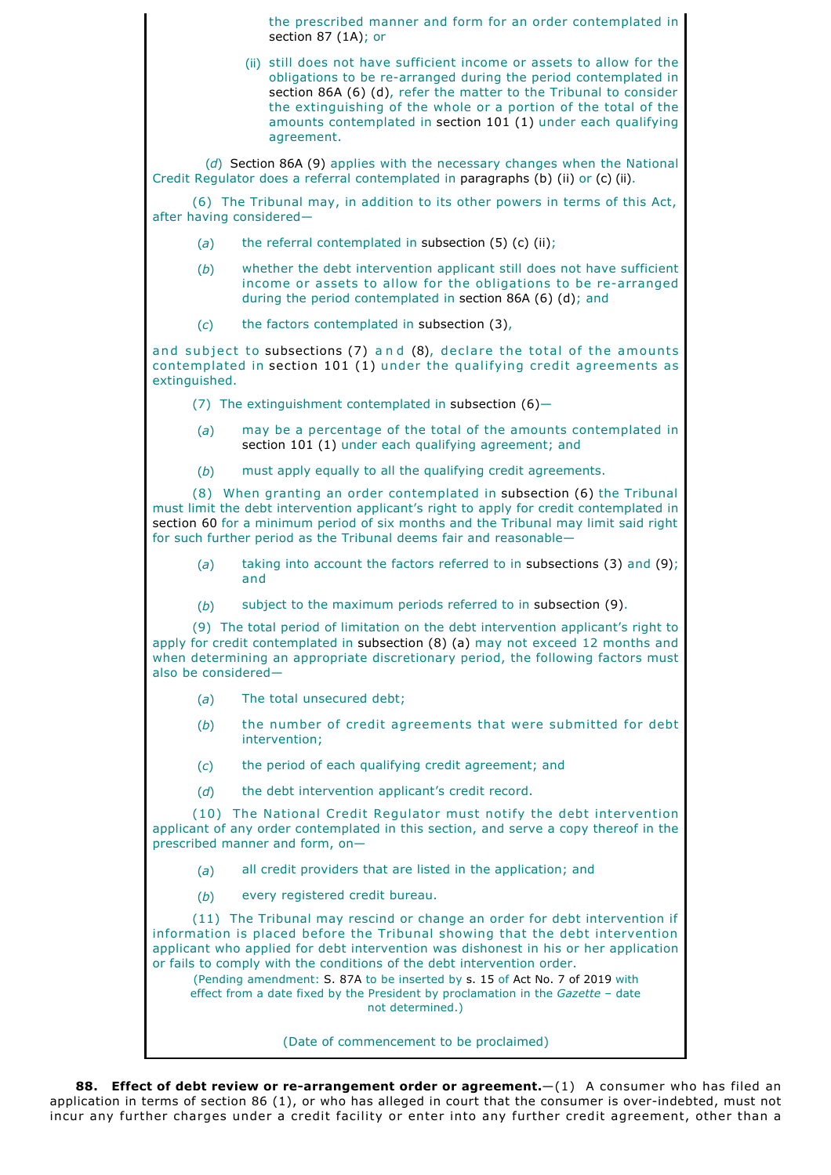the prescribed manner and form for an order contemplated in section 87 (1A); or

(ii) still does not have sufficient income or assets to allow for the obligations to be re-arranged during the period contemplated in section 86A (6) (d), refer the matter to the Tribunal to consider the extinguishing of the whole or a portion of the total of the amounts contemplated in section 101 (1) under each qualifying agreement.

(*d*) Section 86A (9) applies with the necessary changes when the National Credit Regulator does a referral contemplated in paragraphs (b) (ii) or (c) (ii).

(6) The Tribunal may, in addition to its other powers in terms of this Act, after having considered—

- (*a*) the referral contemplated in subsection (5) (c) (ii);
- (*b*) whether the debt intervention applicant still does not have sufficient income or assets to allow for the obligations to be re-arranged during the period contemplated in section 86A (6) (d); and
- (*c*) the factors contemplated in subsection (3),

and subject to subsections  $(7)$  and  $(8)$ , declare the total of the amounts contemplated in section 101 (1) under the qualifying credit agreements as extinguished.

(7) The extinguishment contemplated in subsection  $(6)$ -

- (*a*) may be a percentage of the total of the amounts contemplated in section 101 (1) under each qualifying agreement; and
- (*b*) must apply equally to all the qualifying credit agreements.

(8) When granting an order contemplated in subsection (6) the Tribunal must limit the debt intervention applicant's right to apply for credit contemplated in section 60 for a minimum period of six months and the Tribunal may limit said right for such further period as the Tribunal deems fair and reasonable—

- (*a*) taking into account the factors referred to in subsections (3) and (9); and
- (*b*) subject to the maximum periods referred to in subsection (9).

(9) The total period of limitation on the debt intervention applicant's right to apply for credit contemplated in subsection (8) (a) may not exceed 12 months and when determining an appropriate discretionary period, the following factors must also be considered—

- (*a*) The total unsecured debt;
- (*b*) the number of credit agreements that were submitted for debt intervention;
- (*c*) the period of each qualifying credit agreement; and
- (*d*) the debt intervention applicant's credit record.

(10) The National Credit Regulator must notify the debt intervention applicant of any order contemplated in this section, and serve a copy thereof in the prescribed manner and form, on-

- (*a*) all credit providers that are listed in the application; and
- (*b*) every registered credit bureau.

(11) The Tribunal may rescind or change an order for debt intervention if information is placed before the Tribunal showing that the debt intervention applicant who applied for debt intervention was dishonest in his or her application or fails to comply with the conditions of the debt intervention order.

(Pending amendment: S. 87A to be inserted by s. 15 of Act No. 7 of 2019 with effect from a date fixed by the President by proclamation in the *Gazette* – date not determined.)

(Date of commencement to be proclaimed)

88. Effect of debt review or re-arrangement order or agreement.  $-(1)$  A consumer who has filed an application in terms of section 86 (1), or who has alleged in court that the consumer is overindebted, must not incur any further charges under a credit facility or enter into any further credit agreement, other than a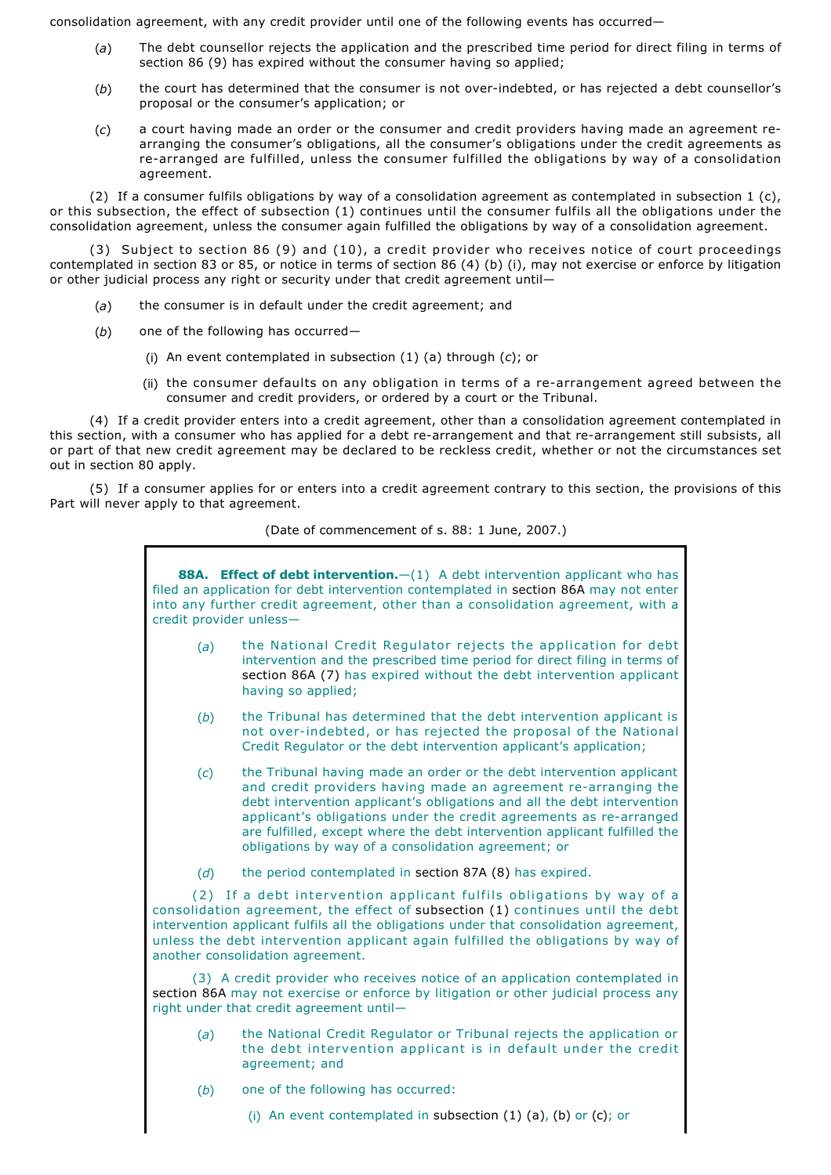consolidation agreement, with any credit provider until one of the following events has occurred—

- (*a*) The debt counsellor rejects the application and the prescribed time period for direct filing in terms of section 86 (9) has expired without the consumer having so applied;
- (*b*) the court has determined that the consumer is not overindebted, or has rejected a debt counsellor's proposal or the consumer's application; or
- (*c*) a court having made an order or the consumer and credit providers having made an agreement rearranging the consumer's obligations, all the consumer's obligations under the credit agreements as re-arranged are fulfilled, unless the consumer fulfilled the obligations by way of a consolidation agreement.

(2) If a consumer fulfils obligations by way of a consolidation agreement as contemplated in subsection 1 (c), or this subsection, the effect of subsection (1) continues until the consumer fulfils all the obligations under the consolidation agreement, unless the consumer again fulfilled the obligations by way of a consolidation agreement.

(3) Subject to section 86 (9) and (10), a credit provider who receives notice of court proceedings contemplated in section 83 or 85, or notice in terms of section 86 (4) (b) (i), may not exercise or enforce by litigation or other judicial process any right or security under that credit agreement until—

- (*a*) the consumer is in default under the credit agreement; and
- (*b*) one of the following has occurred—
	- (i) An event contemplated in subsection (1) (a) through (*c*); or
	- (ii) the consumer defaults on any obligation in terms of a re-arrangement agreed between the consumer and credit providers, or ordered by a court or the Tribunal.

(4) If a credit provider enters into a credit agreement, other than a consolidation agreement contemplated in this section, with a consumer who has applied for a debt re-arrangement and that re-arrangement still subsists, all or part of that new credit agreement may be declared to be reckless credit, whether or not the circumstances set out in section 80 apply.

(5) If a consumer applies for or enters into a credit agreement contrary to this section, the provisions of this Part will never apply to that agreement.

## (Date of commencement of s. 88: 1 June, 2007.)

| <b>88A.</b> Effect of debt intervention. - (1) A debt intervention applicant who has<br>filed an application for debt intervention contemplated in section 86A may not enter<br>into any further credit agreement, other than a consolidation agreement, with a<br>credit provider unless-                                                                               |                                                                                                                                                                                                                                                                                                                                                                                                                             |  |  |  |
|--------------------------------------------------------------------------------------------------------------------------------------------------------------------------------------------------------------------------------------------------------------------------------------------------------------------------------------------------------------------------|-----------------------------------------------------------------------------------------------------------------------------------------------------------------------------------------------------------------------------------------------------------------------------------------------------------------------------------------------------------------------------------------------------------------------------|--|--|--|
| (a)                                                                                                                                                                                                                                                                                                                                                                      | the National Credit Regulator rejects the application for debt<br>intervention and the prescribed time period for direct filing in terms of<br>section 86A (7) has expired without the debt intervention applicant<br>having so applied;                                                                                                                                                                                    |  |  |  |
| (b)                                                                                                                                                                                                                                                                                                                                                                      | the Tribunal has determined that the debt intervention applicant is<br>not over-indebted, or has rejected the proposal of the National<br>Credit Regulator or the debt intervention applicant's application;                                                                                                                                                                                                                |  |  |  |
| (c)                                                                                                                                                                                                                                                                                                                                                                      | the Tribunal having made an order or the debt intervention applicant<br>and credit providers having made an agreement re-arranging the<br>debt intervention applicant's obligations and all the debt intervention<br>applicant's obligations under the credit agreements as re-arranged<br>are fulfilled, except where the debt intervention applicant fulfilled the<br>obligations by way of a consolidation agreement; or |  |  |  |
| (d)                                                                                                                                                                                                                                                                                                                                                                      | the period contemplated in section 87A (8) has expired.                                                                                                                                                                                                                                                                                                                                                                     |  |  |  |
| (2) If a debt intervention applicant fulfils obligations by way of a<br>consolidation agreement, the effect of subsection (1) continues until the debt<br>intervention applicant fulfils all the obligations under that consolidation agreement,<br>unless the debt intervention applicant again fulfilled the obligations by way of<br>another consolidation agreement. |                                                                                                                                                                                                                                                                                                                                                                                                                             |  |  |  |
| (3) A credit provider who receives notice of an application contemplated in<br>section 86A may not exercise or enforce by litigation or other judicial process any<br>right under that credit agreement until-                                                                                                                                                           |                                                                                                                                                                                                                                                                                                                                                                                                                             |  |  |  |
| (a)                                                                                                                                                                                                                                                                                                                                                                      | the National Credit Regulator or Tribunal rejects the application or<br>the debt intervention applicant is in default under the credit<br>agreement; and                                                                                                                                                                                                                                                                    |  |  |  |
| (b)                                                                                                                                                                                                                                                                                                                                                                      | one of the following has occurred:                                                                                                                                                                                                                                                                                                                                                                                          |  |  |  |
|                                                                                                                                                                                                                                                                                                                                                                          | (i) An event contemplated in subsection (1) (a), (b) or (c); or                                                                                                                                                                                                                                                                                                                                                             |  |  |  |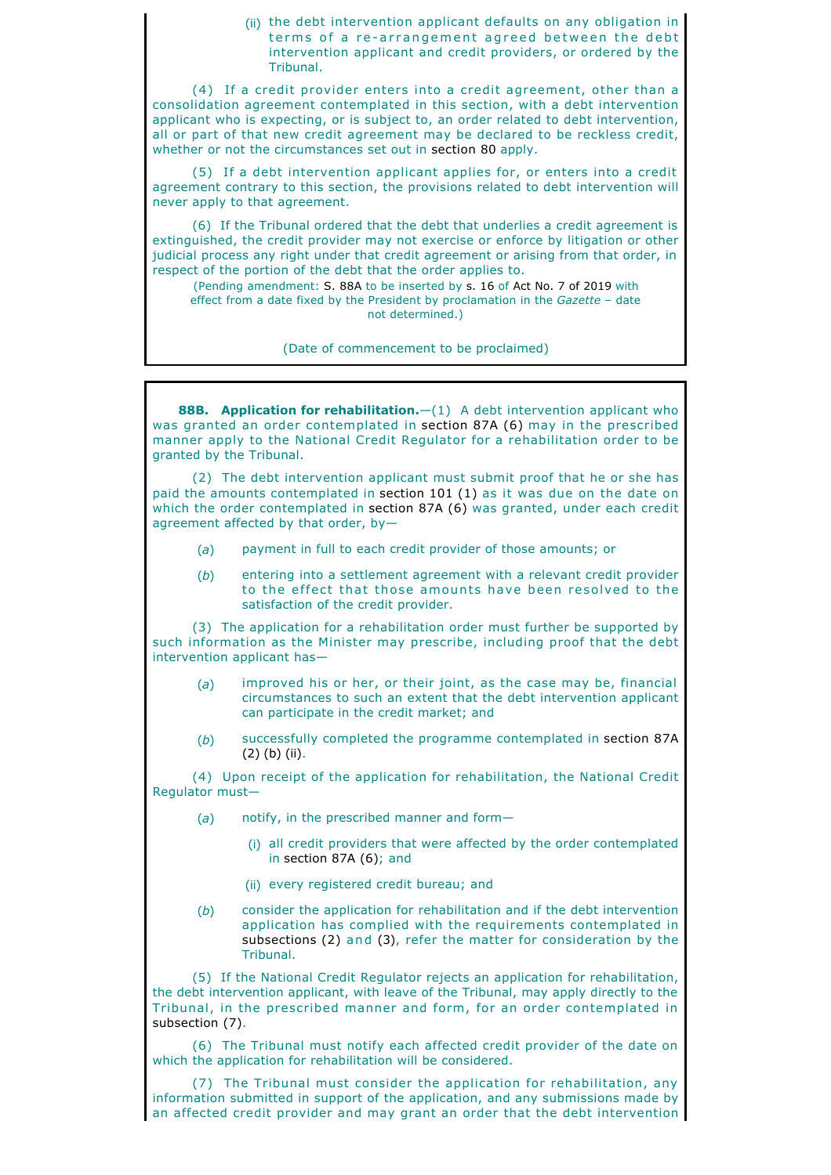(ii) the debt intervention applicant defaults on any obligation in terms of a re-arrangement agreed between the debt intervention applicant and credit providers, or ordered by the Tribunal.

(4) If a credit provider enters into a credit agreement, other than a consolidation agreement contemplated in this section, with a debt intervention applicant who is expecting, or is subject to, an order related to debt intervention, all or part of that new credit agreement may be declared to be reckless credit, whether or not the circumstances set out in section 80 apply.

(5) If a debt intervention applicant applies for, or enters into a credit agreement contrary to this section, the provisions related to debt intervention will never apply to that agreement.

(6) If the Tribunal ordered that the debt that underlies a credit agreement is extinguished, the credit provider may not exercise or enforce by litigation or other judicial process any right under that credit agreement or arising from that order, in respect of the portion of the debt that the order applies to.

(Pending amendment: S. 88A to be inserted by s. 16 of Act No. 7 of 2019 with effect from a date fixed by the President by proclamation in the *Gazette* – date not determined.)

(Date of commencement to be proclaimed)

**88B. Application for rehabilitation.**—(1) A debt intervention applicant who was granted an order contemplated in section 87A (6) may in the prescribed manner apply to the National Credit Regulator for a rehabilitation order to be granted by the Tribunal.

(2) The debt intervention applicant must submit proof that he or she has paid the amounts contemplated in section 101 (1) as it was due on the date on which the order contemplated in section 87A (6) was granted, under each credit agreement affected by that order, by—

- (*a*) payment in full to each credit provider of those amounts; or
- (*b*) entering into a settlement agreement with a relevant credit provider to the effect that those amounts have been resolved to the satisfaction of the credit provider.

(3) The application for a rehabilitation order must further be supported by such information as the Minister may prescribe, including proof that the debt intervention applicant has-

- (*a*) improved his or her, or their joint, as the case may be, financial circumstances to such an extent that the debt intervention applicant can participate in the credit market; and
- (*b*) successfully completed the programme contemplated in section 87A (2) (b) (ii).

(4) Upon receipt of the application for rehabilitation, the National Credit Regulator must—

- (*a*) notify, in the prescribed manner and form—
	- (i) all credit providers that were affected by the order contemplated in section 87A (6); and
	- (ii) every registered credit bureau; and
- (*b*) consider the application for rehabilitation and if the debt intervention application has complied with the requirements contemplated in subsections (2) and (3), refer the matter for consideration by the Tribunal.

(5) If the National Credit Regulator rejects an application for rehabilitation, the debt intervention applicant, with leave of the Tribunal, may apply directly to the Tribunal, in the prescribed manner and form, for an order contemplated in subsection (7).

(6) The Tribunal must notify each affected credit provider of the date on which the application for rehabilitation will be considered.

(7) The Tribunal must consider the application for rehabilitation, any information submitted in support of the application, and any submissions made by an affected credit provider and may grant an order that the debt intervention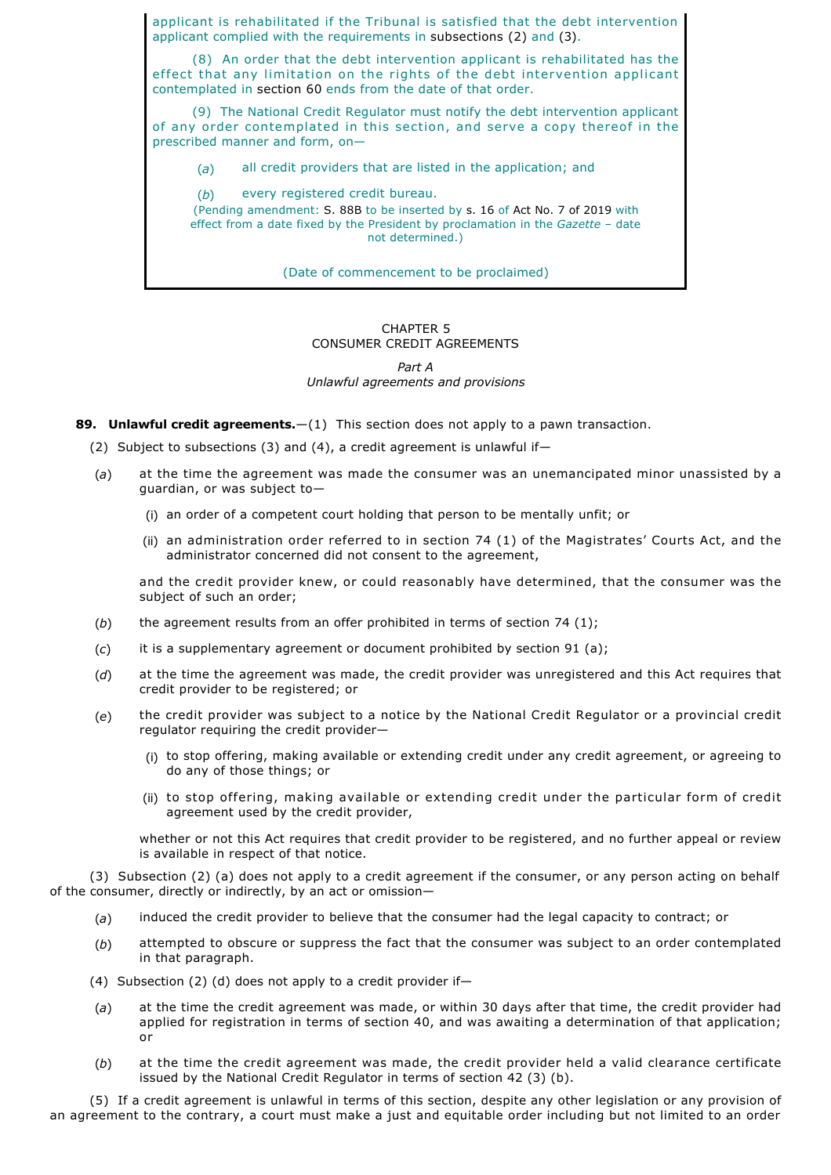applicant is rehabilitated if the Tribunal is satisfied that the debt intervention applicant complied with the requirements in subsections (2) and (3).

(8) An order that the debt intervention applicant is rehabilitated has the effect that any limitation on the rights of the debt intervention applicant contemplated in section 60 ends from the date of that order.

(9) The National Credit Regulator must notify the debt intervention applicant of any order contemplated in this section, and serve a copy thereof in the prescribed manner and form, on—

(*a*) all credit providers that are listed in the application; and

(*b*) every registered credit bureau. (Pending amendment: S. 88B to be inserted by s. 16 of Act No. 7 of 2019 with effect from a date fixed by the President by proclamation in the *Gazette* – date not determined.)

(Date of commencement to be proclaimed)

## CHAPTER 5 CONSUMER CREDIT AGREEMENTS

# *Part A Unlawful agreements and provisions*

**89. Unlawful credit agreements.**—(1) This section does not apply to a pawn transaction.

(2) Subject to subsections (3) and (4), a credit agreement is unlawful if—

- (*a*) at the time the agreement was made the consumer was an unemancipated minor unassisted by a guardian, or was subject to—
	- (i) an order of a competent court holding that person to be mentally unfit; or
	- (ii) an administration order referred to in section 74 (1) of the Magistrates' Courts Act, and the administrator concerned did not consent to the agreement,

and the credit provider knew, or could reasonably have determined, that the consumer was the subject of such an order;

- (*b*) the agreement results from an offer prohibited in terms of section 74 (1);
- (*c*) it is a supplementary agreement or document prohibited by section 91 (a);
- (*d*) at the time the agreement was made, the credit provider was unregistered and this Act requires that credit provider to be registered; or
- (*e*) the credit provider was subject to a notice by the National Credit Regulator or a provincial credit regulator requiring the credit provider—
	- (i) to stop offering, making available or extending credit under any credit agreement, or agreeing to do any of those things; or
	- (ii) to stop offering, making available or extending credit under the particular form of credit agreement used by the credit provider,

whether or not this Act requires that credit provider to be registered, and no further appeal or review is available in respect of that notice.

(3) Subsection (2) (a) does not apply to a credit agreement if the consumer, or any person acting on behalf of the consumer, directly or indirectly, by an act or omission—

- (*a*) induced the credit provider to believe that the consumer had the legal capacity to contract; or
- (*b*) attempted to obscure or suppress the fact that the consumer was subject to an order contemplated in that paragraph.
- (4) Subsection (2) (d) does not apply to a credit provider if—
- (*a*) at the time the credit agreement was made, or within 30 days after that time, the credit provider had applied for registration in terms of section 40, and was awaiting a determination of that application; or
- (*b*) at the time the credit agreement was made, the credit provider held a valid clearance certificate issued by the National Credit Regulator in terms of section 42 (3) (b).

(5) If a credit agreement is unlawful in terms of this section, despite any other legislation or any provision of an agreement to the contrary, a court must make a just and equitable order including but not limited to an order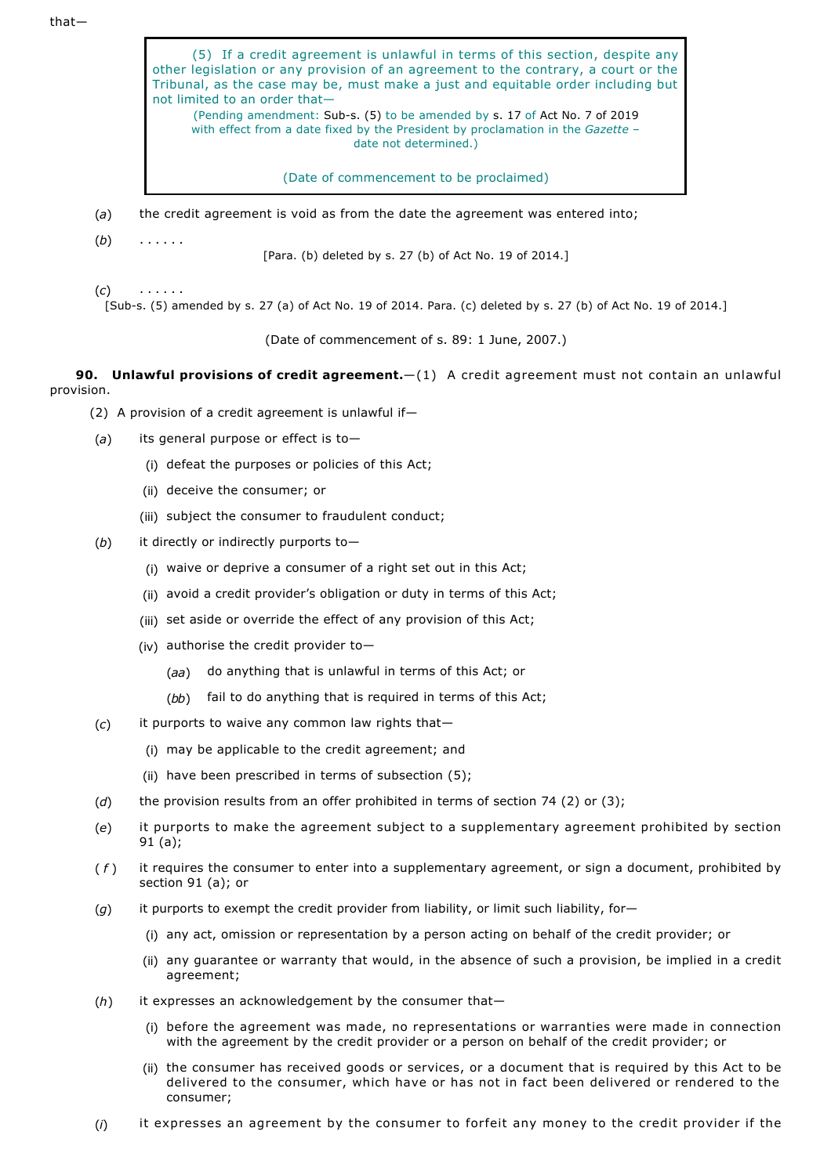that—

| (5) If a credit agreement is unlawful in terms of this section, despite any<br>other legislation or any provision of an agreement to the contrary, a court or the<br>Tribunal, as the case may be, must make a just and equitable order including but<br>not limited to an order that-<br>(Pending amendment: Sub-s. (5) to be amended by s. 17 of Act No. 7 of 2019<br>with effect from a date fixed by the President by proclamation in the Gazette -<br>date not determined.) |
|----------------------------------------------------------------------------------------------------------------------------------------------------------------------------------------------------------------------------------------------------------------------------------------------------------------------------------------------------------------------------------------------------------------------------------------------------------------------------------|
| (Date of commencement to be proclaimed)                                                                                                                                                                                                                                                                                                                                                                                                                                          |

- (*a*) the credit agreement is void as from the date the agreement was entered into;
- (*b*) . . . . . .

[Para. (b) deleted by s. 27 (b) of Act No. 19 of 2014.]

(*c*) . . . . . .

[Sub-s. (5) amended by s. 27 (a) of Act No. 19 of 2014. Para. (c) deleted by s. 27 (b) of Act No. 19 of 2014.]

(Date of commencement of s. 89: 1 June, 2007.)

**90. Unlawful provisions of credit agreement.**—(1) A credit agreement must not contain an unlawful provision.

- (2) A provision of a credit agreement is unlawful if—
- (*a*) its general purpose or effect is to—
	- (i) defeat the purposes or policies of this Act;
	- (ii) deceive the consumer; or
	- (iii) subject the consumer to fraudulent conduct;
- (*b*) it directly or indirectly purports to—
	- (i) waive or deprive a consumer of a right set out in this Act;
	- (ii) avoid a credit provider's obligation or duty in terms of this Act;
	- (iii) set aside or override the effect of any provision of this Act;
	- (iv) authorise the credit provider to—
		- (*aa*) do anything that is unlawful in terms of this Act; or
		- (*bb*) fail to do anything that is required in terms of this Act;
- (*c*) it purports to waive any common law rights that—
	- (i) may be applicable to the credit agreement; and
	- (ii) have been prescribed in terms of subsection  $(5)$ ;
- (*d*) the provision results from an offer prohibited in terms of section 74 (2) or (3);
- (*e*) it purports to make the agreement subject to a supplementary agreement prohibited by section 91 (a);
- ( *f* ) it requires the consumer to enter into a supplementary agreement, or sign a document, prohibited by section 91 (a); or
- (*g*) it purports to exempt the credit provider from liability, or limit such liability, for—
	- (i) any act, omission or representation by a person acting on behalf of the credit provider; or
	- (ii) any guarantee or warranty that would, in the absence of such a provision, be implied in a credit agreement;
- (*h*) it expresses an acknowledgement by the consumer that—
	- (i) before the agreement was made, no representations or warranties were made in connection with the agreement by the credit provider or a person on behalf of the credit provider; or
	- (ii) the consumer has received goods or services, or a document that is required by this Act to be delivered to the consumer, which have or has not in fact been delivered or rendered to the consumer;
- (*i*) it expresses an agreement by the consumer to forfeit any money to the credit provider if the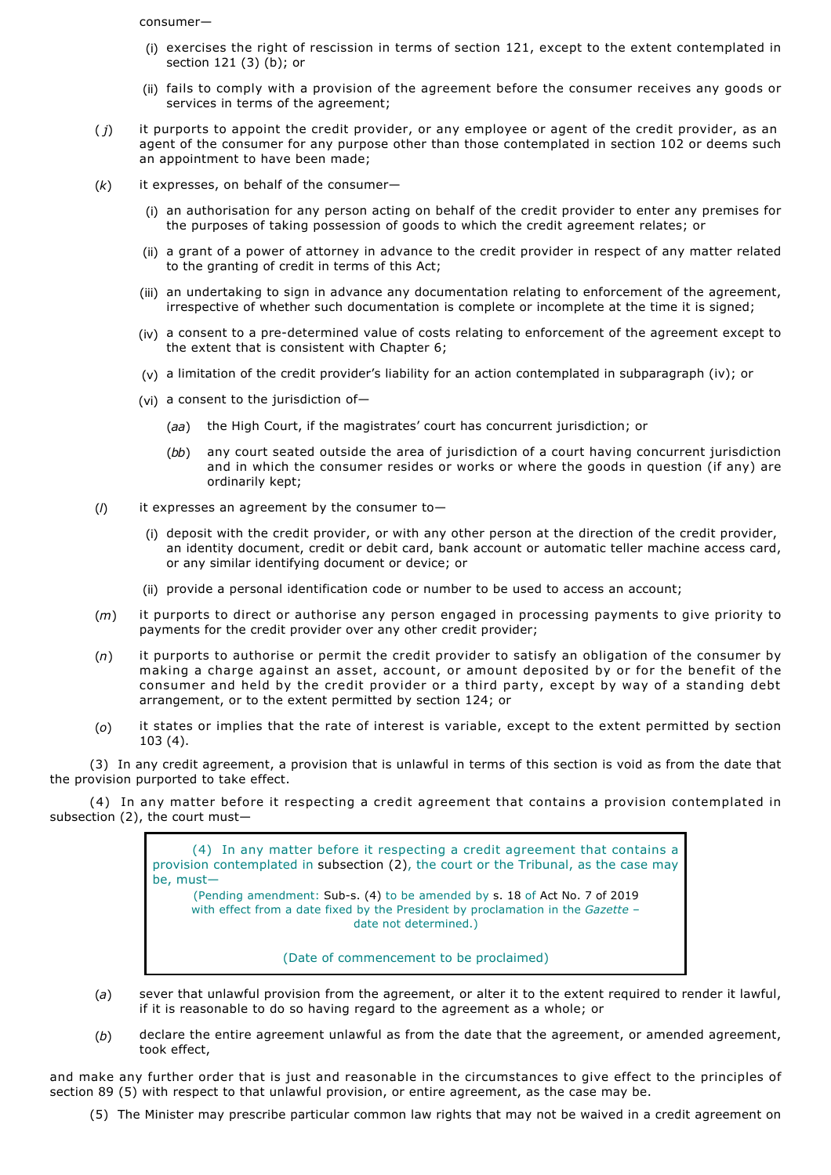consumer—

- (i) exercises the right of rescission in terms of section 121, except to the extent contemplated in section 121 (3) (b); or
- (ii) fails to comply with a provision of the agreement before the consumer receives any goods or services in terms of the agreement;
- ( *j*) it purports to appoint the credit provider, or any employee or agent of the credit provider, as an agent of the consumer for any purpose other than those contemplated in section 102 or deems such an appointment to have been made;
- (*k*) it expresses, on behalf of the consumer—
	- (i) an authorisation for any person acting on behalf of the credit provider to enter any premises for the purposes of taking possession of goods to which the credit agreement relates; or
	- (ii) a grant of a power of attorney in advance to the credit provider in respect of any matter related to the granting of credit in terms of this Act;
	- (iii) an undertaking to sign in advance any documentation relating to enforcement of the agreement, irrespective of whether such documentation is complete or incomplete at the time it is signed;
	- (iv) a consent to a pre-determined value of costs relating to enforcement of the agreement except to the extent that is consistent with Chapter 6;
	- (v) a limitation of the credit provider's liability for an action contemplated in subparagraph (iv); or
	- (vi) a consent to the jurisdiction of—
		- (*aa*) the High Court, if the magistrates' court has concurrent jurisdiction; or
		- (*bb*) any court seated outside the area of jurisdiction of a court having concurrent jurisdiction and in which the consumer resides or works or where the goods in question (if any) are ordinarily kept;
- (*l*) it expresses an agreement by the consumer to—
	- (i) deposit with the credit provider, or with any other person at the direction of the credit provider, an identity document, credit or debit card, bank account or automatic teller machine access card, or any similar identifying document or device; or
	- (ii) provide a personal identification code or number to be used to access an account;
- (*m*) it purports to direct or authorise any person engaged in processing payments to give priority to payments for the credit provider over any other credit provider;
- (*n*) it purports to authorise or permit the credit provider to satisfy an obligation of the consumer by making a charge against an asset, account, or amount deposited by or for the benefit of the consumer and held by the credit provider or a third party, except by way of a standing debt arrangement, or to the extent permitted by section 124; or
- (*o*) it states or implies that the rate of interest is variable, except to the extent permitted by section 103 (4).

(3) In any credit agreement, a provision that is unlawful in terms of this section is void as from the date that the provision purported to take effect.

(4) In any matter before it respecting a credit agreement that contains a provision contemplated in subsection (2), the court must—

> (4) In any matter before it respecting a credit agreement that contains a provision contemplated in subsection (2), the court or the Tribunal, as the case may be, must— (Pending amendment: Sub-s. (4) to be amended by s. 18 of Act No. 7 of 2019 with effect from a date fixed by the President by proclamation in the *Gazette* – date not determined.)

> > (Date of commencement to be proclaimed)

- (*a*) sever that unlawful provision from the agreement, or alter it to the extent required to render it lawful, if it is reasonable to do so having regard to the agreement as a whole; or
- (*b*) declare the entire agreement unlawful as from the date that the agreement, or amended agreement, took effect,

and make any further order that is just and reasonable in the circumstances to give effect to the principles of section 89 (5) with respect to that unlawful provision, or entire agreement, as the case may be.

(5) The Minister may prescribe particular common law rights that may not be waived in a credit agreement on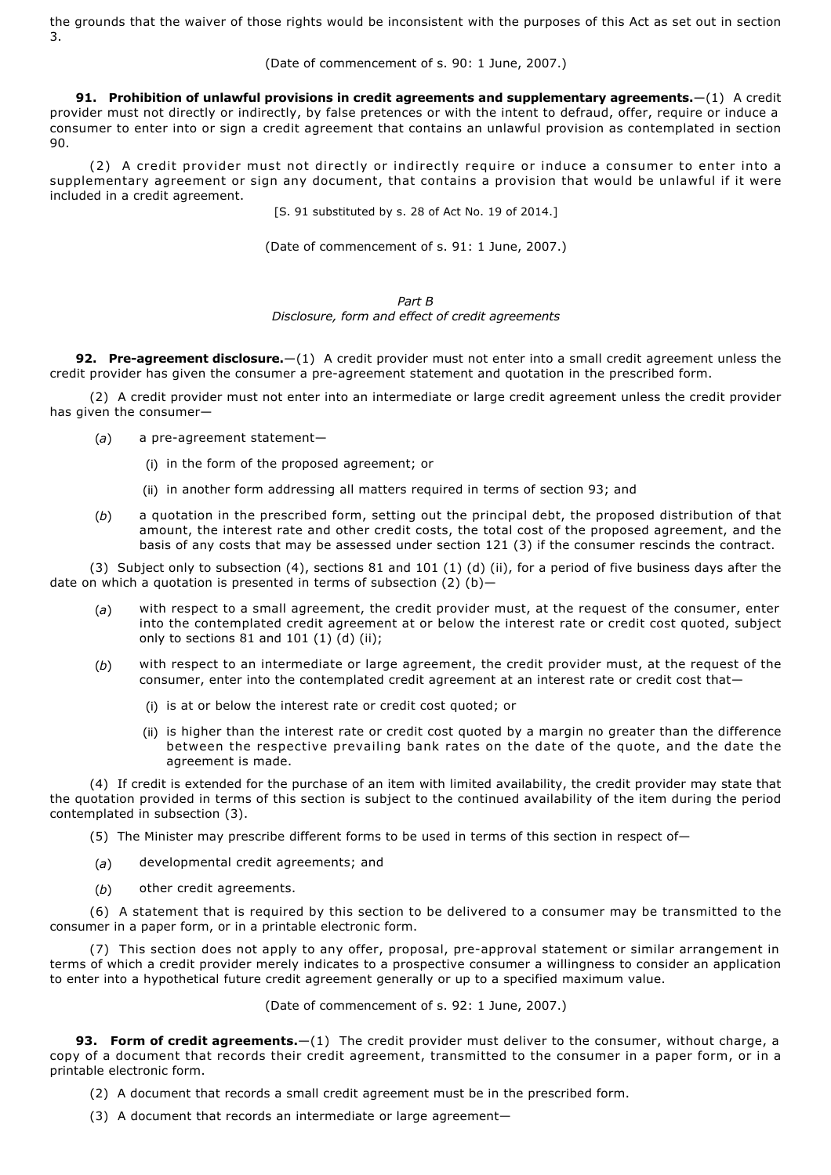the grounds that the waiver of those rights would be inconsistent with the purposes of this Act as set out in section 3.

(Date of commencement of s. 90: 1 June, 2007.)

**91. Prohibition of unlawful provisions in credit agreements and supplementary agreements.**—(1) A credit provider must not directly or indirectly, by false pretences or with the intent to defraud, offer, require or induce a consumer to enter into or sign a credit agreement that contains an unlawful provision as contemplated in section 90.

(2) A credit provider must not directly or indirectly require or induce a consumer to enter into a supplementary agreement or sign any document, that contains a provision that would be unlawful if it were included in a credit agreement.

[S. 91 substituted by s. 28 of Act No. 19 of 2014.]

(Date of commencement of s. 91: 1 June, 2007.)

*Part B Disclosure, form and effect of credit agreements*

**92. Pre-agreement disclosure.**—(1) A credit provider must not enter into a small credit agreement unless the credit provider has given the consumer a pre-agreement statement and quotation in the prescribed form.

(2) A credit provider must not enter into an intermediate or large credit agreement unless the credit provider has given the consumer—

- (a) a pre-agreement statement-
	- (i) in the form of the proposed agreement; or
	- (ii) in another form addressing all matters required in terms of section 93; and
- (*b*) a quotation in the prescribed form, setting out the principal debt, the proposed distribution of that amount, the interest rate and other credit costs, the total cost of the proposed agreement, and the basis of any costs that may be assessed under section 121 (3) if the consumer rescinds the contract.

(3) Subject only to subsection (4), sections 81 and 101 (1) (d) (ii), for a period of five business days after the date on which a quotation is presented in terms of subsection  $(2)$  (b)-

- (*a*) with respect to a small agreement, the credit provider must, at the request of the consumer, enter into the contemplated credit agreement at or below the interest rate or credit cost quoted, subject only to sections  $81$  and  $101$   $(1)$   $(d)$   $(ii)$ ;
- (*b*) with respect to an intermediate or large agreement, the credit provider must, at the request of the consumer, enter into the contemplated credit agreement at an interest rate or credit cost that—
	- (i) is at or below the interest rate or credit cost quoted; or
	- (ii) is higher than the interest rate or credit cost quoted by a margin no greater than the difference between the respective prevailing bank rates on the date of the quote, and the date the agreement is made.

(4) If credit is extended for the purchase of an item with limited availability, the credit provider may state that the quotation provided in terms of this section is subject to the continued availability of the item during the period contemplated in subsection (3).

- (5) The Minister may prescribe different forms to be used in terms of this section in respect of—
- (*a*) developmental credit agreements; and
- (*b*) other credit agreements.

(6) A statement that is required by this section to be delivered to a consumer may be transmitted to the consumer in a paper form, or in a printable electronic form.

(7) This section does not apply to any offer, proposal, pre-approval statement or similar arrangement in terms of which a credit provider merely indicates to a prospective consumer a willingness to consider an application to enter into a hypothetical future credit agreement generally or up to a specified maximum value.

(Date of commencement of s. 92: 1 June, 2007.)

**93. Form of credit agreements.**—(1) The credit provider must deliver to the consumer, without charge, a copy of a document that records their credit agreement, transmitted to the consumer in a paper form, or in a printable electronic form.

- (2) A document that records a small credit agreement must be in the prescribed form.
- (3) A document that records an intermediate or large agreement—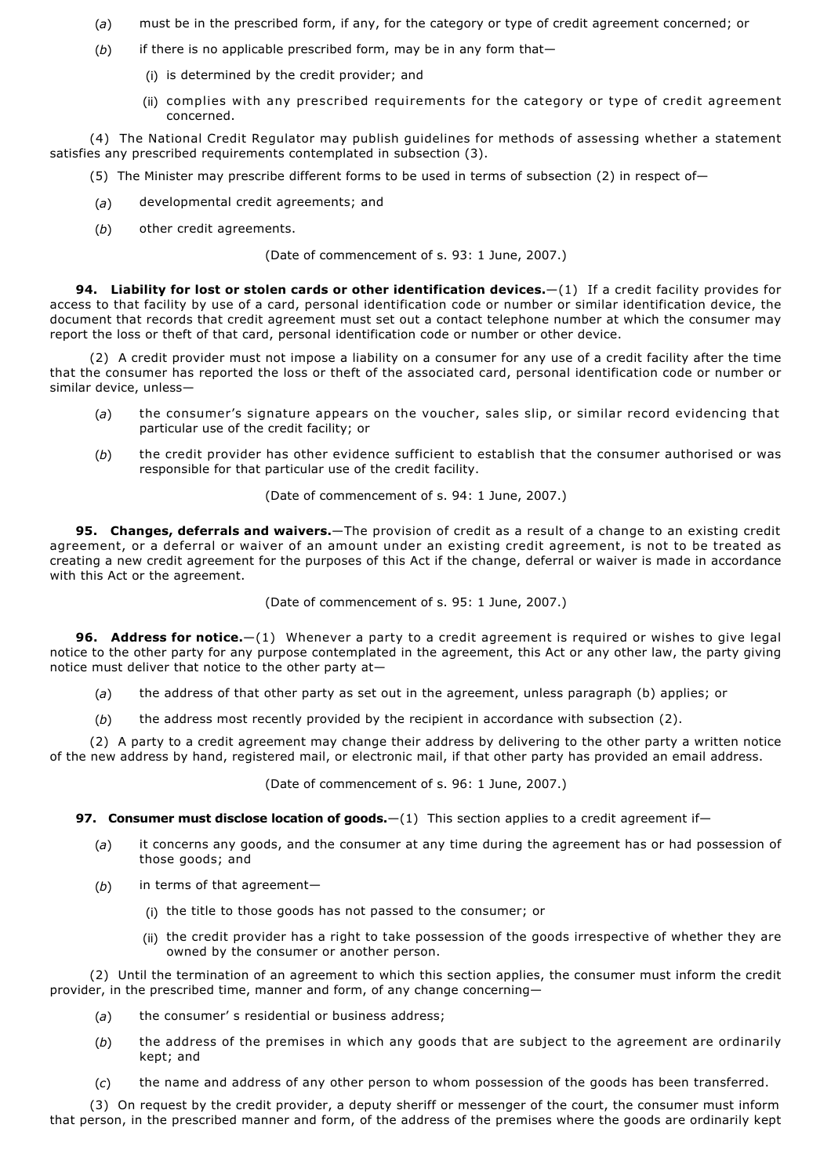- (*a*) must be in the prescribed form, if any, for the category or type of credit agreement concerned; or
- (*b*) if there is no applicable prescribed form, may be in any form that—
	- (i) is determined by the credit provider; and
	- (ii) complies with any prescribed requirements for the category or type of credit agreement concerned.

(4) The National Credit Regulator may publish guidelines for methods of assessing whether a statement satisfies any prescribed requirements contemplated in subsection (3).

- (5) The Minister may prescribe different forms to be used in terms of subsection (2) in respect of—
- (*a*) developmental credit agreements; and
- (*b*) other credit agreements.

(Date of commencement of s. 93: 1 June, 2007.)

**94. Liability for lost or stolen cards or other identification devices.**—(1) If a credit facility provides for access to that facility by use of a card, personal identification code or number or similar identification device, the document that records that credit agreement must set out a contact telephone number at which the consumer may report the loss or theft of that card, personal identification code or number or other device.

(2) A credit provider must not impose a liability on a consumer for any use of a credit facility after the time that the consumer has reported the loss or theft of the associated card, personal identification code or number or similar device, unless—

- (*a*) the consumer's signature appears on the voucher, sales slip, or similar record evidencing that particular use of the credit facility; or
- (*b*) the credit provider has other evidence sufficient to establish that the consumer authorised or was responsible for that particular use of the credit facility.

(Date of commencement of s. 94: 1 June, 2007.)

**95. Changes, deferrals and waivers.**—The provision of credit as a result of a change to an existing credit agreement, or a deferral or waiver of an amount under an existing credit agreement, is not to be treated as creating a new credit agreement for the purposes of this Act if the change, deferral or waiver is made in accordance with this Act or the agreement.

(Date of commencement of s. 95: 1 June, 2007.)

**96. Address for notice.**—(1) Whenever a party to a credit agreement is required or wishes to give legal notice to the other party for any purpose contemplated in the agreement, this Act or any other law, the party giving notice must deliver that notice to the other party at—

- (*a*) the address of that other party as set out in the agreement, unless paragraph (b) applies; or
- (*b*) the address most recently provided by the recipient in accordance with subsection (2).

(2) A party to a credit agreement may change their address by delivering to the other party a written notice of the new address by hand, registered mail, or electronic mail, if that other party has provided an email address.

(Date of commencement of s. 96: 1 June, 2007.)

**97. Consumer must disclose location of goods.**—(1) This section applies to a credit agreement if—

- (*a*) it concerns any goods, and the consumer at any time during the agreement has or had possession of those goods; and
- (*b*) in terms of that agreement—
	- (i) the title to those goods has not passed to the consumer; or
	- (ii) the credit provider has a right to take possession of the goods irrespective of whether they are owned by the consumer or another person.

(2) Until the termination of an agreement to which this section applies, the consumer must inform the credit provider, in the prescribed time, manner and form, of any change concerning—

- (*a*) the consumer' s residential or business address;
- (*b*) the address of the premises in which any goods that are subject to the agreement are ordinarily kept; and
- (*c*) the name and address of any other person to whom possession of the goods has been transferred.

(3) On request by the credit provider, a deputy sheriff or messenger of the court, the consumer must inform that person, in the prescribed manner and form, of the address of the premises where the goods are ordinarily kept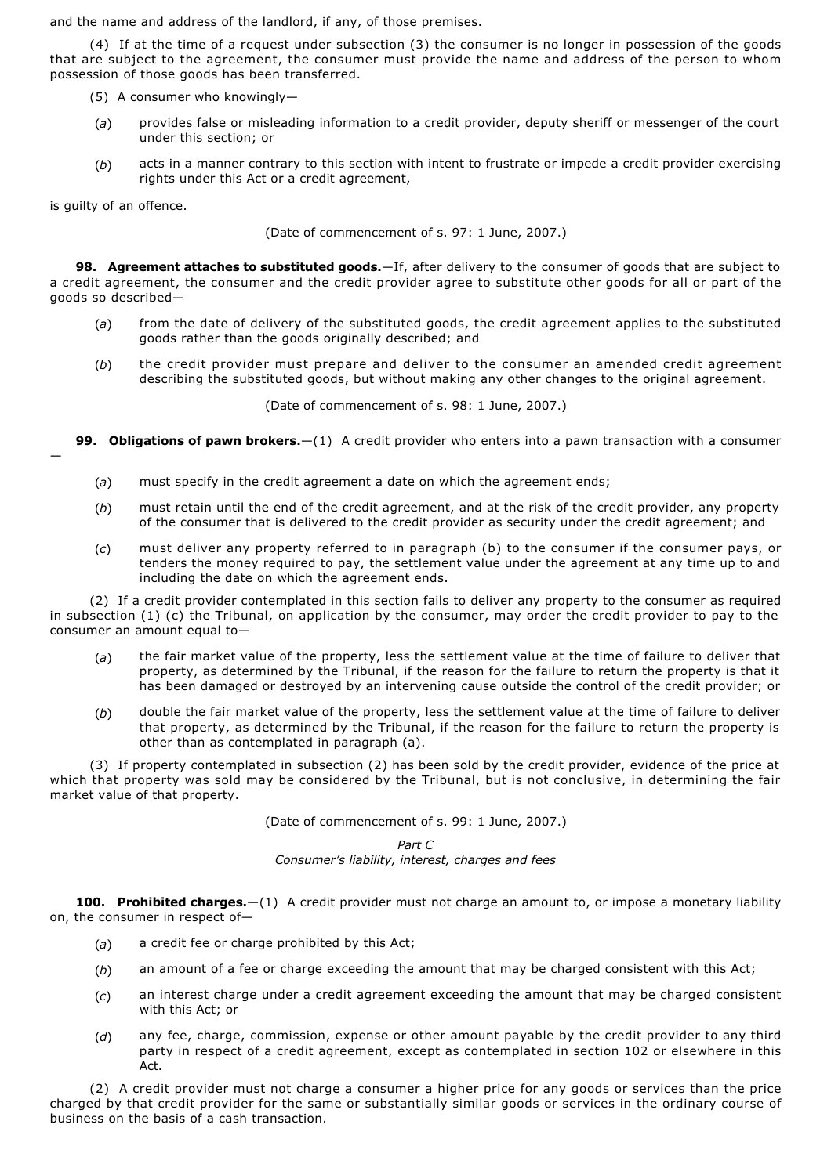and the name and address of the landlord, if any, of those premises.

(4) If at the time of a request under subsection (3) the consumer is no longer in possession of the goods that are subject to the agreement, the consumer must provide the name and address of the person to whom possession of those goods has been transferred.

- (5) A consumer who knowingly—
- (*a*) provides false or misleading information to a credit provider, deputy sheriff or messenger of the court under this section; or
- (*b*) acts in a manner contrary to this section with intent to frustrate or impede a credit provider exercising rights under this Act or a credit agreement,

is guilty of an offence.

—

(Date of commencement of s. 97: 1 June, 2007.)

**98. Agreement attaches to substituted goods.**—If, after delivery to the consumer of goods that are subject to a credit agreement, the consumer and the credit provider agree to substitute other goods for all or part of the goods so described—

- (*a*) from the date of delivery of the substituted goods, the credit agreement applies to the substituted goods rather than the goods originally described; and
- (*b*) the credit provider must prepare and deliver to the consumer an amended credit agreement describing the substituted goods, but without making any other changes to the original agreement.

(Date of commencement of s. 98: 1 June, 2007.)

**99. Obligations of pawn brokers.**—(1) A credit provider who enters into a pawn transaction with a consumer

- (*a*) must specify in the credit agreement a date on which the agreement ends;
- (*b*) must retain until the end of the credit agreement, and at the risk of the credit provider, any property of the consumer that is delivered to the credit provider as security under the credit agreement; and
- (*c*) must deliver any property referred to in paragraph (b) to the consumer if the consumer pays, or tenders the money required to pay, the settlement value under the agreement at any time up to and including the date on which the agreement ends.

(2) If a credit provider contemplated in this section fails to deliver any property to the consumer as required in subsection (1) (c) the Tribunal, on application by the consumer, may order the credit provider to pay to the consumer an amount equal to—

- (*a*) the fair market value of the property, less the settlement value at the time of failure to deliver that property, as determined by the Tribunal, if the reason for the failure to return the property is that it has been damaged or destroyed by an intervening cause outside the control of the credit provider; or
- (*b*) double the fair market value of the property, less the settlement value at the time of failure to deliver that property, as determined by the Tribunal, if the reason for the failure to return the property is other than as contemplated in paragraph (a).

(3) If property contemplated in subsection (2) has been sold by the credit provider, evidence of the price at which that property was sold may be considered by the Tribunal, but is not conclusive, in determining the fair market value of that property.

(Date of commencement of s. 99: 1 June, 2007.)

*Part C Consumer's liability, interest, charges and fees*

**100. Prohibited charges.**—(1) A credit provider must not charge an amount to, or impose a monetary liability on, the consumer in respect of—

- (*a*) a credit fee or charge prohibited by this Act;
- (*b*) an amount of a fee or charge exceeding the amount that may be charged consistent with this Act;
- (*c*) an interest charge under a credit agreement exceeding the amount that may be charged consistent with this Act; or
- (*d*) any fee, charge, commission, expense or other amount payable by the credit provider to any third party in respect of a credit agreement, except as contemplated in section 102 or elsewhere in this Act.

(2) A credit provider must not charge a consumer a higher price for any goods or services than the price charged by that credit provider for the same or substantially similar goods or services in the ordinary course of business on the basis of a cash transaction.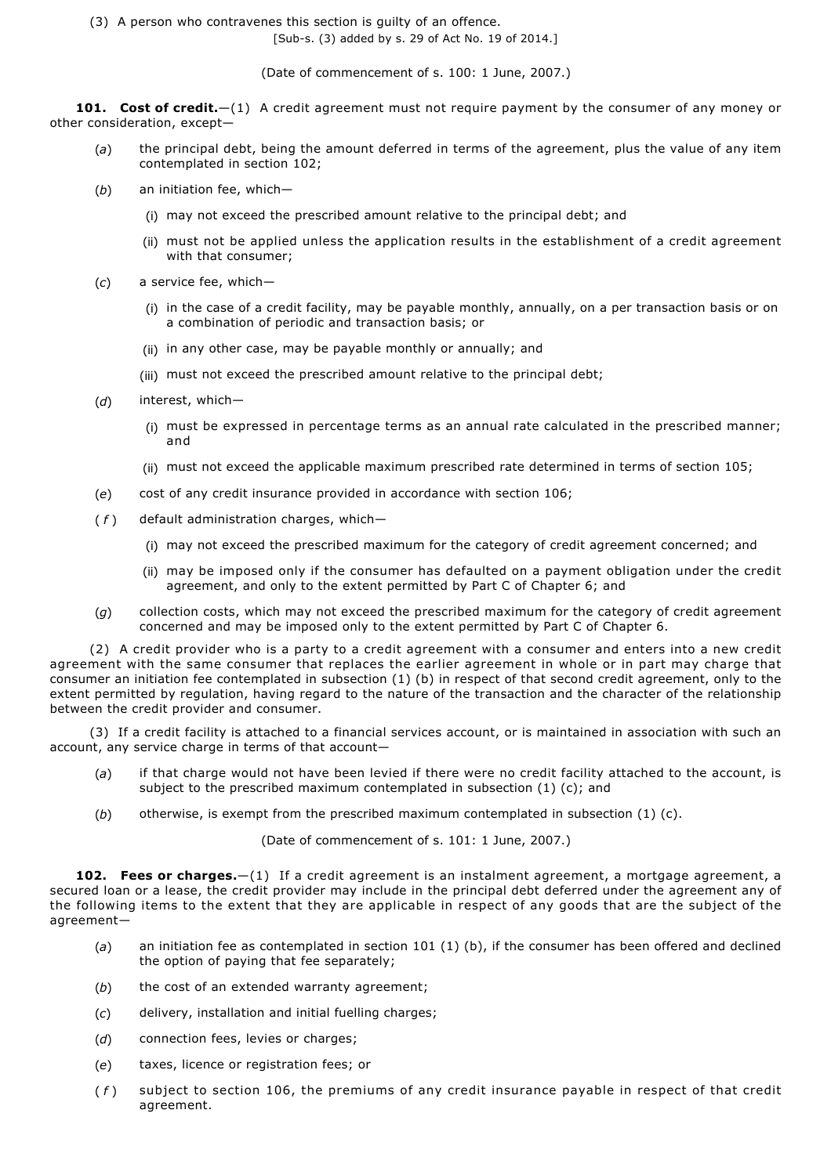(3) A person who contravenes this section is guilty of an offence.

[Sub-s. (3) added by s. 29 of Act No. 19 of 2014.]

(Date of commencement of s. 100: 1 June, 2007.)

101. Cost of credit. $-(1)$  A credit agreement must not require payment by the consumer of any money or other consideration, except—

- (*a*) the principal debt, being the amount deferred in terms of the agreement, plus the value of any item contemplated in section 102;
- (*b*) an initiation fee, which—
	- (i) may not exceed the prescribed amount relative to the principal debt; and
	- (ii) must not be applied unless the application results in the establishment of a credit agreement with that consumer;
- (*c*) a service fee, which—
	- (i) in the case of a credit facility, may be payable monthly, annually, on a per transaction basis or on a combination of periodic and transaction basis; or
	- (ii) in any other case, may be payable monthly or annually; and
	- (iii) must not exceed the prescribed amount relative to the principal debt;
- (*d*) interest, which—
	- (i) must be expressed in percentage terms as an annual rate calculated in the prescribed manner; and
	- (ii) must not exceed the applicable maximum prescribed rate determined in terms of section 105;
- (*e*) cost of any credit insurance provided in accordance with section 106;
- (*f*) default administration charges, which-
	- (i) may not exceed the prescribed maximum for the category of credit agreement concerned; and
	- (ii) may be imposed only if the consumer has defaulted on a payment obligation under the credit agreement, and only to the extent permitted by Part C of Chapter 6; and
- (*g*) collection costs, which may not exceed the prescribed maximum for the category of credit agreement concerned and may be imposed only to the extent permitted by Part C of Chapter 6.

(2) A credit provider who is a party to a credit agreement with a consumer and enters into a new credit agreement with the same consumer that replaces the earlier agreement in whole or in part may charge that consumer an initiation fee contemplated in subsection (1) (b) in respect of that second credit agreement, only to the extent permitted by regulation, having regard to the nature of the transaction and the character of the relationship between the credit provider and consumer.

(3) If a credit facility is attached to a financial services account, or is maintained in association with such an account, any service charge in terms of that account—

- (*a*) if that charge would not have been levied if there were no credit facility attached to the account, is subject to the prescribed maximum contemplated in subsection (1) (c); and
- (*b*) otherwise, is exempt from the prescribed maximum contemplated in subsection (1) (c).

(Date of commencement of s. 101: 1 June, 2007.)

**102. Fees or charges.**—(1) If a credit agreement is an instalment agreement, a mortgage agreement, a secured loan or a lease, the credit provider may include in the principal debt deferred under the agreement any of the following items to the extent that they are applicable in respect of any goods that are the subject of the agreement—

- (*a*) an initiation fee as contemplated in section 101 (1) (b), if the consumer has been offered and declined the option of paying that fee separately;
- (b) the cost of an extended warranty agreement;
- (*c*) delivery, installation and initial fuelling charges;
- (*d*) connection fees, levies or charges;
- (*e*) taxes, licence or registration fees; or
- ( *f* ) subject to section 106, the premiums of any credit insurance payable in respect of that credit agreement.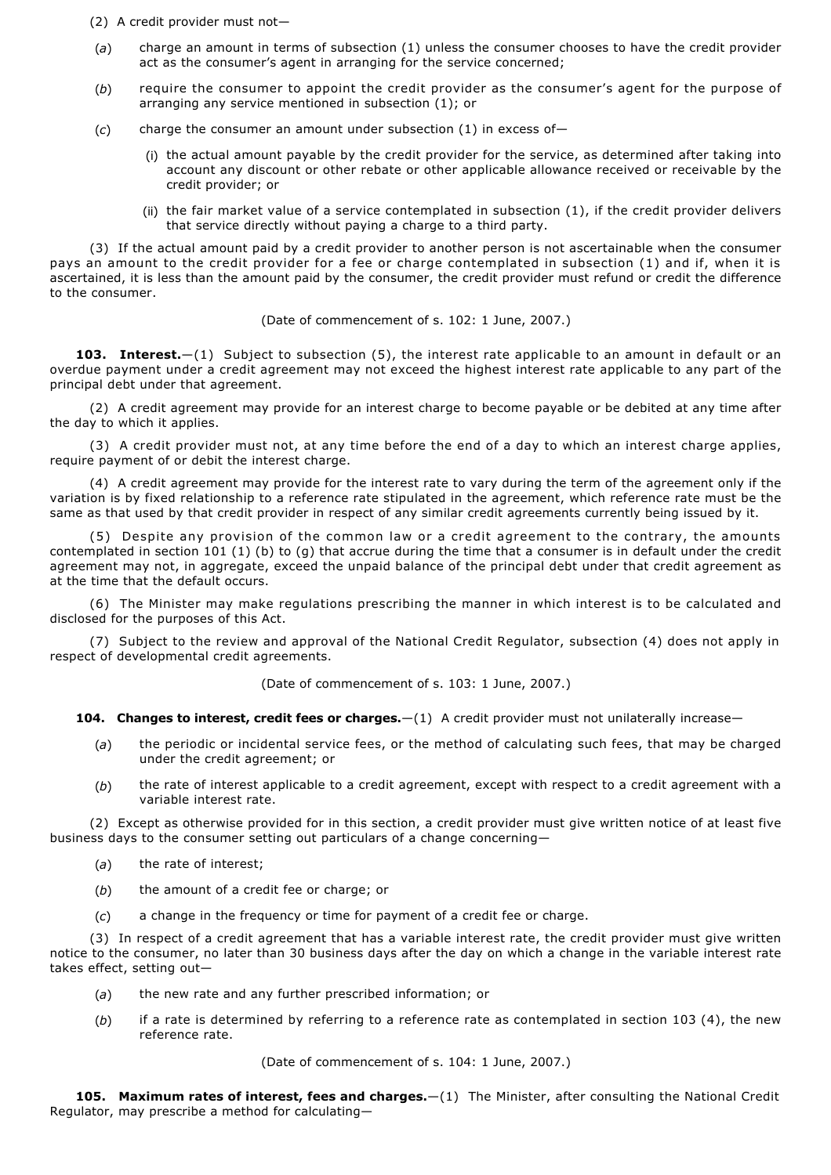- (2) A credit provider must not—
- (*a*) charge an amount in terms of subsection (1) unless the consumer chooses to have the credit provider act as the consumer's agent in arranging for the service concerned;
- (*b*) require the consumer to appoint the credit provider as the consumer's agent for the purpose of arranging any service mentioned in subsection (1); or
- (*c*) charge the consumer an amount under subsection (1) in excess of—
	- (i) the actual amount payable by the credit provider for the service, as determined after taking into account any discount or other rebate or other applicable allowance received or receivable by the credit provider; or
	- (ii) the fair market value of a service contemplated in subsection  $(1)$ , if the credit provider delivers that service directly without paying a charge to a third party.

(3) If the actual amount paid by a credit provider to another person is not ascertainable when the consumer pays an amount to the credit provider for a fee or charge contemplated in subsection (1) and if, when it is ascertained, it is less than the amount paid by the consumer, the credit provider must refund or credit the difference to the consumer.

(Date of commencement of s. 102: 1 June, 2007.)

**103. Interest.**—(1) Subject to subsection (5), the interest rate applicable to an amount in default or an overdue payment under a credit agreement may not exceed the highest interest rate applicable to any part of the principal debt under that agreement.

(2) A credit agreement may provide for an interest charge to become payable or be debited at any time after the day to which it applies.

(3) A credit provider must not, at any time before the end of a day to which an interest charge applies, require payment of or debit the interest charge.

(4) A credit agreement may provide for the interest rate to vary during the term of the agreement only if the variation is by fixed relationship to a reference rate stipulated in the agreement, which reference rate must be the same as that used by that credit provider in respect of any similar credit agreements currently being issued by it.

(5) Despite any provision of the common law or a credit agreement to the contrary, the amounts contemplated in section 101 (1) (b) to (g) that accrue during the time that a consumer is in default under the credit agreement may not, in aggregate, exceed the unpaid balance of the principal debt under that credit agreement as at the time that the default occurs.

(6) The Minister may make regulations prescribing the manner in which interest is to be calculated and disclosed for the purposes of this Act.

(7) Subject to the review and approval of the National Credit Regulator, subsection (4) does not apply in respect of developmental credit agreements.

(Date of commencement of s. 103: 1 June, 2007.)

**104. Changes to interest, credit fees or charges.**—(1) A credit provider must not unilaterally increase—

- (*a*) the periodic or incidental service fees, or the method of calculating such fees, that may be charged under the credit agreement; or
- (*b*) the rate of interest applicable to a credit agreement, except with respect to a credit agreement with a variable interest rate.

(2) Except as otherwise provided for in this section, a credit provider must give written notice of at least five business days to the consumer setting out particulars of a change concerning—

- (*a*) the rate of interest;
- (*b*) the amount of a credit fee or charge; or
- (*c*) a change in the frequency or time for payment of a credit fee or charge.

(3) In respect of a credit agreement that has a variable interest rate, the credit provider must give written notice to the consumer, no later than 30 business days after the day on which a change in the variable interest rate takes effect, setting out—

- (*a*) the new rate and any further prescribed information; or
- (*b*) if a rate is determined by referring to a reference rate as contemplated in section 103 (4), the new reference rate.

(Date of commencement of s. 104: 1 June, 2007.)

**105. Maximum rates of interest, fees and charges.**—(1) The Minister, after consulting the National Credit Regulator, may prescribe a method for calculating—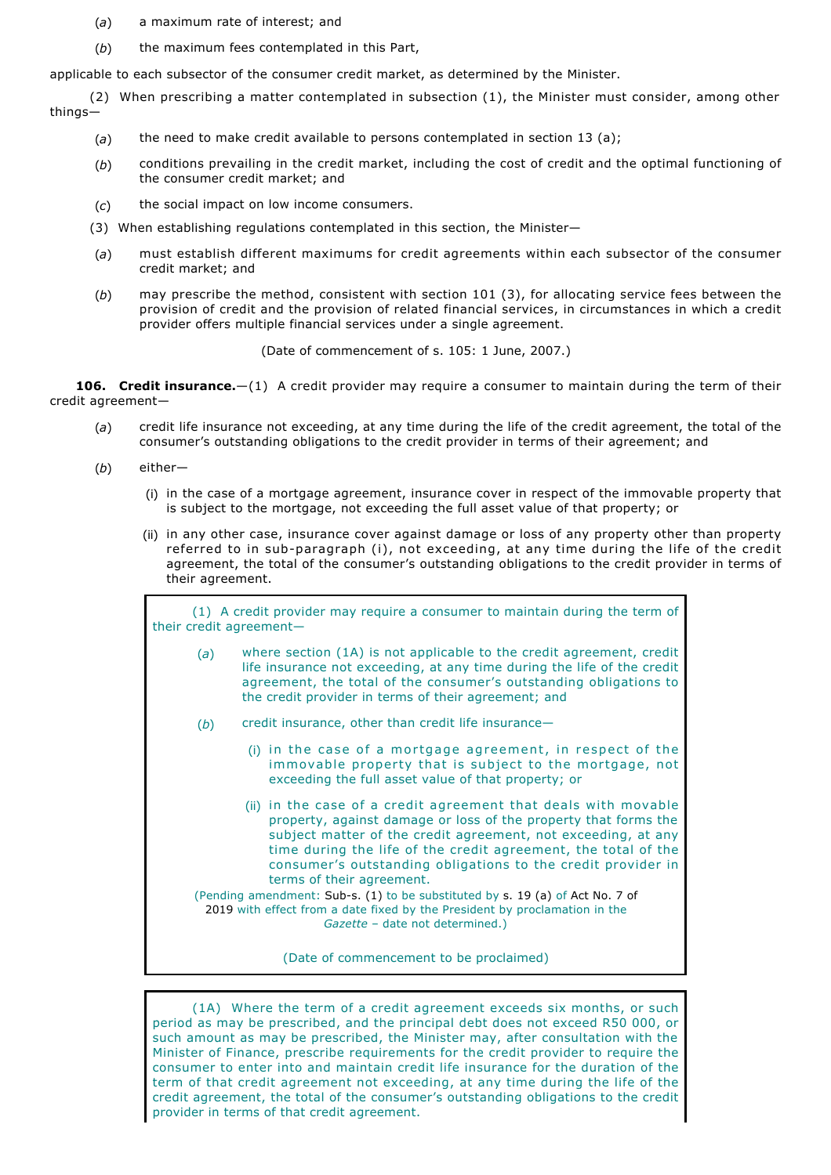- (*a*) a maximum rate of interest; and
- (b) the maximum fees contemplated in this Part,

applicable to each subsector of the consumer credit market, as determined by the Minister.

(2) When prescribing a matter contemplated in subsection (1), the Minister must consider, among other things—

- (*a*) the need to make credit available to persons contemplated in section 13 (a);
- (*b*) conditions prevailing in the credit market, including the cost of credit and the optimal functioning of the consumer credit market; and
- (*c*) the social impact on low income consumers.
- (3) When establishing regulations contemplated in this section, the Minister—
- (*a*) must establish different maximums for credit agreements within each subsector of the consumer credit market; and
- (*b*) may prescribe the method, consistent with section 101 (3), for allocating service fees between the provision of credit and the provision of related financial services, in circumstances in which a credit provider offers multiple financial services under a single agreement.

(Date of commencement of s. 105: 1 June, 2007.)

**106. Credit insurance.**—(1) A credit provider may require a consumer to maintain during the term of their credit agreement—

- (*a*) credit life insurance not exceeding, at any time during the life of the credit agreement, the total of the consumer's outstanding obligations to the credit provider in terms of their agreement; and
- (*b*) either—
	- (i) in the case of a mortgage agreement, insurance cover in respect of the immovable property that is subject to the mortgage, not exceeding the full asset value of that property; or
	- (ii) in any other case, insurance cover against damage or loss of any property other than property referred to in sub-paragraph (i), not exceeding, at any time during the life of the credit agreement, the total of the consumer's outstanding obligations to the credit provider in terms of their agreement.

(1) A credit provider may require a consumer to maintain during the term of their credit agreement—

- (*a*) where section (1A) is not applicable to the credit agreement, credit life insurance not exceeding, at any time during the life of the credit agreement, the total of the consumer's outstanding obligations to the credit provider in terms of their agreement; and
- (b) credit insurance, other than credit life insurance-
	- (i) in the case of a mortgage agreement, in respect of the immovable property that is subject to the mortgage, not exceeding the full asset value of that property; or
	- (ii) in the case of a credit agreement that deals with movable property, against damage or loss of the property that forms the subject matter of the credit agreement, not exceeding, at any time during the life of the credit agreement, the total of the consumer's outstanding obligations to the credit provider in terms of their agreement.

(Pending amendment: Sub-s.  $(1)$  to be substituted by s. 19 (a) of Act No. 7 of 2019 with effect from a date fixed by the President by proclamation in the *Gazette* – date not determined.)

(Date of commencement to be proclaimed)

(1A) Where the term of a credit agreement exceeds six months, or such period as may be prescribed, and the principal debt does not exceed R50 000, or such amount as may be prescribed, the Minister may, after consultation with the Minister of Finance, prescribe requirements for the credit provider to require the consumer to enter into and maintain credit life insurance for the duration of the term of that credit agreement not exceeding, at any time during the life of the credit agreement, the total of the consumer's outstanding obligations to the credit provider in terms of that credit agreement.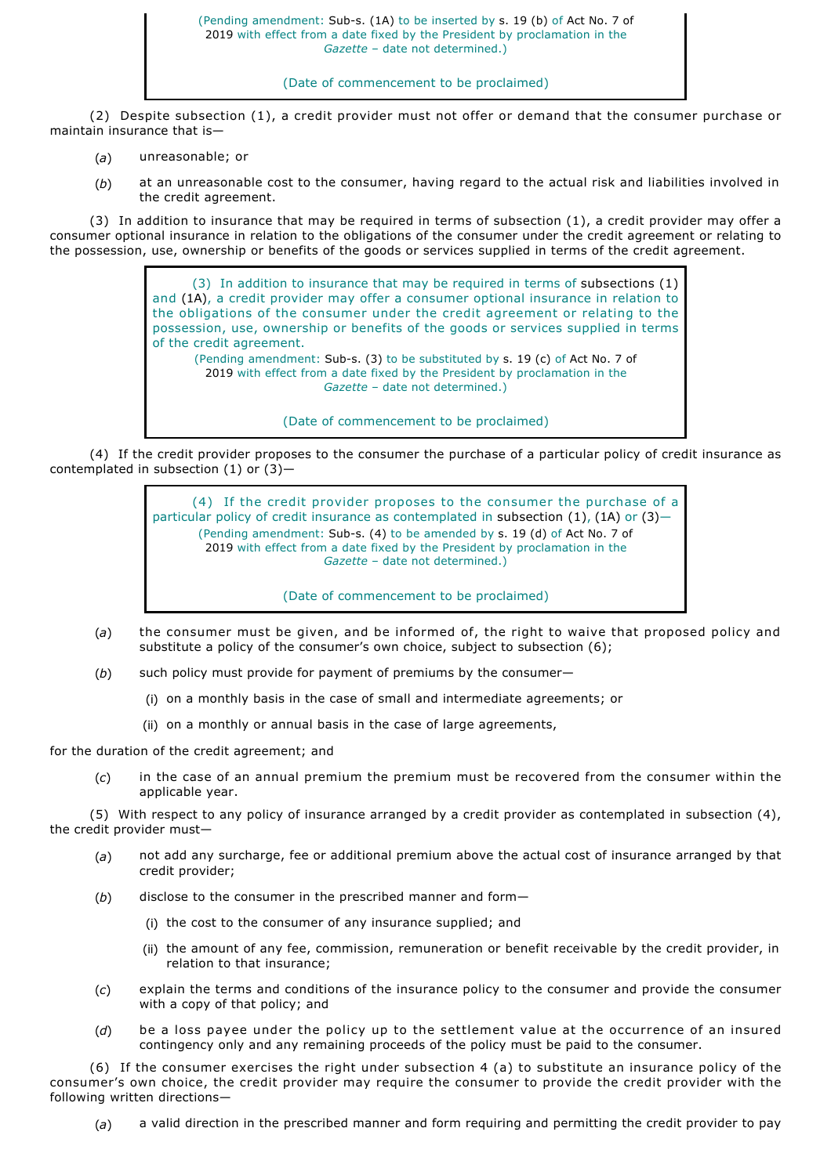### (Date of commencement to be proclaimed)

(2) Despite subsection (1), a credit provider must not offer or demand that the consumer purchase or maintain insurance that is—

- (*a*) unreasonable; or
- (*b*) at an unreasonable cost to the consumer, having regard to the actual risk and liabilities involved in the credit agreement.

(3) In addition to insurance that may be required in terms of subsection (1), a credit provider may offer a consumer optional insurance in relation to the obligations of the consumer under the credit agreement or relating to the possession, use, ownership or benefits of the goods or services supplied in terms of the credit agreement.

> (3) In addition to insurance that may be required in terms of subsections (1) and (1A), a credit provider may offer a consumer optional insurance in relation to the obligations of the consumer under the credit agreement or relating to the possession, use, ownership or benefits of the goods or services supplied in terms of the credit agreement. (Pending amendment: Sub-s. (3) to be substituted by s. 19 (c) of Act No. 7 of 2019 with effect from a date fixed by the President by proclamation in the

*Gazette* – date not determined.)

(Date of commencement to be proclaimed)

(4) If the credit provider proposes to the consumer the purchase of a particular policy of credit insurance as contemplated in subsection (1) or (3)—

> (4) If the credit provider proposes to the consumer the purchase of a particular policy of credit insurance as contemplated in subsection (1), (1A) or (3)— (Pending amendment: Sub-s. (4) to be amended by s. 19 (d) of Act No. 7 of 2019 with effect from a date fixed by the President by proclamation in the *Gazette* – date not determined.)

> > (Date of commencement to be proclaimed)

- (*a*) the consumer must be given, and be informed of, the right to waive that proposed policy and substitute a policy of the consumer's own choice, subject to subsection (6);
- (*b*) such policy must provide for payment of premiums by the consumer—
	- (i) on a monthly basis in the case of small and intermediate agreements; or
	- (ii) on a monthly or annual basis in the case of large agreements,

for the duration of the credit agreement; and

(*c*) in the case of an annual premium the premium must be recovered from the consumer within the applicable year.

(5) With respect to any policy of insurance arranged by a credit provider as contemplated in subsection (4), the credit provider must—

- (*a*) not add any surcharge, fee or additional premium above the actual cost of insurance arranged by that credit provider;
- (*b*) disclose to the consumer in the prescribed manner and form—
	- (i) the cost to the consumer of any insurance supplied; and
	- (ii) the amount of any fee, commission, remuneration or benefit receivable by the credit provider, in relation to that insurance;
- (*c*) explain the terms and conditions of the insurance policy to the consumer and provide the consumer with a copy of that policy; and
- (*d*) be a loss payee under the policy up to the settlement value at the occurrence of an insured contingency only and any remaining proceeds of the policy must be paid to the consumer.

(6) If the consumer exercises the right under subsection 4 (a) to substitute an insurance policy of the consumer's own choice, the credit provider may require the consumer to provide the credit provider with the following written directions—

(*a*) a valid direction in the prescribed manner and form requiring and permitting the credit provider to pay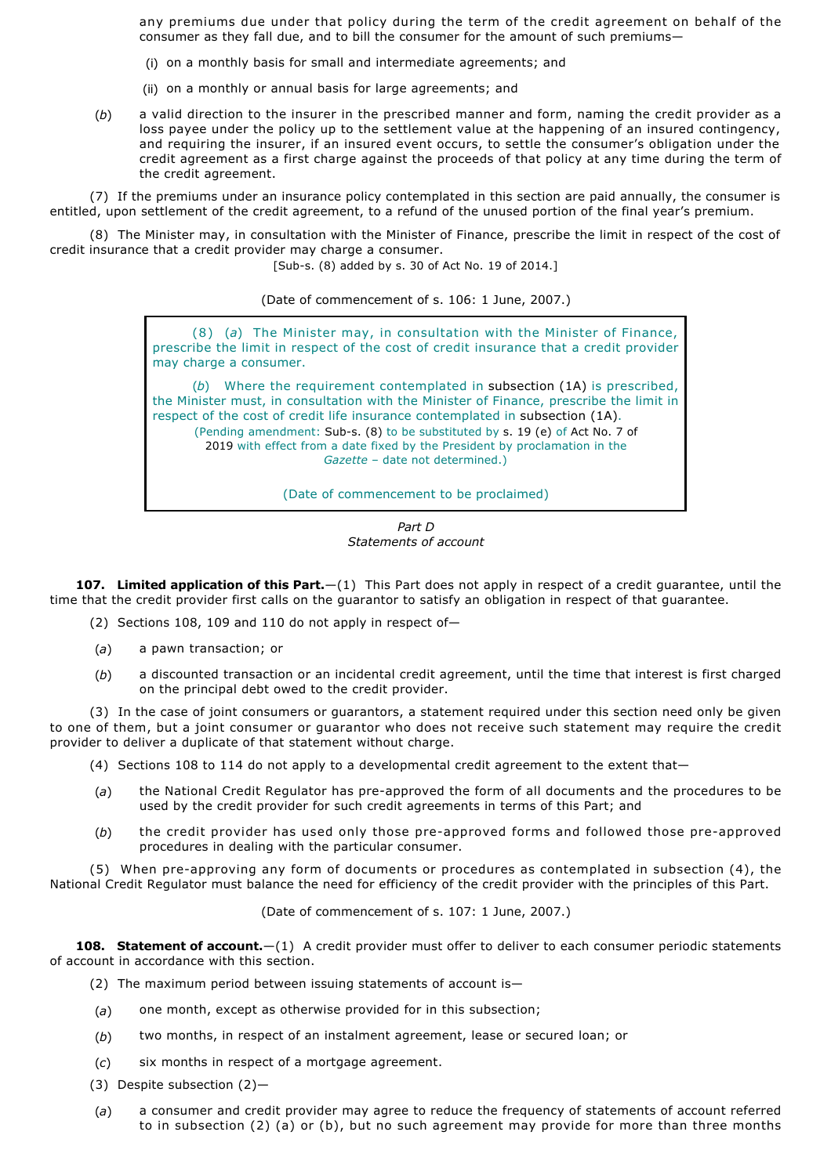any premiums due under that policy during the term of the credit agreement on behalf of the consumer as they fall due, and to bill the consumer for the amount of such premiums—

- (i) on a monthly basis for small and intermediate agreements; and
- (ii) on a monthly or annual basis for large agreements; and
- (*b*) a valid direction to the insurer in the prescribed manner and form, naming the credit provider as a loss payee under the policy up to the settlement value at the happening of an insured contingency, and requiring the insurer, if an insured event occurs, to settle the consumer's obligation under the credit agreement as a first charge against the proceeds of that policy at any time during the term of the credit agreement.

(7) If the premiums under an insurance policy contemplated in this section are paid annually, the consumer is entitled, upon settlement of the credit agreement, to a refund of the unused portion of the final year's premium.

(8) The Minister may, in consultation with the Minister of Finance, prescribe the limit in respect of the cost of credit insurance that a credit provider may charge a consumer.

[Sub-s. (8) added by s. 30 of Act No. 19 of 2014.]

(Date of commencement of s. 106: 1 June, 2007.)

(8) (*a*) The Minister may, in consultation with the Minister of Finance, prescribe the limit in respect of the cost of credit insurance that a credit provider may charge a consumer.

(*b*) Where the requirement contemplated in subsection (1A) is prescribed, the Minister must, in consultation with the Minister of Finance, prescribe the limit in respect of the cost of credit life insurance contemplated in subsection (1A). (Pending amendment: Sub-s. (8) to be substituted by s. 19 (e) of Act No. 7 of 2019 with effect from a date fixed by the President by proclamation in the *Gazette* – date not determined.)

(Date of commencement to be proclaimed)

*Part D Statements of account*

**107. Limited application of this Part.**—(1) This Part does not apply in respect of a credit guarantee, until the time that the credit provider first calls on the guarantor to satisfy an obligation in respect of that guarantee.

(2) Sections 108, 109 and 110 do not apply in respect of—

- (*a*) a pawn transaction; or
- (*b*) a discounted transaction or an incidental credit agreement, until the time that interest is first charged on the principal debt owed to the credit provider.

(3) In the case of joint consumers or guarantors, a statement required under this section need only be given to one of them, but a joint consumer or guarantor who does not receive such statement may require the credit provider to deliver a duplicate of that statement without charge.

- (4) Sections 108 to 114 do not apply to a developmental credit agreement to the extent that—
- (a) the National Credit Regulator has pre-approved the form of all documents and the procedures to be used by the credit provider for such credit agreements in terms of this Part; and
- (b) the credit provider has used only those pre-approved forms and followed those pre-approved procedures in dealing with the particular consumer.

(5) When pre-approving any form of documents or procedures as contemplated in subsection (4), the National Credit Regulator must balance the need for efficiency of the credit provider with the principles of this Part.

(Date of commencement of s. 107: 1 June, 2007.)

**108. Statement of account.**—(1) A credit provider must offer to deliver to each consumer periodic statements of account in accordance with this section.

- (2) The maximum period between issuing statements of account is—
- (*a*) one month, except as otherwise provided for in this subsection;
- (*b*) two months, in respect of an instalment agreement, lease or secured loan; or
- (*c*) six months in respect of a mortgage agreement.
- (3) Despite subsection (2)—
- (*a*) a consumer and credit provider may agree to reduce the frequency of statements of account referred to in subsection (2) (a) or (b), but no such agreement may provide for more than three months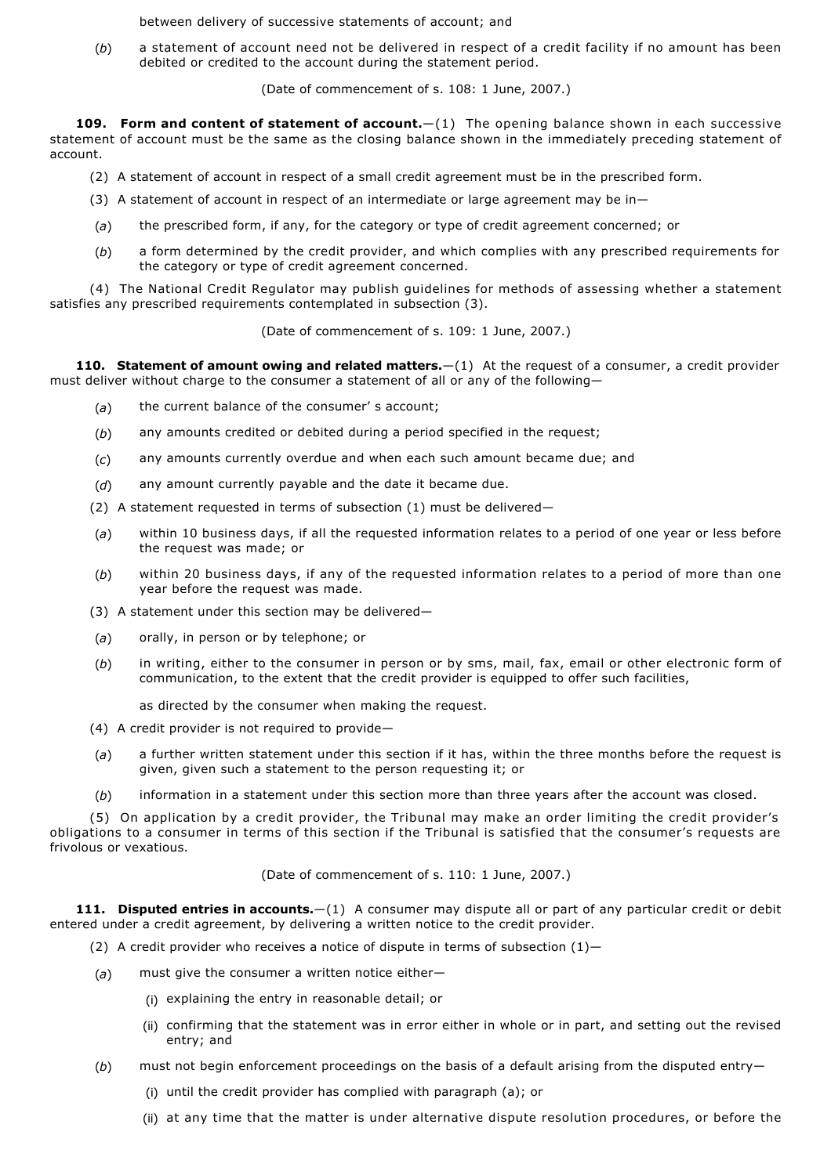between delivery of successive statements of account; and

(*b*) a statement of account need not be delivered in respect of a credit facility if no amount has been debited or credited to the account during the statement period.

(Date of commencement of s. 108: 1 June, 2007.)

**109. Form and content of statement of account.**  $-(1)$  The opening balance shown in each successive statement of account must be the same as the closing balance shown in the immediately preceding statement of account.

- (2) A statement of account in respect of a small credit agreement must be in the prescribed form.
- (3) A statement of account in respect of an intermediate or large agreement may be in—
- (*a*) the prescribed form, if any, for the category or type of credit agreement concerned; or
- (*b*) a form determined by the credit provider, and which complies with any prescribed requirements for the category or type of credit agreement concerned.

(4) The National Credit Regulator may publish guidelines for methods of assessing whether a statement satisfies any prescribed requirements contemplated in subsection (3).

(Date of commencement of s. 109: 1 June, 2007.)

**110. Statement of amount owing and related matters.**—(1) At the request of a consumer, a credit provider must deliver without charge to the consumer a statement of all or any of the following—

- (*a*) the current balance of the consumer' s account;
- (*b*) any amounts credited or debited during a period specified in the request;
- (*c*) any amounts currently overdue and when each such amount became due; and
- (*d*) any amount currently payable and the date it became due.
- (2) A statement requested in terms of subsection (1) must be delivered—
- (*a*) within 10 business days, if all the requested information relates to a period of one year or less before the request was made; or
- (*b*) within 20 business days, if any of the requested information relates to a period of more than one year before the request was made.
- (3) A statement under this section may be delivered—
- (*a*) orally, in person or by telephone; or
- (*b*) in writing, either to the consumer in person or by sms, mail, fax, email or other electronic form of communication, to the extent that the credit provider is equipped to offer such facilities,

as directed by the consumer when making the request.

- (4) A credit provider is not required to provide—
- (*a*) a further written statement under this section if it has, within the three months before the request is given, given such a statement to the person requesting it; or
- (*b*) information in a statement under this section more than three years after the account was closed.

(5) On application by a credit provider, the Tribunal may make an order limiting the credit provider's obligations to a consumer in terms of this section if the Tribunal is satisfied that the consumer's requests are frivolous or vexatious.

(Date of commencement of s. 110: 1 June, 2007.)

**111. Disputed entries in accounts.**—(1) A consumer may dispute all or part of any particular credit or debit entered under a credit agreement, by delivering a written notice to the credit provider.

- (2) A credit provider who receives a notice of dispute in terms of subsection  $(1)$ -
- (*a*) must give the consumer a written notice either—
	- (i) explaining the entry in reasonable detail; or
	- (ii) confirming that the statement was in error either in whole or in part, and setting out the revised entry; and
- (*b*) must not begin enforcement proceedings on the basis of a default arising from the disputed entry—
	- (i) until the credit provider has complied with paragraph (a); or
	- (ii) at any time that the matter is under alternative dispute resolution procedures, or before the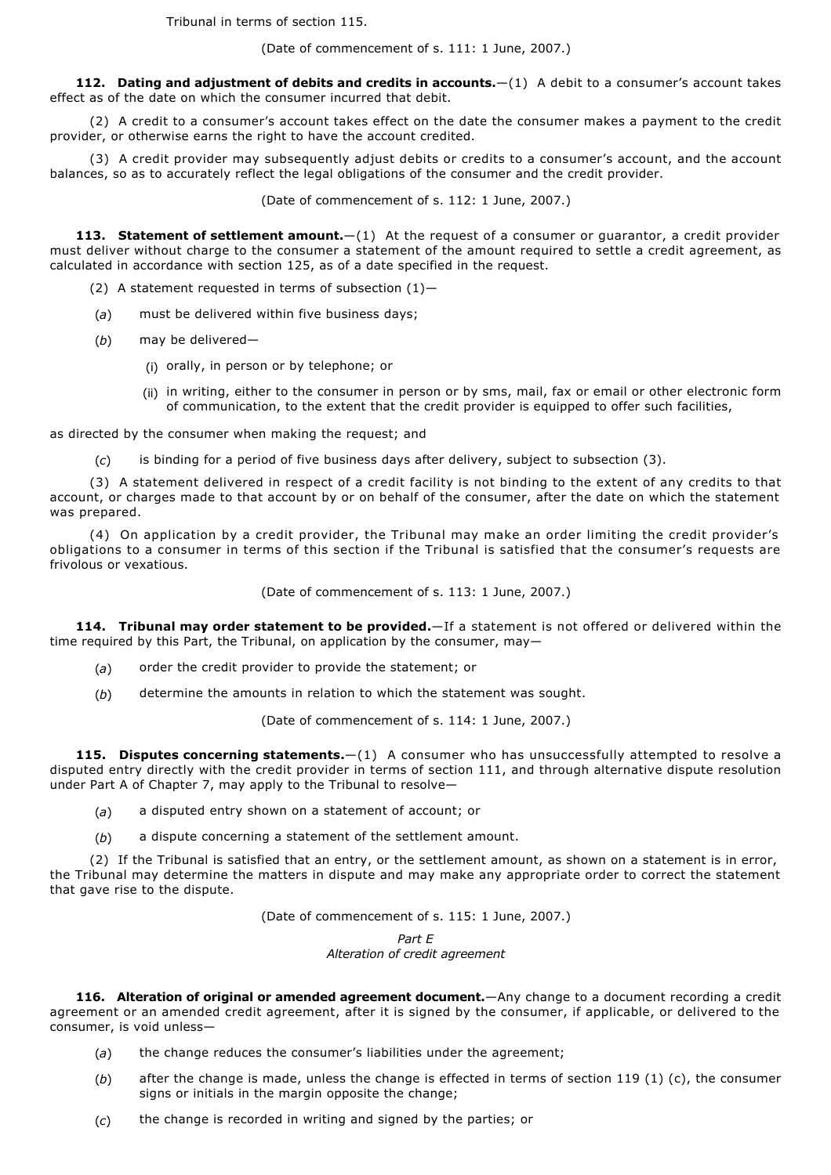Tribunal in terms of section 115.

(Date of commencement of s. 111: 1 June, 2007.)

**112. Dating and adjustment of debits and credits in accounts.**—(1) A debit to a consumer's account takes effect as of the date on which the consumer incurred that debit.

(2) A credit to a consumer's account takes effect on the date the consumer makes a payment to the credit provider, or otherwise earns the right to have the account credited.

(3) A credit provider may subsequently adjust debits or credits to a consumer's account, and the account balances, so as to accurately reflect the legal obligations of the consumer and the credit provider.

(Date of commencement of s. 112: 1 June, 2007.)

113. Statement of settlement amount.  $-(1)$  At the request of a consumer or guarantor, a credit provider must deliver without charge to the consumer a statement of the amount required to settle a credit agreement, as calculated in accordance with section 125, as of a date specified in the request.

- (2) A statement requested in terms of subsection  $(1)$ -
- (*a*) must be delivered within five business days;
- (*b*) may be delivered—
	- (i) orally, in person or by telephone; or
	- (ii) in writing, either to the consumer in person or by sms, mail, fax or email or other electronic form of communication, to the extent that the credit provider is equipped to offer such facilities,

as directed by the consumer when making the request; and

(*c*) is binding for a period of five business days after delivery, subject to subsection (3).

(3) A statement delivered in respect of a credit facility is not binding to the extent of any credits to that account, or charges made to that account by or on behalf of the consumer, after the date on which the statement was prepared.

(4) On application by a credit provider, the Tribunal may make an order limiting the credit provider's obligations to a consumer in terms of this section if the Tribunal is satisfied that the consumer's requests are frivolous or vexatious.

(Date of commencement of s. 113: 1 June, 2007.)

**114. Tribunal may order statement to be provided.**—If a statement is not offered or delivered within the time required by this Part, the Tribunal, on application by the consumer, may—

- (*a*) order the credit provider to provide the statement; or
- (*b*) determine the amounts in relation to which the statement was sought.

(Date of commencement of s. 114: 1 June, 2007.)

**115. Disputes concerning statements.**—(1) A consumer who has unsuccessfully attempted to resolve a disputed entry directly with the credit provider in terms of section 111, and through alternative dispute resolution under Part A of Chapter 7, may apply to the Tribunal to resolve—

- (*a*) a disputed entry shown on a statement of account; or
- (*b*) a dispute concerning a statement of the settlement amount.

(2) If the Tribunal is satisfied that an entry, or the settlement amount, as shown on a statement is in error, the Tribunal may determine the matters in dispute and may make any appropriate order to correct the statement that gave rise to the dispute.

(Date of commencement of s. 115: 1 June, 2007.)

*Part E Alteration of credit agreement*

**116. Alteration of original or amended agreement document.**—Any change to a document recording a credit agreement or an amended credit agreement, after it is signed by the consumer, if applicable, or delivered to the consumer, is void unless—

- (*a*) the change reduces the consumer's liabilities under the agreement;
- (*b*) after the change is made, unless the change is effected in terms of section 119 (1) (c), the consumer signs or initials in the margin opposite the change;
- (*c*) the change is recorded in writing and signed by the parties; or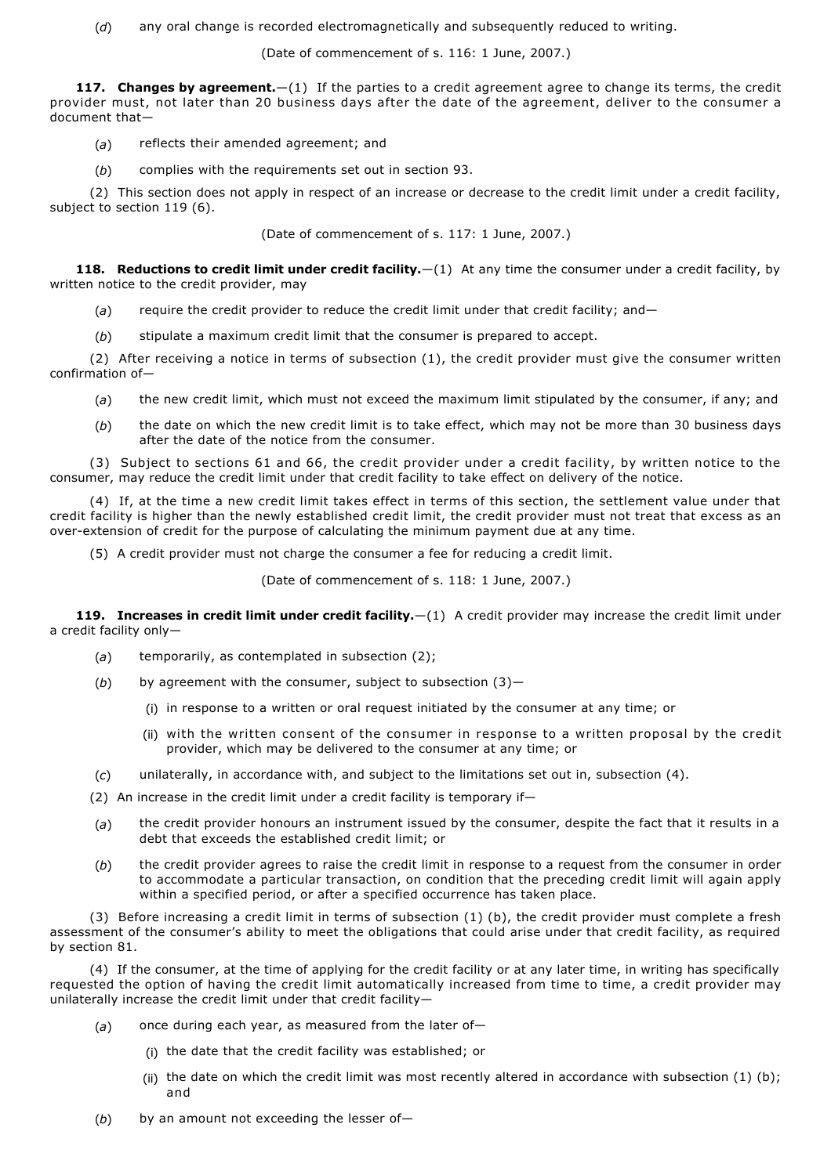(*d*) any oral change is recorded electromagnetically and subsequently reduced to writing.

(Date of commencement of s. 116: 1 June, 2007.)

**117. Changes by agreement.**—(1) If the parties to a credit agreement agree to change its terms, the credit provider must, not later than 20 business days after the date of the agreement, deliver to the consumer a document that—

- (*a*) reflects their amended agreement; and
- (*b*) complies with the requirements set out in section 93.

(2) This section does not apply in respect of an increase or decrease to the credit limit under a credit facility, subject to section 119 (6).

(Date of commencement of s. 117: 1 June, 2007.)

**118. Reductions to credit limit under credit facility.**—(1) At any time the consumer under a credit facility, by written notice to the credit provider, may

- (a) require the credit provider to reduce the credit limit under that credit facility; and-
- (*b*) stipulate a maximum credit limit that the consumer is prepared to accept.

(2) After receiving a notice in terms of subsection (1), the credit provider must give the consumer written confirmation of—

- (*a*) the new credit limit, which must not exceed the maximum limit stipulated by the consumer, if any; and
- (*b*) the date on which the new credit limit is to take effect, which may not be more than 30 business days after the date of the notice from the consumer.

(3) Subject to sections 61 and 66, the credit provider under a credit facility, by written notice to the consumer, may reduce the credit limit under that credit facility to take effect on delivery of the notice.

(4) If, at the time a new credit limit takes effect in terms of this section, the settlement value under that credit facility is higher than the newly established credit limit, the credit provider must not treat that excess as an over-extension of credit for the purpose of calculating the minimum payment due at any time.

(5) A credit provider must not charge the consumer a fee for reducing a credit limit.

(Date of commencement of s. 118: 1 June, 2007.)

**119. Increases in credit limit under credit facility.**—(1) A credit provider may increase the credit limit under a credit facility only—

- (*a*) temporarily, as contemplated in subsection (2);
- (*b*) by agreement with the consumer, subject to subsection (3)—
	- (i) in response to a written or oral request initiated by the consumer at any time; or
	- (ii) with the written consent of the consumer in response to a written proposal by the credit provider, which may be delivered to the consumer at any time; or
- (*c*) unilaterally, in accordance with, and subject to the limitations set out in, subsection (4).
- (2) An increase in the credit limit under a credit facility is temporary if—
- (*a*) the credit provider honours an instrument issued by the consumer, despite the fact that it results in a debt that exceeds the established credit limit; or
- (*b*) the credit provider agrees to raise the credit limit in response to a request from the consumer in order to accommodate a particular transaction, on condition that the preceding credit limit will again apply within a specified period, or after a specified occurrence has taken place.

(3) Before increasing a credit limit in terms of subsection (1) (b), the credit provider must complete a fresh assessment of the consumer's ability to meet the obligations that could arise under that credit facility, as required by section 81.

(4) If the consumer, at the time of applying for the credit facility or at any later time, in writing has specifically requested the option of having the credit limit automatically increased from time to time, a credit provider may unilaterally increase the credit limit under that credit facility—

- (*a*) once during each year, as measured from the later of—
	- (i) the date that the credit facility was established; or
	- (ii) the date on which the credit limit was most recently altered in accordance with subsection  $(1)$  (b); and
- (b) by an amount not exceeding the lesser of-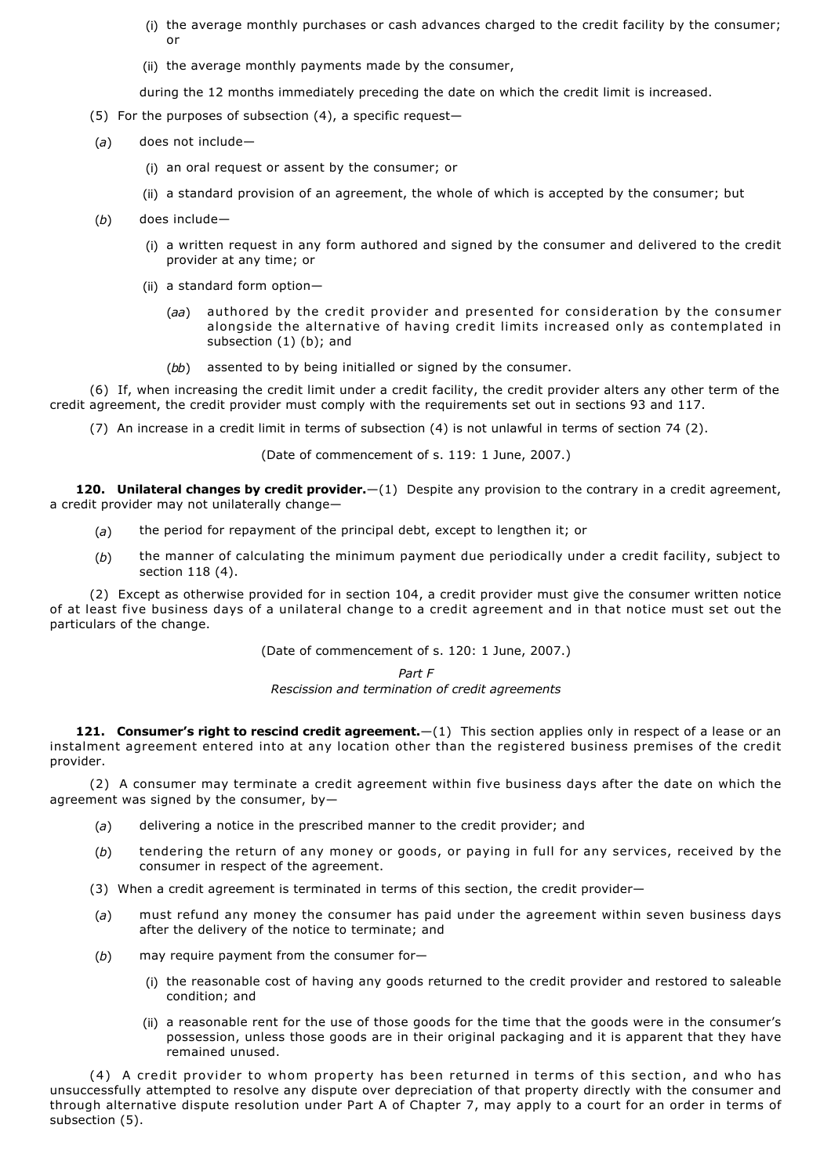- (i) the average monthly purchases or cash advances charged to the credit facility by the consumer; or
- (ii) the average monthly payments made by the consumer,

during the 12 months immediately preceding the date on which the credit limit is increased.

- (5) For the purposes of subsection (4), a specific request—
- (*a*) does not include—
	- (i) an oral request or assent by the consumer; or
	- (ii) a standard provision of an agreement, the whole of which is accepted by the consumer; but
- (*b*) does include—
	- (i) a written request in any form authored and signed by the consumer and delivered to the credit provider at any time; or
	- (ii) a standard form option—
		- (*aa*) authored by the credit provider and presented for consideration by the consumer alongside the alternative of having credit limits increased only as contemplated in subsection (1) (b); and
		- (*bb*) assented to by being initialled or signed by the consumer.

(6) If, when increasing the credit limit under a credit facility, the credit provider alters any other term of the credit agreement, the credit provider must comply with the requirements set out in sections 93 and 117.

(7) An increase in a credit limit in terms of subsection (4) is not unlawful in terms of section 74 (2).

(Date of commencement of s. 119: 1 June, 2007.)

**120. Unilateral changes by credit provider.**—(1) Despite any provision to the contrary in a credit agreement, a credit provider may not unilaterally change—

- (*a*) the period for repayment of the principal debt, except to lengthen it; or
- (*b*) the manner of calculating the minimum payment due periodically under a credit facility, subject to section 118 (4).

(2) Except as otherwise provided for in section 104, a credit provider must give the consumer written notice of at least five business days of a unilateral change to a credit agreement and in that notice must set out the particulars of the change.

(Date of commencement of s. 120: 1 June, 2007.)

*Part F*

*Rescission and termination of credit agreements*

**121. Consumer's right to rescind credit agreement.**—(1) This section applies only in respect of a lease or an instalment agreement entered into at any location other than the registered business premises of the credit provider.

(2) A consumer may terminate a credit agreement within five business days after the date on which the agreement was signed by the consumer, by—

- (*a*) delivering a notice in the prescribed manner to the credit provider; and
- (*b*) tendering the return of any money or goods, or paying in full for any services, received by the consumer in respect of the agreement.
- (3) When a credit agreement is terminated in terms of this section, the credit provider—
- (*a*) must refund any money the consumer has paid under the agreement within seven business days after the delivery of the notice to terminate; and
- (*b*) may require payment from the consumer for—
	- (i) the reasonable cost of having any goods returned to the credit provider and restored to saleable condition; and
	- (ii) a reasonable rent for the use of those goods for the time that the goods were in the consumer's possession, unless those goods are in their original packaging and it is apparent that they have remained unused.

(4) A credit provider to whom property has been returned in terms of this section, and who has unsuccessfully attempted to resolve any dispute over depreciation of that property directly with the consumer and through alternative dispute resolution under Part A of Chapter 7, may apply to a court for an order in terms of subsection (5).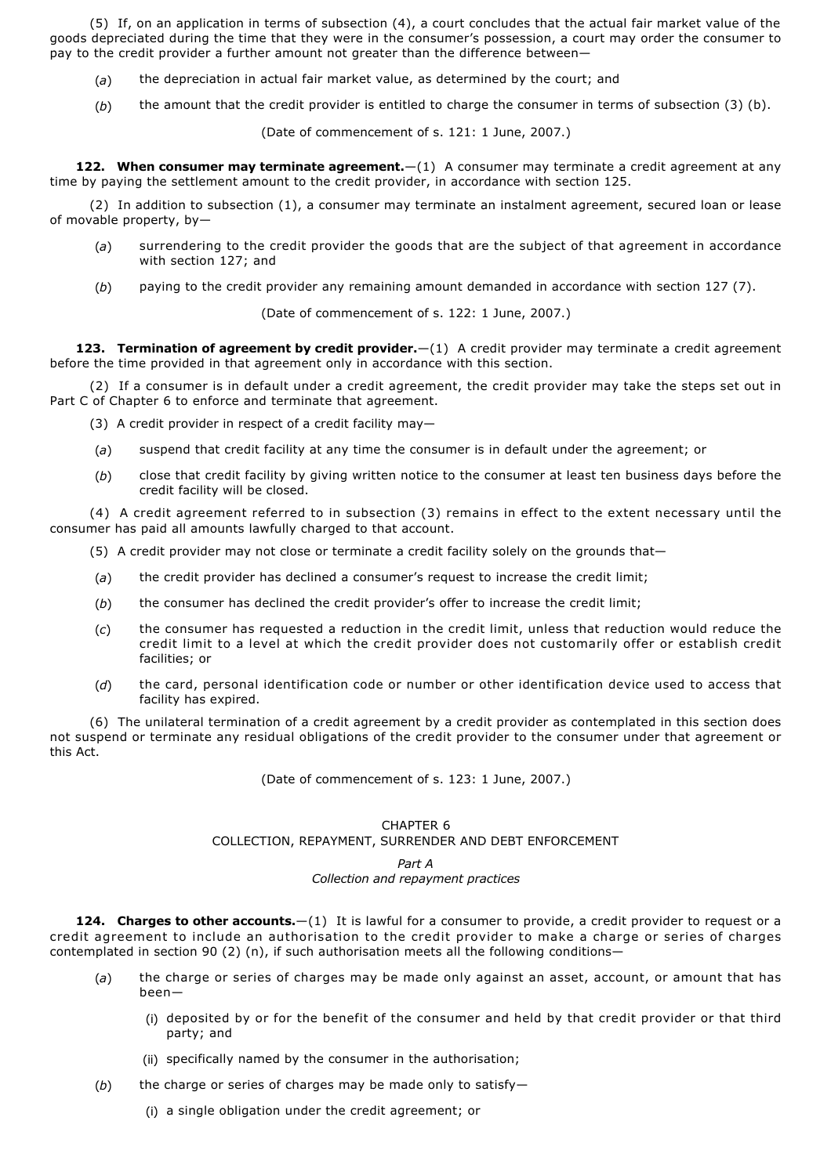(5) If, on an application in terms of subsection (4), a court concludes that the actual fair market value of the goods depreciated during the time that they were in the consumer's possession, a court may order the consumer to pay to the credit provider a further amount not greater than the difference between—

- (*a*) the depreciation in actual fair market value, as determined by the court; and
- (*b*) the amount that the credit provider is entitled to charge the consumer in terms of subsection (3) (b).

(Date of commencement of s. 121: 1 June, 2007.)

**122. When consumer may terminate agreement.**—(1) A consumer may terminate a credit agreement at any time by paying the settlement amount to the credit provider, in accordance with section 125.

(2) In addition to subsection (1), a consumer may terminate an instalment agreement, secured loan or lease of movable property, by—

- (*a*) surrendering to the credit provider the goods that are the subject of that agreement in accordance with section 127; and
- (*b*) paying to the credit provider any remaining amount demanded in accordance with section 127 (7).

(Date of commencement of s. 122: 1 June, 2007.)

**123. Termination of agreement by credit provider.**—(1) A credit provider may terminate a credit agreement before the time provided in that agreement only in accordance with this section.

(2) If a consumer is in default under a credit agreement, the credit provider may take the steps set out in Part C of Chapter 6 to enforce and terminate that agreement.

- (3) A credit provider in respect of a credit facility may—
- (*a*) suspend that credit facility at any time the consumer is in default under the agreement; or
- (*b*) close that credit facility by giving written notice to the consumer at least ten business days before the credit facility will be closed.

(4) A credit agreement referred to in subsection (3) remains in effect to the extent necessary until the consumer has paid all amounts lawfully charged to that account.

- (5) A credit provider may not close or terminate a credit facility solely on the grounds that—
- (*a*) the credit provider has declined a consumer's request to increase the credit limit;
- (*b*) the consumer has declined the credit provider's offer to increase the credit limit;
- (*c*) the consumer has requested a reduction in the credit limit, unless that reduction would reduce the credit limit to a level at which the credit provider does not customarily offer or establish credit facilities; or
- (*d*) the card, personal identification code or number or other identification device used to access that facility has expired.

(6) The unilateral termination of a credit agreement by a credit provider as contemplated in this section does not suspend or terminate any residual obligations of the credit provider to the consumer under that agreement or this Act.

(Date of commencement of s. 123: 1 June, 2007.)

## CHAPTER 6

## COLLECTION, REPAYMENT, SURRENDER AND DEBT ENFORCEMENT

#### *Part A Collection and repayment practices*

**124. Charges to other accounts.**—(1) It is lawful for a consumer to provide, a credit provider to request or a credit agreement to include an authorisation to the credit provider to make a charge or series of charges contemplated in section 90 (2) (n), if such authorisation meets all the following conditions—

- (*a*) the charge or series of charges may be made only against an asset, account, or amount that has been—
	- (i) deposited by or for the benefit of the consumer and held by that credit provider or that third party; and
	- (ii) specifically named by the consumer in the authorisation;
- (*b*) the charge or series of charges may be made only to satisfy—
	- (i) a single obligation under the credit agreement; or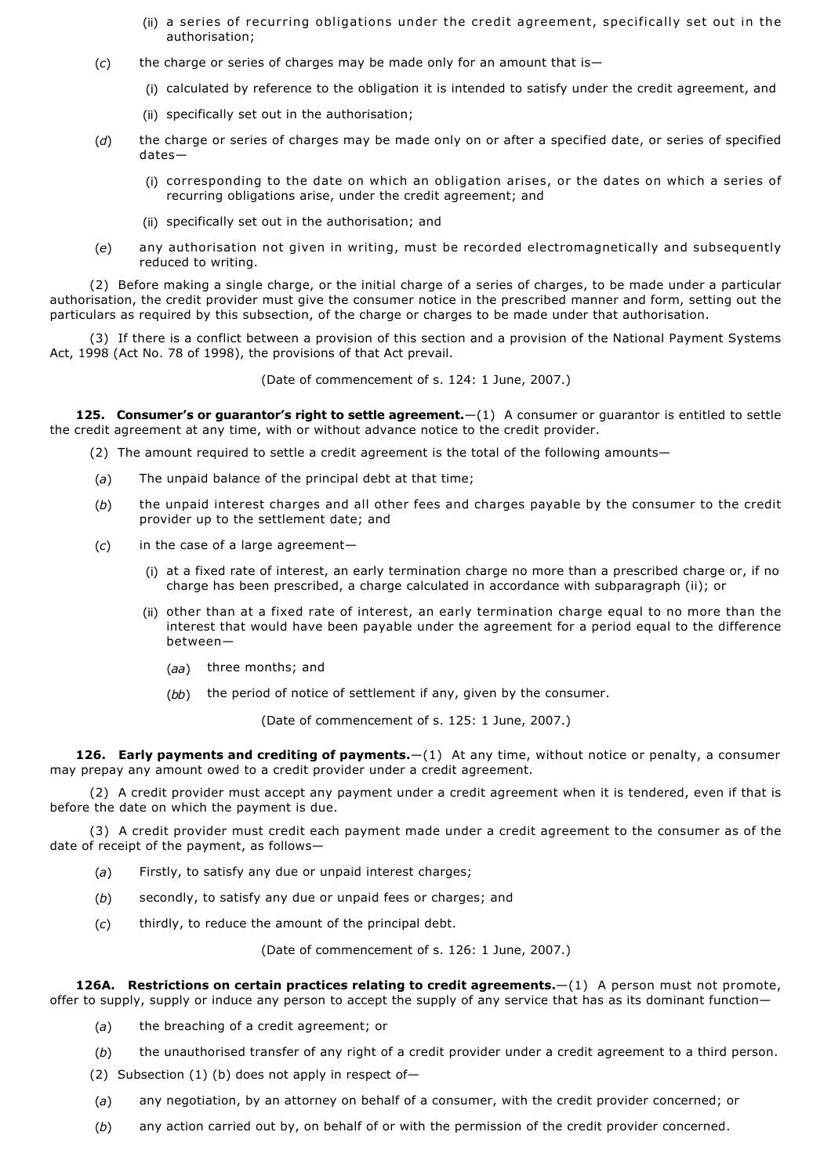- (ii) a series of recurring obligations under the credit agreement, specifically set out in the authorisation;
- (*c*) the charge or series of charges may be made only for an amount that is—
	- (i) calculated by reference to the obligation it is intended to satisfy under the credit agreement, and
	- (ii) specifically set out in the authorisation;
- (*d*) the charge or series of charges may be made only on or after a specified date, or series of specified dates—
	- (i) corresponding to the date on which an obligation arises, or the dates on which a series of recurring obligations arise, under the credit agreement; and
	- (ii) specifically set out in the authorisation; and
- (*e*) any authorisation not given in writing, must be recorded electromagnetically and subsequently reduced to writing.

(2) Before making a single charge, or the initial charge of a series of charges, to be made under a particular authorisation, the credit provider must give the consumer notice in the prescribed manner and form, setting out the particulars as required by this subsection, of the charge or charges to be made under that authorisation.

(3) If there is a conflict between a provision of this section and a provision of the National Payment Systems Act, 1998 (Act No. 78 of 1998), the provisions of that Act prevail.

(Date of commencement of s. 124: 1 June, 2007.)

**125. Consumer's or guarantor's right to settle agreement.**  $-(1)$  A consumer or guarantor is entitled to settle the credit agreement at any time, with or without advance notice to the credit provider.

(2) The amount required to settle a credit agreement is the total of the following amounts—

- (*a*) The unpaid balance of the principal debt at that time;
- (*b*) the unpaid interest charges and all other fees and charges payable by the consumer to the credit provider up to the settlement date; and
- (*c*) in the case of a large agreement—
	- (i) at a fixed rate of interest, an early termination charge no more than a prescribed charge or, if no charge has been prescribed, a charge calculated in accordance with subparagraph (ii); or
	- (ii) other than at a fixed rate of interest, an early termination charge equal to no more than the interest that would have been payable under the agreement for a period equal to the difference between—
		- (*aa*) three months; and
		- (*bb*) the period of notice of settlement if any, given by the consumer.

(Date of commencement of s. 125: 1 June, 2007.)

**126. Early payments and crediting of payments.**—(1) At any time, without notice or penalty, a consumer may prepay any amount owed to a credit provider under a credit agreement.

(2) A credit provider must accept any payment under a credit agreement when it is tendered, even if that is before the date on which the payment is due.

(3) A credit provider must credit each payment made under a credit agreement to the consumer as of the date of receipt of the payment, as follows—

- (*a*) Firstly, to satisfy any due or unpaid interest charges;
- (*b*) secondly, to satisfy any due or unpaid fees or charges; and
- (*c*) thirdly, to reduce the amount of the principal debt.

(Date of commencement of s. 126: 1 June, 2007.)

**126A. Restrictions on certain practices relating to credit agreements.**—(1) A person must not promote, offer to supply, supply or induce any person to accept the supply of any service that has as its dominant function—

- (*a*) the breaching of a credit agreement; or
- (*b*) the unauthorised transfer of any right of a credit provider under a credit agreement to a third person.
- (2) Subsection (1) (b) does not apply in respect of-
- (*a*) any negotiation, by an attorney on behalf of a consumer, with the credit provider concerned; or
- (*b*) any action carried out by, on behalf of or with the permission of the credit provider concerned.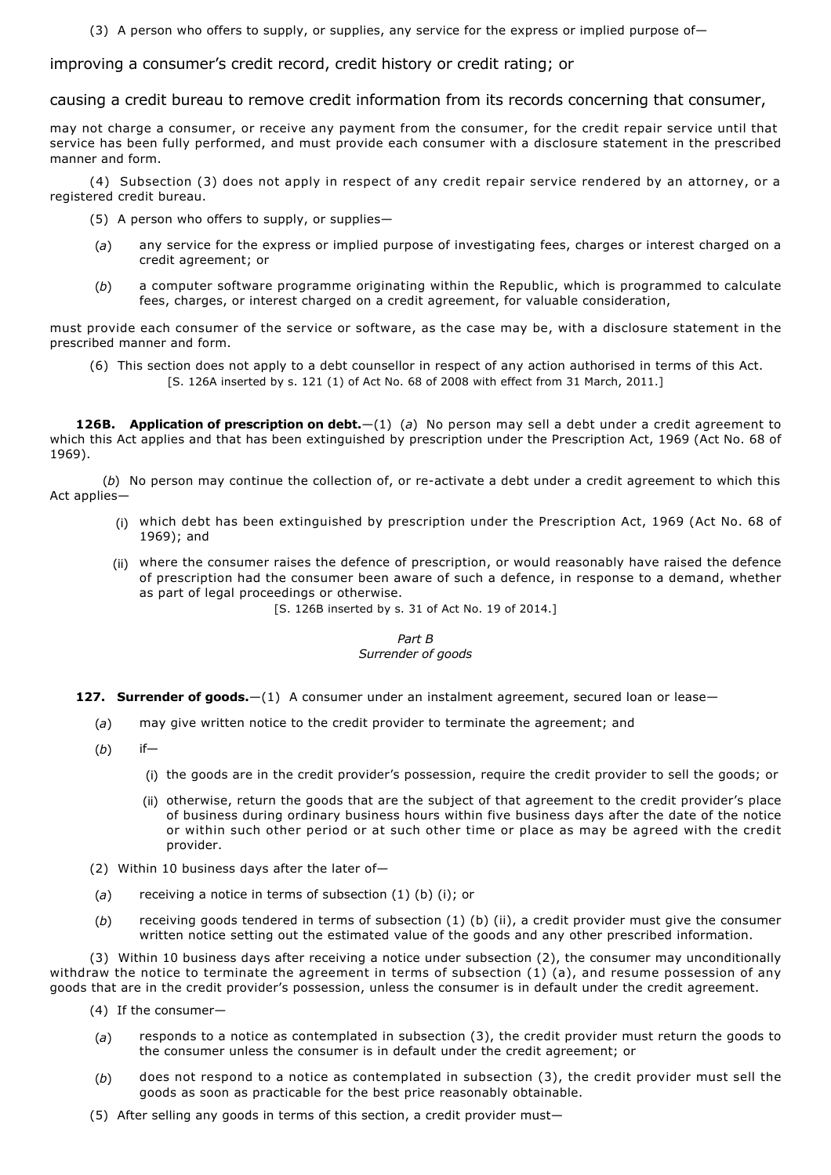(3) A person who offers to supply, or supplies, any service for the express or implied purpose of—

improving a consumer's credit record, credit history or credit rating; or

causing a credit bureau to remove credit information from its records concerning that consumer,

may not charge a consumer, or receive any payment from the consumer, for the credit repair service until that service has been fully performed, and must provide each consumer with a disclosure statement in the prescribed manner and form.

(4) Subsection (3) does not apply in respect of any credit repair service rendered by an attorney, or a registered credit bureau.

- (5) A person who offers to supply, or supplies—
- (*a*) any service for the express or implied purpose of investigating fees, charges or interest charged on a credit agreement; or
- (*b*) a computer software programme originating within the Republic, which is programmed to calculate fees, charges, or interest charged on a credit agreement, for valuable consideration,

must provide each consumer of the service or software, as the case may be, with a disclosure statement in the prescribed manner and form.

(6) This section does not apply to a debt counsellor in respect of any action authorised in terms of this Act. [S. 126A inserted by s. 121 (1) of Act No. 68 of 2008 with effect from 31 March, 2011.]

**126B.** Application of prescription on debt.  $-(1)(a)$  No person may sell a debt under a credit agreement to which this Act applies and that has been extinguished by prescription under the Prescription Act, 1969 (Act No. 68 of 1969).

(b) No person may continue the collection of, or re-activate a debt under a credit agreement to which this Act applies—

- (i) which debt has been extinguished by prescription under the Prescription Act, 1969 (Act No. 68 of 1969); and
- (ii) where the consumer raises the defence of prescription, or would reasonably have raised the defence of prescription had the consumer been aware of such a defence, in response to a demand, whether as part of legal proceedings or otherwise.
	- [S. 126B inserted by s. 31 of Act No. 19 of 2014.]

## *Part B Surrender of goods*

- **127. Surrender of goods.**—(1) A consumer under an instalment agreement, secured loan or lease—
	- (*a*) may give written notice to the credit provider to terminate the agreement; and
	- (*b*) if—
		- (i) the goods are in the credit provider's possession, require the credit provider to sell the goods; or
		- (ii) otherwise, return the goods that are the subject of that agreement to the credit provider's place of business during ordinary business hours within five business days after the date of the notice or within such other period or at such other time or place as may be agreed with the credit provider.
	- (2) Within 10 business days after the later of—
	- (*a*) receiving a notice in terms of subsection (1) (b) (i); or
	- (*b*) receiving goods tendered in terms of subsection (1) (b) (ii), a credit provider must give the consumer written notice setting out the estimated value of the goods and any other prescribed information.

(3) Within 10 business days after receiving a notice under subsection (2), the consumer may unconditionally withdraw the notice to terminate the agreement in terms of subsection (1) (a), and resume possession of any goods that are in the credit provider's possession, unless the consumer is in default under the credit agreement.

- (4) If the consumer—
- (*a*) responds to a notice as contemplated in subsection (3), the credit provider must return the goods to the consumer unless the consumer is in default under the credit agreement; or
- (*b*) does not respond to a notice as contemplated in subsection (3), the credit provider must sell the goods as soon as practicable for the best price reasonably obtainable.
- (5) After selling any goods in terms of this section, a credit provider must—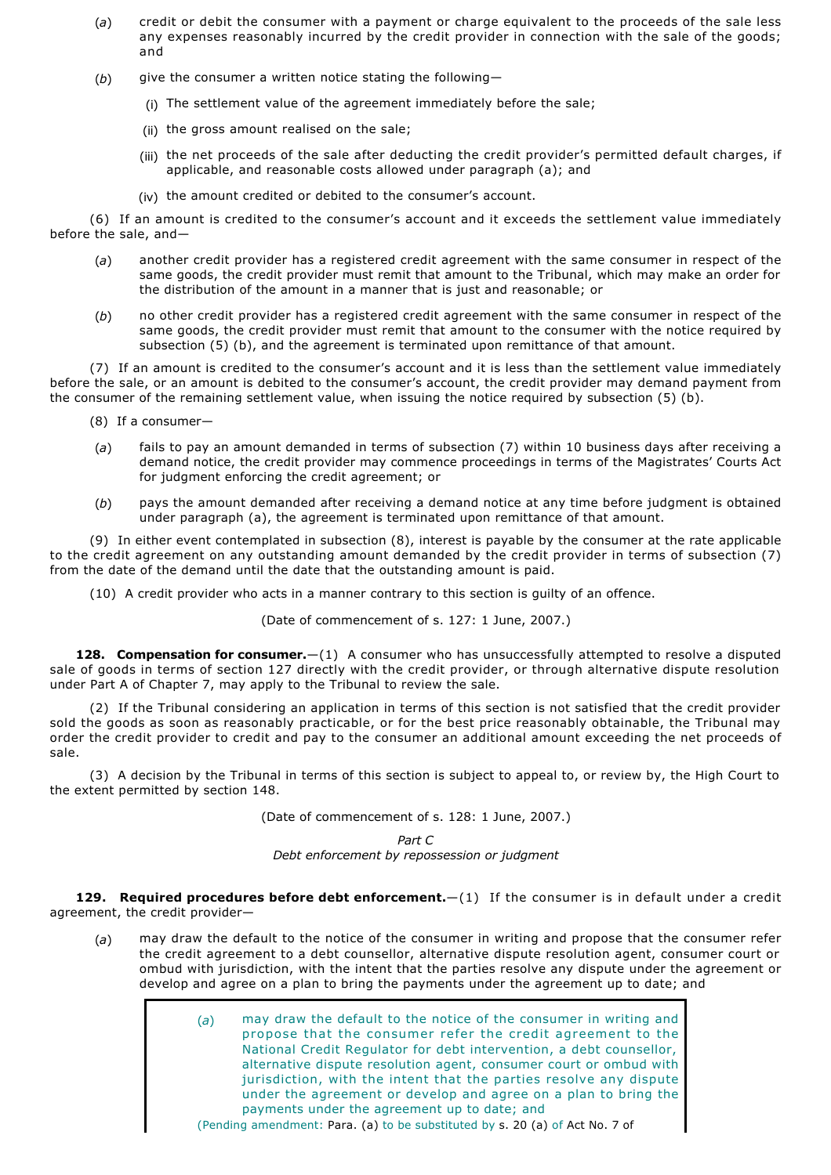- (*a*) credit or debit the consumer with a payment or charge equivalent to the proceeds of the sale less any expenses reasonably incurred by the credit provider in connection with the sale of the goods; and
- (b) give the consumer a written notice stating the following-
	- (i) The settlement value of the agreement immediately before the sale;
	- (ii) the gross amount realised on the sale;
	- (iii) the net proceeds of the sale after deducting the credit provider's permitted default charges, if applicable, and reasonable costs allowed under paragraph (a); and
	- (iv) the amount credited or debited to the consumer's account.

(6) If an amount is credited to the consumer's account and it exceeds the settlement value immediately before the sale, and—

- (*a*) another credit provider has a registered credit agreement with the same consumer in respect of the same goods, the credit provider must remit that amount to the Tribunal, which may make an order for the distribution of the amount in a manner that is just and reasonable; or
- (*b*) no other credit provider has a registered credit agreement with the same consumer in respect of the same goods, the credit provider must remit that amount to the consumer with the notice required by subsection (5) (b), and the agreement is terminated upon remittance of that amount.

(7) If an amount is credited to the consumer's account and it is less than the settlement value immediately before the sale, or an amount is debited to the consumer's account, the credit provider may demand payment from the consumer of the remaining settlement value, when issuing the notice required by subsection (5) (b).

- (8) If a consumer—
- (*a*) fails to pay an amount demanded in terms of subsection (7) within 10 business days after receiving a demand notice, the credit provider may commence proceedings in terms of the Magistrates' Courts Act for judgment enforcing the credit agreement; or
- (*b*) pays the amount demanded after receiving a demand notice at any time before judgment is obtained under paragraph (a), the agreement is terminated upon remittance of that amount.

(9) In either event contemplated in subsection (8), interest is payable by the consumer at the rate applicable to the credit agreement on any outstanding amount demanded by the credit provider in terms of subsection (7) from the date of the demand until the date that the outstanding amount is paid.

(10) A credit provider who acts in a manner contrary to this section is guilty of an offence.

(Date of commencement of s. 127: 1 June, 2007.)

128. Compensation for consumer. $-(1)$  A consumer who has unsuccessfully attempted to resolve a disputed sale of goods in terms of section 127 directly with the credit provider, or through alternative dispute resolution under Part A of Chapter 7, may apply to the Tribunal to review the sale.

(2) If the Tribunal considering an application in terms of this section is not satisfied that the credit provider sold the goods as soon as reasonably practicable, or for the best price reasonably obtainable, the Tribunal may order the credit provider to credit and pay to the consumer an additional amount exceeding the net proceeds of sale.

(3) A decision by the Tribunal in terms of this section is subject to appeal to, or review by, the High Court to the extent permitted by section 148.

(Date of commencement of s. 128: 1 June, 2007.)

*Part C Debt enforcement by repossession or judgment*

**129. Required procedures before debt enforcement.**—(1) If the consumer is in default under a credit agreement, the credit provider—

(*a*) may draw the default to the notice of the consumer in writing and propose that the consumer refer the credit agreement to a debt counsellor, alternative dispute resolution agent, consumer court or ombud with jurisdiction, with the intent that the parties resolve any dispute under the agreement or develop and agree on a plan to bring the payments under the agreement up to date; and

> (*a*) may draw the default to the notice of the consumer in writing and propose that the consumer refer the credit agreement to the National Credit Regulator for debt intervention, a debt counsellor, alternative dispute resolution agent, consumer court or ombud with jurisdiction, with the intent that the parties resolve any dispute under the agreement or develop and agree on a plan to bring the payments under the agreement up to date; and

(Pending amendment: Para. (a) to be substituted by s. 20 (a) of Act No. 7 of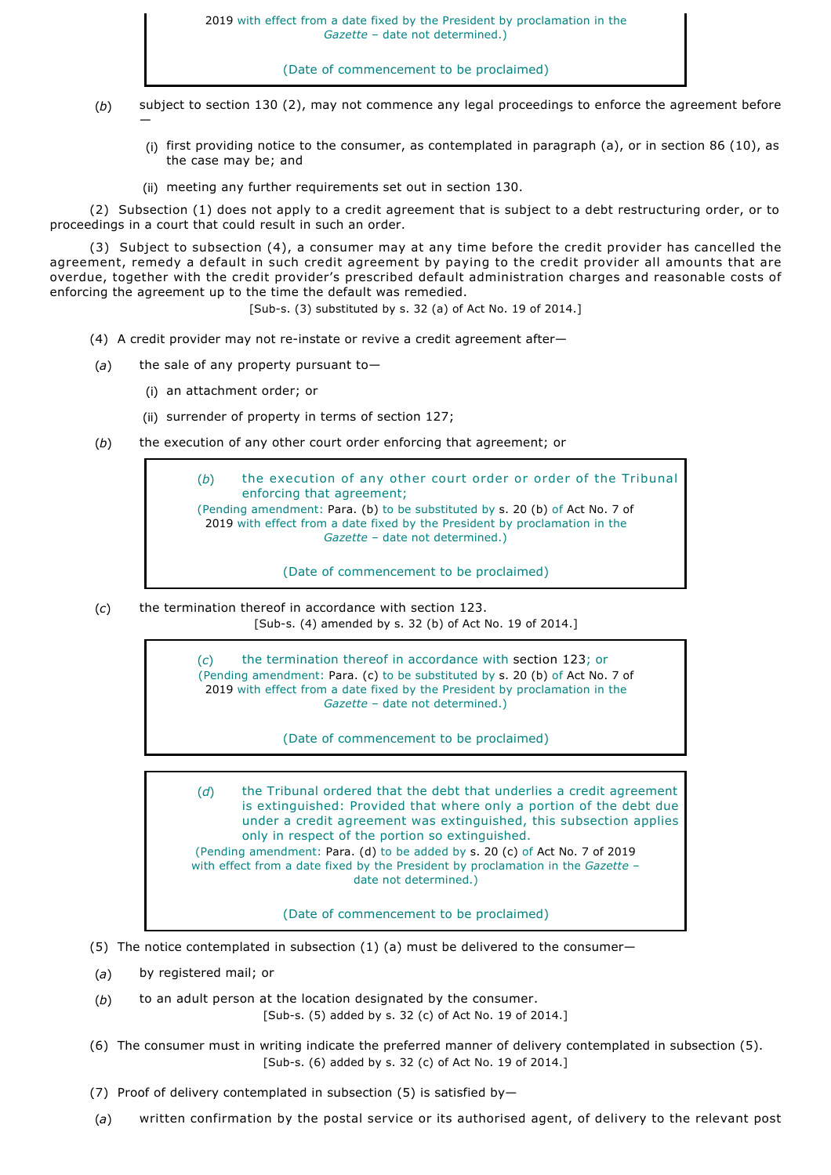(Date of commencement to be proclaimed)

- (*b*) subject to section 130 (2), may not commence any legal proceedings to enforce the agreement before —
	- (i) first providing notice to the consumer, as contemplated in paragraph (a), or in section 86 (10), as the case may be; and
	- (ii) meeting any further requirements set out in section 130.

(2) Subsection (1) does not apply to a credit agreement that is subject to a debt restructuring order, or to proceedings in a court that could result in such an order.

(3) Subject to subsection (4), a consumer may at any time before the credit provider has cancelled the agreement, remedy a default in such credit agreement by paying to the credit provider all amounts that are overdue, together with the credit provider's prescribed default administration charges and reasonable costs of enforcing the agreement up to the time the default was remedied.

 $[Sub-s. (3)$  substituted by s. 32 (a) of Act No. 19 of 2014.]

- (4) A credit provider may not re-instate or revive a credit agreement after-
- (*a*) the sale of any property pursuant to—
	- (i) an attachment order; or
	- (ii) surrender of property in terms of section 127;
- (*b*) the execution of any other court order enforcing that agreement; or

(*b*) the execution of any other court order or order of the Tribunal enforcing that agreement; (Pending amendment: Para. (b) to be substituted by s. 20 (b) of Act No. 7 of 2019 with effect from a date fixed by the President by proclamation in the *Gazette* – date not determined.)

(Date of commencement to be proclaimed)

(*c*) the termination thereof in accordance with section 123. [Sub-s. (4) amended by s. 32 (b) of Act No. 19 of 2014.]

> (*c*) the termination thereof in accordance with section 123; or (Pending amendment: Para. (c) to be substituted by s. 20 (b) of Act No. 7 of 2019 with effect from a date fixed by the President by proclamation in the *Gazette* – date not determined.)

> > (Date of commencement to be proclaimed)

(*d*) the Tribunal ordered that the debt that underlies a credit agreement is extinguished: Provided that where only a portion of the debt due under a credit agreement was extinguished, this subsection applies only in respect of the portion so extinguished. (Pending amendment: Para. (d) to be added by s. 20 (c) of Act No. 7 of 2019 with effect from a date fixed by the President by proclamation in the *Gazette* – date not determined.)

(Date of commencement to be proclaimed)

- (5) The notice contemplated in subsection (1) (a) must be delivered to the consumer—
- (*a*) by registered mail; or
- (*b*) to an adult person at the location designated by the consumer. [Sub-s. (5) added by s. 32 (c) of Act No. 19 of 2014.]
- (6) The consumer must in writing indicate the preferred manner of delivery contemplated in subsection (5).  $[Sub-s. (6)$  added by s. 32 (c) of Act No. 19 of 2014.]
- (7) Proof of delivery contemplated in subsection (5) is satisfied by—
- (*a*) written confirmation by the postal service or its authorised agent, of delivery to the relevant post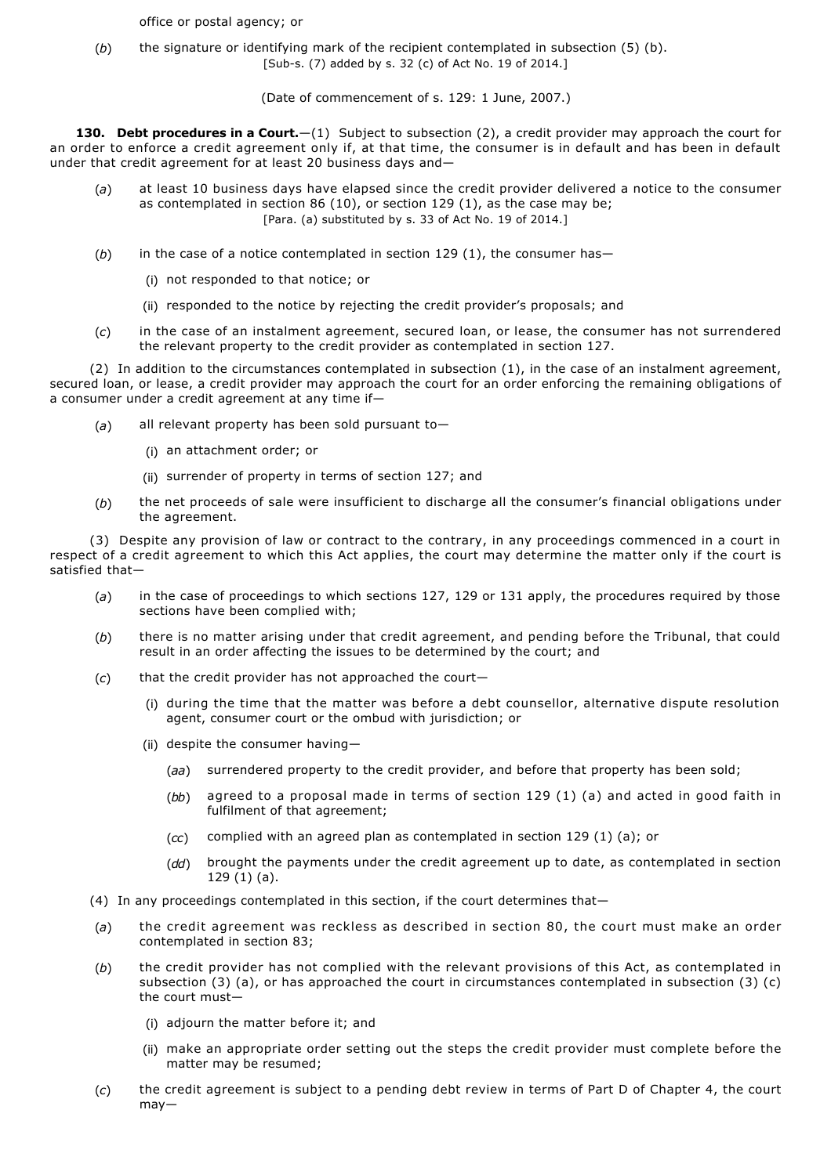office or postal agency; or

(*b*) the signature or identifying mark of the recipient contemplated in subsection (5) (b). [Sub-s. (7) added by s. 32 (c) of Act No. 19 of 2014.]

(Date of commencement of s. 129: 1 June, 2007.)

**130. Debt procedures in a Court.**—(1) Subject to subsection (2), a credit provider may approach the court for an order to enforce a credit agreement only if, at that time, the consumer is in default and has been in default under that credit agreement for at least 20 business days and—

- (*a*) at least 10 business days have elapsed since the credit provider delivered a notice to the consumer as contemplated in section 86 (10), or section 129 (1), as the case may be; [Para. (a) substituted by s. 33 of Act No. 19 of 2014.]
- (b) in the case of a notice contemplated in section 129 (1), the consumer has-
	- (i) not responded to that notice; or
	- (ii) responded to the notice by rejecting the credit provider's proposals; and
- (*c*) in the case of an instalment agreement, secured loan, or lease, the consumer has not surrendered the relevant property to the credit provider as contemplated in section 127.

(2) In addition to the circumstances contemplated in subsection (1), in the case of an instalment agreement, secured loan, or lease, a credit provider may approach the court for an order enforcing the remaining obligations of a consumer under a credit agreement at any time if—

- (*a*) all relevant property has been sold pursuant to—
	- (i) an attachment order; or
	- (ii) surrender of property in terms of section 127; and
- (*b*) the net proceeds of sale were insufficient to discharge all the consumer's financial obligations under the agreement.

(3) Despite any provision of law or contract to the contrary, in any proceedings commenced in a court in respect of a credit agreement to which this Act applies, the court may determine the matter only if the court is satisfied that—

- (*a*) in the case of proceedings to which sections 127, 129 or 131 apply, the procedures required by those sections have been complied with;
- (*b*) there is no matter arising under that credit agreement, and pending before the Tribunal, that could result in an order affecting the issues to be determined by the court; and
- (*c*) that the credit provider has not approached the court—
	- (i) during the time that the matter was before a debt counsellor, alternative dispute resolution agent, consumer court or the ombud with jurisdiction; or
	- (ii) despite the consumer having—
		- ( *aa* ) surrendered property to the credit provider, and before that property has been sold;
		- (*bb*) agreed to a proposal made in terms of section 129 (1) (a) and acted in good faith in fulfilment of that agreement;
		- (*cc*) complied with an agreed plan as contemplated in section 129 (1) (a); or
		- (*dd*) brought the payments under the credit agreement up to date, as contemplated in section 129 (1) (a).
- (4) In any proceedings contemplated in this section, if the court determines that—
- (*a*) the credit agreement was reckless as described in section 80, the court must make an order contemplated in section 83;
- (*b*) the credit provider has not complied with the relevant provisions of this Act, as contemplated in subsection (3) (a), or has approached the court in circumstances contemplated in subsection (3) (c) the court must—
	- (i) adjourn the matter before it; and
	- (ii) make an appropriate order setting out the steps the credit provider must complete before the matter may be resumed;
- (*c*) the credit agreement is subject to a pending debt review in terms of Part D of Chapter 4, the court may—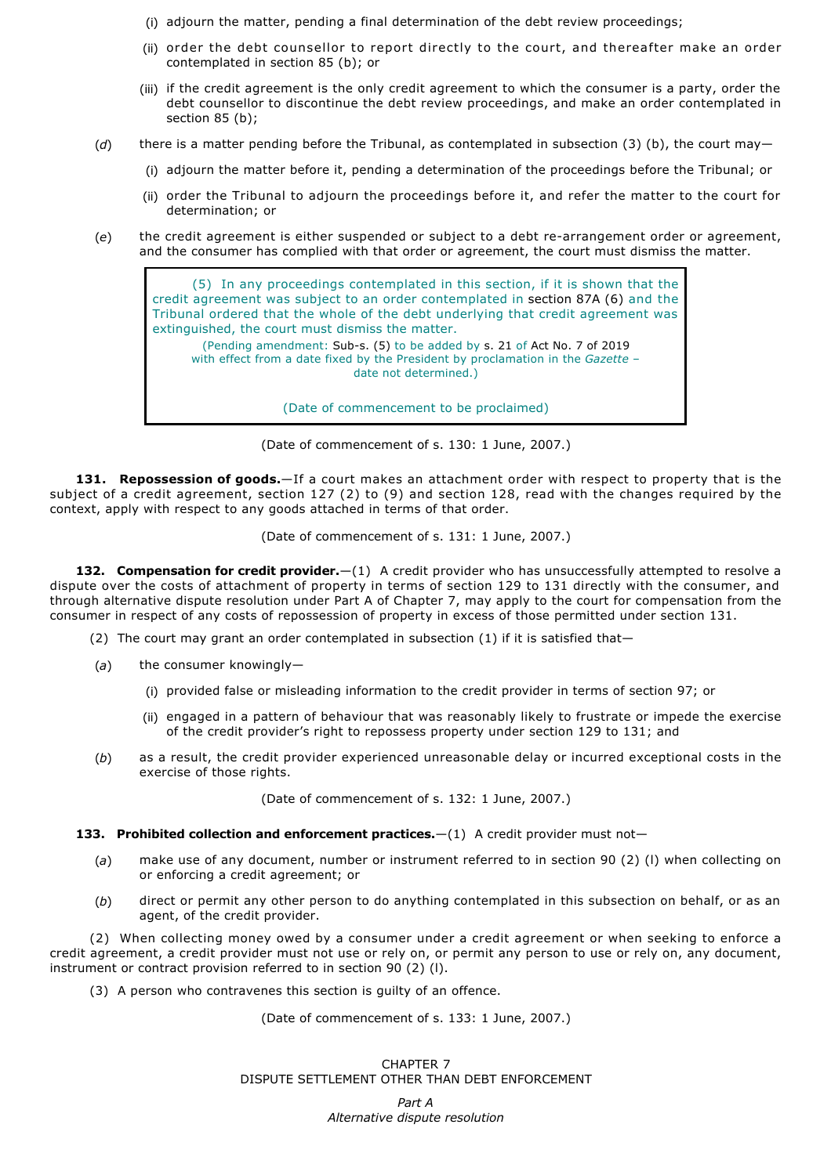- (i) adjourn the matter, pending a final determination of the debt review proceedings;
- (ii) order the debt counsellor to report directly to the court, and thereafter make an order contemplated in section 85 (b); or
- (iii) if the credit agreement is the only credit agreement to which the consumer is a party, order the debt counsellor to discontinue the debt review proceedings, and make an order contemplated in section 85 (b):
- (*d*) there is a matter pending before the Tribunal, as contemplated in subsection (3) (b), the court may—
	- (i) adjourn the matter before it, pending a determination of the proceedings before the Tribunal; or
	- (ii) order the Tribunal to adjourn the proceedings before it, and refer the matter to the court for determination; or
- (e) the credit agreement is either suspended or subject to a debt re-arrangement order or agreement, and the consumer has complied with that order or agreement, the court must dismiss the matter.



(Date of commencement of s. 130: 1 June, 2007.)

**131. Repossession of goods.**—If a court makes an attachment order with respect to property that is the subject of a credit agreement, section 127 (2) to (9) and section 128, read with the changes required by the context, apply with respect to any goods attached in terms of that order.

(Date of commencement of s. 131: 1 June, 2007.)

**132. Compensation for credit provider.**—(1) A credit provider who has unsuccessfully attempted to resolve a dispute over the costs of attachment of property in terms of section 129 to 131 directly with the consumer, and through alternative dispute resolution under Part A of Chapter 7, may apply to the court for compensation from the consumer in respect of any costs of repossession of property in excess of those permitted under section 131.

- (2) The court may grant an order contemplated in subsection  $(1)$  if it is satisfied that-
- (*a*) the consumer knowingly—
	- (i) provided false or misleading information to the credit provider in terms of section 97; or
	- (ii) engaged in a pattern of behaviour that was reasonably likely to frustrate or impede the exercise of the credit provider's right to repossess property under section 129 to 131; and
- (*b*) as a result, the credit provider experienced unreasonable delay or incurred exceptional costs in the exercise of those rights.

(Date of commencement of s. 132: 1 June, 2007.)

## **133. Prohibited collection and enforcement practices.**—(1) A credit provider must not—

- (*a*) make use of any document, number or instrument referred to in section 90 (2) (l) when collecting on or enforcing a credit agreement; or
- (*b*) direct or permit any other person to do anything contemplated in this subsection on behalf, or as an agent, of the credit provider.

(2) When collecting money owed by a consumer under a credit agreement or when seeking to enforce a credit agreement, a credit provider must not use or rely on, or permit any person to use or rely on, any document, instrument or contract provision referred to in section 90 (2) (l).

(3) A person who contravenes this section is guilty of an offence.

(Date of commencement of s. 133: 1 June, 2007.)

CHAPTER 7 DISPUTE SETTLEMENT OTHER THAN DEBT ENFORCEMENT

> *Part A Alternative dispute resolution*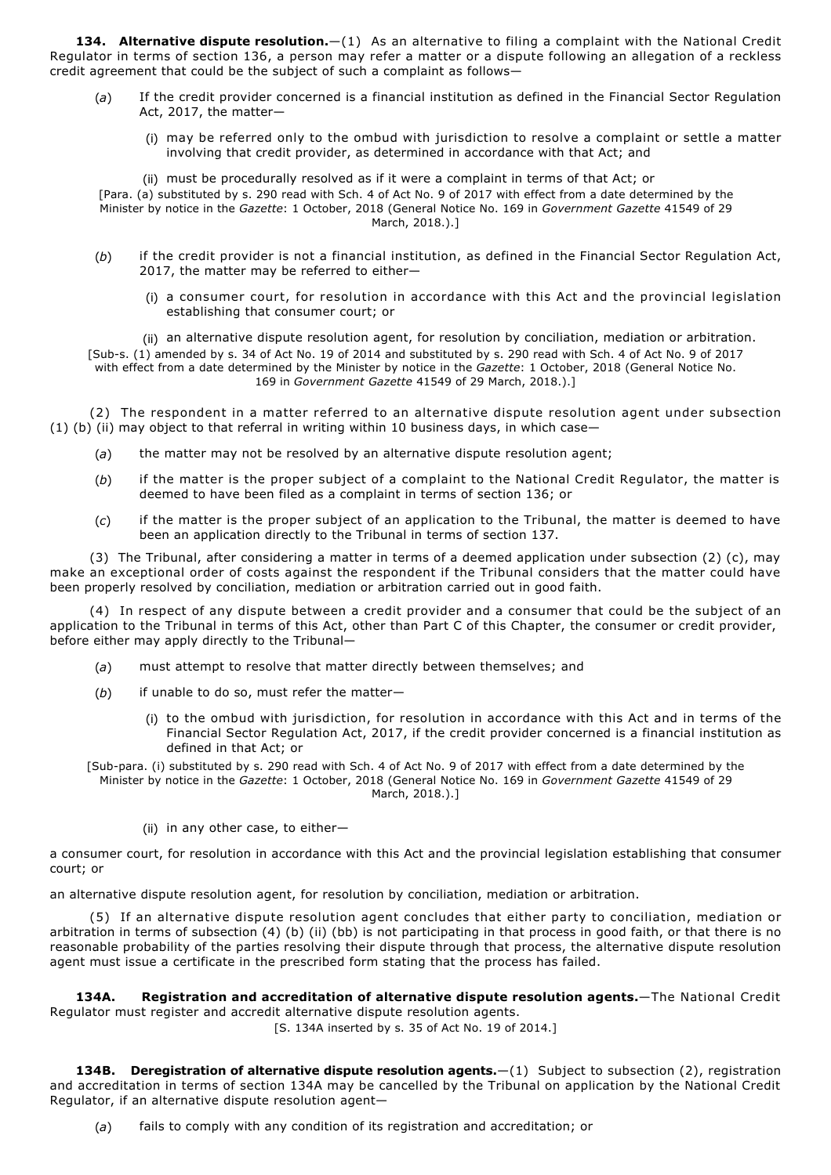**134. Alternative dispute resolution.**—(1) As an alternative to filing a complaint with the National Credit Regulator in terms of section 136, a person may refer a matter or a dispute following an allegation of a reckless credit agreement that could be the subject of such a complaint as follows—

- (*a*) If the credit provider concerned is a financial institution as defined in the Financial Sector Regulation Act, 2017, the matter—
	- (i) may be referred only to the ombud with jurisdiction to resolve a complaint or settle a matter involving that credit provider, as determined in accordance with that Act; and

(ii) must be procedurally resolved as if it were a complaint in terms of that Act; or [Para. (a) substituted by s. 290 read with Sch. 4 of Act No. 9 of 2017 with effect from a date determined by the Minister by notice in the *Gazette*: 1 October, 2018 (General Notice No. 169 in *Government Gazette* 41549 of 29 March, 2018.).]

- (*b*) if the credit provider is not a financial institution, as defined in the Financial Sector Regulation Act, 2017, the matter may be referred to either—
	- (i) a consumer court, for resolution in accordance with this Act and the provincial legislation establishing that consumer court; or

(ii) an alternative dispute resolution agent, for resolution by conciliation, mediation or arbitration. [Sub-s. (1) amended by s. 34 of Act No. 19 of 2014 and substituted by s. 290 read with Sch. 4 of Act No. 9 of 2017 with effect from a date determined by the Minister by notice in the *Gazette*: 1 October, 2018 (General Notice No. 169 in *Government Gazette* 41549 of 29 March, 2018.).]

(2) The respondent in a matter referred to an alternative dispute resolution agent under subsection (1) (b) (ii) may object to that referral in writing within 10 business days, in which case—

- (*a*) the matter may not be resolved by an alternative dispute resolution agent;
- (*b*) if the matter is the proper subject of a complaint to the National Credit Regulator, the matter is deemed to have been filed as a complaint in terms of section 136; or
- (*c*) if the matter is the proper subject of an application to the Tribunal, the matter is deemed to have been an application directly to the Tribunal in terms of section 137.

(3) The Tribunal, after considering a matter in terms of a deemed application under subsection (2) (c), may make an exceptional order of costs against the respondent if the Tribunal considers that the matter could have been properly resolved by conciliation, mediation or arbitration carried out in good faith.

(4) In respect of any dispute between a credit provider and a consumer that could be the subject of an application to the Tribunal in terms of this Act, other than Part C of this Chapter, the consumer or credit provider, before either may apply directly to the Tribunal—

- (*a*) must attempt to resolve that matter directly between themselves; and
- (*b*) if unable to do so, must refer the matter—
	- (i) to the ombud with jurisdiction, for resolution in accordance with this Act and in terms of the Financial Sector Regulation Act, 2017, if the credit provider concerned is a financial institution as defined in that Act; or

[Sub-para. (i) substituted by s. 290 read with Sch. 4 of Act No. 9 of 2017 with effect from a date determined by the Minister by notice in the *Gazette*: 1 October, 2018 (General Notice No. 169 in *Government Gazette* 41549 of 29 March, 2018.).]

(ii) in any other case, to either—

a consumer court, for resolution in accordance with this Act and the provincial legislation establishing that consumer court; or

an alternative dispute resolution agent, for resolution by conciliation, mediation or arbitration.

(5) If an alternative dispute resolution agent concludes that either party to conciliation, mediation or arbitration in terms of subsection (4) (b) (ii) (bb) is not participating in that process in good faith, or that there is no reasonable probability of the parties resolving their dispute through that process, the alternative dispute resolution agent must issue a certificate in the prescribed form stating that the process has failed.

**134A. Registration and accreditation of alternative dispute resolution agents.**—The National Credit Regulator must register and accredit alternative dispute resolution agents.

[S. 134A inserted by s. 35 of Act No. 19 of 2014.]

**134B. Deregistration of alternative dispute resolution agents.**—(1) Subject to subsection (2), registration and accreditation in terms of section 134A may be cancelled by the Tribunal on application by the National Credit Regulator, if an alternative dispute resolution agent—

(*a*) fails to comply with any condition of its registration and accreditation; or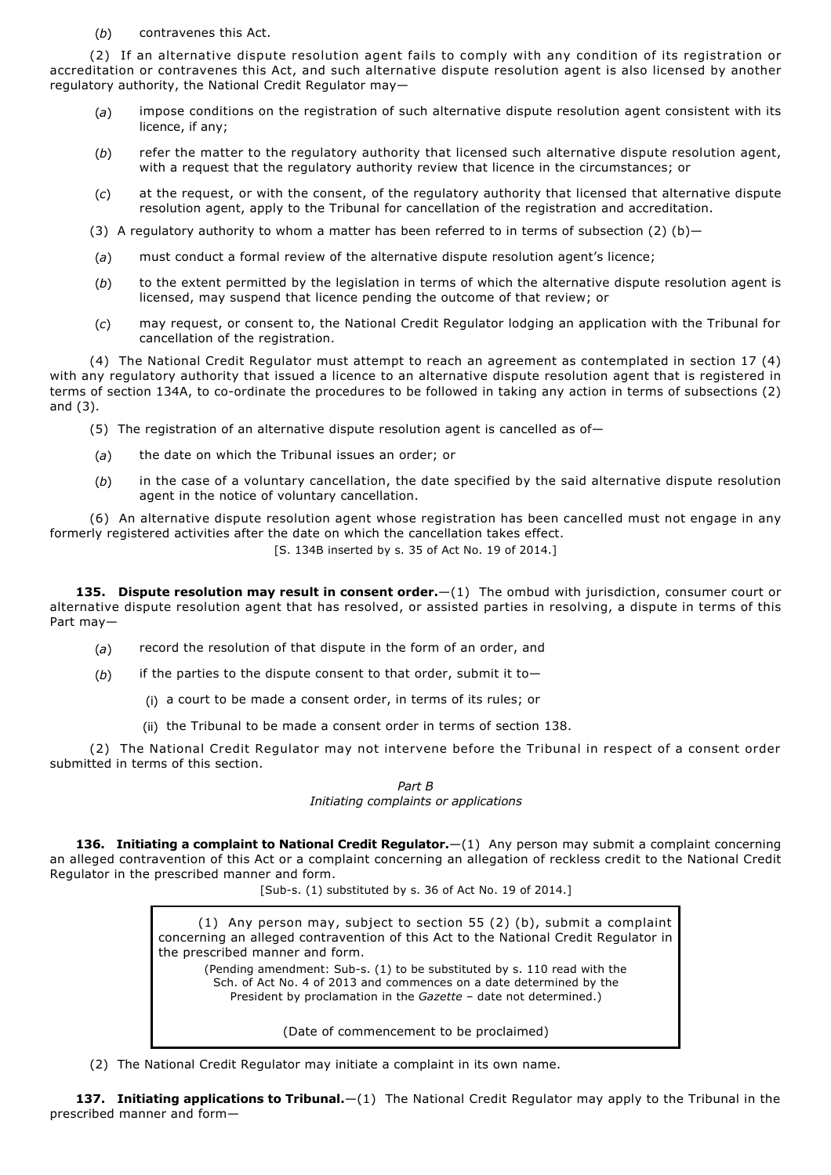(*b*) contravenes this Act.

(2) If an alternative dispute resolution agent fails to comply with any condition of its registration or accreditation or contravenes this Act, and such alternative dispute resolution agent is also licensed by another regulatory authority, the National Credit Regulator may—

- (*a*) impose conditions on the registration of such alternative dispute resolution agent consistent with its licence, if any;
- (*b*) refer the matter to the regulatory authority that licensed such alternative dispute resolution agent, with a request that the regulatory authority review that licence in the circumstances; or
- (*c*) at the request, or with the consent, of the regulatory authority that licensed that alternative dispute resolution agent, apply to the Tribunal for cancellation of the registration and accreditation.
- (3) A regulatory authority to whom a matter has been referred to in terms of subsection (2) (b)-
- (*a*) must conduct a formal review of the alternative dispute resolution agent's licence;
- (*b*) to the extent permitted by the legislation in terms of which the alternative dispute resolution agent is licensed, may suspend that licence pending the outcome of that review; or
- (*c*) may request, or consent to, the National Credit Regulator lodging an application with the Tribunal for cancellation of the registration.

(4) The National Credit Regulator must attempt to reach an agreement as contemplated in section 17 (4) with any regulatory authority that issued a licence to an alternative dispute resolution agent that is registered in terms of section 134A, to co-ordinate the procedures to be followed in taking any action in terms of subsections (2) and (3).

- (5) The registration of an alternative dispute resolution agent is cancelled as of-
- (*a*) the date on which the Tribunal issues an order; or
- (*b*) in the case of a voluntary cancellation, the date specified by the said alternative dispute resolution agent in the notice of voluntary cancellation.

(6) An alternative dispute resolution agent whose registration has been cancelled must not engage in any formerly registered activities after the date on which the cancellation takes effect.

[S. 134B inserted by s. 35 of Act No. 19 of 2014.]

**135. Dispute resolution may result in consent order.**—(1) The ombud with jurisdiction, consumer court or alternative dispute resolution agent that has resolved, or assisted parties in resolving, a dispute in terms of this Part may—

- (*a*) record the resolution of that dispute in the form of an order, and
- $(b)$  if the parties to the dispute consent to that order, submit it to-
	- (i) a court to be made a consent order, in terms of its rules; or
	- (ii) the Tribunal to be made a consent order in terms of section 138.

(2) The National Credit Regulator may not intervene before the Tribunal in respect of a consent order submitted in terms of this section.

> *Part B Initiating complaints or applications*

**136. Initiating a complaint to National Credit Regulator.**—(1) Any person may submit a complaint concerning an alleged contravention of this Act or a complaint concerning an allegation of reckless credit to the National Credit Regulator in the prescribed manner and form.

[Sub-s. (1) substituted by s. 36 of Act No. 19 of 2014.]

(1) Any person may, subject to section 55 (2) (b), submit a complaint concerning an alleged contravention of this Act to the National Credit Regulator in the prescribed manner and form. (Pending amendment: Sub-s.  $(1)$  to be substituted by s. 110 read with the

Sch. of Act No. 4 of 2013 and commences on a date determined by the President by proclamation in the *Gazette* – date not determined.)

(Date of commencement to be proclaimed)

(2) The National Credit Regulator may initiate a complaint in its own name.

**137. Initiating applications to Tribunal.**—(1) The National Credit Regulator may apply to the Tribunal in the prescribed manner and form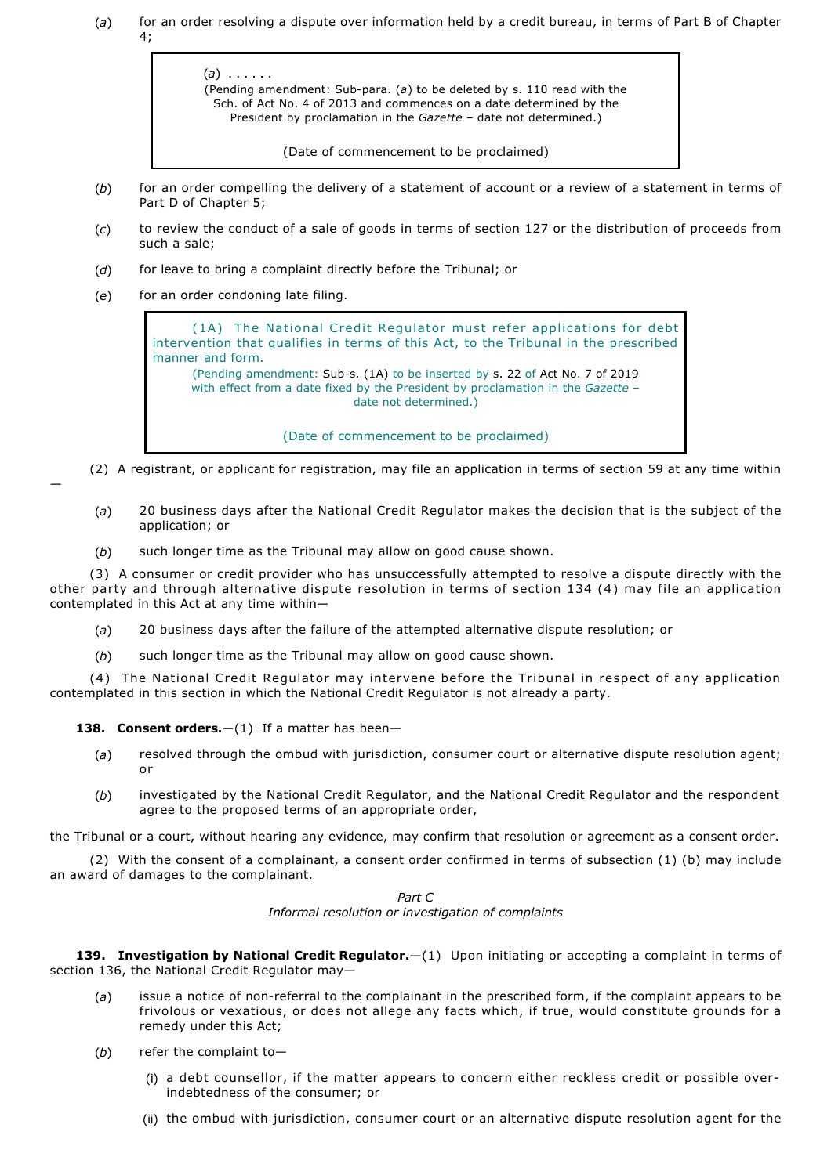(*a*) for an order resolving a dispute over information held by a credit bureau, in terms of Part B of Chapter  $4:$ 



(Date of commencement to be proclaimed)

- (*b*) for an order compelling the delivery of a statement of account or a review of a statement in terms of Part D of Chapter 5;
- (*c*) to review the conduct of a sale of goods in terms of section 127 or the distribution of proceeds from such a sale;
- (*d*) for leave to bring a complaint directly before the Tribunal; or
- (*e*) for an order condoning late filing.

—

(1A) The National Credit Regulator must refer applications for debt intervention that qualifies in terms of this Act, to the Tribunal in the prescribed manner and form. (Pending amendment: Sub-s. (1A) to be inserted by s. 22 of Act No. 7 of 2019 with effect from a date fixed by the President by proclamation in the *Gazette* – date not determined.)

(Date of commencement to be proclaimed)

- (2) A registrant, or applicant for registration, may file an application in terms of section 59 at any time within
- (*a*) 20 business days after the National Credit Regulator makes the decision that is the subject of the application; or
- (*b*) such longer time as the Tribunal may allow on good cause shown.

(3) A consumer or credit provider who has unsuccessfully attempted to resolve a dispute directly with the other party and through alternative dispute resolution in terms of section 134 (4) may file an application contemplated in this Act at any time within—

- (*a*) 20 business days after the failure of the attempted alternative dispute resolution; or
- (*b*) such longer time as the Tribunal may allow on good cause shown.

(4) The National Credit Regulator may intervene before the Tribunal in respect of any application contemplated in this section in which the National Credit Regulator is not already a party.

**138. Consent orders.** - (1) If a matter has been-

- (*a*) resolved through the ombud with jurisdiction, consumer court or alternative dispute resolution agent; or
- (*b*) investigated by the National Credit Regulator, and the National Credit Regulator and the respondent agree to the proposed terms of an appropriate order,

the Tribunal or a court, without hearing any evidence, may confirm that resolution or agreement as a consent order.

(2) With the consent of a complainant, a consent order confirmed in terms of subsection (1) (b) may include an award of damages to the complainant.

> *Part C Informal resolution or investigation of complaints*

**139. Investigation by National Credit Regulator.**—(1) Upon initiating or accepting a complaint in terms of section 136, the National Credit Regulator may—

- (a) issue a notice of non-referral to the complainant in the prescribed form, if the complaint appears to be frivolous or vexatious, or does not allege any facts which, if true, would constitute grounds for a remedy under this Act;
- (*b*) refer the complaint to—
	- (i) a debt counsellor, if the matter appears to concern either reckless credit or possible overindebtedness of the consumer; or
	- (ii) the ombud with jurisdiction, consumer court or an alternative dispute resolution agent for the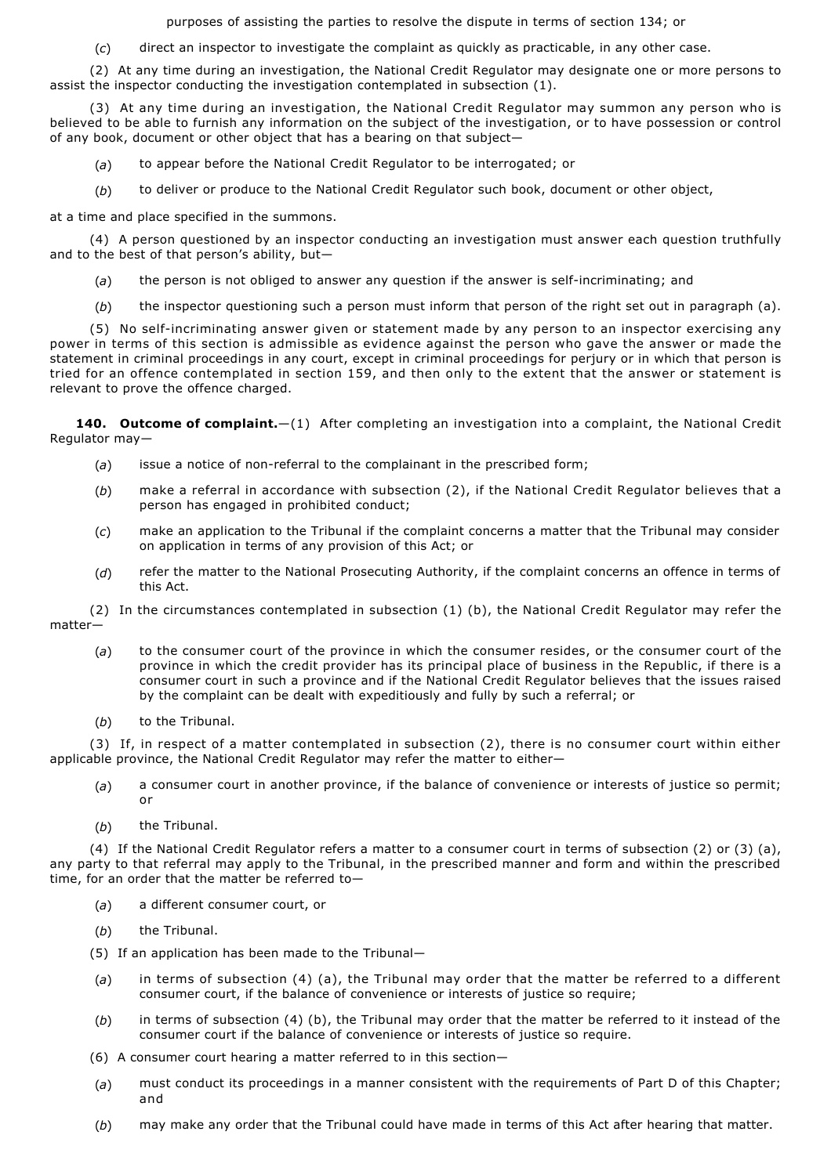purposes of assisting the parties to resolve the dispute in terms of section 134; or

(*c*) direct an inspector to investigate the complaint as quickly as practicable, in any other case.

(2) At any time during an investigation, the National Credit Regulator may designate one or more persons to assist the inspector conducting the investigation contemplated in subsection (1).

(3) At any time during an investigation, the National Credit Regulator may summon any person who is believed to be able to furnish any information on the subject of the investigation, or to have possession or control of any book, document or other object that has a bearing on that subject—

- (*a*) to appear before the National Credit Regulator to be interrogated; or
- (*b*) to deliver or produce to the National Credit Regulator such book, document or other object,

at a time and place specified in the summons.

(4) A person questioned by an inspector conducting an investigation must answer each question truthfully and to the best of that person's ability, but—

- (a) the person is not obliged to answer any question if the answer is self-incriminating; and
- (*b*) the inspector questioning such a person must inform that person of the right set out in paragraph (a).

(5) No self-incriminating answer given or statement made by any person to an inspector exercising any power in terms of this section is admissible as evidence against the person who gave the answer or made the statement in criminal proceedings in any court, except in criminal proceedings for perjury or in which that person is tried for an offence contemplated in section 159, and then only to the extent that the answer or statement is relevant to prove the offence charged.

**140. Outcome of complaint.**—(1) After completing an investigation into a complaint, the National Credit Regulator may—

- (a) issue a notice of non-referral to the complainant in the prescribed form;
- (*b*) make a referral in accordance with subsection (2), if the National Credit Regulator believes that a person has engaged in prohibited conduct;
- (*c*) make an application to the Tribunal if the complaint concerns a matter that the Tribunal may consider on application in terms of any provision of this Act; or
- (*d*) refer the matter to the National Prosecuting Authority, if the complaint concerns an offence in terms of this Act.

(2) In the circumstances contemplated in subsection (1) (b), the National Credit Regulator may refer the matter—

- (*a*) to the consumer court of the province in which the consumer resides, or the consumer court of the province in which the credit provider has its principal place of business in the Republic, if there is a consumer court in such a province and if the National Credit Regulator believes that the issues raised by the complaint can be dealt with expeditiously and fully by such a referral; or
- (*b*) to the Tribunal.

(3) If, in respect of a matter contemplated in subsection (2), there is no consumer court within either applicable province, the National Credit Regulator may refer the matter to either—

- (*a*) a consumer court in another province, if the balance of convenience or interests of justice so permit; or
- (*b*) the Tribunal.

(4) If the National Credit Regulator refers a matter to a consumer court in terms of subsection (2) or (3) (a), any party to that referral may apply to the Tribunal, in the prescribed manner and form and within the prescribed time, for an order that the matter be referred to—

- (*a*) a different consumer court, or
- (*b*) the Tribunal.
- (5) If an application has been made to the Tribunal—
- (*a*) in terms of subsection (4) (a), the Tribunal may order that the matter be referred to a different consumer court, if the balance of convenience or interests of justice so require;
- (*b*) in terms of subsection (4) (b), the Tribunal may order that the matter be referred to it instead of the consumer court if the balance of convenience or interests of justice so require.
- (6) A consumer court hearing a matter referred to in this section—
- (*a*) must conduct its proceedings in a manner consistent with the requirements of Part D of this Chapter; and
- (*b*) may make any order that the Tribunal could have made in terms of this Act after hearing that matter.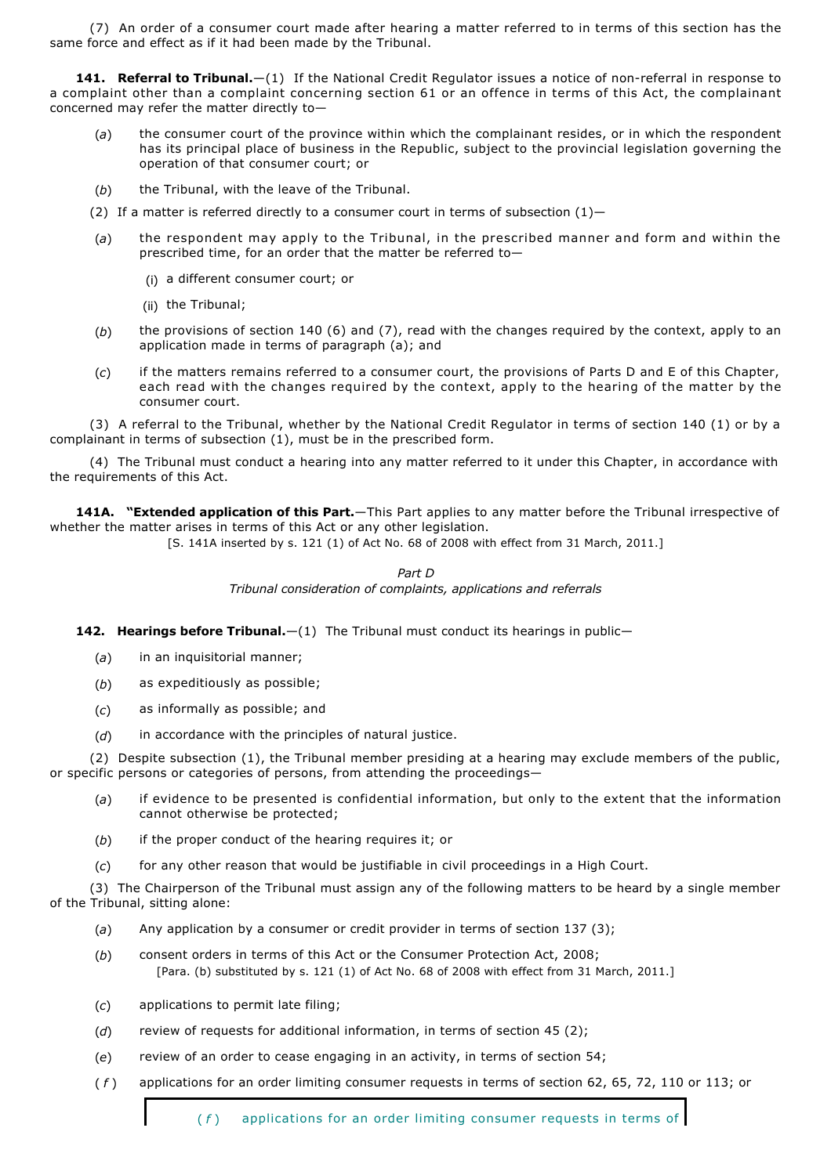(7) An order of a consumer court made after hearing a matter referred to in terms of this section has the same force and effect as if it had been made by the Tribunal.

**141. Referral to Tribunal.**—(1) If the National Credit Regulator issues a notice of non-referral in response to a complaint other than a complaint concerning section 61 or an offence in terms of this Act, the complainant concerned may refer the matter directly to—

- (*a*) the consumer court of the province within which the complainant resides, or in which the respondent has its principal place of business in the Republic, subject to the provincial legislation governing the operation of that consumer court; or
- (*b*) the Tribunal, with the leave of the Tribunal.
- (2) If a matter is referred directly to a consumer court in terms of subsection  $(1)$ -
- (*a*) the respondent may apply to the Tribunal, in the prescribed manner and form and within the prescribed time, for an order that the matter be referred to—
	- (i) a different consumer court; or
	- (ii) the Tribunal;
- (*b*) the provisions of section 140 (6) and (7), read with the changes required by the context, apply to an application made in terms of paragraph (a); and
- (*c*) if the matters remains referred to a consumer court, the provisions of Parts D and E of this Chapter, each read with the changes required by the context, apply to the hearing of the matter by the consumer court.

(3) A referral to the Tribunal, whether by the National Credit Regulator in terms of section 140 (1) or by a complainant in terms of subsection (1), must be in the prescribed form.

(4) The Tribunal must conduct a hearing into any matter referred to it under this Chapter, in accordance with the requirements of this Act.

**141A. "Extended application of this Part.**—This Part applies to any matter before the Tribunal irrespective of whether the matter arises in terms of this Act or any other legislation.

[S. 141A inserted by s. 121 (1) of Act No. 68 of 2008 with effect from 31 March, 2011.]

*Part D Tribunal consideration of complaints, applications and referrals*

**142. Hearings before Tribunal.**—(1) The Tribunal must conduct its hearings in public—

- (*a*) in an inquisitorial manner;
- (*b*) as expeditiously as possible;
- (*c*) as informally as possible; and
- (*d*) in accordance with the principles of natural justice.

(2) Despite subsection (1), the Tribunal member presiding at a hearing may exclude members of the public, or specific persons or categories of persons, from attending the proceedings—

- (*a*) if evidence to be presented is confidential information, but only to the extent that the information cannot otherwise be protected;
- (*b*) if the proper conduct of the hearing requires it; or
- (*c*) for any other reason that would be justifiable in civil proceedings in a High Court.

(3) The Chairperson of the Tribunal must assign any of the following matters to be heard by a single member of the Tribunal, sitting alone:

- (*a*) Any application by a consumer or credit provider in terms of section 137 (3);
- (*b*) consent orders in terms of this Act or the Consumer Protection Act, 2008; [Para. (b) substituted by s. 121 (1) of Act No. 68 of 2008 with effect from 31 March, 2011.]
- (*c*) applications to permit late filing;
- (*d*) review of requests for additional information, in terms of section 45 (2);
- (*e*) review of an order to cease engaging in an activity, in terms of section 54;
- ( *f* ) applications for an order limiting consumer requests in terms of section 62, 65, 72, 110 or 113; or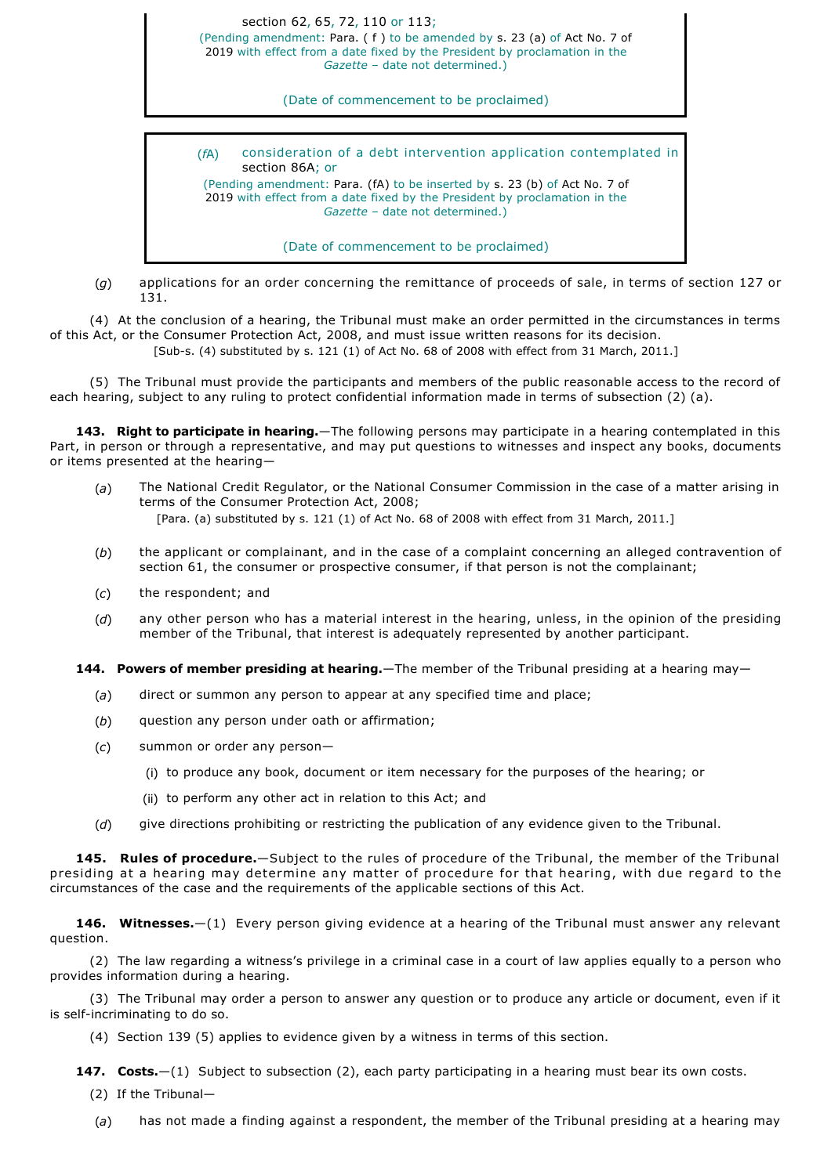section 62, 65, 72, 110 or 113; (Pending amendment: Para. ( f ) to be amended by s. 23 (a) of Act No. 7 of

2019 with effect from a date fixed by the President by proclamation in the *Gazette* – date not determined.)

(Date of commencement to be proclaimed)

(*f*A) consideration of a debt intervention application contemplated in section 86A; or

(Pending amendment: Para. (fA) to be inserted by s. 23 (b) of Act No. 7 of 2019 with effect from a date fixed by the President by proclamation in the *Gazette* – date not determined.)

(Date of commencement to be proclaimed)

(*g*) applications for an order concerning the remittance of proceeds of sale, in terms of section 127 or 131.

(4) At the conclusion of a hearing, the Tribunal must make an order permitted in the circumstances in terms of this Act, or the Consumer Protection Act, 2008, and must issue written reasons for its decision.

[Sub-s. (4) substituted by s. 121 (1) of Act No. 68 of 2008 with effect from 31 March, 2011.]

(5) The Tribunal must provide the participants and members of the public reasonable access to the record of each hearing, subject to any ruling to protect confidential information made in terms of subsection (2) (a).

**143. Right to participate in hearing.**—The following persons may participate in a hearing contemplated in this Part, in person or through a representative, and may put questions to witnesses and inspect any books, documents or items presented at the hearing—

- (*a*) The National Credit Regulator, or the National Consumer Commission in the case of a matter arising in terms of the Consumer Protection Act, 2008; [Para. (a) substituted by s. 121 (1) of Act No. 68 of 2008 with effect from 31 March, 2011.]
- (*b*) the applicant or complainant, and in the case of a complaint concerning an alleged contravention of section 61, the consumer or prospective consumer, if that person is not the complainant;
- (*c*) the respondent; and
- (*d*) any other person who has a material interest in the hearing, unless, in the opinion of the presiding member of the Tribunal, that interest is adequately represented by another participant.

**144. Powers of member presiding at hearing.**—The member of the Tribunal presiding at a hearing may—

- (*a*) direct or summon any person to appear at any specified time and place;
- (*b*) question any person under oath or affirmation;
- (*c*) summon or order any person—
	- (i) to produce any book, document or item necessary for the purposes of the hearing; or
	- (ii) to perform any other act in relation to this Act; and
- (*d*) give directions prohibiting or restricting the publication of any evidence given to the Tribunal.

**145. Rules of procedure.**—Subject to the rules of procedure of the Tribunal, the member of the Tribunal presiding at a hearing may determine any matter of procedure for that hearing, with due regard to the circumstances of the case and the requirements of the applicable sections of this Act.

**146. Witnesses.**—(1) Every person giving evidence at a hearing of the Tribunal must answer any relevant question.

(2) The law regarding a witness's privilege in a criminal case in a court of law applies equally to a person who provides information during a hearing.

(3) The Tribunal may order a person to answer any question or to produce any article or document, even if it is self-incriminating to do so.

(4) Section 139 (5) applies to evidence given by a witness in terms of this section.

**147.** Costs. - (1) Subject to subsection (2), each party participating in a hearing must bear its own costs.

(2) If the Tribunal—

(*a*) has not made a finding against a respondent, the member of the Tribunal presiding at a hearing may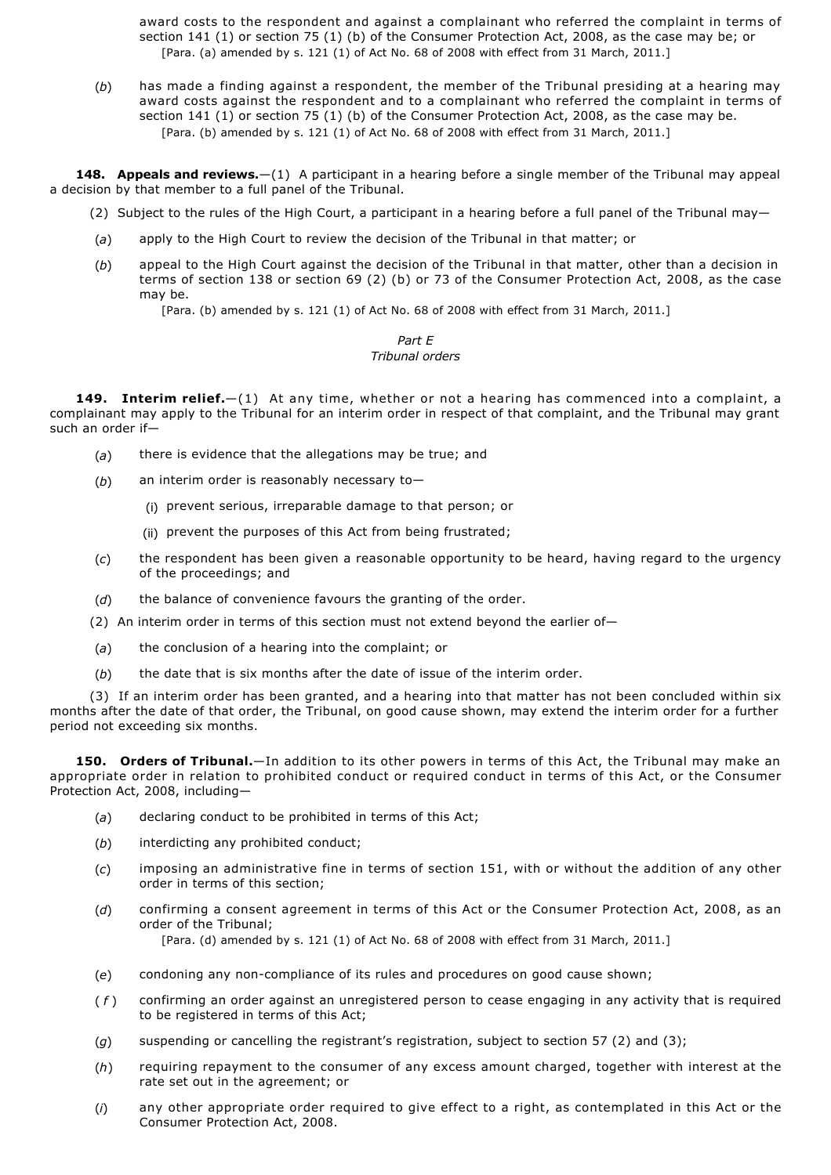award costs to the respondent and against a complainant who referred the complaint in terms of section 141 (1) or section 75 (1) (b) of the Consumer Protection Act, 2008, as the case may be; or [Para. (a) amended by s. 121 (1) of Act No. 68 of 2008 with effect from 31 March, 2011.]

(*b*) has made a finding against a respondent, the member of the Tribunal presiding at a hearing may award costs against the respondent and to a complainant who referred the complaint in terms of section 141 (1) or section 75 (1) (b) of the Consumer Protection Act, 2008, as the case may be. [Para. (b) amended by s. 121 (1) of Act No. 68 of 2008 with effect from 31 March, 2011.]

**148. Appeals and reviews.**—(1) A participant in a hearing before a single member of the Tribunal may appeal a decision by that member to a full panel of the Tribunal.

(2) Subject to the rules of the High Court, a participant in a hearing before a full panel of the Tribunal may-

- (*a*) apply to the High Court to review the decision of the Tribunal in that matter; or
- (*b*) appeal to the High Court against the decision of the Tribunal in that matter, other than a decision in terms of section 138 or section 69 (2) (b) or 73 of the Consumer Protection Act, 2008, as the case may be.

[Para. (b) amended by s. 121 (1) of Act No. 68 of 2008 with effect from 31 March, 2011.]

#### *Part E Tribunal orders*

**149. Interim relief.**—(1) At any time, whether or not a hearing has commenced into a complaint, a complainant may apply to the Tribunal for an interim order in respect of that complaint, and the Tribunal may grant such an order if—

- (*a*) there is evidence that the allegations may be true; and
- (*b*) an interim order is reasonably necessary to—
	- (i) prevent serious, irreparable damage to that person; or
	- (ii) prevent the purposes of this Act from being frustrated;
- (*c*) the respondent has been given a reasonable opportunity to be heard, having regard to the urgency of the proceedings; and
- (*d*) the balance of convenience favours the granting of the order.
- (2) An interim order in terms of this section must not extend beyond the earlier of-
- (*a*) the conclusion of a hearing into the complaint; or
- (*b*) the date that is six months after the date of issue of the interim order.

(3) If an interim order has been granted, and a hearing into that matter has not been concluded within six months after the date of that order, the Tribunal, on good cause shown, may extend the interim order for a further period not exceeding six months.

**150. Orders of Tribunal.**—In addition to its other powers in terms of this Act, the Tribunal may make an appropriate order in relation to prohibited conduct or required conduct in terms of this Act, or the Consumer Protection Act, 2008, including—

- (*a*) declaring conduct to be prohibited in terms of this Act;
- (*b*) interdicting any prohibited conduct;
- (*c*) imposing an administrative fine in terms of section 151, with or without the addition of any other order in terms of this section;
- (*d*) confirming a consent agreement in terms of this Act or the Consumer Protection Act, 2008, as an order of the Tribunal;

[Para. (d) amended by s. 121 (1) of Act No. 68 of 2008 with effect from 31 March, 2011.]

- (e) condoning any non-compliance of its rules and procedures on good cause shown;
- ( *f* ) confirming an order against an unregistered person to cease engaging in any activity that is required to be registered in terms of this Act;
- (*g*) suspending or cancelling the registrant's registration, subject to section 57 (2) and (3);
- (*h*) requiring repayment to the consumer of any excess amount charged, together with interest at the rate set out in the agreement; or
- (*i*) any other appropriate order required to give effect to a right, as contemplated in this Act or the Consumer Protection Act, 2008.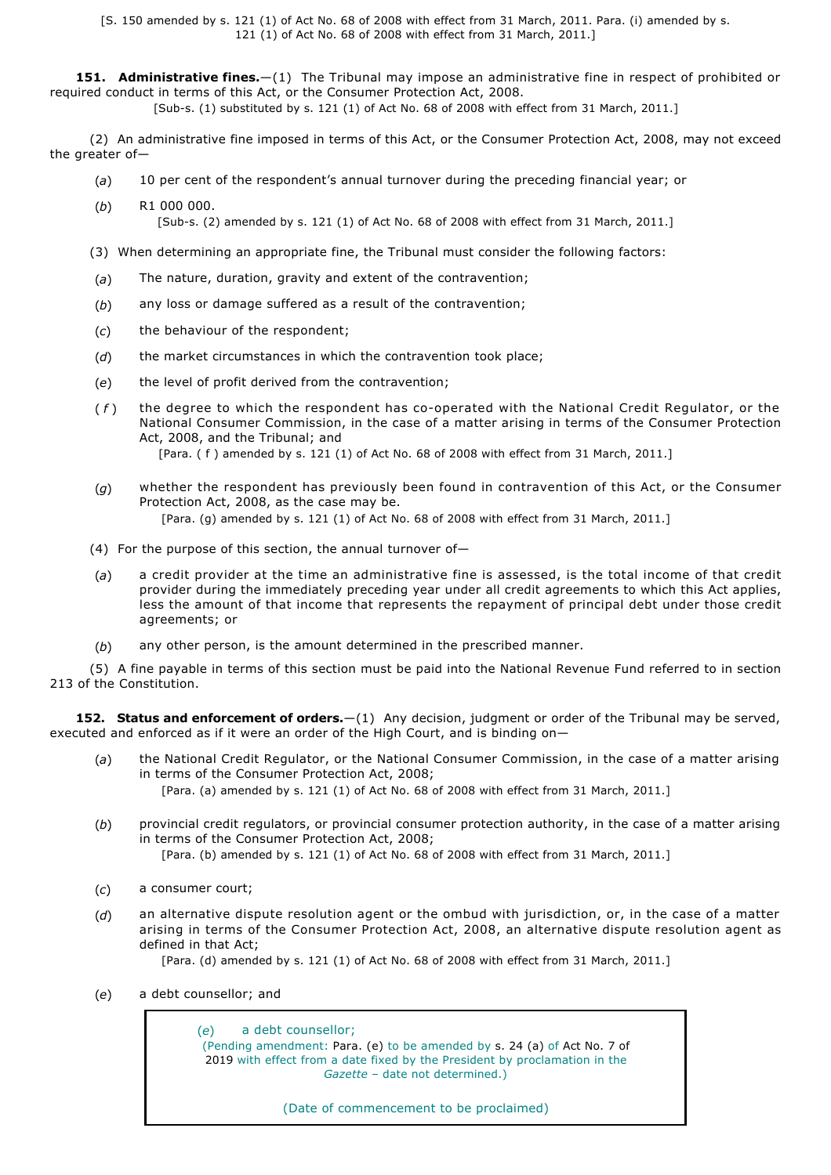[S. 150 amended by s. 121 (1) of Act No. 68 of 2008 with effect from 31 March, 2011. Para. (i) amended by s. 121 (1) of Act No. 68 of 2008 with effect from 31 March, 2011.]

**151. Administrative fines.**—(1) The Tribunal may impose an administrative fine in respect of prohibited or required conduct in terms of this Act, or the Consumer Protection Act, 2008.

[Subs. (1) substituted by s. 121 (1) of Act No. 68 of 2008 with effect from 31 March, 2011.]

(2) An administrative fine imposed in terms of this Act, or the Consumer Protection Act, 2008, may not exceed the greater of—

- (*a*) 10 per cent of the respondent's annual turnover during the preceding financial year; or
- (*b*) R1 000 000. [Sub-s. (2) amended by s. 121 (1) of Act No. 68 of 2008 with effect from 31 March, 2011.]
- (3) When determining an appropriate fine, the Tribunal must consider the following factors:
- (*a*) The nature, duration, gravity and extent of the contravention;
- (*b*) any loss or damage suffered as a result of the contravention;
- (*c*) the behaviour of the respondent;
- (*d*) the market circumstances in which the contravention took place;
- (*e*) the level of profit derived from the contravention;
- (f) the degree to which the respondent has co-operated with the National Credit Regulator, or the National Consumer Commission, in the case of a matter arising in terms of the Consumer Protection Act, 2008, and the Tribunal; and

[Para. ( f ) amended by s. 121 (1) of Act No. 68 of 2008 with effect from 31 March, 2011.]

- (*g*) whether the respondent has previously been found in contravention of this Act, or the Consumer Protection Act, 2008, as the case may be. [Para. (g) amended by s. 121 (1) of Act No. 68 of 2008 with effect from 31 March, 2011.]
- (4) For the purpose of this section, the annual turnover of-
- (*a*) a credit provider at the time an administrative fine is assessed, is the total income of that credit provider during the immediately preceding year under all credit agreements to which this Act applies, less the amount of that income that represents the repayment of principal debt under those credit agreements; or
- (*b*) any other person, is the amount determined in the prescribed manner.

(5) A fine payable in terms of this section must be paid into the National Revenue Fund referred to in section 213 of the Constitution

**152. Status and enforcement of orders.**—(1) Any decision, judgment or order of the Tribunal may be served, executed and enforced as if it were an order of the High Court, and is binding on—

- (*a*) the National Credit Regulator, or the National Consumer Commission, in the case of a matter arising in terms of the Consumer Protection Act, 2008; [Para. (a) amended by s. 121 (1) of Act No. 68 of 2008 with effect from 31 March, 2011.]
- (*b*) provincial credit regulators, or provincial consumer protection authority, in the case of a matter arising in terms of the Consumer Protection Act, 2008; [Para. (b) amended by s. 121 (1) of Act No. 68 of 2008 with effect from 31 March, 2011.]
- (*c*) a consumer court;
- (*d*) an alternative dispute resolution agent or the ombud with jurisdiction, or, in the case of a matter arising in terms of the Consumer Protection Act, 2008, an alternative dispute resolution agent as defined in that Act;

[Para. (d) amended by s. 121 (1) of Act No. 68 of 2008 with effect from 31 March, 2011.]

(*e*) a debt counsellor; and

(*e*) a debt counsellor; (Pending amendment: Para. (e) to be amended by s. 24 (a) of Act No. 7 of 2019 with effect from a date fixed by the President by proclamation in the *Gazette* – date not determined.)

(Date of commencement to be proclaimed)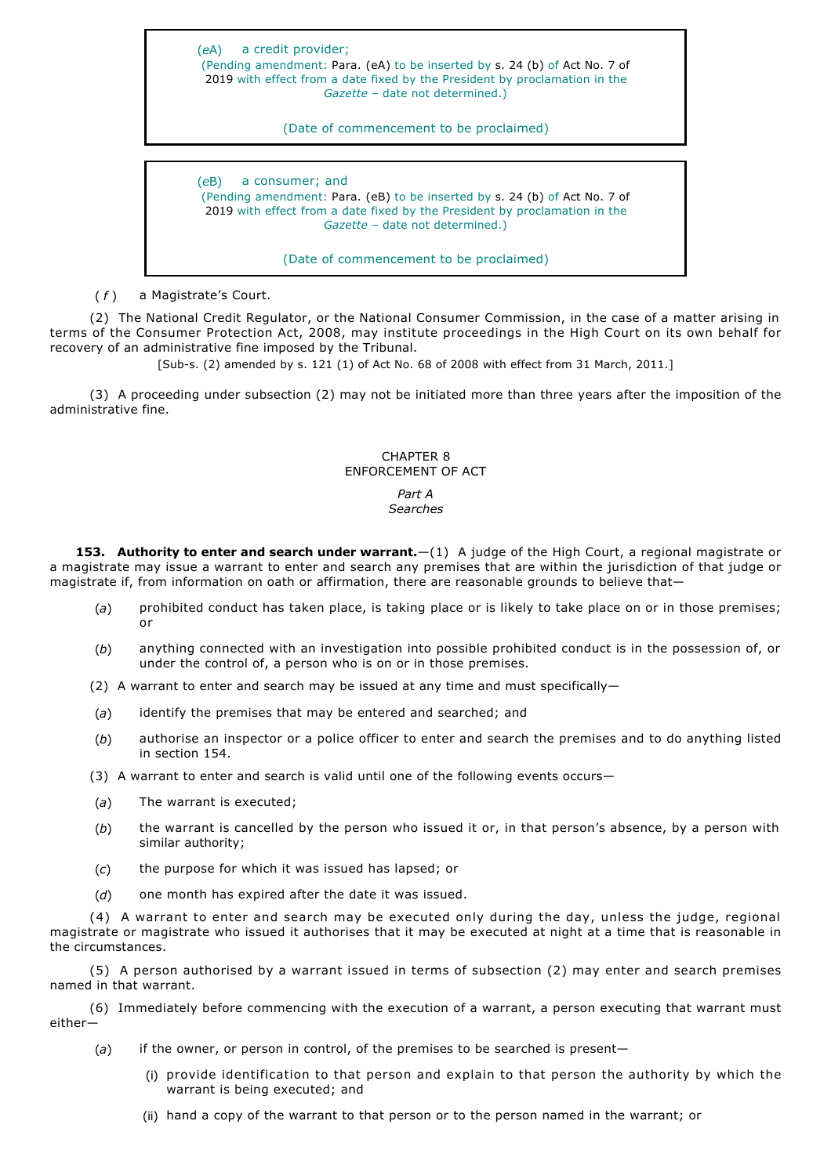(*e*A) a credit provider; (Pending amendment: Para. (eA) to be inserted by s. 24 (b) of Act No. 7 of 2019 with effect from a date fixed by the President by proclamation in the *Gazette* – date not determined.)

(Date of commencement to be proclaimed)

(*e*B) a consumer; and (Pending amendment: Para. (eB) to be inserted by s. 24 (b) of Act No. 7 of 2019 with effect from a date fixed by the President by proclamation in the *Gazette* – date not determined.)

(Date of commencement to be proclaimed)

(*f*) a Magistrate's Court.

(2) The National Credit Regulator, or the National Consumer Commission, in the case of a matter arising in terms of the Consumer Protection Act, 2008, may institute proceedings in the High Court on its own behalf for recovery of an administrative fine imposed by the Tribunal.

[Sub-s. (2) amended by s. 121 (1) of Act No. 68 of 2008 with effect from 31 March, 2011.]

(3) A proceeding under subsection (2) may not be initiated more than three years after the imposition of the administrative fine.

# CHAPTER 8 ENFORCEMENT OF ACT

#### *Part A Searches*

**153. Authority to enter and search under warrant.**—(1) A judge of the High Court, a regional magistrate or a magistrate may issue a warrant to enter and search any premises that are within the jurisdiction of that judge or magistrate if, from information on oath or affirmation, there are reasonable grounds to believe that—

- (*a*) prohibited conduct has taken place, is taking place or is likely to take place on or in those premises; or
- (*b*) anything connected with an investigation into possible prohibited conduct is in the possession of, or under the control of, a person who is on or in those premises.
- (2) A warrant to enter and search may be issued at any time and must specifically—
- (*a*) identify the premises that may be entered and searched; and
- (*b*) authorise an inspector or a police officer to enter and search the premises and to do anything listed in section 154.

(3) A warrant to enter and search is valid until one of the following events occurs—

- (*a*) The warrant is executed;
- (*b*) the warrant is cancelled by the person who issued it or, in that person's absence, by a person with similar authority;
- (*c*) the purpose for which it was issued has lapsed; or
- (*d*) one month has expired after the date it was issued.

(4) A warrant to enter and search may be executed only during the day, unless the judge, regional magistrate or magistrate who issued it authorises that it may be executed at night at a time that is reasonable in the circumstances.

(5) A person authorised by a warrant issued in terms of subsection (2) may enter and search premises named in that warrant.

(6) Immediately before commencing with the execution of a warrant, a person executing that warrant must either—

- (*a*) if the owner, or person in control, of the premises to be searched is present—
	- (i) provide identification to that person and explain to that person the authority by which the warrant is being executed; and
	- (ii) hand a copy of the warrant to that person or to the person named in the warrant; or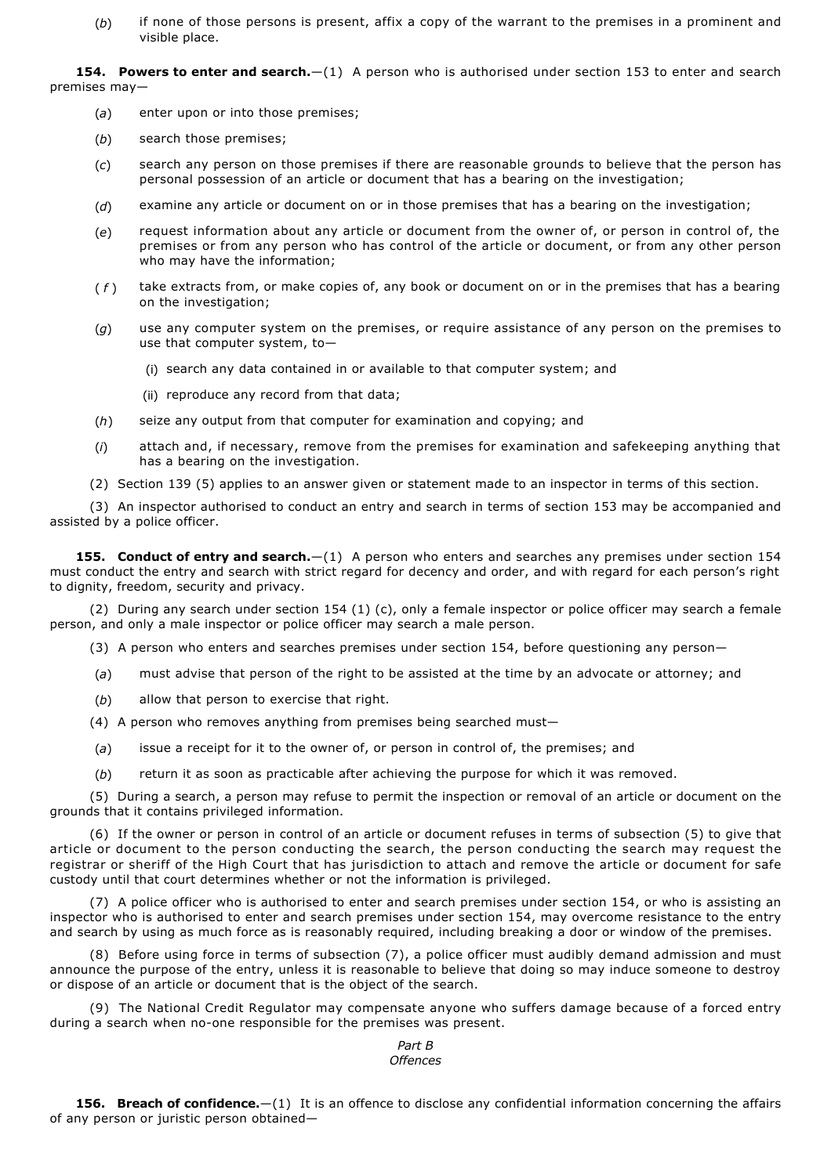(*b*) if none of those persons is present, affix a copy of the warrant to the premises in a prominent and visible place.

154. Powers to enter and search.-(1) A person who is authorised under section 153 to enter and search premises may—

- (*a*) enter upon or into those premises;
- (*b*) search those premises;
- (*c*) search any person on those premises if there are reasonable grounds to believe that the person has personal possession of an article or document that has a bearing on the investigation;
- (*d*) examine any article or document on or in those premises that has a bearing on the investigation;
- (*e*) request information about any article or document from the owner of, or person in control of, the premises or from any person who has control of the article or document, or from any other person who may have the information;
- ( *f* ) take extracts from, or make copies of, any book or document on or in the premises that has a bearing on the investigation;
- (*g*) use any computer system on the premises, or require assistance of any person on the premises to use that computer system, to—
	- (i) search any data contained in or available to that computer system; and
	- (ii) reproduce any record from that data;
- (*h*) seize any output from that computer for examination and copying; and
- (*i*) attach and, if necessary, remove from the premises for examination and safekeeping anything that has a bearing on the investigation.
- (2) Section 139 (5) applies to an answer given or statement made to an inspector in terms of this section.

(3) An inspector authorised to conduct an entry and search in terms of section 153 may be accompanied and assisted by a police officer.

**155. Conduct of entry and search.**—(1) A person who enters and searches any premises under section 154 must conduct the entry and search with strict regard for decency and order, and with regard for each person's right to dignity, freedom, security and privacy.

(2) During any search under section 154 (1) (c), only a female inspector or police officer may search a female person, and only a male inspector or police officer may search a male person.

- (3) A person who enters and searches premises under section 154, before questioning any person—
- (*a*) must advise that person of the right to be assisted at the time by an advocate or attorney; and
- (*b*) allow that person to exercise that right.
- (4) A person who removes anything from premises being searched must—
- (*a*) issue a receipt for it to the owner of, or person in control of, the premises; and
- (*b*) return it as soon as practicable after achieving the purpose for which it was removed.

(5) During a search, a person may refuse to permit the inspection or removal of an article or document on the grounds that it contains privileged information.

(6) If the owner or person in control of an article or document refuses in terms of subsection (5) to give that article or document to the person conducting the search, the person conducting the search may request the registrar or sheriff of the High Court that has jurisdiction to attach and remove the article or document for safe custody until that court determines whether or not the information is privileged.

(7) A police officer who is authorised to enter and search premises under section 154, or who is assisting an inspector who is authorised to enter and search premises under section 154, may overcome resistance to the entry and search by using as much force as is reasonably required, including breaking a door or window of the premises.

(8) Before using force in terms of subsection (7), a police officer must audibly demand admission and must announce the purpose of the entry, unless it is reasonable to believe that doing so may induce someone to destroy or dispose of an article or document that is the object of the search.

(9) The National Credit Regulator may compensate anyone who suffers damage because of a forced entry during a search when no-one responsible for the premises was present.

### *Part B Offences*

**156. Breach of confidence.**—(1) It is an offence to disclose any confidential information concerning the affairs of any person or juristic person obtained—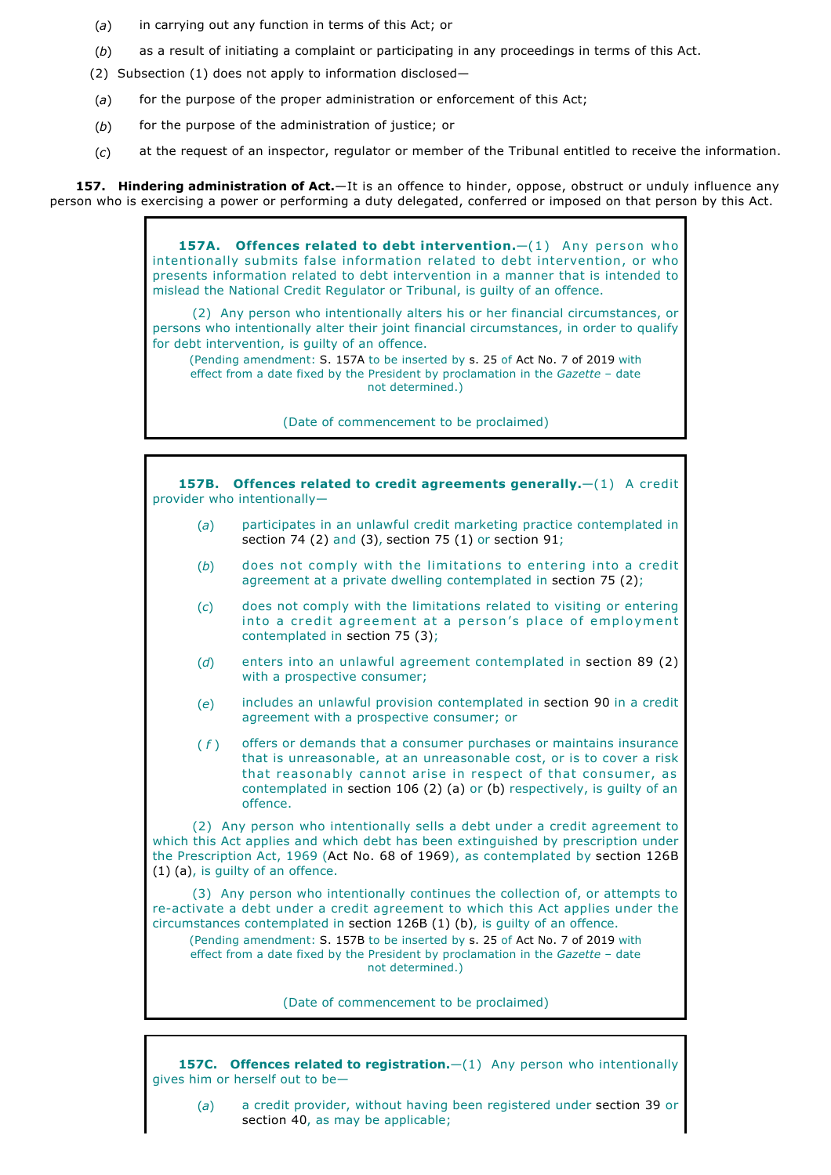- (*a*) in carrying out any function in terms of this Act; or
- (*b*) as a result of initiating a complaint or participating in any proceedings in terms of this Act.
- (2) Subsection (1) does not apply to information disclosed—
- (*a*) for the purpose of the proper administration or enforcement of this Act;
- (*b*) for the purpose of the administration of justice; or
- (*c*) at the request of an inspector, regulator or member of the Tribunal entitled to receive the information.

**157. Hindering administration of Act.**—It is an offence to hinder, oppose, obstruct or unduly influence any person who is exercising a power or performing a duty delegated, conferred or imposed on that person by this Act.

> 157A. Offences related to debt intervention. - (1) Any person who intentionally submits false information related to debt intervention, or who presents information related to debt intervention in a manner that is intended to mislead the National Credit Regulator or Tribunal, is guilty of an offence.

> (2) Any person who intentionally alters his or her financial circumstances, or persons who intentionally alter their joint financial circumstances, in order to qualify for debt intervention, is guilty of an offence.

(Pending amendment: S. 157A to be inserted by s. 25 of Act No. 7 of 2019 with effect from a date fixed by the President by proclamation in the *Gazette* – date not determined.)

(Date of commencement to be proclaimed)

**157B. Offences related to credit agreements generally.**—(1) A credit provider who intentionally— (*a*) participates in an unlawful credit marketing practice contemplated in section 74 (2) and (3), section 75 (1) or section 91; (*b*) does not comply with the limitations to entering into a credit agreement at a private dwelling contemplated in section 75 (2); (*c*) does not comply with the limitations related to visiting or entering into a credit agreement at a person's place of employment contemplated in section 75 (3); (*d*) enters into an unlawful agreement contemplated in section 89 (2) with a prospective consumer; (*e*) includes an unlawful provision contemplated in section 90 in a credit agreement with a prospective consumer; or ( *f* ) offers or demands that a consumer purchases or maintains insurance that is unreasonable, at an unreasonable cost, or is to cover a risk that reasonably cannot arise in respect of that consumer, as contemplated in section 106 (2) (a) or (b) respectively, is guilty of an offence. (2) Any person who intentionally sells a debt under a credit agreement to which this Act applies and which debt has been extinguished by prescription under the Prescription Act, 1969 (Act No. 68 of 1969), as contemplated by section 126B (1) (a), is guilty of an offence. (3) Any person who intentionally continues the collection of, or attempts to re-activate a debt under a credit agreement to which this Act applies under the circumstances contemplated in section 126B (1) (b), is guilty of an offence. (Pending amendment: S. 157B to be inserted by s. 25 of Act No. 7 of 2019 with

effect from a date fixed by the President by proclamation in the *Gazette* – date not determined.)

(Date of commencement to be proclaimed)

**157C.** Offences related to registration.  $-(1)$  Any person who intentionally gives him or herself out to be—

(*a*) a credit provider, without having been registered under section 39 or section 40, as may be applicable;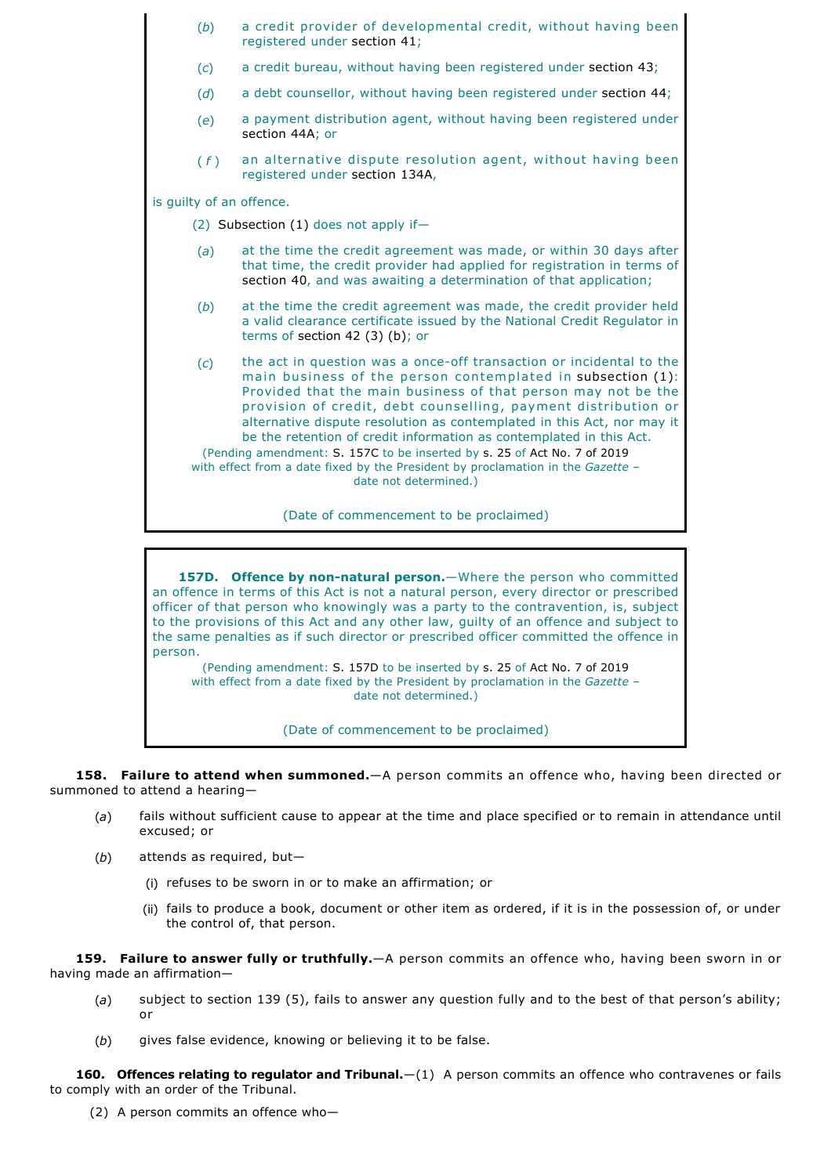| (b)                                     | a credit provider of developmental credit, without having been<br>registered under section 41;                                                                                                                                                                                                                                                                                                                                                                                                                                                                                                                   |  |
|-----------------------------------------|------------------------------------------------------------------------------------------------------------------------------------------------------------------------------------------------------------------------------------------------------------------------------------------------------------------------------------------------------------------------------------------------------------------------------------------------------------------------------------------------------------------------------------------------------------------------------------------------------------------|--|
| (c)                                     | a credit bureau, without having been registered under section 43;                                                                                                                                                                                                                                                                                                                                                                                                                                                                                                                                                |  |
| (d)                                     | a debt counsellor, without having been registered under section 44;                                                                                                                                                                                                                                                                                                                                                                                                                                                                                                                                              |  |
| (e)                                     | a payment distribution agent, without having been registered under<br>section 44A; or                                                                                                                                                                                                                                                                                                                                                                                                                                                                                                                            |  |
| (f)                                     | an alternative dispute resolution agent, without having been<br>registered under section 134A,                                                                                                                                                                                                                                                                                                                                                                                                                                                                                                                   |  |
| is guilty of an offence.                |                                                                                                                                                                                                                                                                                                                                                                                                                                                                                                                                                                                                                  |  |
|                                         | (2) Subsection $(1)$ does not apply if-                                                                                                                                                                                                                                                                                                                                                                                                                                                                                                                                                                          |  |
| (a)                                     | at the time the credit agreement was made, or within 30 days after<br>that time, the credit provider had applied for registration in terms of<br>section 40, and was awaiting a determination of that application;                                                                                                                                                                                                                                                                                                                                                                                               |  |
| (b)                                     | at the time the credit agreement was made, the credit provider held<br>a valid clearance certificate issued by the National Credit Regulator in<br>terms of section 42 $(3)$ $(b)$ ; or                                                                                                                                                                                                                                                                                                                                                                                                                          |  |
| (c)                                     | the act in question was a once-off transaction or incidental to the<br>main business of the person contemplated in subsection (1):<br>Provided that the main business of that person may not be the<br>provision of credit, debt counselling, payment distribution or<br>alternative dispute resolution as contemplated in this Act, nor may it<br>be the retention of credit information as contemplated in this Act.<br>(Pending amendment: S. 157C to be inserted by s. 25 of Act No. 7 of 2019<br>with effect from a date fixed by the President by proclamation in the Gazette $-$<br>date not determined.) |  |
| (Date of commencement to be proclaimed) |                                                                                                                                                                                                                                                                                                                                                                                                                                                                                                                                                                                                                  |  |

**157D.** Offence by non-natural person.—Where the person who committed an offence in terms of this Act is not a natural person, every director or prescribed officer of that person who knowingly was a party to the contravention, is, subject to the provisions of this Act and any other law, guilty of an offence and subject to the same penalties as if such director or prescribed officer committed the offence in person.

(Pending amendment: S. 157D to be inserted by s. 25 of Act No. 7 of 2019 with effect from a date fixed by the President by proclamation in the *Gazette* – date not determined.)

(Date of commencement to be proclaimed)

**158. Failure to attend when summoned.**—A person commits an offence who, having been directed or summoned to attend a hearing—

- (*a*) fails without sufficient cause to appear at the time and place specified or to remain in attendance until excused; or
- (*b*) attends as required, but—
	- (i) refuses to be sworn in or to make an affirmation; or
	- (ii) fails to produce a book, document or other item as ordered, if it is in the possession of, or under the control of, that person.

**159. Failure to answer fully or truthfully.**—A person commits an offence who, having been sworn in or having made an affirmation—

- (*a*) subject to section 139 (5), fails to answer any question fully and to the best of that person's ability; or
- (*b*) gives false evidence, knowing or believing it to be false.

160. Offences relating to regulator and Tribunal.-(1) A person commits an offence who contravenes or fails to comply with an order of the Tribunal.

(2) A person commits an offence who—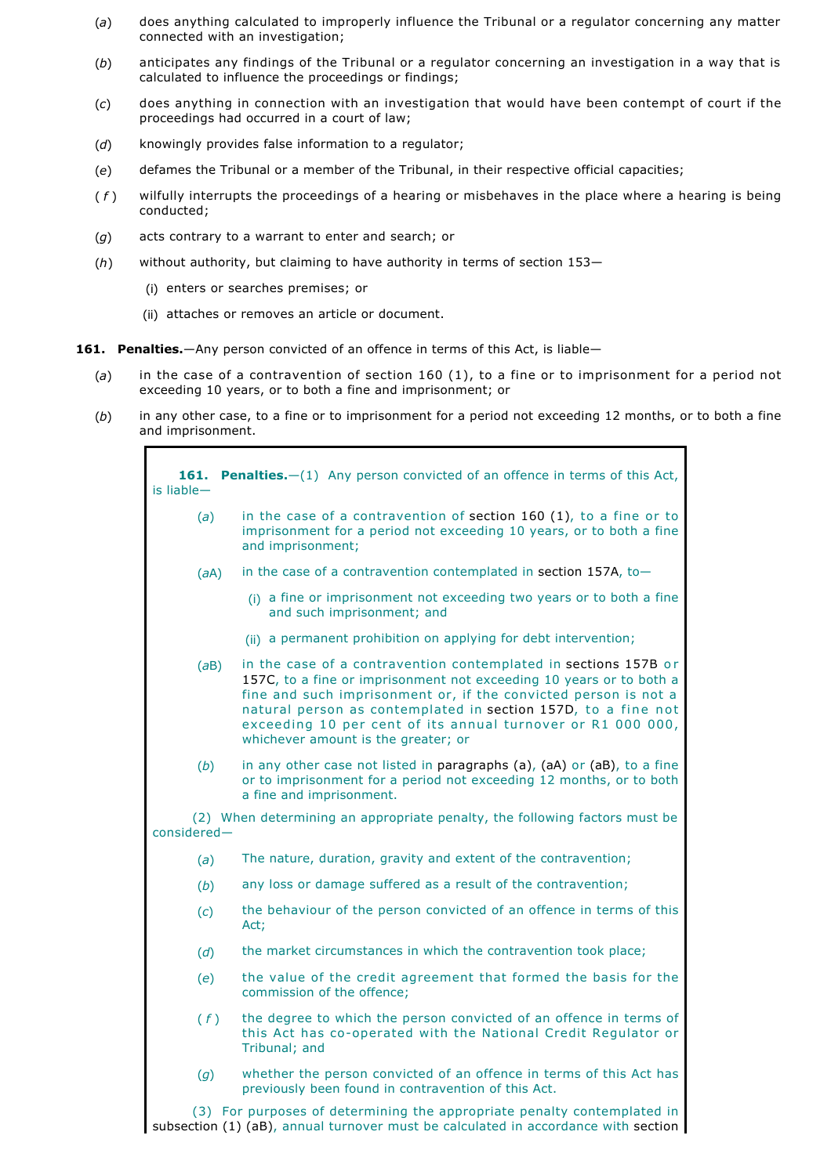- (*a*) does anything calculated to improperly influence the Tribunal or a regulator concerning any matter connected with an investigation;
- (*b*) anticipates any findings of the Tribunal or a regulator concerning an investigation in a way that is calculated to influence the proceedings or findings;
- (*c*) does anything in connection with an investigation that would have been contempt of court if the proceedings had occurred in a court of law;
- (*d*) knowingly provides false information to a regulator;
- (*e*) defames the Tribunal or a member of the Tribunal, in their respective official capacities;
- ( *f* ) wilfully interrupts the proceedings of a hearing or misbehaves in the place where a hearing is being conducted;
- (*g*) acts contrary to a warrant to enter and search; or
- (*h*) without authority, but claiming to have authority in terms of section 153—
	- (i) enters or searches premises; or
	- (ii) attaches or removes an article or document.
- **161. Penalties.**—Any person convicted of an offence in terms of this Act, is liable—
	- (*a*) in the case of a contravention of section 160 (1), to a fine or to imprisonment for a period not exceeding 10 years, or to both a fine and imprisonment; or
	- (*b*) in any other case, to a fine or to imprisonment for a period not exceeding 12 months, or to both a fine and imprisonment.

| 161.<br>$is$ liable $-$ | <b>Penalties.</b> $-(1)$ Any person convicted of an offence in terms of this Act,                                                                                                                                                                                                                                                                                                |
|-------------------------|----------------------------------------------------------------------------------------------------------------------------------------------------------------------------------------------------------------------------------------------------------------------------------------------------------------------------------------------------------------------------------|
| (a)                     | in the case of a contravention of section $160$ (1), to a fine or to<br>imprisonment for a period not exceeding 10 years, or to both a fine<br>and imprisonment;                                                                                                                                                                                                                 |
| (aA)                    | in the case of a contravention contemplated in section 157A, to-                                                                                                                                                                                                                                                                                                                 |
|                         | (i) a fine or imprisonment not exceeding two years or to both a fine<br>and such imprisonment; and                                                                                                                                                                                                                                                                               |
|                         | (ii) a permanent prohibition on applying for debt intervention;                                                                                                                                                                                                                                                                                                                  |
| (aB)                    | in the case of a contravention contemplated in sections 157B or<br>157C, to a fine or imprisonment not exceeding 10 years or to both a<br>fine and such imprisonment or, if the convicted person is not a<br>natural person as contemplated in section 157D, to a fine not<br>exceeding 10 per cent of its annual turnover or R1 000 000,<br>whichever amount is the greater; or |
| (b)                     | in any other case not listed in paragraphs (a), (aA) or (aB), to a fine<br>or to imprisonment for a period not exceeding 12 months, or to both<br>a fine and imprisonment.                                                                                                                                                                                                       |
| considered-             | (2) When determining an appropriate penalty, the following factors must be                                                                                                                                                                                                                                                                                                       |
| (a)                     | The nature, duration, gravity and extent of the contravention;                                                                                                                                                                                                                                                                                                                   |
| (b)                     | any loss or damage suffered as a result of the contravention;                                                                                                                                                                                                                                                                                                                    |
| (c)                     | the behaviour of the person convicted of an offence in terms of this<br>Act;                                                                                                                                                                                                                                                                                                     |
| (d)                     | the market circumstances in which the contravention took place;                                                                                                                                                                                                                                                                                                                  |
| (e)                     | the value of the credit agreement that formed the basis for the<br>commission of the offence;                                                                                                                                                                                                                                                                                    |
| (f)                     | the degree to which the person convicted of an offence in terms of<br>this Act has co-operated with the National Credit Regulator or<br>Tribunal; and                                                                                                                                                                                                                            |
| (g)                     | whether the person convicted of an offence in terms of this Act has<br>previously been found in contravention of this Act.                                                                                                                                                                                                                                                       |
|                         | (3) For purposes of determining the appropriate penalty contemplated in                                                                                                                                                                                                                                                                                                          |

subsection (1) (aB), annual turnover must be calculated in accordance with section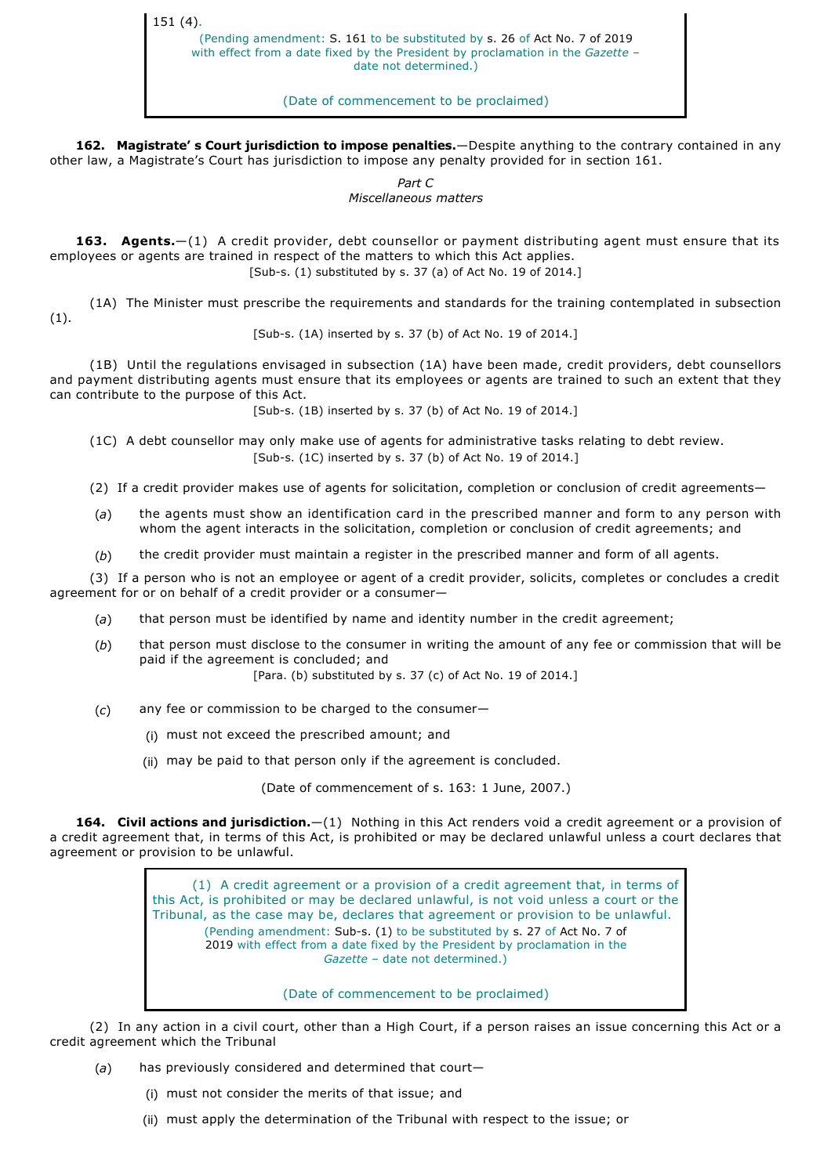151 (4).

(Pending amendment: S. 161 to be substituted by s. 26 of Act No. 7 of 2019 with effect from a date fixed by the President by proclamation in the *Gazette* – date not determined.)

(Date of commencement to be proclaimed)

**162. Magistrate' s Court jurisdiction to impose penalties.**—Despite anything to the contrary contained in any other law, a Magistrate's Court has jurisdiction to impose any penalty provided for in section 161.

> *Part C Miscellaneous matters*

**163. Agents.**—(1) A credit provider, debt counsellor or payment distributing agent must ensure that its employees or agents are trained in respect of the matters to which this Act applies. [Sub-s. (1) substituted by s. 37 (a) of Act No. 19 of 2014.]

(1A) The Minister must prescribe the requirements and standards for the training contemplated in subsection (1).

[Sub-s. (1A) inserted by s. 37 (b) of Act No. 19 of 2014.]

(1B) Until the regulations envisaged in subsection (1A) have been made, credit providers, debt counsellors and payment distributing agents must ensure that its employees or agents are trained to such an extent that they can contribute to the purpose of this Act.

[Sub-s. (1B) inserted by s. 37 (b) of Act No. 19 of 2014.]

(1C) A debt counsellor may only make use of agents for administrative tasks relating to debt review. [Sub-s. (1C) inserted by s. 37 (b) of Act No. 19 of 2014.]

(2) If a credit provider makes use of agents for solicitation, completion or conclusion of credit agreements—

(*a*) the agents must show an identification card in the prescribed manner and form to any person with whom the agent interacts in the solicitation, completion or conclusion of credit agreements; and

(*b*) the credit provider must maintain a register in the prescribed manner and form of all agents.

(3) If a person who is not an employee or agent of a credit provider, solicits, completes or concludes a credit agreement for or on behalf of a credit provider or a consumer—

- (*a*) that person must be identified by name and identity number in the credit agreement;
- (*b*) that person must disclose to the consumer in writing the amount of any fee or commission that will be paid if the agreement is concluded; and

[Para. (b) substituted by s. 37 (c) of Act No. 19 of 2014.]

- (*c*) any fee or commission to be charged to the consumer—
	- (i) must not exceed the prescribed amount; and
	- (ii) may be paid to that person only if the agreement is concluded.

(Date of commencement of s. 163: 1 June, 2007.)

**164. Civil actions and jurisdiction.**—(1) Nothing in this Act renders void a credit agreement or a provision of a credit agreement that, in terms of this Act, is prohibited or may be declared unlawful unless a court declares that agreement or provision to be unlawful.

> (1) A credit agreement or a provision of a credit agreement that, in terms of this Act, is prohibited or may be declared unlawful, is not void unless a court or the Tribunal, as the case may be, declares that agreement or provision to be unlawful. (Pending amendment: Sub-s. (1) to be substituted by s. 27 of Act No. 7 of 2019 with effect from a date fixed by the President by proclamation in the *Gazette* – date not determined.)

> > (Date of commencement to be proclaimed)

(2) In any action in a civil court, other than a High Court, if a person raises an issue concerning this Act or a credit agreement which the Tribunal

- (*a*) has previously considered and determined that court—
	- (i) must not consider the merits of that issue; and
	- (ii) must apply the determination of the Tribunal with respect to the issue; or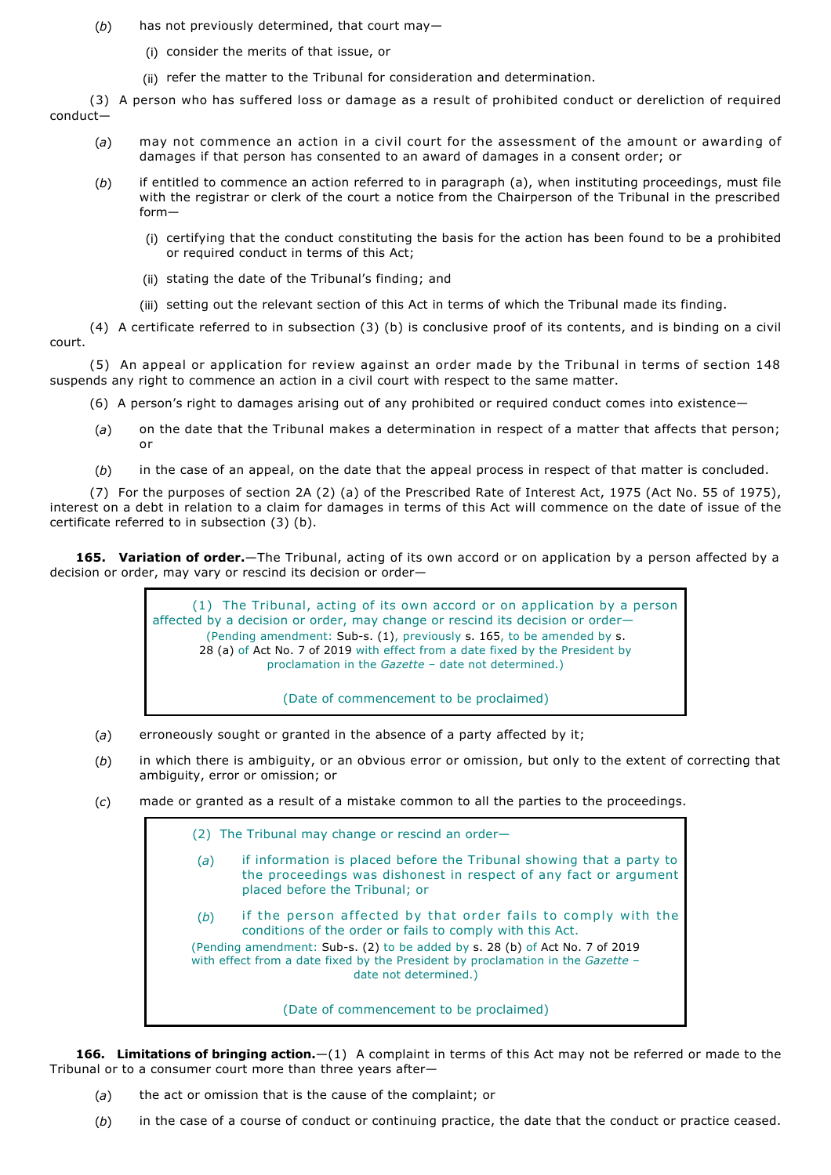- (*b*) has not previously determined, that court may—
	- (i) consider the merits of that issue, or
	- (ii) refer the matter to the Tribunal for consideration and determination.

(3) A person who has suffered loss or damage as a result of prohibited conduct or dereliction of required conduct—

- (*a*) may not commence an action in a civil court for the assessment of the amount or awarding of damages if that person has consented to an award of damages in a consent order; or
- (*b*) if entitled to commence an action referred to in paragraph (a), when instituting proceedings, must file with the registrar or clerk of the court a notice from the Chairperson of the Tribunal in the prescribed form—
	- (i) certifying that the conduct constituting the basis for the action has been found to be a prohibited or required conduct in terms of this Act;
	- (ii) stating the date of the Tribunal's finding; and
	- (iii) setting out the relevant section of this Act in terms of which the Tribunal made its finding.

(4) A certificate referred to in subsection (3) (b) is conclusive proof of its contents, and is binding on a civil court.

(5) An appeal or application for review against an order made by the Tribunal in terms of section 148 suspends any right to commence an action in a civil court with respect to the same matter.

- (6) A person's right to damages arising out of any prohibited or required conduct comes into existence—
- (*a*) on the date that the Tribunal makes a determination in respect of a matter that affects that person; or
- (*b*) in the case of an appeal, on the date that the appeal process in respect of that matter is concluded.

(7) For the purposes of section 2A (2) (a) of the Prescribed Rate of Interest Act, 1975 (Act No. 55 of 1975), interest on a debt in relation to a claim for damages in terms of this Act will commence on the date of issue of the certificate referred to in subsection (3) (b).

**165. Variation of order.**—The Tribunal, acting of its own accord or on application by a person affected by a decision or order, may vary or rescind its decision or order—

> (1) The Tribunal, acting of its own accord or on application by a person affected by a decision or order, may change or rescind its decision or order— (Pending amendment: Sub-s.  $(1)$ , previously s. 165, to be amended by s. 28 (a) of Act No. 7 of 2019 with effect from a date fixed by the President by proclamation in the *Gazette* – date not determined.)

> > (Date of commencement to be proclaimed)

- (*a*) erroneously sought or granted in the absence of a party affected by it;
- (*b*) in which there is ambiguity, or an obvious error or omission, but only to the extent of correcting that ambiguity, error or omission; or
- (*c*) made or granted as a result of a mistake common to all the parties to the proceedings.

(2) The Tribunal may change or rescind an order— (*a*) if information is placed before the Tribunal showing that a party to the proceedings was dishonest in respect of any fact or argument placed before the Tribunal; or (*b*) if the person affected by that order fails to comply with the conditions of the order or fails to comply with this Act. (Pending amendment: Sub-s. (2) to be added by s. 28 (b) of Act No. 7 of 2019 with effect from a date fixed by the President by proclamation in the *Gazette* – date not determined.) (Date of commencement to be proclaimed)

**166. Limitations of bringing action.**—(1) A complaint in terms of this Act may not be referred or made to the Tribunal or to a consumer court more than three years after—

- (*a*) the act or omission that is the cause of the complaint; or
- (*b*) in the case of a course of conduct or continuing practice, the date that the conduct or practice ceased.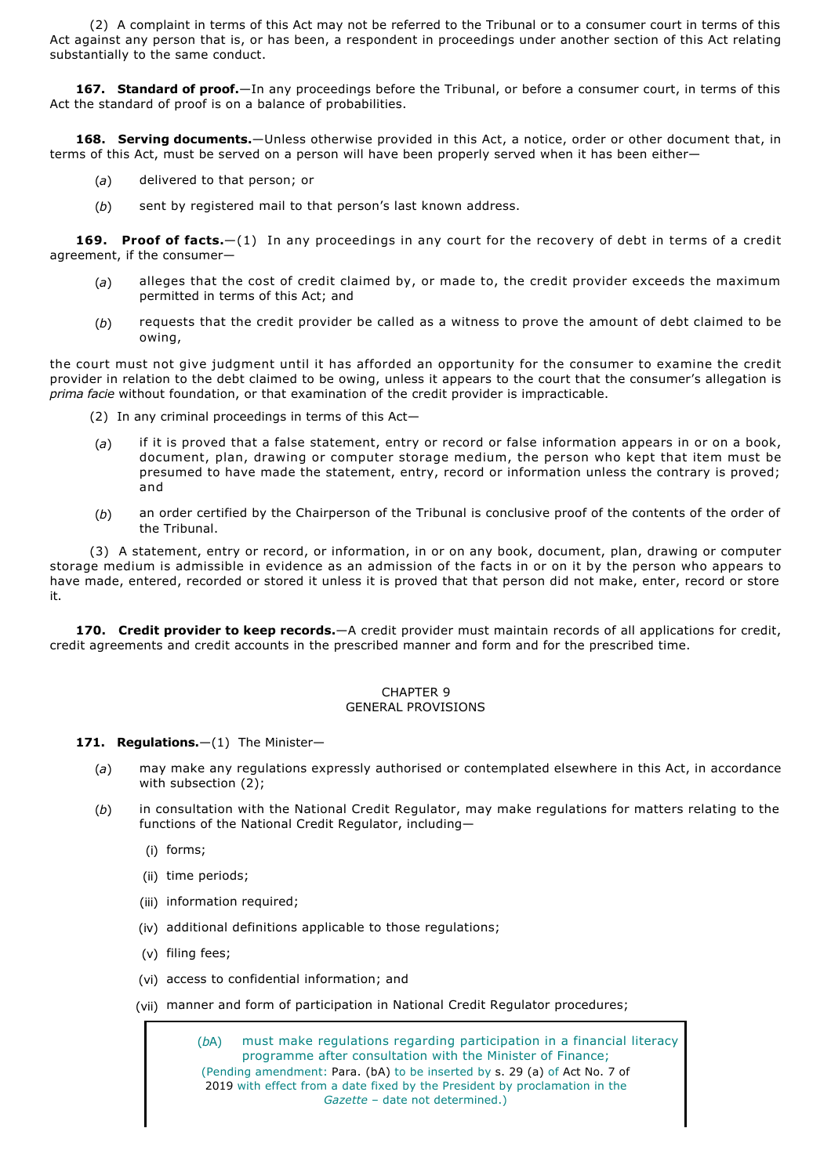(2) A complaint in terms of this Act may not be referred to the Tribunal or to a consumer court in terms of this Act against any person that is, or has been, a respondent in proceedings under another section of this Act relating substantially to the same conduct.

**167. Standard of proof.**—In any proceedings before the Tribunal, or before a consumer court, in terms of this Act the standard of proof is on a balance of probabilities.

**168. Serving documents.**—Unless otherwise provided in this Act, a notice, order or other document that, in terms of this Act, must be served on a person will have been properly served when it has been either—

- (*a*) delivered to that person; or
- (*b*) sent by registered mail to that person's last known address.

**169. Proof of facts.**—(1) In any proceedings in any court for the recovery of debt in terms of a credit agreement, if the consumer—

- (*a*) alleges that the cost of credit claimed by, or made to, the credit provider exceeds the maximum permitted in terms of this Act; and
- (*b*) requests that the credit provider be called as a witness to prove the amount of debt claimed to be owing,

the court must not give judgment until it has afforded an opportunity for the consumer to examine the credit provider in relation to the debt claimed to be owing, unless it appears to the court that the consumer's allegation is *prima facie* without foundation, or that examination of the credit provider is impracticable.

(2) In any criminal proceedings in terms of this Act—

- (*a*) if it is proved that a false statement, entry or record or false information appears in or on a book, document, plan, drawing or computer storage medium, the person who kept that item must be presumed to have made the statement, entry, record or information unless the contrary is proved; and
- (*b*) an order certified by the Chairperson of the Tribunal is conclusive proof of the contents of the order of the Tribunal.

(3) A statement, entry or record, or information, in or on any book, document, plan, drawing or computer storage medium is admissible in evidence as an admission of the facts in or on it by the person who appears to have made, entered, recorded or stored it unless it is proved that that person did not make, enter, record or store it.

**170. Credit provider to keep records.**—A credit provider must maintain records of all applications for credit, credit agreements and credit accounts in the prescribed manner and form and for the prescribed time.

## CHAPTER 9 GENERAL PROVISIONS

## 171. Regulations.-(1) The Minister-

- (*a*) may make any regulations expressly authorised or contemplated elsewhere in this Act, in accordance with subsection (2);
- (*b*) in consultation with the National Credit Regulator, may make regulations for matters relating to the functions of the National Credit Regulator, including—
	- (i) forms;
	- (ii) time periods;
	- (iii) information required;
	- (iv) additional definitions applicable to those regulations;
	- (v) filing fees;
	- (vi) access to confidential information; and
	- (vii) manner and form of participation in National Credit Regulator procedures;

(*b*A) must make regulations regarding participation in a financial literacy programme after consultation with the Minister of Finance; (Pending amendment: Para. (bA) to be inserted by s. 29 (a) of Act No. 7 of 2019 with effect from a date fixed by the President by proclamation in the *Gazette* – date not determined.)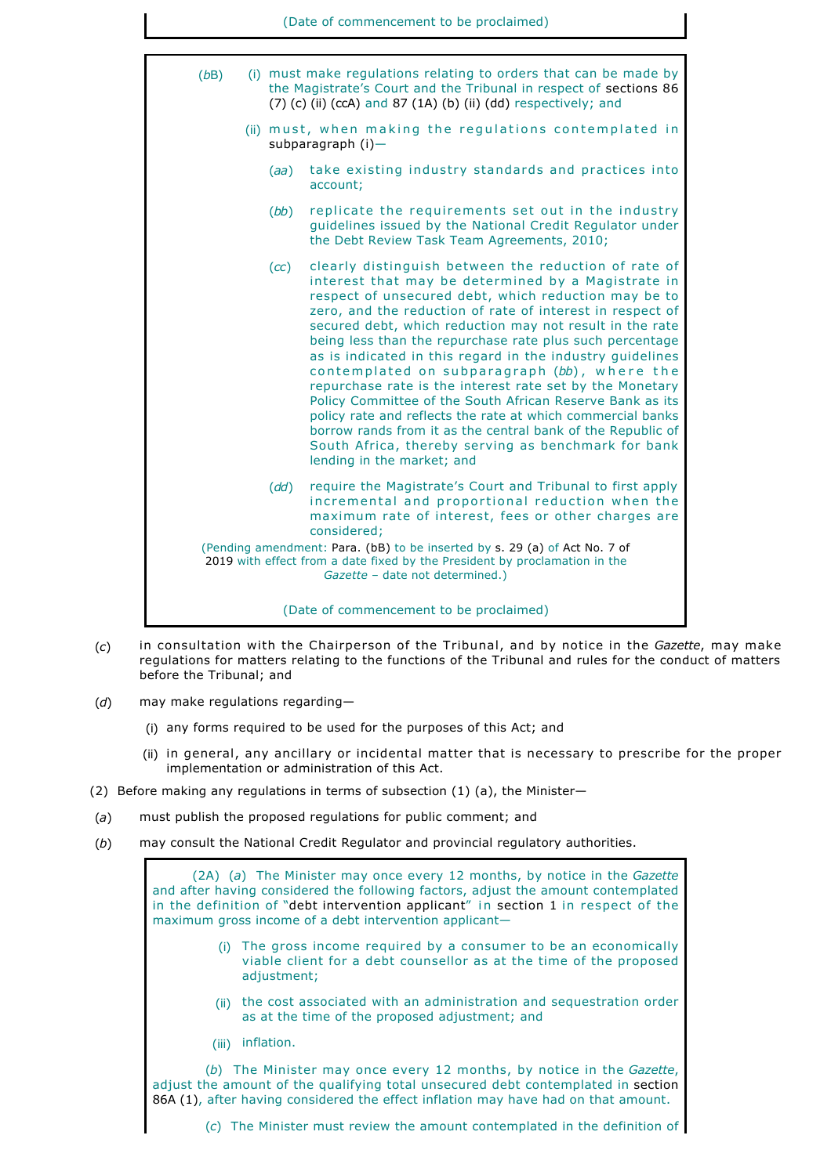

- (*c*) in consultation with the Chairperson of the Tribunal, and by notice in the *Gazette*, may make regulations for matters relating to the functions of the Tribunal and rules for the conduct of matters before the Tribunal; and
- (*d*) may make regulations regarding—
	- (i) any forms required to be used for the purposes of this Act; and
	- (ii) in general, any ancillary or incidental matter that is necessary to prescribe for the proper implementation or administration of this Act.
- (2) Before making any regulations in terms of subsection  $(1)$  (a), the Minister-
- (*a*) must publish the proposed regulations for public comment; and
- (*b*) may consult the National Credit Regulator and provincial regulatory authorities.

(2A) (*a*) The Minister may once every 12 months, by notice in the *Gazette* and after having considered the following factors, adjust the amount contemplated in the definition of "debt intervention applicant" in section 1 in respect of the maximum gross income of a debt intervention applicant—

- (i) The gross income required by a consumer to be an economically viable client for a debt counsellor as at the time of the proposed adjustment;
- (ii) the cost associated with an administration and sequestration order as at the time of the proposed adjustment; and
- (iii) inflation.

(*b*) The Minister may once every 12 months, by notice in the *Gazette*, adjust the amount of the qualifying total unsecured debt contemplated in section 86A (1), after having considered the effect inflation may have had on that amount.

(*c*) The Minister must review the amount contemplated in the definition of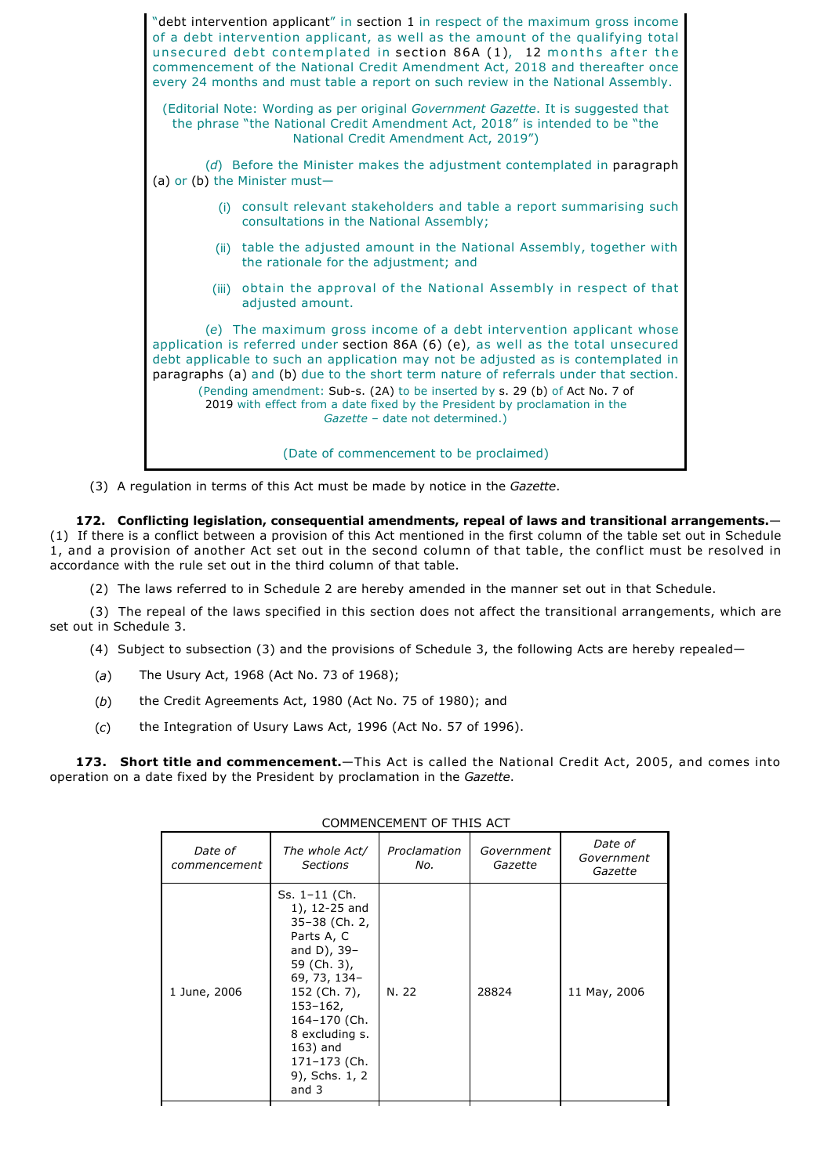

(3) A regulation in terms of this Act must be made by notice in the *Gazette*.

**172. Conflicting legislation, consequential amendments, repeal of laws and transitional arrangements.**— (1) If there is a conflict between a provision of this Act mentioned in the first column of the table set out in Schedule 1, and a provision of another Act set out in the second column of that table, the conflict must be resolved in accordance with the rule set out in the third column of that table.

(2) The laws referred to in Schedule 2 are hereby amended in the manner set out in that Schedule.

(3) The repeal of the laws specified in this section does not affect the transitional arrangements, which are set out in Schedule 3.

- (4) Subject to subsection (3) and the provisions of Schedule 3, the following Acts are hereby repealed—
- (*a*) The Usury Act, 1968 (Act No. 73 of 1968);
- (*b*) the Credit Agreements Act, 1980 (Act No. 75 of 1980); and
- (*c*) the Integration of Usury Laws Act, 1996 (Act No. 57 of 1996).

**173. Short title and commencement.**—This Act is called the National Credit Act, 2005, and comes into operation on a date fixed by the President by proclamation in the *Gazette*.

| COMPLINGEMENT OF THIS ACT |                                                                                                                                                                                                                                       |                     |                       |                                  |
|---------------------------|---------------------------------------------------------------------------------------------------------------------------------------------------------------------------------------------------------------------------------------|---------------------|-----------------------|----------------------------------|
| Date of<br>commencement   | The whole Act/<br><b>Sections</b>                                                                                                                                                                                                     | Proclamation<br>No. | Government<br>Gazette | Date of<br>Government<br>Gazette |
| 1 June, 2006              | Ss. 1-11 (Ch.<br>1), 12-25 and<br>35-38 (Ch. 2,<br>Parts A, C<br>and D), $39-$<br>59 (Ch. 3),<br>69, 73, 134-<br>152 (Ch. 7),<br>$153 - 162$<br>164-170 (Ch.<br>8 excluding s.<br>163) and<br>171-173 (Ch.<br>9), Schs. 1, 2<br>and 3 | N. 22               | 28824                 | 11 May, 2006                     |

## COMMENCEMENT OF THIS ACT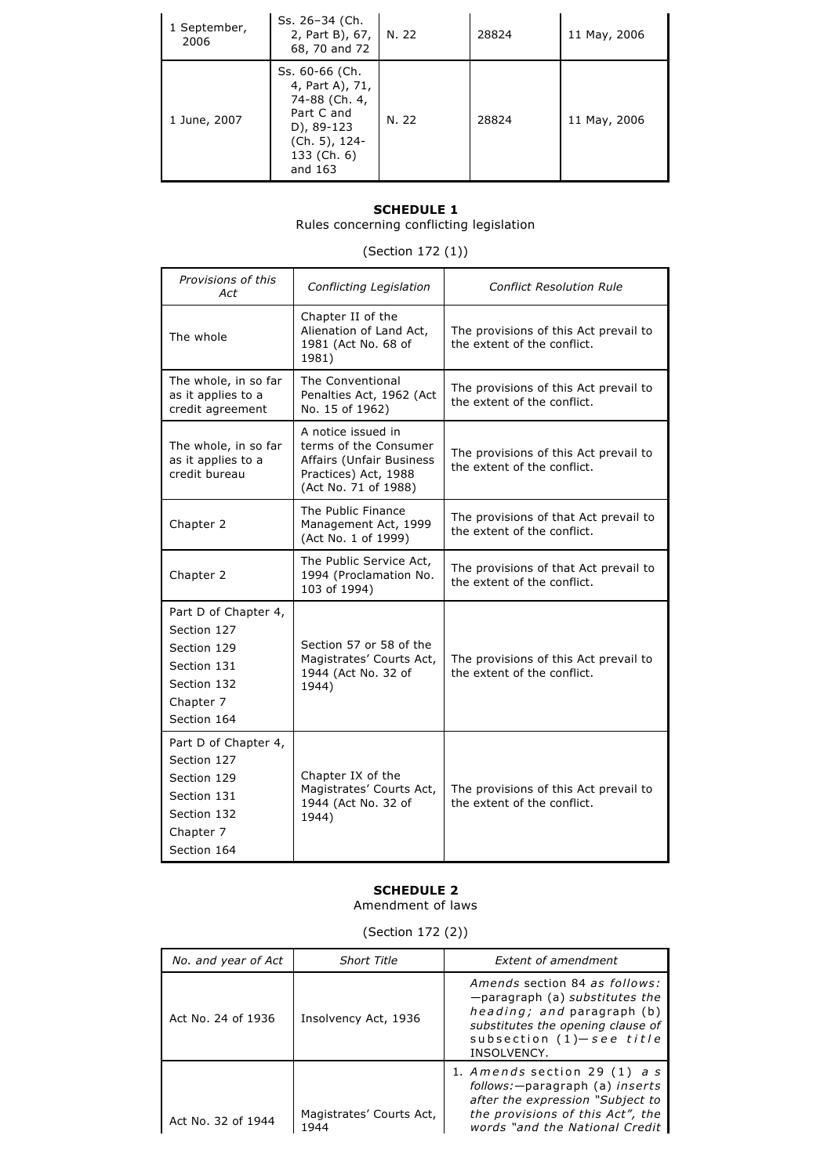| 1 September,<br>2006 | Ss. 26-34 (Ch.<br>2, Part B), 67,<br>68, 70 and 72                                                                        | N. 22 | 28824 | 11 May, 2006 |
|----------------------|---------------------------------------------------------------------------------------------------------------------------|-------|-------|--------------|
| 1 June, 2007         | Ss. 60-66 (Ch.<br>4, Part A), 71,<br>74-88 (Ch. 4,<br>Part C and<br>D), 89-123<br>(Ch. 5), 124-<br>133 (Ch. 6)<br>and 163 | N. 22 | 28824 | 11 May, 2006 |

## **SCHEDULE 1**

Rules concerning conflicting legislation

# (Section 172 (1))

| Provisions of this<br>Act                                                                                    | Conflicting Legislation                                                                                                        | <b>Conflict Resolution Rule</b>                                      |
|--------------------------------------------------------------------------------------------------------------|--------------------------------------------------------------------------------------------------------------------------------|----------------------------------------------------------------------|
| The whole                                                                                                    | Chapter II of the<br>Alienation of Land Act,<br>1981 (Act No. 68 of<br>1981)                                                   | The provisions of this Act prevail to<br>the extent of the conflict. |
| The whole, in so far<br>as it applies to a<br>credit agreement                                               | The Conventional<br>Penalties Act, 1962 (Act<br>No. 15 of 1962)                                                                | The provisions of this Act prevail to<br>the extent of the conflict. |
| The whole, in so far<br>as it applies to a<br>credit bureau                                                  | A notice issued in<br>terms of the Consumer<br><b>Affairs (Unfair Business</b><br>Practices) Act, 1988<br>(Act No. 71 of 1988) | The provisions of this Act prevail to<br>the extent of the conflict. |
| Chapter 2                                                                                                    | The Public Finance<br>Management Act, 1999<br>(Act No. 1 of 1999)                                                              | The provisions of that Act prevail to<br>the extent of the conflict. |
| Chapter 2                                                                                                    | The Public Service Act,<br>1994 (Proclamation No.<br>103 of 1994)                                                              | The provisions of that Act prevail to<br>the extent of the conflict. |
| Part D of Chapter 4,<br>Section 127<br>Section 129<br>Section 131<br>Section 132<br>Chapter 7<br>Section 164 | Section 57 or 58 of the<br>Magistrates' Courts Act,<br>1944 (Act No. 32 of<br>1944)                                            | The provisions of this Act prevail to<br>the extent of the conflict. |
| Part D of Chapter 4,<br>Section 127<br>Section 129<br>Section 131<br>Section 132<br>Chapter 7<br>Section 164 | Chapter IX of the<br>Magistrates' Courts Act,<br>1944 (Act No. 32 of<br>1944)                                                  | The provisions of this Act prevail to<br>the extent of the conflict. |

# **SCHEDULE 2**

Amendment of laws

(Section 172 (2))

| No. and year of Act | <b>Short Title</b>               | <b>Extent of amendment</b>                                                                                                                                                       |
|---------------------|----------------------------------|----------------------------------------------------------------------------------------------------------------------------------------------------------------------------------|
| Act No. 24 of 1936  | Insolvency Act, 1936             | Amends section 84 as follows:<br>-paragraph (a) substitutes the<br>heading; and paragraph (b)<br>substitutes the opening clause of<br>subsection $(1)-$ see title<br>INSOLVENCY. |
| Act No. 32 of 1944  | Magistrates' Courts Act,<br>1944 | 1. Amends section 29 $(1)$ as<br>follows:-paragraph (a) inserts<br>after the expression "Subject to<br>the provisions of this Act", the<br>words "and the National Credit"       |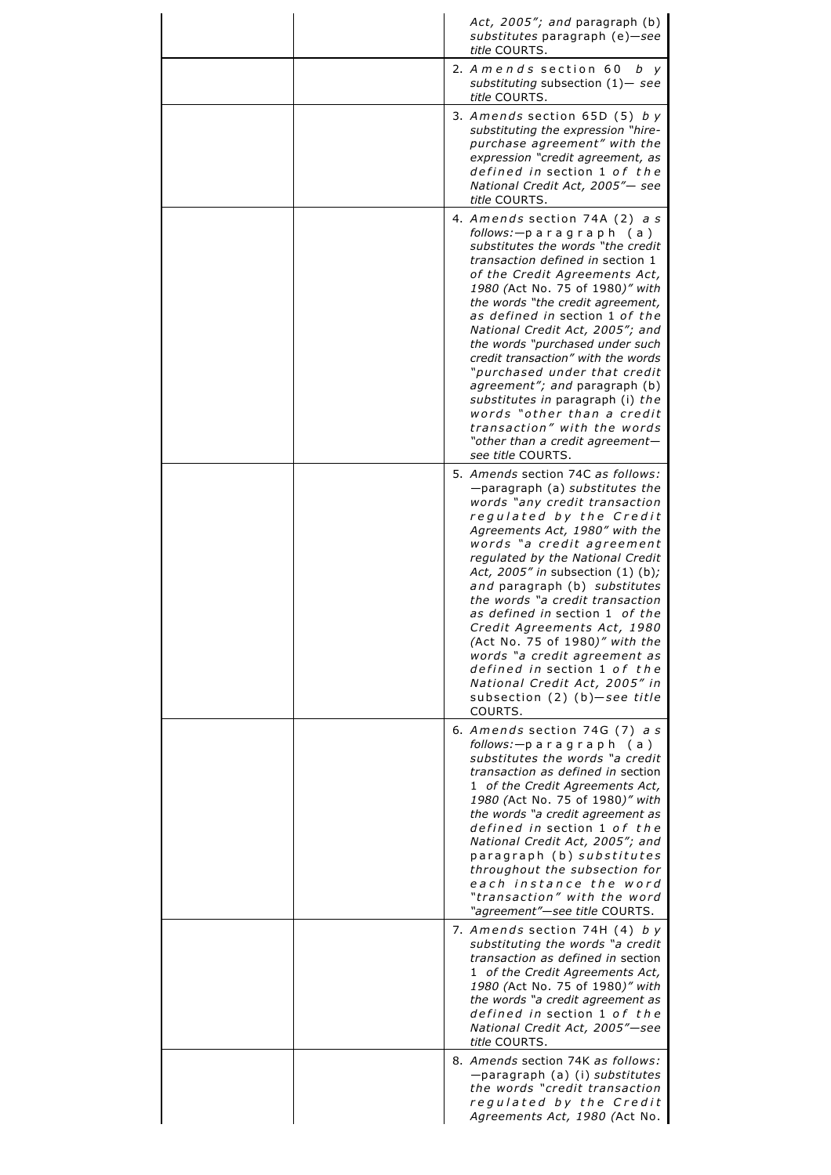| Act, 2005"; and paragraph (b)<br>substitutes paragraph (e)-see<br>title COURTS.                                                                                                                                                                                                                                                                                                                                                                                                                                                                                                                                    |
|--------------------------------------------------------------------------------------------------------------------------------------------------------------------------------------------------------------------------------------------------------------------------------------------------------------------------------------------------------------------------------------------------------------------------------------------------------------------------------------------------------------------------------------------------------------------------------------------------------------------|
| 2. A mends section 60 $b$ y<br>substituting subsection $(1)$ — see<br>title COURTS.                                                                                                                                                                                                                                                                                                                                                                                                                                                                                                                                |
| 3. Amends section $65D(5)$ by<br>substituting the expression "hire-<br>purchase agreement" with the<br>expression "credit agreement, as<br>defined in section 1 of the<br>National Credit Act, 2005"- see<br>title COURTS.                                                                                                                                                                                                                                                                                                                                                                                         |
| 4. Amends section 74A (2) a s<br>follows: — paragraph (a)<br>substitutes the words "the credit<br>transaction defined in section 1<br>of the Credit Agreements Act,<br>1980 (Act No. 75 of 1980)" with<br>the words "the credit agreement,<br>as defined in section 1 of the<br>National Credit Act, 2005"; and<br>the words "purchased under such<br>credit transaction" with the words<br>"purchased under that credit<br>agreement"; and paragraph (b)<br>substitutes in paragraph (i) the<br>words "other than a credit<br>transaction" with the words<br>"other than a credit agreement-<br>see title COURTS. |
| 5. Amends section 74C as follows:<br>-paragraph (a) substitutes the<br>words "any credit transaction<br>regulated by the Credit<br>Agreements Act, 1980" with the<br>words "a credit agreement<br>regulated by the National Credit<br>Act, 2005" in subsection (1) (b);<br>and paragraph (b) substitutes<br>the words "a credit transaction<br>as defined in section 1 of the<br>Credit Agreements Act, 1980<br>(Act No. 75 of 1980)" with the<br>words "a credit agreement as<br>defined in section 1 of the<br>National Credit Act, 2005" in<br>subsection $(2)$ $(b)$ -see title<br>COURTS.                     |
| 6. Amends section 74G (7) as<br>follows: — paragraph (a)<br>substitutes the words "a credit<br>transaction as defined in section<br>1 of the Credit Agreements Act,<br>1980 (Act No. 75 of 1980)" with<br>the words "a credit agreement as<br>defined in section 1 of the<br>National Credit Act, 2005"; and<br>paragraph (b) substitutes<br>throughout the subsection for<br>each instance the word<br>"transaction" with the word<br>"agreement"-see title COURTS.                                                                                                                                               |
| 7. Amends section 74H (4) by<br>substituting the words "a credit<br>transaction as defined in section<br>1 of the Credit Agreements Act,<br>1980 (Act No. 75 of 1980)" with<br>the words "a credit agreement as<br>defined in section 1 of the<br>National Credit Act, 2005"-see<br>title COURTS.                                                                                                                                                                                                                                                                                                                  |
| 8. Amends section 74K as follows:<br>-paragraph (a) (i) substitutes<br>the words "credit transaction<br>regulated by the Credit<br>Agreements Act, 1980 (Act No.                                                                                                                                                                                                                                                                                                                                                                                                                                                   |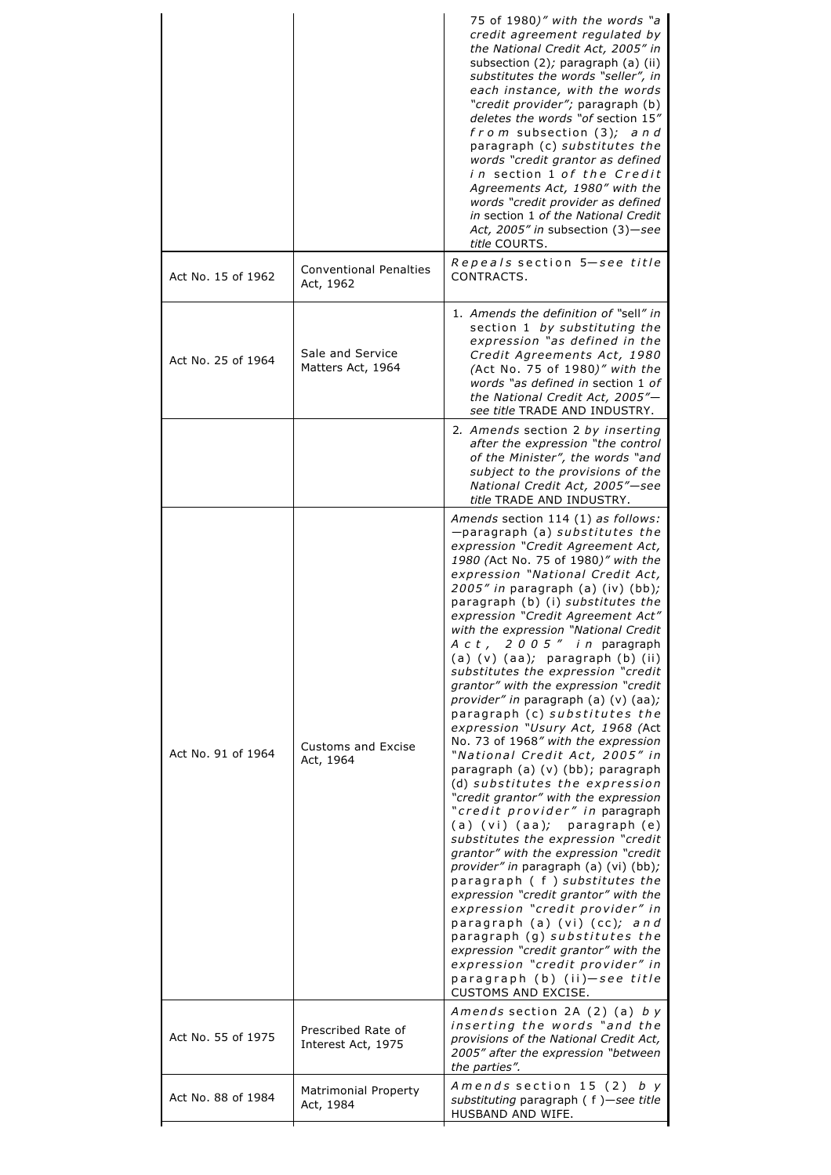|                    |                                            | 75 of 1980)" with the words "a<br>credit agreement regulated by<br>the National Credit Act, 2005" in<br>subsection $(2)$ ; paragraph $(a)$ (ii)<br>substitutes the words "seller", in<br>each instance, with the words<br>"credit provider"; paragraph (b)<br>deletes the words "of section 15"<br>$from$ subsection $(3)$ ; and<br>paragraph (c) substitutes the<br>words "credit grantor as defined<br>in section 1 of the Credit<br>Agreements Act, 1980" with the<br>words "credit provider as defined<br>in section 1 of the National Credit<br>Act, 2005" in subsection (3)-see<br>title COURTS.                                                                                                                                                                                                                                                                                                                                                                                                                                                                                                                                                                                                                                                                                                          |
|--------------------|--------------------------------------------|-----------------------------------------------------------------------------------------------------------------------------------------------------------------------------------------------------------------------------------------------------------------------------------------------------------------------------------------------------------------------------------------------------------------------------------------------------------------------------------------------------------------------------------------------------------------------------------------------------------------------------------------------------------------------------------------------------------------------------------------------------------------------------------------------------------------------------------------------------------------------------------------------------------------------------------------------------------------------------------------------------------------------------------------------------------------------------------------------------------------------------------------------------------------------------------------------------------------------------------------------------------------------------------------------------------------|
| Act No. 15 of 1962 | <b>Conventional Penalties</b><br>Act, 1962 | Repeals section 5-see title<br>CONTRACTS.                                                                                                                                                                                                                                                                                                                                                                                                                                                                                                                                                                                                                                                                                                                                                                                                                                                                                                                                                                                                                                                                                                                                                                                                                                                                       |
| Act No. 25 of 1964 | Sale and Service<br>Matters Act, 1964      | 1. Amends the definition of "sell" in<br>section 1 by substituting the<br>expression "as defined in the<br>Credit Agreements Act, 1980<br>(Act No. 75 of 1980)" with the<br>words "as defined in section 1 of<br>the National Credit Act, 2005"-<br>see title TRADE AND INDUSTRY.                                                                                                                                                                                                                                                                                                                                                                                                                                                                                                                                                                                                                                                                                                                                                                                                                                                                                                                                                                                                                               |
|                    |                                            | 2. Amends section 2 by inserting<br>after the expression "the control<br>of the Minister", the words "and<br>subject to the provisions of the<br>National Credit Act, 2005"-see<br>title TRADE AND INDUSTRY.                                                                                                                                                                                                                                                                                                                                                                                                                                                                                                                                                                                                                                                                                                                                                                                                                                                                                                                                                                                                                                                                                                    |
| Act No. 91 of 1964 | <b>Customs and Excise</b><br>Act, 1964     | Amends section 114 (1) as follows:<br>-paragraph (a) substitutes the<br>expression "Credit Agreement Act,<br>1980 (Act No. 75 of 1980)" with the<br>expression "National Credit Act,<br>2005" in paragraph (a) (iv) (bb);<br>paragraph (b) (i) substitutes the<br>expression "Credit Agreement Act"<br>with the expression "National Credit<br>Act, 2005" in paragraph<br>$(a)$ $(v)$ $(aa);$ paragraph $(b)$ $(ii)$<br>substitutes the expression "credit<br>grantor" with the expression "credit<br>provider" in paragraph (a) (v) (aa);<br>paragraph (c) substitutes the<br>expression "Usury Act, 1968 (Act<br>No. 73 of 1968" with the expression<br>"National Credit Act, 2005" in<br>paragraph (a) (v) (bb); paragraph<br>(d) substitutes the expression<br>"credit grantor" with the expression<br>"credit provider" in paragraph<br>(a) (vi) (aa); paragraph (e)<br>substitutes the expression "credit<br>grantor" with the expression "credit<br>provider" in paragraph (a) (vi) (bb);<br>paragraph (f) substitutes the<br>expression "credit grantor" with the<br>expression "credit provider" in<br>paragraph (a) (vi) (cc); and<br>paragraph (g) substitutes the<br>expression "credit grantor" with the<br>expression "credit provider" in<br>paragraph (b) (ii)—see title<br>CUSTOMS AND EXCISE. |
| Act No. 55 of 1975 | Prescribed Rate of<br>Interest Act, 1975   | Amends section 2A $(2)$ $(a)$ by<br>inserting the words "and the<br>provisions of the National Credit Act,<br>2005" after the expression "between<br>the parties".                                                                                                                                                                                                                                                                                                                                                                                                                                                                                                                                                                                                                                                                                                                                                                                                                                                                                                                                                                                                                                                                                                                                              |
| Act No. 88 of 1984 | Matrimonial Property<br>Act, 1984          | Amends section $15(2)$ by<br>substituting paragraph (f) -see title<br>HUSBAND AND WIFE.                                                                                                                                                                                                                                                                                                                                                                                                                                                                                                                                                                                                                                                                                                                                                                                                                                                                                                                                                                                                                                                                                                                                                                                                                         |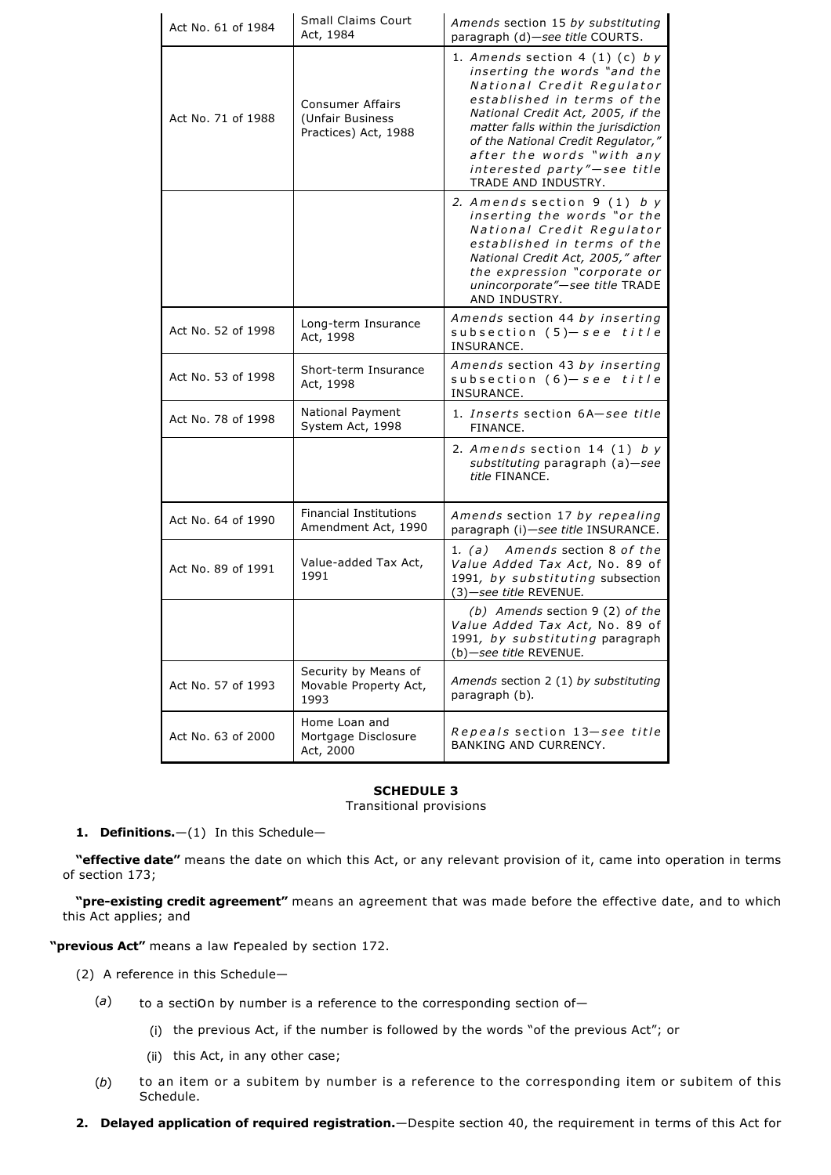| Act No. 61 of 1984 | <b>Small Claims Court</b><br>Act, 1984                       | Amends section 15 by substituting<br>paragraph (d)-see title COURTS.                                                                                                                                                                                                                                                                 |
|--------------------|--------------------------------------------------------------|--------------------------------------------------------------------------------------------------------------------------------------------------------------------------------------------------------------------------------------------------------------------------------------------------------------------------------------|
| Act No. 71 of 1988 | Consumer Affairs<br>(Unfair Business<br>Practices) Act, 1988 | 1. Amends section 4 $(1)$ $(c)$ by<br>inserting the words "and the<br>National Credit Regulator<br>established in terms of the<br>National Credit Act, 2005, if the<br>matter falls within the jurisdiction<br>of the National Credit Regulator,"<br>after the words "with any<br>interested party"-see title<br>TRADE AND INDUSTRY. |
|                    |                                                              | 2. Amends section 9 (1) by<br>inserting the words "or the<br>National Credit Regulator<br>established in terms of the<br>National Credit Act, 2005," after<br>the expression "corporate or<br>unincorporate"-see title TRADE<br>AND INDUSTRY.                                                                                        |
| Act No. 52 of 1998 | Long-term Insurance<br>Act, 1998                             | Amends section 44 by inserting<br>subsection (5)-see title<br>INSURANCE.                                                                                                                                                                                                                                                             |
| Act No. 53 of 1998 | Short-term Insurance<br>Act, 1998                            | Amends section 43 by inserting<br>subsection $(6)-$ see title<br>INSURANCE.                                                                                                                                                                                                                                                          |
| Act No. 78 of 1998 | National Payment<br>System Act, 1998                         | 1. Inserts section 6A-see title<br>FINANCE.                                                                                                                                                                                                                                                                                          |
|                    |                                                              | 2. Amends section 14 $(1)$ by<br>substituting paragraph (a)-see<br>title FINANCE.                                                                                                                                                                                                                                                    |
| Act No. 64 of 1990 | <b>Financial Institutions</b><br>Amendment Act, 1990         | Amends section 17 by repealing<br>paragraph (i)-see title INSURANCE.                                                                                                                                                                                                                                                                 |
| Act No. 89 of 1991 | Value-added Tax Act,<br>1991                                 | Amends section 8 of the<br>1. (a)<br>Value Added Tax Act, No. 89 of<br>1991, by substituting subsection<br>$(3)$ -see title REVENUE.                                                                                                                                                                                                 |
|                    |                                                              | (b) Amends section 9 (2) of the<br>Value Added Tax Act, No. 89 of<br>1991, by substituting paragraph<br>(b)-see title REVENUE.                                                                                                                                                                                                       |
| Act No. 57 of 1993 | Security by Means of<br>Movable Property Act,<br>1993        | Amends section 2 (1) by substituting<br>paragraph (b).                                                                                                                                                                                                                                                                               |
| Act No. 63 of 2000 | Home Loan and<br>Mortgage Disclosure<br>Act, 2000            | Repeals section 13-see title<br>BANKING AND CURRENCY.                                                                                                                                                                                                                                                                                |

## **SCHEDULE 3**

Transitional provisions

1. Definitions.-(1) In this Schedule-

**"effective date"** means the date on which this Act, or any relevant provision of it, came into operation in terms of section 173;

"pre-existing credit agreement" means an agreement that was made before the effective date, and to which this Act applies; and

**"previous Act"** means a law repealed by section 172.

- (2) A reference in this Schedule—
	- (*a*) to a section by number is a reference to the corresponding section of—
		- (i) the previous Act, if the number is followed by the words "of the previous Act"; or
		- (ii) this Act, in any other case;
	- (*b*) to an item or a subitem by number is a reference to the corresponding item or subitem of this Schedule.
- **2. Delayed application of required registration.**—Despite section 40, the requirement in terms of this Act for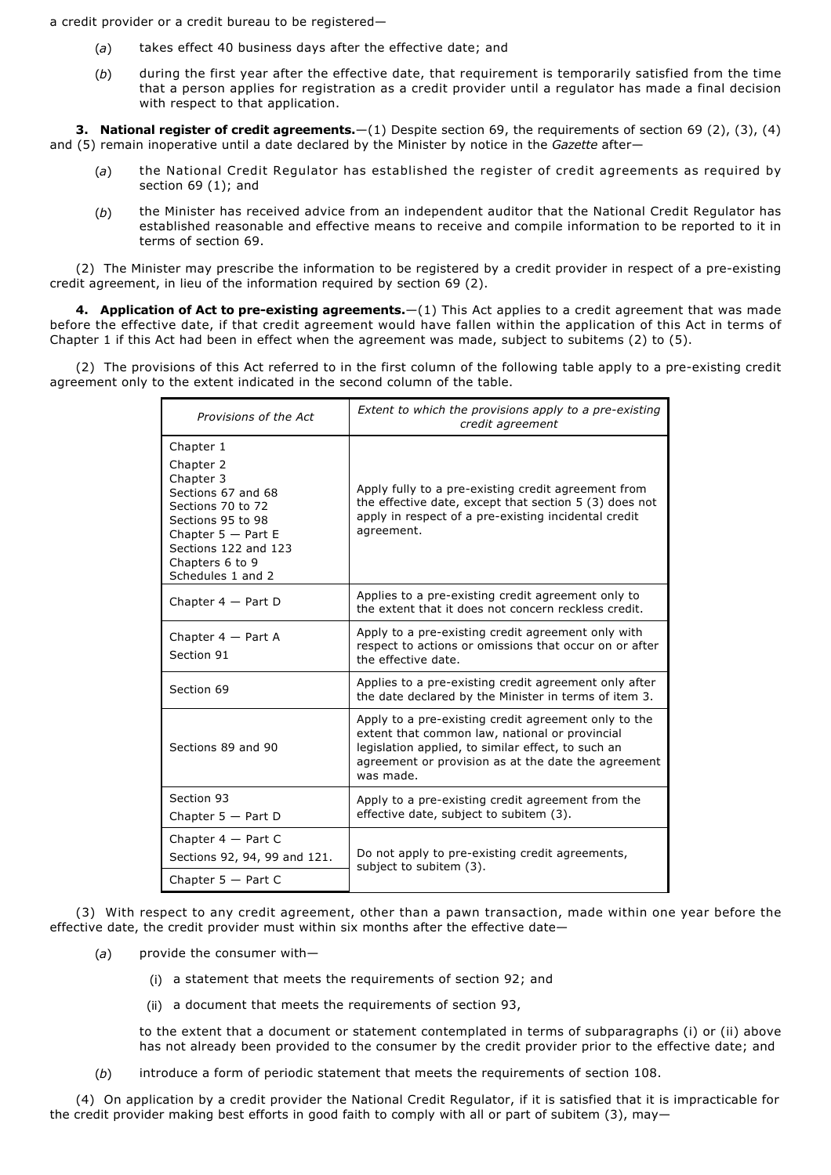a credit provider or a credit bureau to be registered—

- (*a*) takes effect 40 business days after the effective date; and
- (*b*) during the first year after the effective date, that requirement is temporarily satisfied from the time that a person applies for registration as a credit provider until a regulator has made a final decision with respect to that application.

**3. National register of credit agreements.**—(1) Despite section 69, the requirements of section 69 (2), (3), (4) and (5) remain inoperative until a date declared by the Minister by notice in the *Gazette* after—

- (*a*) the National Credit Regulator has established the register of credit agreements as required by section 69 (1); and
- (*b*) the Minister has received advice from an independent auditor that the National Credit Regulator has established reasonable and effective means to receive and compile information to be reported to it in terms of section 69.

(2) The Minister may prescribe the information to be registered by a credit provider in respect of a pre-existing credit agreement, in lieu of the information required by section 69 (2).

**4. Application of Act to pre-existing agreements.**—(1) This Act applies to a credit agreement that was made before the effective date, if that credit agreement would have fallen within the application of this Act in terms of Chapter 1 if this Act had been in effect when the agreement was made, subject to subitems (2) to (5).

(2) The provisions of this Act referred to in the first column of the following table apply to a pre-existing credit agreement only to the extent indicated in the second column of the table.

| Provisions of the Act                                                                                                                                                                       | Extent to which the provisions apply to a pre-existing<br>credit agreement                                                                                                                                                       |  |
|---------------------------------------------------------------------------------------------------------------------------------------------------------------------------------------------|----------------------------------------------------------------------------------------------------------------------------------------------------------------------------------------------------------------------------------|--|
| Chapter 1<br>Chapter 2<br>Chapter 3<br>Sections 67 and 68<br>Sections 70 to 72<br>Sections 95 to 98<br>Chapter $5 - Part E$<br>Sections 122 and 123<br>Chapters 6 to 9<br>Schedules 1 and 2 | Apply fully to a pre-existing credit agreement from<br>the effective date, except that section 5 (3) does not<br>apply in respect of a pre-existing incidental credit<br>agreement.                                              |  |
| Chapter $4 - Part D$                                                                                                                                                                        | Applies to a pre-existing credit agreement only to<br>the extent that it does not concern reckless credit.                                                                                                                       |  |
| Chapter $4 - Part A$<br>Section 91                                                                                                                                                          | Apply to a pre-existing credit agreement only with<br>respect to actions or omissions that occur on or after<br>the effective date.                                                                                              |  |
| Section 69                                                                                                                                                                                  | Applies to a pre-existing credit agreement only after<br>the date declared by the Minister in terms of item 3.                                                                                                                   |  |
| Sections 89 and 90                                                                                                                                                                          | Apply to a pre-existing credit agreement only to the<br>extent that common law, national or provincial<br>legislation applied, to similar effect, to such an<br>agreement or provision as at the date the agreement<br>was made. |  |
| Section 93<br>Chapter $5 -$ Part D                                                                                                                                                          | Apply to a pre-existing credit agreement from the<br>effective date, subject to subitem (3).                                                                                                                                     |  |
| Chapter $4 - Part C$<br>Sections 92, 94, 99 and 121.                                                                                                                                        | Do not apply to pre-existing credit agreements,<br>subject to subitem (3).                                                                                                                                                       |  |
| Chapter $5 -$ Part C                                                                                                                                                                        |                                                                                                                                                                                                                                  |  |

(3) With respect to any credit agreement, other than a pawn transaction, made within one year before the effective date, the credit provider must within six months after the effective date—

- (*a*) provide the consumer with—
	- (i) a statement that meets the requirements of section 92; and
	- (ii) a document that meets the requirements of section 93,

to the extent that a document or statement contemplated in terms of subparagraphs (i) or (ii) above has not already been provided to the consumer by the credit provider prior to the effective date; and

(*b*) introduce a form of periodic statement that meets the requirements of section 108.

(4) On application by a credit provider the National Credit Regulator, if it is satisfied that it is impracticable for the credit provider making best efforts in good faith to comply with all or part of subitem (3), may-